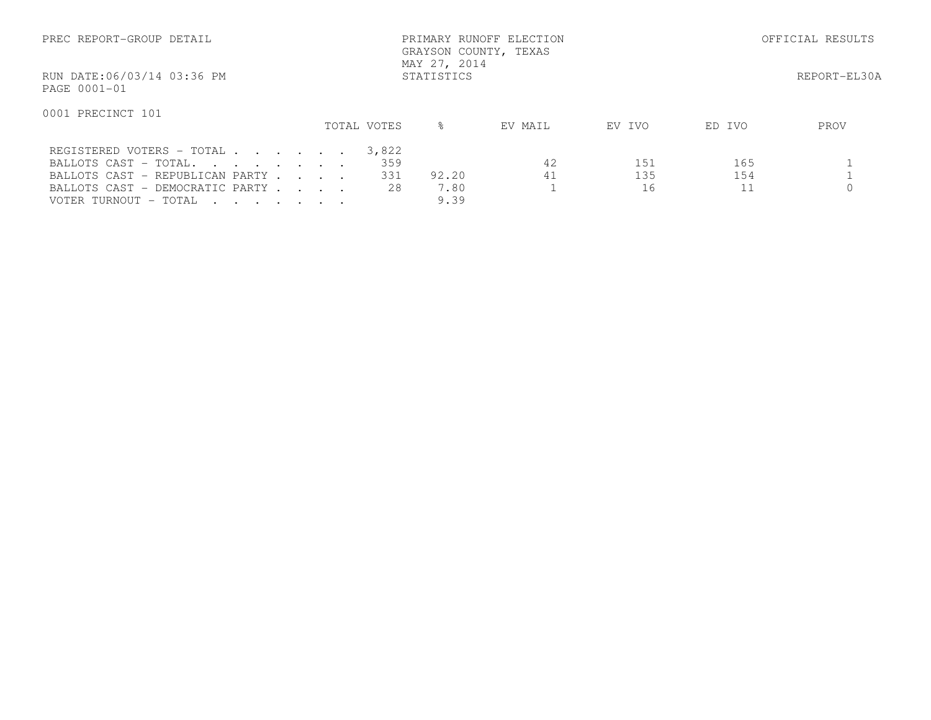| PREC REPORT-GROUP DETAIL                   | PRIMARY RUNOFF ELECTION<br>GRAYSON COUNTY, TEXAS<br>MAY 27, 2014 |  |  |  |             | OFFICIAL RESULTS |         |        |        |              |
|--------------------------------------------|------------------------------------------------------------------|--|--|--|-------------|------------------|---------|--------|--------|--------------|
| RUN DATE:06/03/14 03:36 PM<br>PAGE 0001-01 |                                                                  |  |  |  |             | STATISTICS       |         |        |        | REPORT-EL30A |
| 0001 PRECINCT 101                          |                                                                  |  |  |  | TOTAL VOTES | $\approx$        | EV MAIL | EV IVO | ED IVO | PROV         |
| REGISTERED VOTERS - TOTAL                  |                                                                  |  |  |  | 3,822       |                  |         |        |        |              |
| BALLOTS CAST - TOTAL.                      |                                                                  |  |  |  | 359         |                  | 42      | 151    | 165    |              |
| BALLOTS CAST - REPUBLICAN PARTY            |                                                                  |  |  |  | 331         | 92.20            | 41      | 135    | 154    |              |
| BALLOTS CAST - DEMOCRATIC PARTY            |                                                                  |  |  |  | 28          | 7.80             |         | 16     |        |              |
| VOTER TURNOUT - TOTAL                      |                                                                  |  |  |  |             | 9.39             |         |        |        |              |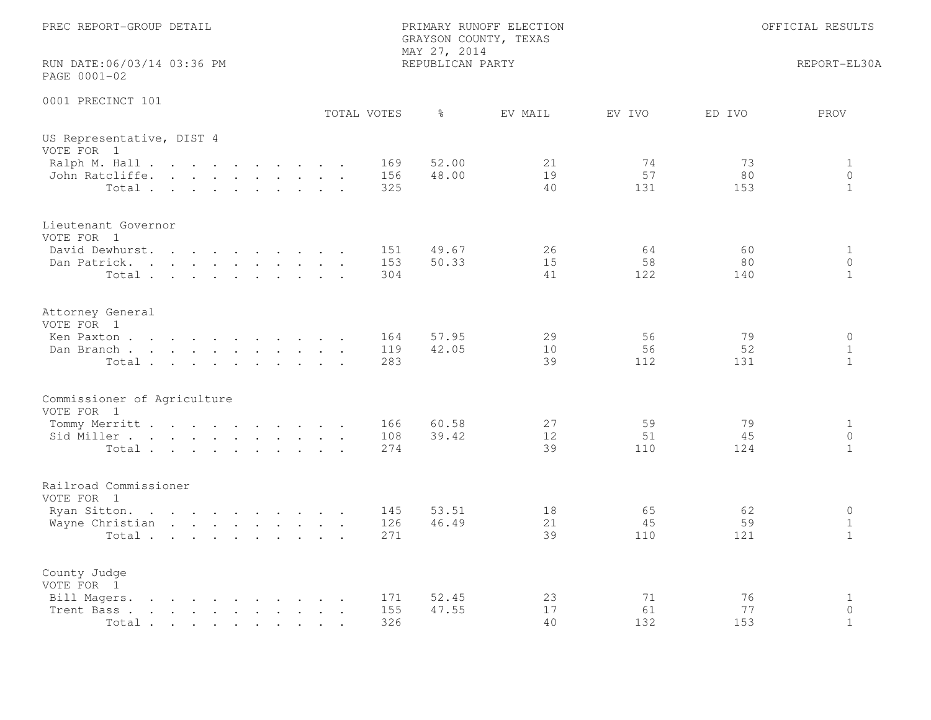| PREC REPORT-GROUP DETAIL<br>PRIMARY RUNOFF ELECTION<br>GRAYSON COUNTY, TEXAS<br>MAY 27, 2014                                                                                                        |                   |                  |                |                                    | OFFICIAL RESULTS                        |  |  |
|-----------------------------------------------------------------------------------------------------------------------------------------------------------------------------------------------------|-------------------|------------------|----------------|------------------------------------|-----------------------------------------|--|--|
| RUN DATE:06/03/14 03:36 PM<br>PAGE 0001-02                                                                                                                                                          |                   | REPUBLICAN PARTY |                |                                    | REPORT-EL30A                            |  |  |
| 0001 PRECINCT 101                                                                                                                                                                                   | TOTAL VOTES       | $\frac{6}{6}$    | EV MAIL        | EV IVO<br>ED IVO                   | PROV                                    |  |  |
| US Representative, DIST 4<br>VOTE FOR 1                                                                                                                                                             |                   |                  |                |                                    |                                         |  |  |
| Ralph M. Hall<br>John Ratcliffe.<br>Total                                                                                                                                                           | 169<br>156<br>325 | 52.00<br>48.00   | 21<br>19<br>40 | 74<br>73<br>57<br>80<br>131<br>153 | $\mathbf{1}$<br>$\circ$<br>$\mathbf{1}$ |  |  |
| Lieutenant Governor<br>VOTE FOR 1                                                                                                                                                                   |                   |                  |                |                                    |                                         |  |  |
| David Dewhurst.<br>$\mathbf{r}$ , and $\mathbf{r}$ , and $\mathbf{r}$ , and $\mathbf{r}$<br>Dan Patrick.<br>Total                                                                                   | 151<br>153<br>304 | 49.67<br>50.33   | 26<br>15<br>41 | 64<br>60<br>58<br>80<br>122<br>140 | $\mathbf{1}$<br>$\circ$<br>$\mathbf{1}$ |  |  |
| Attorney General<br>VOTE FOR 1                                                                                                                                                                      |                   |                  |                |                                    |                                         |  |  |
| Ken Paxton<br>Dan Branch<br>Total                                                                                                                                                                   | 164<br>119<br>283 | 57.95<br>42.05   | 29<br>10<br>39 | 56<br>79<br>56<br>52<br>112<br>131 | $\circ$<br>$\mathbf{1}$<br>$\mathbf{1}$ |  |  |
| Commissioner of Agriculture<br>VOTE FOR 1                                                                                                                                                           |                   |                  |                |                                    |                                         |  |  |
| Tommy Merritt<br>Sid Miller<br>Total                                                                                                                                                                | 166<br>108<br>274 | 60.58<br>39.42   | 27<br>12<br>39 | 59<br>79<br>51<br>45<br>110<br>124 | $\mathbf{1}$<br>$\circ$<br>$\mathbf{1}$ |  |  |
| Railroad Commissioner<br>VOTE FOR 1                                                                                                                                                                 |                   |                  |                |                                    |                                         |  |  |
| Ryan Sitton.<br>Wayne Christian<br>Total                                                                                                                                                            | 145<br>126<br>271 | 53.51<br>46.49   | 18<br>21<br>39 | 65<br>62<br>45<br>59<br>110<br>121 | $\circ$<br>$\mathbf{1}$<br>$\mathbf{1}$ |  |  |
| County Judge<br>VOTE FOR 1                                                                                                                                                                          |                   |                  |                |                                    |                                         |  |  |
| Bill Magers.<br>the contract of the contract of the con-<br>Trent Bass.<br>the contract of the contract of the contract of the contract of the contract of the contract of the contract of<br>Total | 171<br>155<br>326 | 52.45<br>47.55   | 23<br>17<br>40 | 71<br>76<br>61<br>77<br>132<br>153 | 1<br>$\circ$<br>$\mathbf{1}$            |  |  |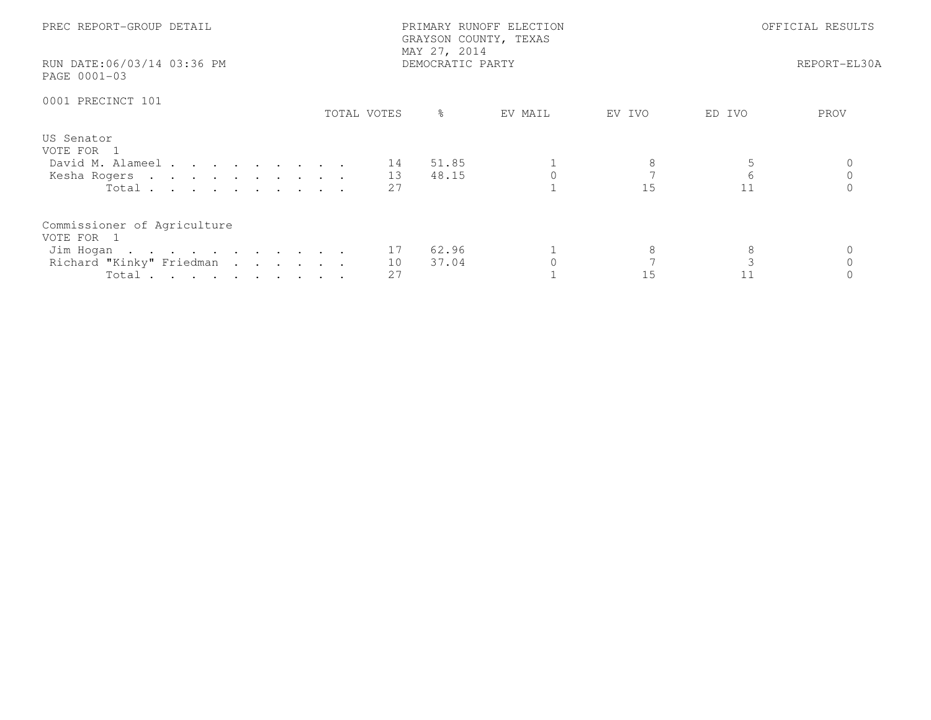| PREC REPORT-GROUP DETAIL<br>RUN DATE:06/03/14 03:36 PM<br>PAGE 0001-03                                  | PRIMARY RUNOFF ELECTION<br>GRAYSON COUNTY, TEXAS<br>MAY 27, 2014<br>DEMOCRATIC PARTY |                |         | OFFICIAL RESULTS<br>REPORT-EL30A |      |  |
|---------------------------------------------------------------------------------------------------------|--------------------------------------------------------------------------------------|----------------|---------|----------------------------------|------|--|
| 0001 PRECINCT 101                                                                                       | TOTAL VOTES                                                                          | ႜ<br>EV MAIL   | EV IVO  | ED IVO                           | PROV |  |
| US Senator<br>VOTE FOR 1<br>David M. Alameel 14<br>Kesha Rogers 13<br>Total                             | 2.7                                                                                  | 51.85<br>48.15 | 15      | $6\overline{6}$<br>11            |      |  |
| Commissioner of Agriculture<br>VOTE FOR 1<br>Jim Hogan 17<br>Richard "Kinky" Friedman<br>Total $\cdots$ | 10<br>27                                                                             | 62.96<br>37.04 | 8<br>15 | 8<br>11                          |      |  |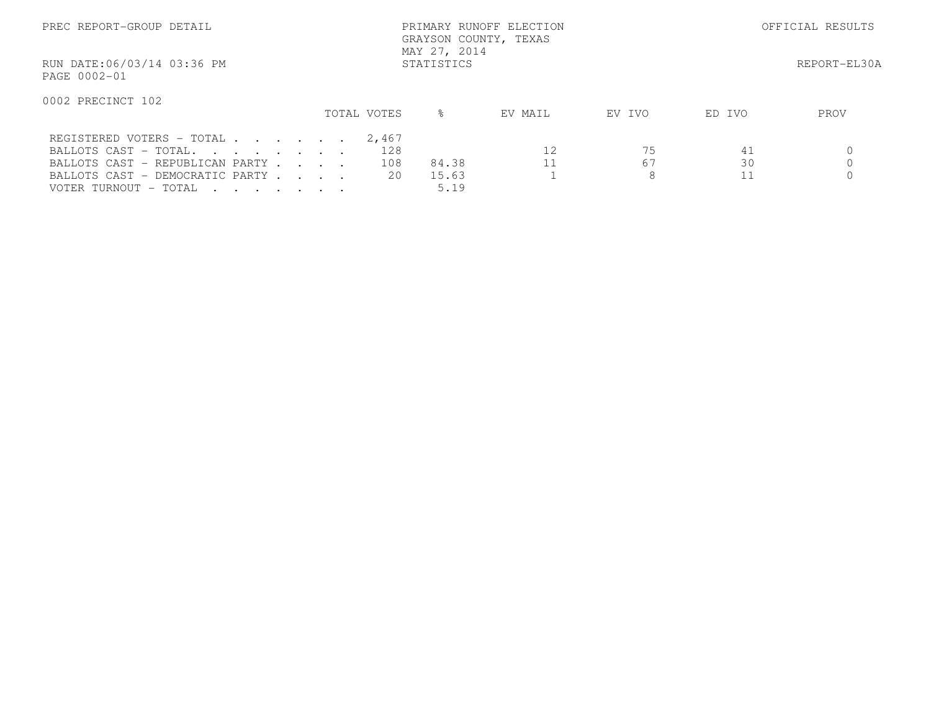| PREC REPORT-GROUP DETAIL                                                                                                                          |             | PRIMARY RUNOFF ELECTION<br>GRAYSON COUNTY, TEXAS<br>MAY 27, 2014 |              | OFFICIAL RESULTS |          |      |
|---------------------------------------------------------------------------------------------------------------------------------------------------|-------------|------------------------------------------------------------------|--------------|------------------|----------|------|
| RUN DATE:06/03/14 03:36 PM<br>PAGE 0002-01                                                                                                        |             |                                                                  | REPORT-EL30A |                  |          |      |
| 0002 PRECINCT 102                                                                                                                                 | TOTAL VOTES | ⊱                                                                | EV MAIL      | EV IVO           | ED IVO   | PROV |
| REGISTERED VOTERS - TOTAL<br>BALLOTS CAST - TOTAL.<br>BALLOTS CAST - REPUBLICAN PARTY<br>BALLOTS CAST - DEMOCRATIC PARTY<br>VOTER TURNOUT - TOTAL | 2,467       | 128<br>108<br>84.38<br>20<br>15.63<br>5.19                       | 12           | 75<br>67<br>8    | 41<br>30 |      |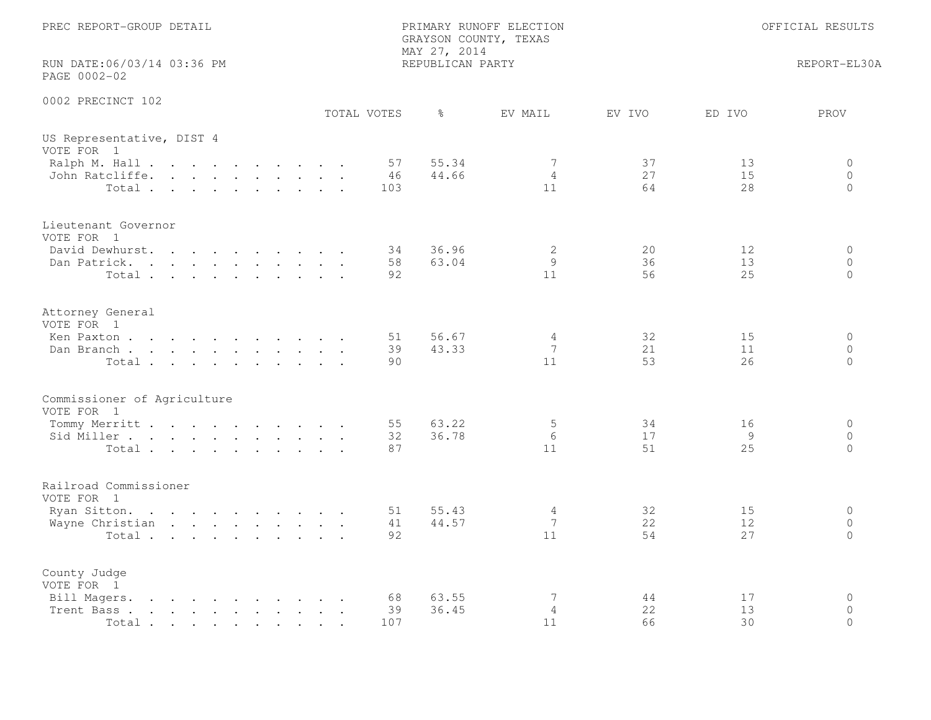| PREC REPORT-GROUP DETAIL                                                                                                                                                            | PRIMARY RUNOFF ELECTION<br>GRAYSON COUNTY, TEXAS<br>MAY 27, 2014 |                           |                                  |                                        |
|-------------------------------------------------------------------------------------------------------------------------------------------------------------------------------------|------------------------------------------------------------------|---------------------------|----------------------------------|----------------------------------------|
| RUN DATE:06/03/14 03:36 PM<br>PAGE 0002-02                                                                                                                                          | REPUBLICAN PARTY                                                 |                           |                                  | REPORT-EL30A                           |
| 0002 PRECINCT 102<br>TOTAL VOTES                                                                                                                                                    | ႜ                                                                | EV MAIL<br>EV IVO         | ED IVO                           | PROV                                   |
| US Representative, DIST 4<br>VOTE FOR 1                                                                                                                                             |                                                                  |                           |                                  |                                        |
| Ralph M. Hall<br>John Ratcliffe.<br>Total                                                                                                                                           | 55.34<br>57<br>44.66<br>46<br>103                                | 7<br>$\overline{4}$<br>11 | 37<br>13<br>27<br>15<br>64<br>28 | $\Omega$<br>$\overline{0}$<br>$\Omega$ |
| Lieutenant Governor<br>VOTE FOR 1                                                                                                                                                   |                                                                  |                           |                                  |                                        |
| David Dewhurst.<br>Dan Patrick.<br>Total                                                                                                                                            | 36.96<br>34<br>58<br>63.04<br>92                                 | 2<br>9<br>11              | 20<br>12<br>36<br>13<br>56<br>25 | $\circ$<br>$\circ$<br>$\Omega$         |
| Attorney General<br>VOTE FOR 1                                                                                                                                                      |                                                                  |                           |                                  |                                        |
| Ken Paxton<br>Dan Branch<br>Total                                                                                                                                                   | 56.67<br>51<br>43.33<br>39<br>90                                 | 4<br>7<br>11              | 32<br>15<br>21<br>11<br>53<br>26 | $\circ$<br>$\Omega$<br>$\circ$         |
| Commissioner of Agriculture<br>VOTE FOR 1                                                                                                                                           |                                                                  |                           |                                  |                                        |
| Tommy Merritt<br>Sid Miller<br>Total                                                                                                                                                | 55<br>63.22<br>36.78<br>32<br>87                                 | 5<br>6<br>11              | 34<br>16<br>17<br>9<br>51<br>25  | 0<br>$\circ$<br>$\Omega$               |
| Railroad Commissioner<br>VOTE FOR 1                                                                                                                                                 |                                                                  |                           |                                  |                                        |
| Ryan Sitton.<br>Wayne Christian<br>Total                                                                                                                                            | 55.43<br>51<br>41<br>44.57<br>92                                 | $\overline{4}$<br>7<br>11 | 32<br>15<br>22<br>12<br>54<br>27 | $\circ$<br>$\circ$<br>$\Omega$         |
| County Judge<br>VOTE FOR 1                                                                                                                                                          |                                                                  |                           |                                  |                                        |
| Bill Magers.<br>$\mathbf{r}$ , and $\mathbf{r}$ , and $\mathbf{r}$ , and $\mathbf{r}$ , and $\mathbf{r}$<br>the contract of the contract of the contract of<br>Trent Bass.<br>Total | 63.55<br>68<br>39<br>36.45<br>107                                | 7<br>4<br>11              | 17<br>44<br>22<br>13<br>66<br>30 | $\mathbf 0$<br>$\Omega$<br>$\Omega$    |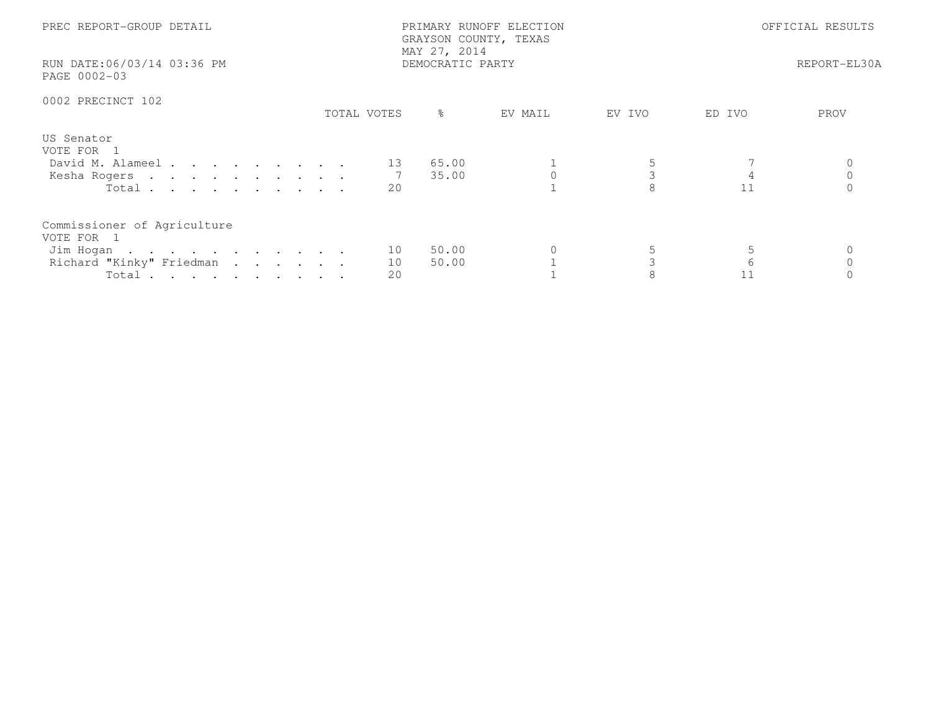| PREC REPORT-GROUP DETAIL<br>RUN DATE:06/03/14 03:36 PM<br>PAGE 0002-03                      |                | PRIMARY RUNOFF ELECTION<br>GRAYSON COUNTY, TEXAS<br>MAY 27, 2014<br>DEMOCRATIC PARTY |         | OFFICIAL RESULTS<br>REPORT-EL30A |        |      |
|---------------------------------------------------------------------------------------------|----------------|--------------------------------------------------------------------------------------|---------|----------------------------------|--------|------|
| 0002 PRECINCT 102                                                                           | TOTAL VOTES    | ႜၟ                                                                                   | EV MAIL | EV IVO                           | ED IVO | PROV |
| US Senator<br>VOTE FOR 1<br>David M. Alameel<br>Kesha Rogers<br>Total                       | 13<br>20       | 65.00<br>35.00                                                                       |         |                                  | 11     |      |
| Commissioner of Agriculture<br>VOTE FOR 1<br>Jim Hogan<br>Richard "Kinky" Friedman<br>Total | 10<br>10<br>20 | 50.00<br>50.00                                                                       |         |                                  | 6      |      |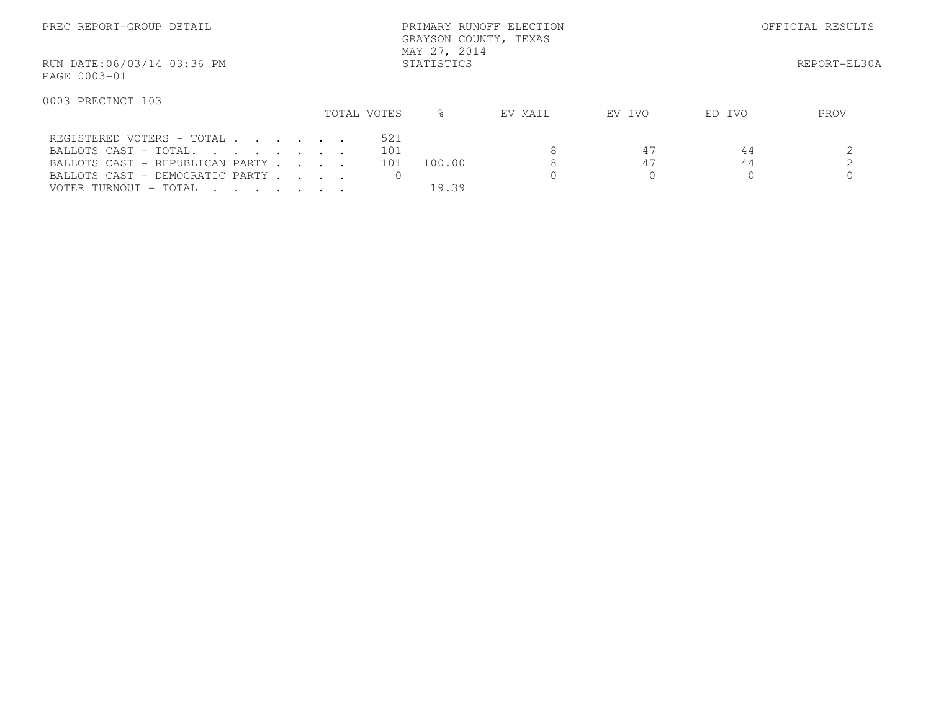| PREC REPORT-GROUP DETAIL                                                                                         |             | PRIMARY RUNOFF ELECTION<br>GRAYSON COUNTY, TEXAS<br>MAY 27, 2014 |              | OFFICIAL RESULTS |        |      |
|------------------------------------------------------------------------------------------------------------------|-------------|------------------------------------------------------------------|--------------|------------------|--------|------|
| RUN DATE:06/03/14 03:36 PM<br>PAGE 0003-01                                                                       | STATISTICS  |                                                                  | REPORT-EL30A |                  |        |      |
| 0003 PRECINCT 103                                                                                                | TOTAL VOTES | $\approx$                                                        | EV MAIL      | EV IVO           | ED IVO | PROV |
|                                                                                                                  |             |                                                                  |              |                  |        |      |
| REGISTERED VOTERS - TOTAL                                                                                        | 521         |                                                                  |              |                  |        |      |
| BALLOTS CAST - TOTAL.                                                                                            | 101         |                                                                  | 8            | 47               | 44     |      |
| BALLOTS CAST - REPUBLICAN PARTY                                                                                  | 101         | 100.00                                                           |              | 47               | 44     |      |
| BALLOTS CAST - DEMOCRATIC PARTY                                                                                  |             |                                                                  |              |                  |        |      |
| VOTER TURNOUT - TOTAL<br>$\mathbf{r}$ , $\mathbf{r}$ , $\mathbf{r}$ , $\mathbf{r}$ , $\mathbf{r}$ , $\mathbf{r}$ |             | 19.39                                                            |              |                  |        |      |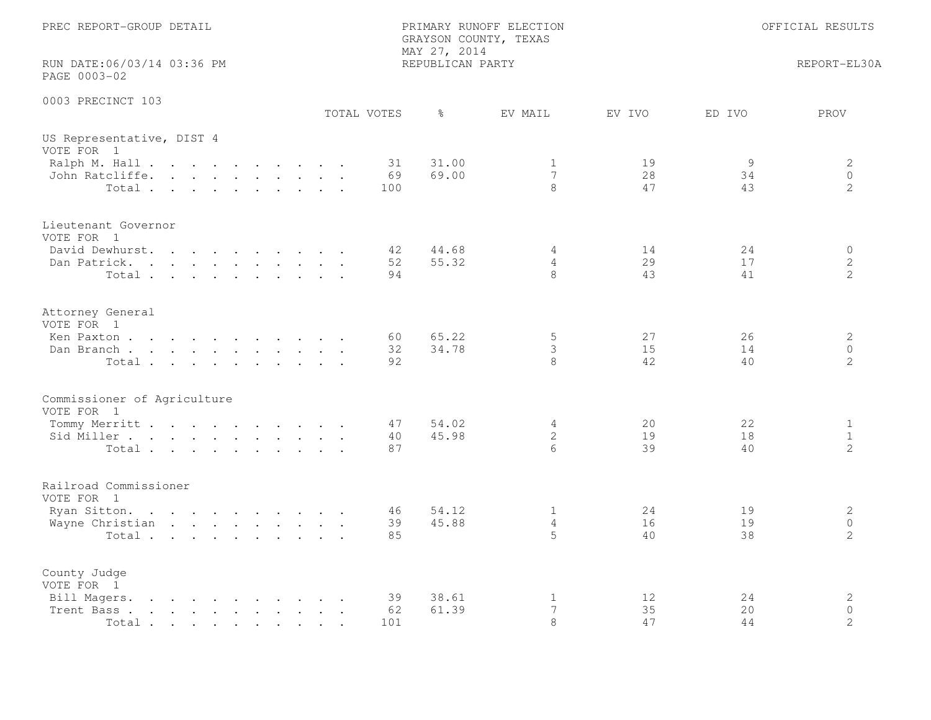| PREC REPORT-GROUP DETAIL                                                                                                                                                                                   | PRIMARY RUNOFF ELECTION<br>GRAYSON COUNTY, TEXAS<br>MAY 27, 2014                  |                                                                              |  |  |
|------------------------------------------------------------------------------------------------------------------------------------------------------------------------------------------------------------|-----------------------------------------------------------------------------------|------------------------------------------------------------------------------|--|--|
| RUN DATE:06/03/14 03:36 PM<br>PAGE 0003-02                                                                                                                                                                 | REPUBLICAN PARTY                                                                  | REPORT-EL30A                                                                 |  |  |
| 0003 PRECINCT 103                                                                                                                                                                                          | TOTAL VOTES<br>ႜ<br>EV MAIL                                                       | ED IVO<br>PROV<br>EV IVO                                                     |  |  |
| US Representative, DIST 4<br>VOTE FOR 1                                                                                                                                                                    |                                                                                   |                                                                              |  |  |
| Ralph M. Hall<br>John Ratcliffe.<br>Total                                                                                                                                                                  | 31.00<br>31<br>1<br>69.00<br>$7\phantom{.0}$<br>69<br>8<br>100                    | 19<br>9<br>2<br>28<br>$\circ$<br>34<br>$\overline{2}$<br>47<br>43            |  |  |
| Lieutenant Governor<br>VOTE FOR 1                                                                                                                                                                          |                                                                                   |                                                                              |  |  |
| David Dewhurst.<br>Dan Patrick.<br>Total                                                                                                                                                                   | 42<br>44.68<br>4<br>55.32<br>$\overline{4}$<br>52<br>8<br>94                      | 14<br>24<br>$\circ$<br>$\mathbf{2}$<br>29<br>17<br>41<br>2<br>43             |  |  |
| Attorney General<br>VOTE FOR 1<br>Ken Paxton                                                                                                                                                               | 65.22<br>5<br>60                                                                  | 27<br>$\mathbf{2}$<br>26                                                     |  |  |
| Dan Branch<br>Total                                                                                                                                                                                        | 34.78<br>3<br>32<br>8<br>92                                                       | 15<br>$\Omega$<br>14<br>42<br>2<br>40                                        |  |  |
| Commissioner of Agriculture<br>VOTE FOR 1                                                                                                                                                                  |                                                                                   |                                                                              |  |  |
| Tommy Merritt<br>Sid Miller<br>Total                                                                                                                                                                       | 54.02<br>$\overline{4}$<br>47<br>45.98<br>$\mathbf{2}$<br>40<br>87<br>6           | 22<br>20<br>$\mathbf{1}$<br>19<br>$\mathbf{1}$<br>18<br>39<br>2<br>40        |  |  |
| Railroad Commissioner<br>VOTE FOR 1                                                                                                                                                                        |                                                                                   |                                                                              |  |  |
| Ryan Sitton.<br>Wayne Christian<br>Total                                                                                                                                                                   | 54.12<br>$\mathbf{1}$<br>46<br>$\overline{4}$<br>39<br>45.88<br>$5^{\circ}$<br>85 | 2<br>24<br>19<br>$\circ$<br>16<br>19<br>2<br>40<br>38                        |  |  |
| County Judge<br>VOTE FOR 1                                                                                                                                                                                 |                                                                                   |                                                                              |  |  |
| Bill Magers.<br>the contract of the contract of the contract of the contract of the contract of the contract of the contract of<br>the contract of the contract of the contract of<br>Trent Bass.<br>Total | $\mathbf{1}$<br>39<br>38.61<br>61.39<br>7<br>62<br>8<br>101                       | $\mathbf{2}$<br>12<br>24<br>35<br>$\Omega$<br>20<br>$\mathbf{2}$<br>47<br>44 |  |  |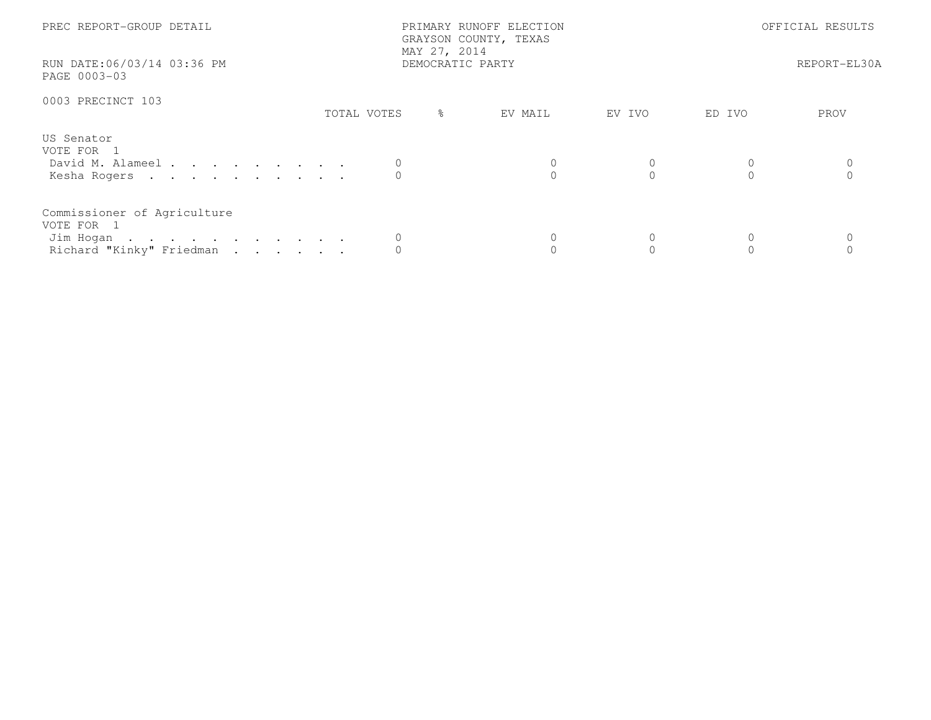| PREC REPORT-GROUP DETAIL                   |                  | PRIMARY RUNOFF ELECTION<br>GRAYSON COUNTY, TEXAS<br>MAY 27, 2014 |         | OFFICIAL RESULTS |        |      |
|--------------------------------------------|------------------|------------------------------------------------------------------|---------|------------------|--------|------|
| RUN DATE:06/03/14 03:36 PM<br>PAGE 0003-03 | DEMOCRATIC PARTY |                                                                  |         | REPORT-EL30A     |        |      |
| 0003 PRECINCT 103                          |                  |                                                                  |         |                  |        |      |
|                                            | TOTAL VOTES      | $\frac{6}{6}$                                                    | EV MAIL | EV IVO           | ED IVO | PROV |
| US Senator<br>VOTE FOR 1                   |                  |                                                                  |         |                  |        |      |
| David M. Alameel                           |                  |                                                                  |         |                  |        |      |
| Kesha Rogers                               |                  |                                                                  |         |                  |        |      |
| Commissioner of Agriculture<br>VOTE FOR 1  |                  |                                                                  |         |                  |        |      |
| Jim Hogan                                  |                  |                                                                  |         |                  | 0      |      |
| Richard "Kinky" Friedman                   |                  |                                                                  |         |                  |        |      |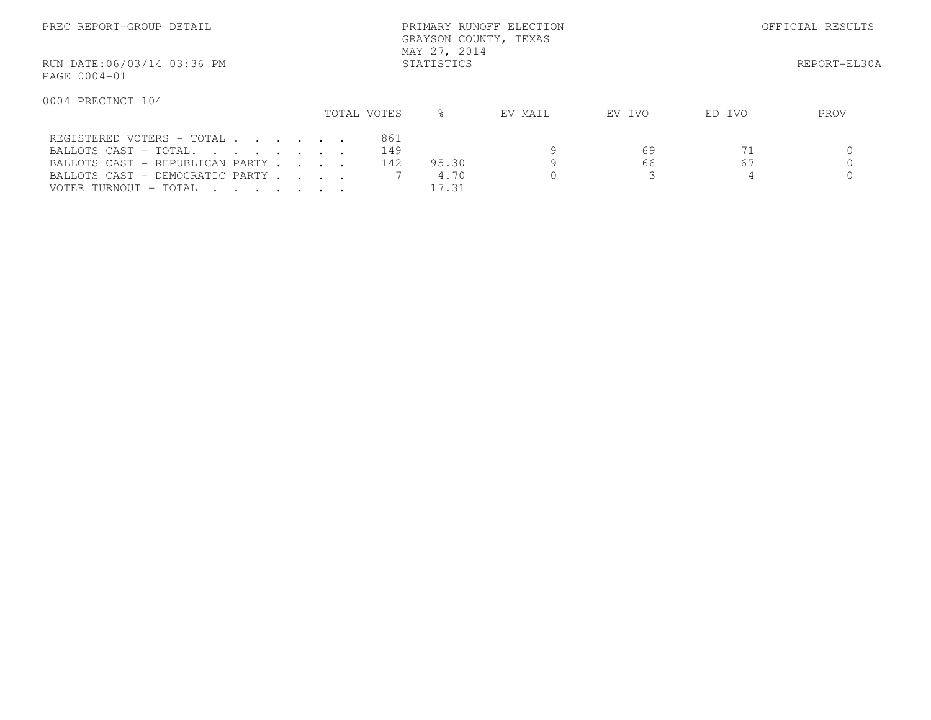| PREC REPORT-GROUP DETAIL                   |             |           | OFFICIAL RESULTS |        |        |      |
|--------------------------------------------|-------------|-----------|------------------|--------|--------|------|
| RUN DATE:06/03/14 03:36 PM<br>PAGE 0004-01 |             |           | REPORT-EL30A     |        |        |      |
| 0004 PRECINCT 104                          | TOTAL VOTES | $\approx$ | EV MAIL          | EV IVO | ED IVO | PROV |
|                                            |             |           |                  |        |        |      |
| REGISTERED VOTERS - TOTAL                  | 861         |           |                  |        |        |      |
| BALLOTS CAST - TOTAL.                      | 149         |           |                  | 69     | 71     |      |
| BALLOTS CAST - REPUBLICAN PARTY            | 142         | 95.30     |                  | 66     | 67     |      |
| BALLOTS CAST - DEMOCRATIC PARTY            |             | 4.70      |                  |        | 4      |      |
| VOTER TURNOUT - TOTAL                      |             | 17.31     |                  |        |        |      |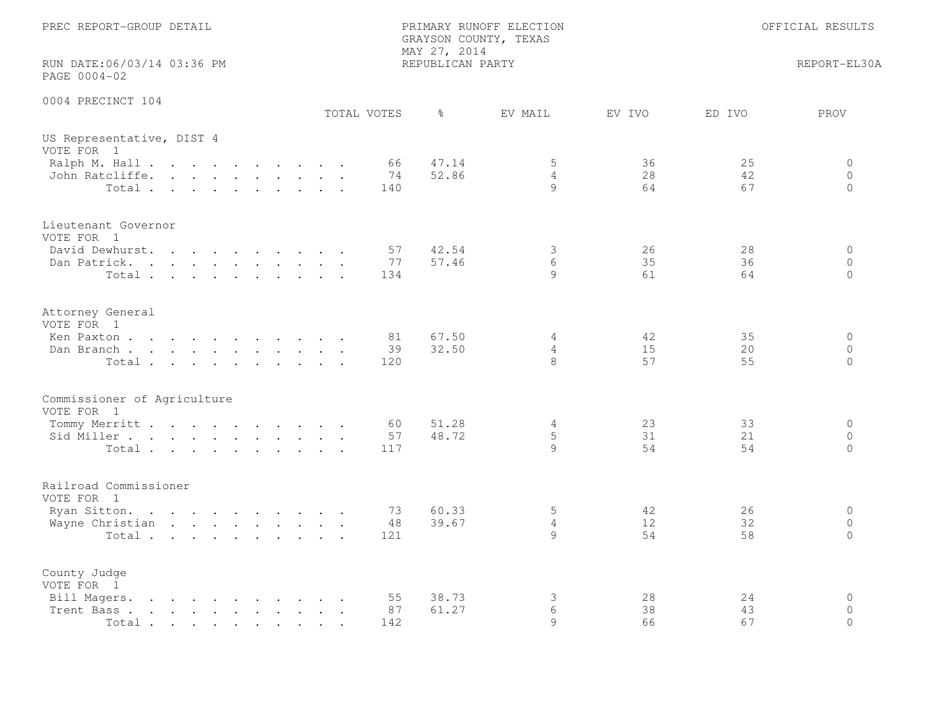| PREC REPORT-GROUP DETAIL                                                                                                                                                                                                                                                              |  | PRIMARY RUNOFF ELECTION<br>GRAYSON COUNTY, TEXAS<br>MAY 27, 2014 |  |             |                 | OFFICIAL RESULTS |                          |                |                |                                |
|---------------------------------------------------------------------------------------------------------------------------------------------------------------------------------------------------------------------------------------------------------------------------------------|--|------------------------------------------------------------------|--|-------------|-----------------|------------------|--------------------------|----------------|----------------|--------------------------------|
| RUN DATE:06/03/14 03:36 PM<br>PAGE 0004-02                                                                                                                                                                                                                                            |  |                                                                  |  |             |                 | REPUBLICAN PARTY |                          |                |                | REPORT-EL30A                   |
| 0004 PRECINCT 104                                                                                                                                                                                                                                                                     |  |                                                                  |  | TOTAL VOTES |                 | $\frac{6}{6}$    | EV MAIL                  | EV IVO         | ED IVO         | PROV                           |
| US Representative, DIST 4<br>VOTE FOR 1                                                                                                                                                                                                                                               |  |                                                                  |  |             |                 |                  |                          |                |                |                                |
| Ralph M. Hall<br>John Ratcliffe.<br>Total                                                                                                                                                                                                                                             |  |                                                                  |  |             | 66<br>74<br>140 | 47.14<br>52.86   | 5<br>$\overline{4}$<br>9 | 36<br>28<br>64 | 25<br>42<br>67 | 0<br>$\circ$<br>$\circ$        |
| Lieutenant Governor<br>VOTE FOR 1<br>David Dewhurst.<br>. The set of the set of the set of the set of the set of the set of the set of the set of the set of the set of the set of the set of the set of the set of the set of the set of the set of the set of the set of the set of |  |                                                                  |  |             | 57              | 42.54            | 3                        | 26             | 28             | $\circ$                        |
| Dan Patrick.<br>Total                                                                                                                                                                                                                                                                 |  |                                                                  |  |             | 77<br>134       | 57.46            | 6<br>9                   | 35<br>61       | 36<br>64       | $\circ$<br>$\Omega$            |
| Attorney General<br>VOTE FOR 1<br>Ken Paxton                                                                                                                                                                                                                                          |  |                                                                  |  |             | 81              | 67.50            | 4                        | 42             | 35             | $\circ$                        |
| Dan Branch<br>Total                                                                                                                                                                                                                                                                   |  |                                                                  |  |             | 39<br>120       | 32.50            | 4<br>8                   | 15<br>57       | 20<br>55       | $\Omega$<br>$\Omega$           |
| Commissioner of Agriculture<br>VOTE FOR 1                                                                                                                                                                                                                                             |  |                                                                  |  |             |                 |                  |                          |                |                |                                |
| Tommy Merritt<br>Sid Miller<br>Total                                                                                                                                                                                                                                                  |  |                                                                  |  |             | 60<br>57<br>117 | 51.28<br>48.72   | 4<br>5<br>9              | 23<br>31<br>54 | 33<br>21<br>54 | $\circ$<br>$\circ$<br>$\circ$  |
| Railroad Commissioner<br>VOTE FOR 1                                                                                                                                                                                                                                                   |  |                                                                  |  |             |                 |                  |                          |                |                |                                |
| Ryan Sitton.<br>the contract of the contract of the contract of the contract of the contract of the contract of the contract of<br>Wayne Christian<br>Total                                                                                                                           |  |                                                                  |  |             | 73<br>48<br>121 | 60.33<br>39.67   | 5<br>4<br>9              | 42<br>12<br>54 | 26<br>32<br>58 | $\circ$<br>$\circ$<br>$\Omega$ |
| County Judge<br>VOTE FOR 1                                                                                                                                                                                                                                                            |  |                                                                  |  |             |                 | 38.73            |                          | 28             | 24             | $\mathbf 0$                    |
| Bill Magers.<br>$\mathbf{r}$ , and $\mathbf{r}$ , and $\mathbf{r}$ , and $\mathbf{r}$ , and $\mathbf{r}$ , and $\mathbf{r}$<br>the contract of the contract of the contract of<br>Trent Bass.<br>Total                                                                                |  |                                                                  |  |             | 55<br>87<br>142 | 61.27            | 3<br>6<br>9              | 38<br>66       | 43<br>67       | $\Omega$<br>$\Omega$           |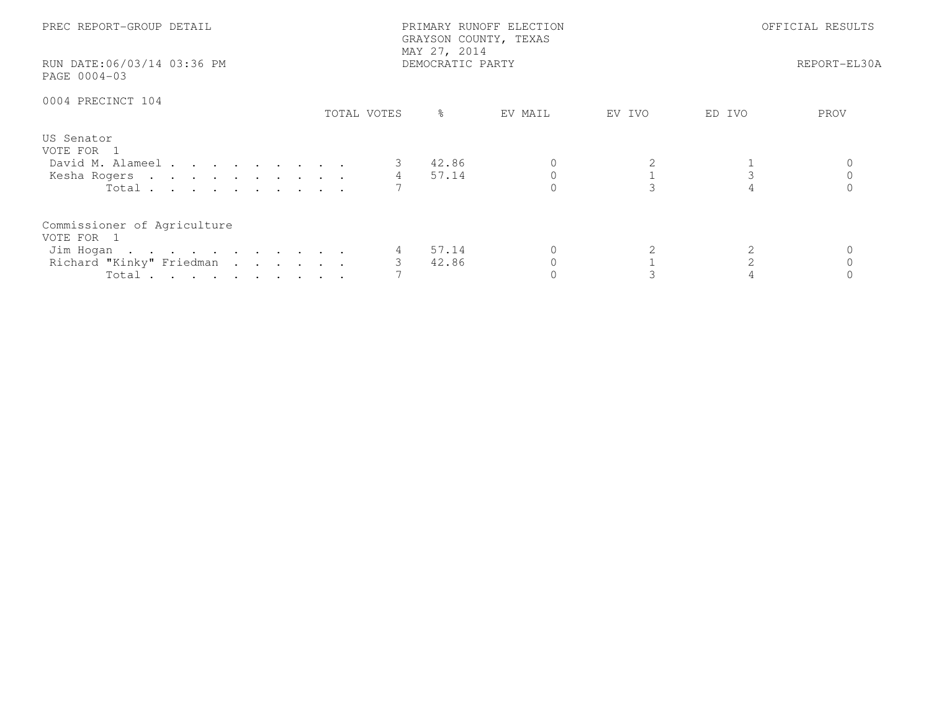| PREC REPORT-GROUP DETAIL<br>RUN DATE:06/03/14 03:36 PM<br>PAGE 0004-03                               |             | PRIMARY RUNOFF ELECTION<br>GRAYSON COUNTY, TEXAS<br>MAY 27, 2014<br>DEMOCRATIC PARTY | OFFICIAL RESULTS<br>REPORT-EL30A |        |        |      |
|------------------------------------------------------------------------------------------------------|-------------|--------------------------------------------------------------------------------------|----------------------------------|--------|--------|------|
| 0004 PRECINCT 104                                                                                    | TOTAL VOTES | ိင                                                                                   | EV MAIL                          | EV IVO | ED IVO | PROV |
| US Senator<br>VOTE FOR 1<br>David M. Alameel<br>Kesha Rogers 4 57.14<br>Total $\cdots$               |             | 42.86                                                                                |                                  |        |        |      |
| Commissioner of Agriculture<br>VOTE FOR 1<br>Jim Hogan<br>Richard "Kinky" Friedman<br>Total $\cdots$ |             | 57.14<br>42.86                                                                       |                                  |        |        |      |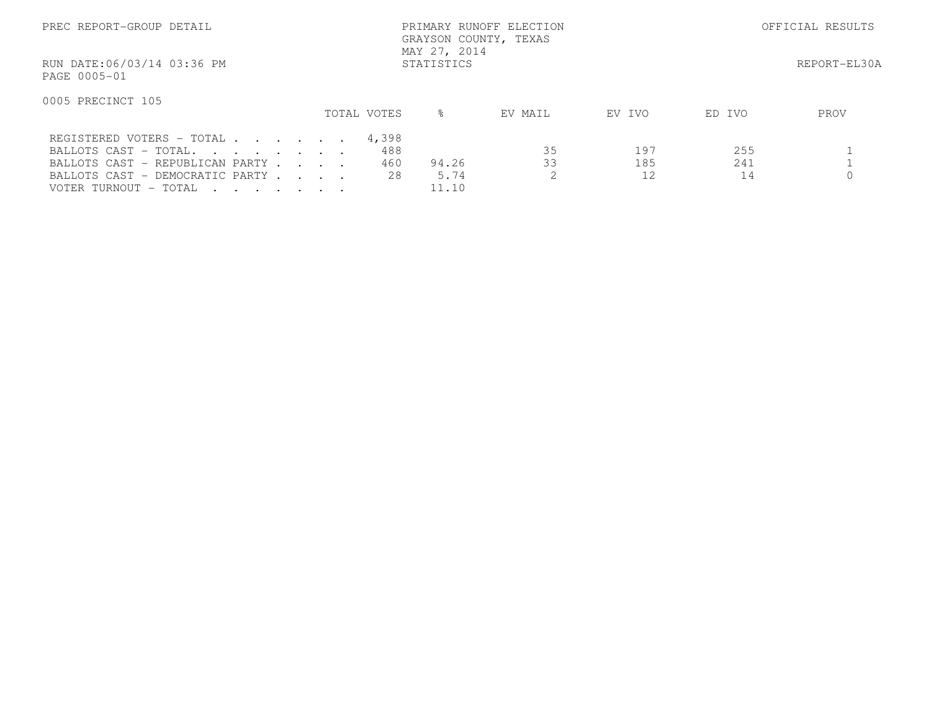| PREC REPORT-GROUP DETAIL                   |             | PRIMARY RUNOFF ELECTION<br>GRAYSON COUNTY, TEXAS<br>MAY 27, 2014 | OFFICIAL RESULTS |        |        |              |
|--------------------------------------------|-------------|------------------------------------------------------------------|------------------|--------|--------|--------------|
| RUN DATE:06/03/14 03:36 PM<br>PAGE 0005-01 |             | STATISTICS                                                       |                  |        |        | REPORT-EL30A |
| 0005 PRECINCT 105                          |             |                                                                  |                  |        |        |              |
|                                            | TOTAL VOTES | ⊱                                                                | EV MAIL          | EV IVO | ED IVO | PROV         |
| REGISTERED VOTERS - TOTAL                  | 4,398       |                                                                  |                  |        |        |              |
| BALLOTS CAST - TOTAL.                      | 488         |                                                                  | 35               | 197    | 255    |              |
| BALLOTS CAST - REPUBLICAN PARTY            | 460         | 94.26                                                            | 33               | 185    | 241    |              |
| BALLOTS CAST - DEMOCRATIC PARTY            | 28          | 5.74                                                             |                  | 12     | 14     |              |
| VOTER TURNOUT - TOTAL                      |             | 11.10                                                            |                  |        |        |              |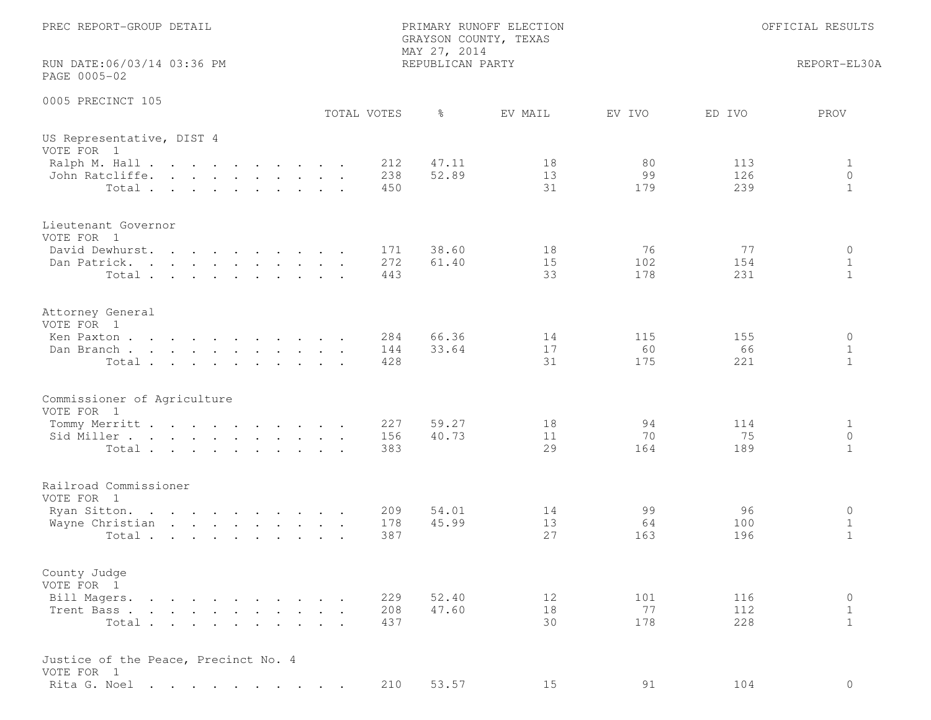| PREC REPORT-GROUP DETAIL                                                                                                                                    | MAY 27, 2014                 | PRIMARY RUNOFF ELECTION<br>GRAYSON COUNTY, TEXAS |                  |                   | OFFICIAL RESULTS                        |
|-------------------------------------------------------------------------------------------------------------------------------------------------------------|------------------------------|--------------------------------------------------|------------------|-------------------|-----------------------------------------|
| RUN DATE:06/03/14 03:36 PM<br>PAGE 0005-02                                                                                                                  |                              | REPUBLICAN PARTY                                 |                  |                   | REPORT-EL30A                            |
| 0005 PRECINCT 105                                                                                                                                           | $\frac{6}{6}$<br>TOTAL VOTES | EV MAIL                                          | EV IVO           | ED IVO            | PROV                                    |
| US Representative, DIST 4<br>VOTE FOR 1                                                                                                                     |                              |                                                  |                  |                   |                                         |
| Ralph M. Hall<br>John Ratcliffe.<br>Total.                                                                                                                  | 212<br>238<br>450            | 47.11<br>18<br>52.89<br>13<br>31                 | 80<br>99<br>179  | 113<br>126<br>239 | 1<br>$\circ$<br>$\mathbf{1}$            |
| Lieutenant Governor<br>VOTE FOR 1                                                                                                                           |                              |                                                  |                  |                   |                                         |
| David Dewhurst.<br>Dan Patrick.<br>the contract of the contract of the contract of the contract of the contract of the contract of the contract of<br>Total | 171<br>272<br>443            | 38.60<br>18<br>15<br>61.40<br>33                 | 76<br>102<br>178 | 77<br>154<br>231  | $\circ$<br>$\mathbf{1}$<br>$\mathbf{1}$ |
| Attorney General<br>VOTE FOR 1                                                                                                                              |                              |                                                  |                  |                   |                                         |
| Ken Paxton<br>Dan Branch<br>Total                                                                                                                           | 284<br>144<br>428            | 66.36<br>14<br>33.64<br>17<br>31                 | 115<br>60<br>175 | 155<br>66<br>221  | 0<br>$\mathbf 1$<br>$\mathbf{1}$        |
| Commissioner of Agriculture<br>VOTE FOR 1                                                                                                                   |                              |                                                  |                  |                   |                                         |
| Tommy Merritt<br>Sid Miller<br>Total                                                                                                                        | 227<br>156<br>383            | 59.27<br>18<br>40.73<br>11<br>29                 | 94<br>70<br>164  | 114<br>75<br>189  | $\mathbf 1$<br>$\circ$<br>$\mathbf{1}$  |
| Railroad Commissioner<br>VOTE FOR 1                                                                                                                         |                              |                                                  |                  |                   |                                         |
| Ryan Sitton.<br>Wayne Christian<br>Total                                                                                                                    | 209<br>178<br>387            | 54.01<br>14<br>13<br>45.99<br>27                 | 99<br>64<br>163  | 96<br>100<br>196  | 0<br>$\mathbf 1$<br>$\mathbf{1}$        |
| County Judge<br>VOTE FOR 1<br>Bill Magers.                                                                                                                  | 229                          | 52.40<br>12                                      | 101              | 116               | 0                                       |
| Trent Bass<br>Total                                                                                                                                         | 208<br>437                   | 47.60<br>18<br>30                                | 77<br>178        | 112<br>228        | 1<br>$\mathbf{1}$                       |
| Justice of the Peace, Precinct No. 4<br>VOTE FOR 1                                                                                                          |                              |                                                  |                  |                   |                                         |
| Rita G. Noel                                                                                                                                                | 210                          | 53.57<br>15                                      | 91               | 104               | $\circ$                                 |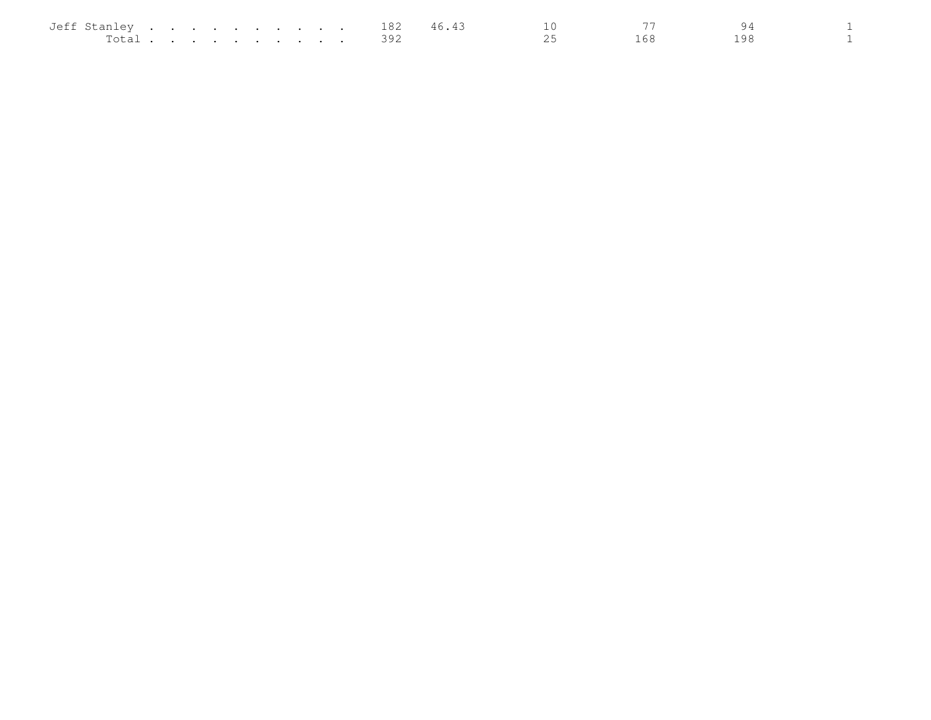| Jeff Stanley |  |  |  |  |  | 182 | 46.43 |          |  |  |
|--------------|--|--|--|--|--|-----|-------|----------|--|--|
| Total        |  |  |  |  |  |     |       | <u>_</u> |  |  |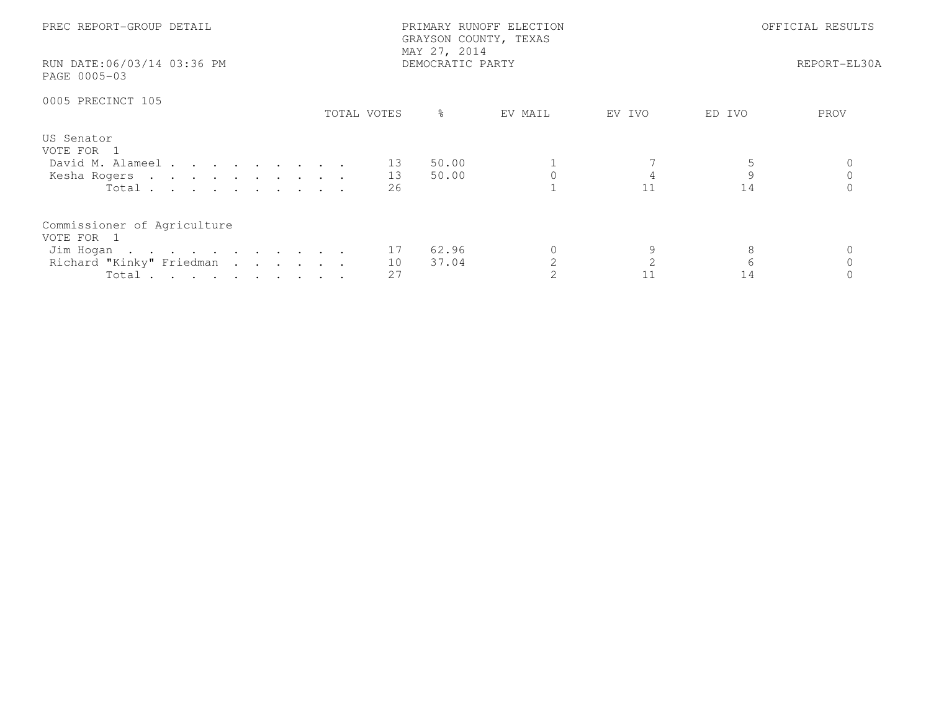| PREC REPORT-GROUP DETAIL<br>RUN DATE:06/03/14 03:36 PM<br>PAGE 0005-03                                  |             | PRIMARY RUNOFF ELECTION<br>GRAYSON COUNTY, TEXAS<br>MAY 27, 2014<br>DEMOCRATIC PARTY | OFFICIAL RESULTS<br>REPORT-EL30A |         |                      |      |
|---------------------------------------------------------------------------------------------------------|-------------|--------------------------------------------------------------------------------------|----------------------------------|---------|----------------------|------|
| 0005 PRECINCT 105                                                                                       | TOTAL VOTES | ႜၟ                                                                                   | EV MAIL                          | EV IVO  | ED IVO               | PROV |
| US Senator<br>VOTE FOR 1<br>David M. Alameel 13<br>Kesha Rogers 13<br>Total $\cdots$                    | 26          | 50.00<br>50.00                                                                       |                                  | 11      | $\overline{9}$<br>14 |      |
| Commissioner of Agriculture<br>VOTE FOR 1<br>Jim Hogan 17<br>Richard "Kinky" Friedman<br>Total $\cdots$ | 10<br>27    | 62.96<br>37.04                                                                       |                                  | 9<br>11 | 8<br>6<br>14         |      |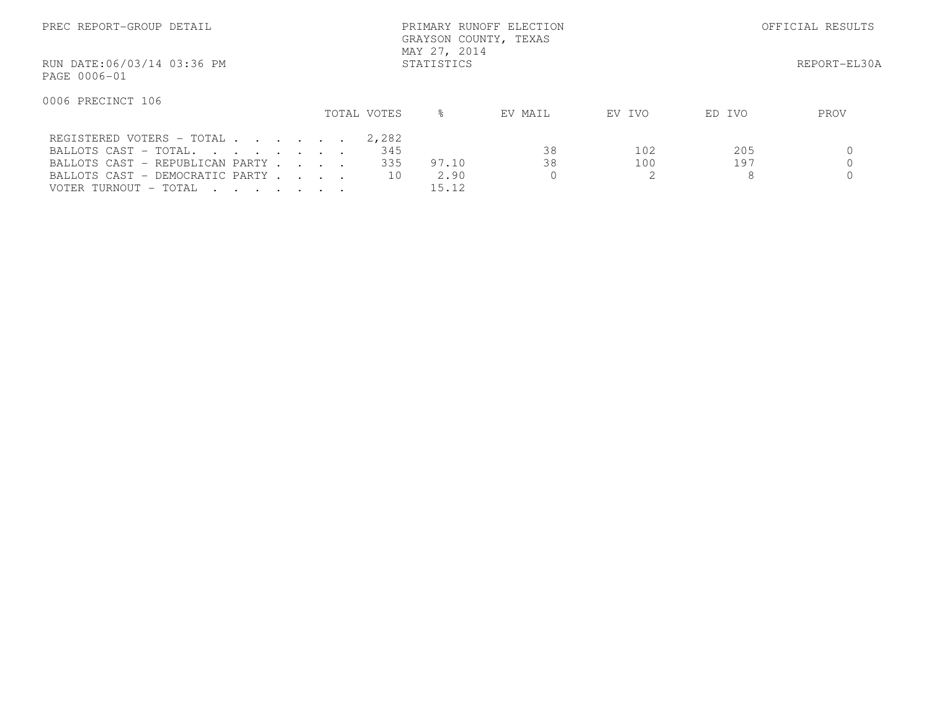| PREC REPORT-GROUP DETAIL                   |             | PRIMARY RUNOFF ELECTION<br>GRAYSON COUNTY, TEXAS<br>MAY 27, 2014 |         | OFFICIAL RESULTS |        |      |  |  |  |  |  |
|--------------------------------------------|-------------|------------------------------------------------------------------|---------|------------------|--------|------|--|--|--|--|--|
| RUN DATE:06/03/14 03:36 PM<br>PAGE 0006-01 | STATISTICS  |                                                                  |         |                  |        |      |  |  |  |  |  |
| 0006 PRECINCT 106                          | TOTAL VOTES | $\approx$                                                        | EV MAIL | EV IVO           | ED IVO | PROV |  |  |  |  |  |
|                                            |             |                                                                  |         |                  |        |      |  |  |  |  |  |
| REGISTERED VOTERS - TOTAL                  | 2,282       |                                                                  |         |                  |        |      |  |  |  |  |  |
| BALLOTS CAST - TOTAL.                      |             | 345                                                              | 38      | 102              | 205    |      |  |  |  |  |  |
| BALLOTS CAST - REPUBLICAN PARTY            |             | 335<br>97.10                                                     | 38      | 100              | 197    |      |  |  |  |  |  |
| BALLOTS CAST - DEMOCRATIC PARTY            |             | 2.90<br>10                                                       |         | 2.               | 8      |      |  |  |  |  |  |
| VOTER TURNOUT - TOTAL                      |             | 15.12                                                            |         |                  |        |      |  |  |  |  |  |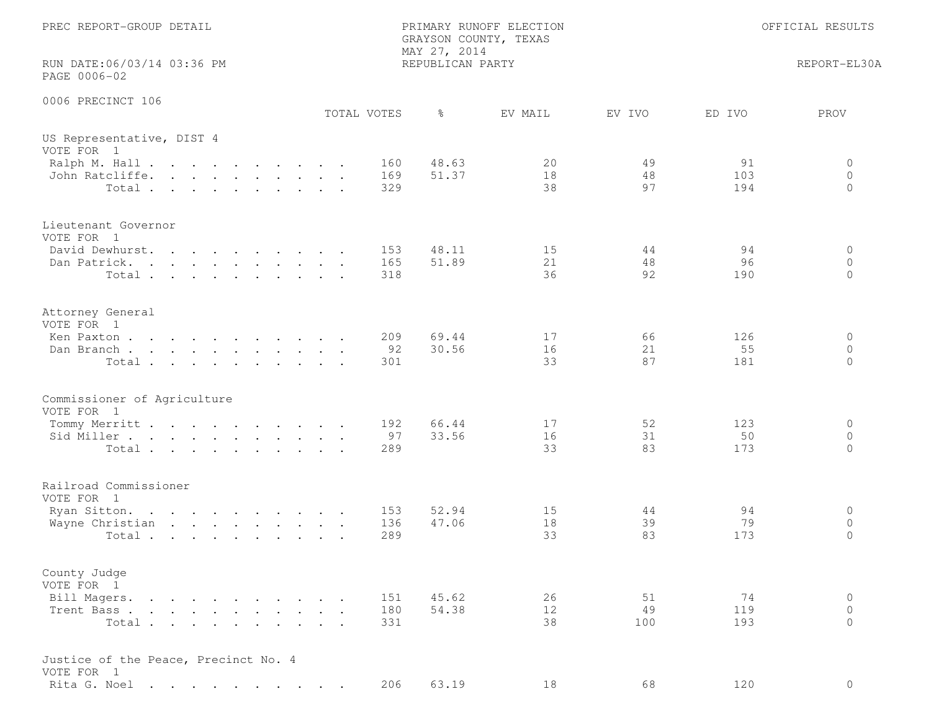| PREC REPORT-GROUP DETAIL                                 | PRIMARY RUNOFF ELECTION<br>GRAYSON COUNTY, TEXAS<br>MAY 27, 2014 |                   |                        | OFFICIAL RESULTS         |
|----------------------------------------------------------|------------------------------------------------------------------|-------------------|------------------------|--------------------------|
| RUN DATE:06/03/14 03:36 PM<br>PAGE 0006-02               | REPUBLICAN PARTY                                                 |                   |                        | REPORT-EL30A             |
| 0006 PRECINCT 106<br>TOTAL VOTES                         | $\frac{6}{6}$                                                    | EV MAIL<br>EV IVO | ED IVO                 | PROV                     |
| US Representative, DIST 4<br>VOTE FOR 1<br>Ralph M. Hall | 48.63<br>160                                                     | 20                | 49<br>91               | 0                        |
| John Ratcliffe.<br>Total                                 | 51.37<br>169<br>329                                              | 18<br>38          | 48<br>103<br>97<br>194 | $\circ$<br>$\Omega$      |
| Lieutenant Governor<br>VOTE FOR 1                        |                                                                  |                   |                        |                          |
| David Dewhurst.<br>Dan Patrick.                          | 48.11<br>153<br>165<br>51.89                                     | 15<br>21          | 94<br>44<br>48<br>96   | 0<br>$\circ$             |
| Total                                                    | 318                                                              | 36                | 92<br>190              | $\circ$                  |
| Attorney General<br>VOTE FOR 1                           |                                                                  |                   |                        |                          |
| Ken Paxton<br>Dan Branch                                 | 209<br>69.44<br>92<br>30.56                                      | 17<br>16          | 66<br>126<br>21<br>55  | $\circ$<br>$\circ$       |
| Total                                                    | 301                                                              | 33                | 87<br>181              | $\Omega$                 |
| Commissioner of Agriculture<br>VOTE FOR 1                |                                                                  |                   |                        |                          |
| Tommy Merritt<br>Sid Miller                              | 66.44<br>192<br>97<br>33.56                                      | 17<br>16          | 52<br>123<br>31<br>50  | 0<br>$\circ$             |
| Total                                                    | 289                                                              | 33                | 83<br>173              | $\Omega$                 |
| Railroad Commissioner<br>VOTE FOR 1                      |                                                                  |                   |                        |                          |
| Ryan Sitton.                                             | 52.94<br>153                                                     | 15                | 94<br>44               | 0                        |
| Wayne Christian<br>Total                                 | 47.06<br>136<br>289                                              | 18<br>33          | 39<br>79<br>83<br>173  | $\circ$<br>$\mathbf{0}$  |
| County Judge<br>VOTE FOR 1                               |                                                                  |                   |                        |                          |
| Bill Magers.                                             | 151<br>45.62                                                     | 26                | 51<br>74               | $\circ$                  |
| Trent Bass.<br>Total                                     | 54.38<br>180<br>331                                              | 12<br>38<br>100   | 49<br>119<br>193       | $\mathbf{0}$<br>$\Omega$ |
| Justice of the Peace, Precinct No. 4<br>VOTE FOR 1       |                                                                  |                   |                        |                          |
| Rita G. Noel                                             | 206<br>63.19                                                     | 18                | 68<br>120              | $\circ$                  |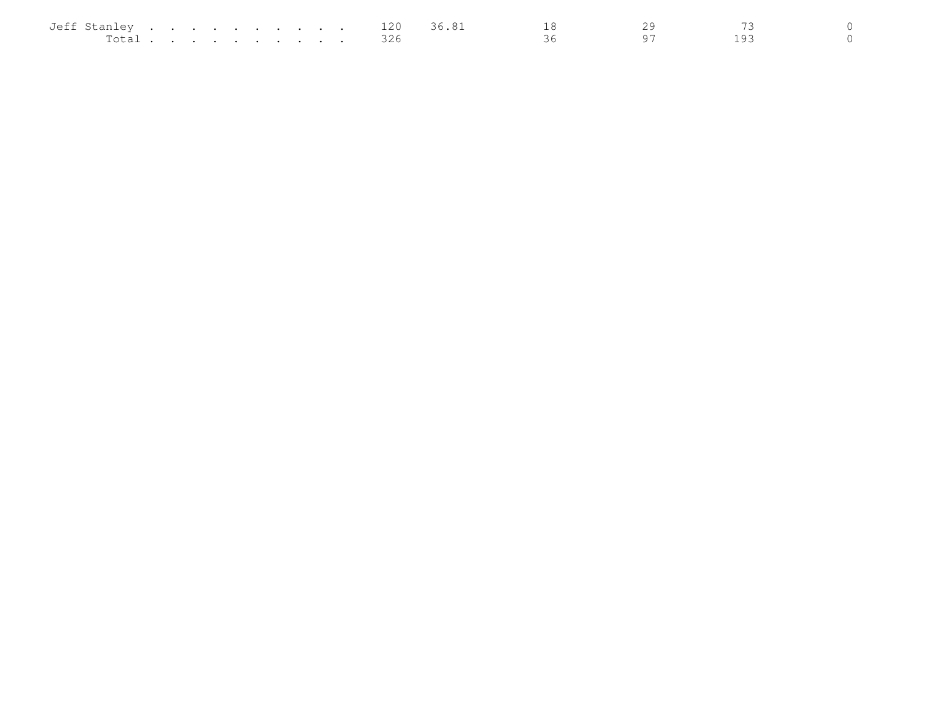| Jeff Stanley           |  |  |  | in the common contract of the common contract of the common common common common common common common common c |  | 120 | s h |  |  |
|------------------------|--|--|--|----------------------------------------------------------------------------------------------------------------|--|-----|-----|--|--|
| $T \cap \vdash A$<br>. |  |  |  |                                                                                                                |  | --- |     |  |  |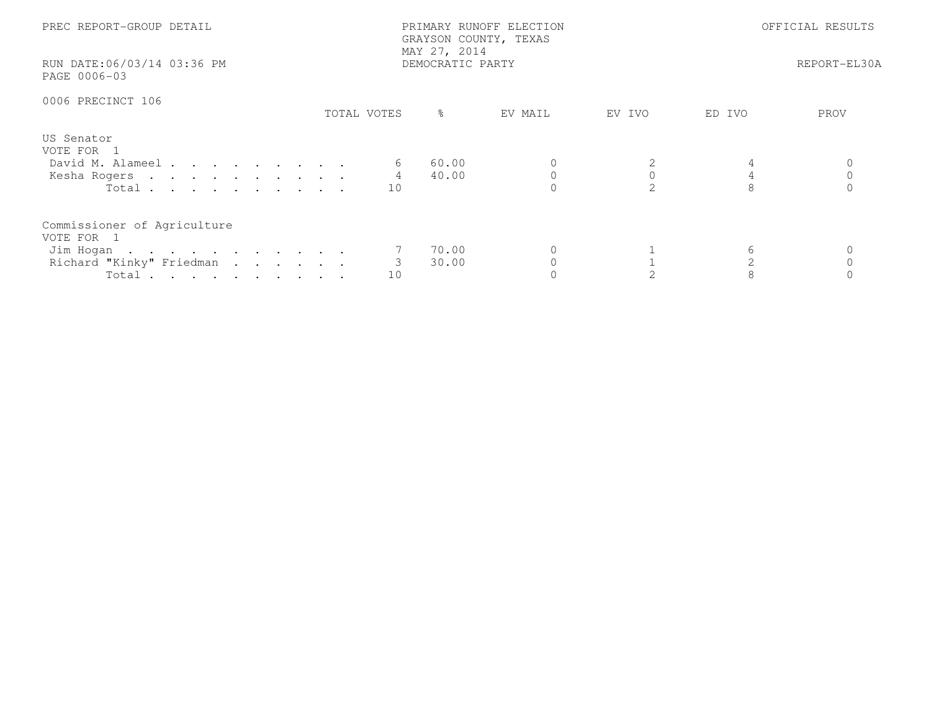| PREC REPORT-GROUP DETAIL<br>RUN DATE:06/03/14 03:36 PM<br>PAGE 0006-03                      |             | PRIMARY RUNOFF ELECTION<br>GRAYSON COUNTY, TEXAS<br>MAY 27, 2014<br>DEMOCRATIC PARTY | OFFICIAL RESULTS<br>REPORT-EL30A |                             |        |      |
|---------------------------------------------------------------------------------------------|-------------|--------------------------------------------------------------------------------------|----------------------------------|-----------------------------|--------|------|
| 0006 PRECINCT 106                                                                           | TOTAL VOTES | ႜၟ                                                                                   | EV MAIL                          | EV IVO                      | ED IVO | PROV |
| US Senator<br>VOTE FOR 1<br>David M. Alameel<br>Kesha Rogers<br>Total $\cdots$              | 10          | 60.00<br>40.00                                                                       |                                  | $\mathcal{D}_{\mathcal{L}}$ |        |      |
| Commissioner of Agriculture<br>VOTE FOR 1<br>Jim Hogan<br>Richard "Kinky" Friedman<br>Total | 3<br>10     | 70.00<br>30.00                                                                       |                                  |                             | 6      |      |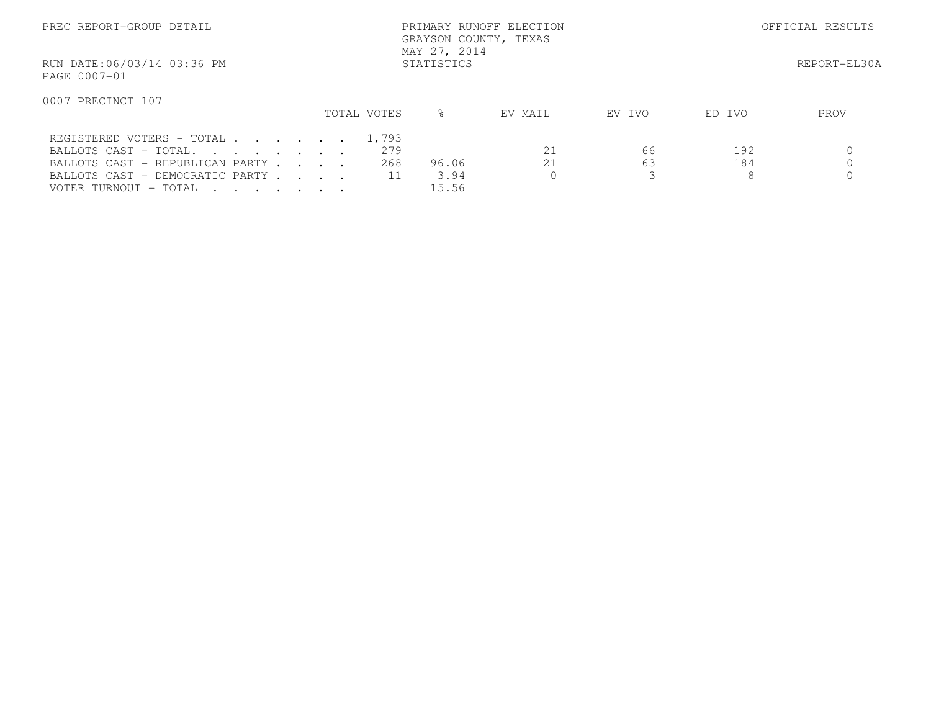| PREC REPORT-GROUP DETAIL                                                                                         |             | PRIMARY RUNOFF ELECTION<br>GRAYSON COUNTY, TEXAS<br>MAY 27, 2014 |         | OFFICIAL RESULTS |        |      |  |  |  |  |  |
|------------------------------------------------------------------------------------------------------------------|-------------|------------------------------------------------------------------|---------|------------------|--------|------|--|--|--|--|--|
| RUN DATE:06/03/14 03:36 PM<br>PAGE 0007-01                                                                       | STATISTICS  |                                                                  |         |                  |        |      |  |  |  |  |  |
| 0007 PRECINCT 107                                                                                                |             |                                                                  |         |                  |        |      |  |  |  |  |  |
|                                                                                                                  | TOTAL VOTES | ⊱                                                                | EV MAIL | EV IVO           | ED IVO | PROV |  |  |  |  |  |
| REGISTERED VOTERS - TOTAL                                                                                        | 1,793       |                                                                  |         |                  |        |      |  |  |  |  |  |
| BALLOTS CAST - TOTAL.                                                                                            | 279         |                                                                  | 21      | 66               | 192    |      |  |  |  |  |  |
| BALLOTS CAST - REPUBLICAN PARTY                                                                                  | 268         | 96.06                                                            | 21      | 63               | 184    |      |  |  |  |  |  |
| BALLOTS CAST - DEMOCRATIC PARTY                                                                                  |             | 3.94                                                             |         | 3                | 8      |      |  |  |  |  |  |
| VOTER TURNOUT - TOTAL<br>$\mathbf{r}$ , $\mathbf{r}$ , $\mathbf{r}$ , $\mathbf{r}$ , $\mathbf{r}$ , $\mathbf{r}$ |             | 15.56                                                            |         |                  |        |      |  |  |  |  |  |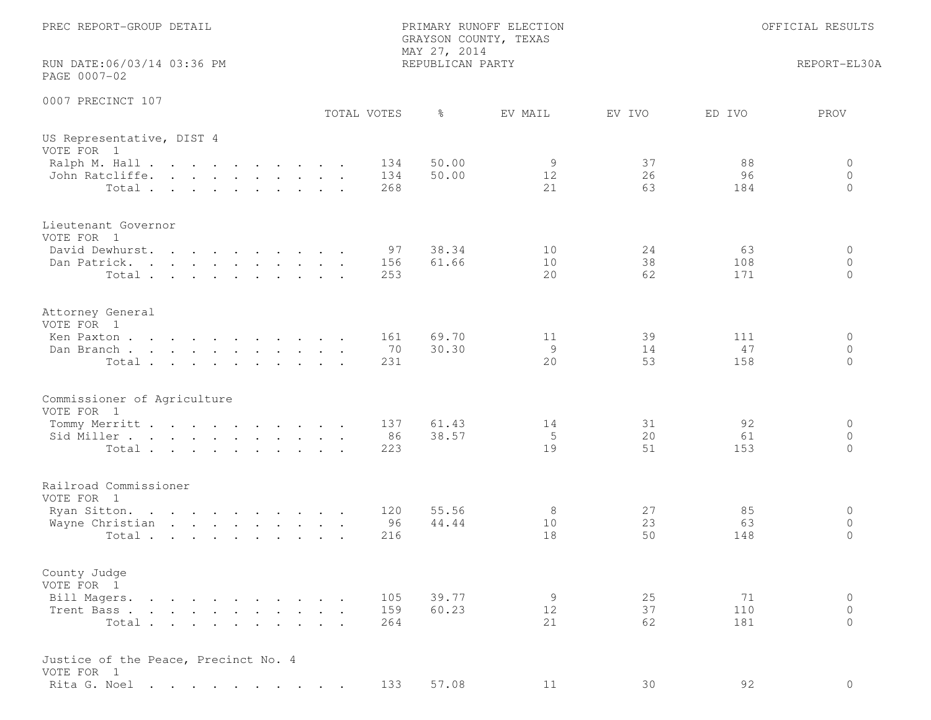| PREC REPORT-GROUP DETAIL                                                                                                                                                                                                                                                      |                   | GRAYSON COUNTY, TEXAS<br>MAY 27, 2014 | PRIMARY RUNOFF ELECTION |                |                  | OFFICIAL RESULTS                |
|-------------------------------------------------------------------------------------------------------------------------------------------------------------------------------------------------------------------------------------------------------------------------------|-------------------|---------------------------------------|-------------------------|----------------|------------------|---------------------------------|
| RUN DATE:06/03/14 03:36 PM<br>PAGE 0007-02                                                                                                                                                                                                                                    |                   | REPUBLICAN PARTY                      |                         |                |                  | REPORT-EL30A                    |
| 0007 PRECINCT 107                                                                                                                                                                                                                                                             | TOTAL VOTES       | $\frac{6}{6}$                         | EV MAIL                 | EV IVO         | ED IVO           | PROV                            |
| US Representative, DIST 4<br>VOTE FOR 1                                                                                                                                                                                                                                       |                   |                                       |                         |                |                  |                                 |
| Ralph M. Hall<br>John Ratcliffe.<br>Total.                                                                                                                                                                                                                                    | 134<br>134<br>268 | 50.00<br>50.00                        | 9<br>12<br>21           | 37<br>26<br>63 | 88<br>96<br>184  | 0<br>$\circ$<br>$\Omega$        |
| Lieutenant Governor<br>VOTE FOR 1                                                                                                                                                                                                                                             |                   |                                       |                         |                |                  |                                 |
| David Dewhurst.<br>Dan Patrick.<br>$\mathbf{r}$ . The contract of the contract of the contract of the contract of the contract of the contract of the contract of the contract of the contract of the contract of the contract of the contract of the contract of th<br>Total | 97<br>156<br>253  | 38.34<br>61.66                        | 10<br>10<br>20          | 24<br>38<br>62 | 63<br>108<br>171 | 0<br>$\Omega$<br>$\circ$        |
| Attorney General<br>VOTE FOR 1<br>Ken Paxton                                                                                                                                                                                                                                  | 161               | 69.70                                 | 11                      | 39             | 111              | $\circ$                         |
| Dan Branch<br>Total                                                                                                                                                                                                                                                           | 70<br>231         | 30.30                                 | 9<br>20                 | 14<br>53       | 47<br>158        | $\circ$<br>$\Omega$             |
| Commissioner of Agriculture<br>VOTE FOR 1                                                                                                                                                                                                                                     |                   |                                       |                         |                |                  |                                 |
| Tommy Merritt<br>Sid Miller<br>Total                                                                                                                                                                                                                                          | 137<br>86<br>223  | 61.43<br>38.57                        | 14<br>5<br>19           | 31<br>20<br>51 | 92<br>61<br>153  | $\circ$<br>$\circ$<br>$\Omega$  |
| Railroad Commissioner<br>VOTE FOR 1                                                                                                                                                                                                                                           |                   |                                       |                         |                |                  |                                 |
| Ryan Sitton.<br>Wayne Christian<br>Total                                                                                                                                                                                                                                      | 120<br>96<br>216  | 55.56<br>44.44                        | 8<br>10<br>18           | 27<br>23<br>50 | 85<br>63<br>148  | 0<br>$\circ$<br>$\mathbf{0}$    |
| County Judge<br>VOTE FOR 1                                                                                                                                                                                                                                                    |                   |                                       |                         |                |                  |                                 |
| Bill Magers.<br>Trent Bass.<br>Total                                                                                                                                                                                                                                          | 105<br>159<br>264 | 39.77<br>60.23                        | 9<br>12<br>21           | 25<br>37<br>62 | 71<br>110<br>181 | $\circ$<br>$\Omega$<br>$\Omega$ |
| Justice of the Peace, Precinct No. 4<br>VOTE FOR 1                                                                                                                                                                                                                            |                   |                                       |                         |                |                  |                                 |
| Rita G. Noel                                                                                                                                                                                                                                                                  | 133               | 57.08                                 | 11                      | 30             | 92               | $\circ$                         |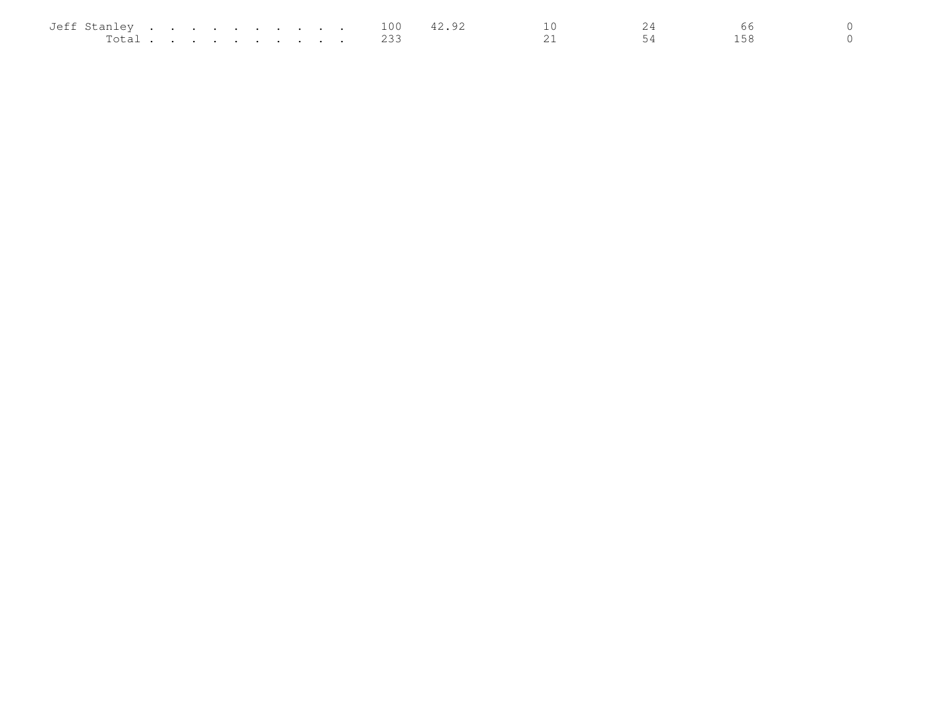| Jeff Stanley |  |  |  |  |  | 100 | $\sim$ |  |  |
|--------------|--|--|--|--|--|-----|--------|--|--|
| Total        |  |  |  |  |  |     |        |  |  |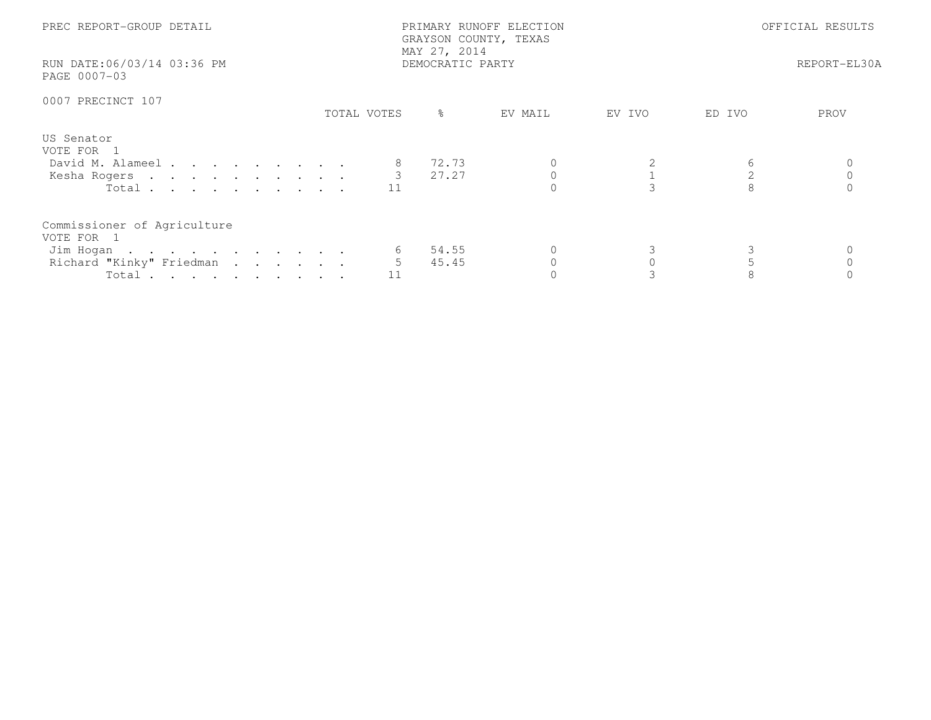| PREC REPORT-GROUP DETAIL<br>RUN DATE:06/03/14 03:36 PM<br>PAGE 0007-03                      |             | PRIMARY RUNOFF ELECTION<br>GRAYSON COUNTY, TEXAS<br>MAY 27, 2014<br>DEMOCRATIC PARTY | OFFICIAL RESULTS<br>REPORT-EL30A |        |        |      |
|---------------------------------------------------------------------------------------------|-------------|--------------------------------------------------------------------------------------|----------------------------------|--------|--------|------|
| 0007 PRECINCT 107                                                                           | TOTAL VOTES | $\frac{6}{6}$                                                                        | EV MAIL                          | EV IVO | ED IVO | PROV |
| US Senator<br>VOTE FOR 1<br>David M. Alameel<br>Kesha Rogers 3 27.27<br>Total $\cdots$      |             | 72.73                                                                                |                                  |        |        |      |
| Commissioner of Agriculture<br>VOTE FOR 1<br>Jim Hogan<br>Richard "Kinky" Friedman<br>Total | 5           | 54.55<br>45.45                                                                       |                                  |        |        |      |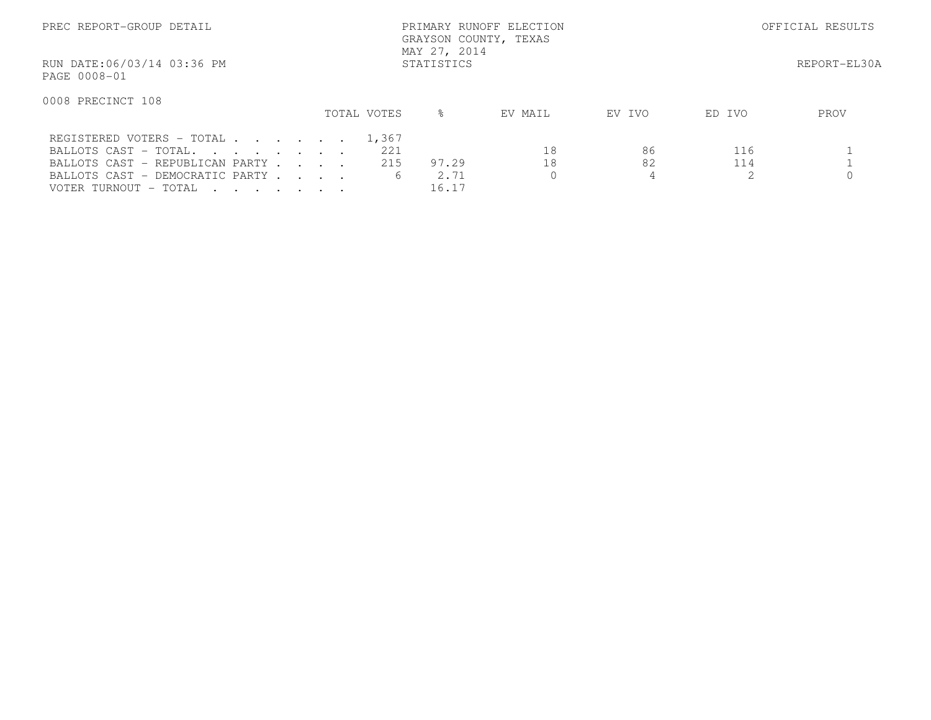| PREC REPORT-GROUP DETAIL                   |             | PRIMARY RUNOFF ELECTION<br>GRAYSON COUNTY, TEXAS<br>MAY 27, 2014 | OFFICIAL RESULTS |                  |              |
|--------------------------------------------|-------------|------------------------------------------------------------------|------------------|------------------|--------------|
| RUN DATE:06/03/14 03:36 PM<br>PAGE 0008-01 |             | STATISTICS                                                       |                  |                  | REPORT-EL30A |
| 0008 PRECINCT 108                          |             |                                                                  |                  |                  |              |
|                                            | TOTAL VOTES | ⊱                                                                | EV MAIL          | EV IVO<br>ED IVO | PROV         |
| REGISTERED VOTERS - TOTAL 1,367            |             |                                                                  |                  |                  |              |
| BALLOTS CAST - TOTAL.                      |             | 221                                                              | 18               | 86               | 116          |
| BALLOTS CAST - REPUBLICAN PARTY            |             | 215<br>97.29                                                     | 18               | 82               | 114          |
| BALLOTS CAST - DEMOCRATIC PARTY            |             | 2.71<br>6                                                        |                  |                  |              |
| VOTER TURNOUT - TOTAL                      |             | 16.17                                                            |                  |                  |              |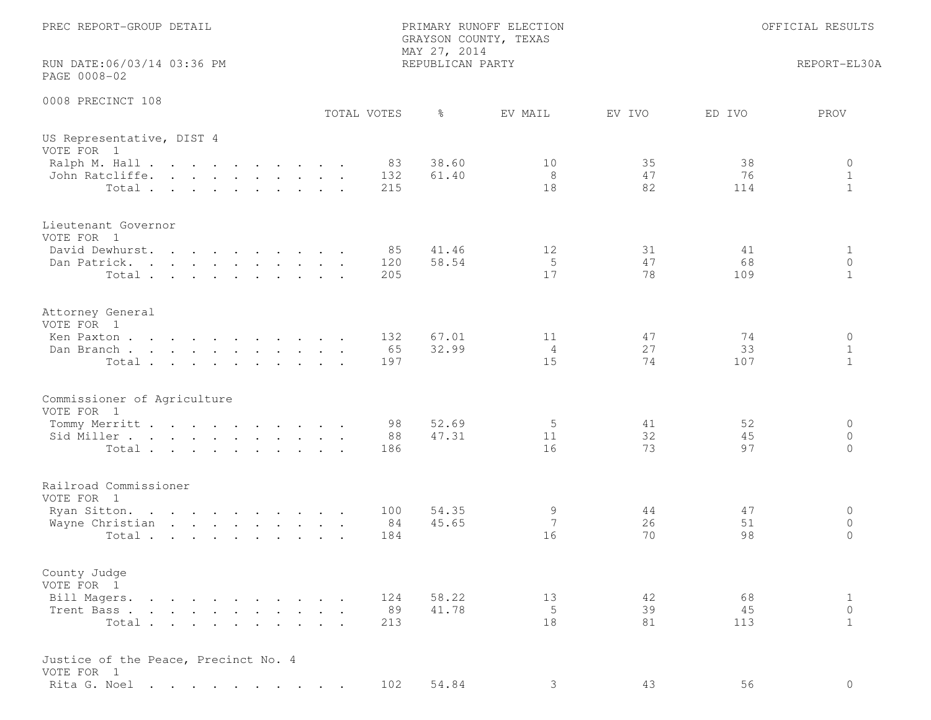| PREC REPORT-GROUP DETAIL<br>RUN DATE:06/03/14 03:36 PM                                                                                                                                                                                                                                                         |             | GRAYSON COUNTY, TEXAS<br>MAY 27, 2014<br>REPUBLICAN PARTY | PRIMARY RUNOFF ELECTION    |                |                 | OFFICIAL RESULTS<br>REPORT-EL30A        |
|----------------------------------------------------------------------------------------------------------------------------------------------------------------------------------------------------------------------------------------------------------------------------------------------------------------|-------------|-----------------------------------------------------------|----------------------------|----------------|-----------------|-----------------------------------------|
| PAGE 0008-02                                                                                                                                                                                                                                                                                                   |             |                                                           |                            |                |                 |                                         |
| 0008 PRECINCT 108                                                                                                                                                                                                                                                                                              | TOTAL VOTES | $\frac{6}{6}$                                             | EV MAIL                    | EV IVO         | ED IVO          | PROV                                    |
| US Representative, DIST 4<br>VOTE FOR 1<br>Ralph M. Hall<br>John Ratcliffe.<br>Total.                                                                                                                                                                                                                          |             | 38.60<br>83<br>132<br>61.40<br>215                        | 10<br>8<br>18              | 35<br>47<br>82 | 38<br>76<br>114 | 0<br>$\mathbf{1}$<br>$\mathbf{1}$       |
| Lieutenant Governor<br>VOTE FOR 1<br>David Dewhurst.<br>Dan Patrick.<br>. The contract of the contract of the contract of the contract of the contract of the contract of the contract of the contract of the contract of the contract of the contract of the contract of the contract of the contrac<br>Total |             | 41.46<br>85<br>58.54<br>120<br>205                        | 12<br>5<br>17              | 31<br>47<br>78 | 41<br>68<br>109 | 1<br>$\circ$<br>$\mathbf{1}$            |
| Attorney General<br>VOTE FOR 1<br>Ken Paxton<br>Dan Branch<br>Total                                                                                                                                                                                                                                            |             | 67.01<br>132<br>65<br>32.99<br>197                        | 11<br>$\overline{4}$<br>15 | 47<br>27<br>74 | 74<br>33<br>107 | $\circ$<br>$\mathbf 1$<br>$\mathbf{1}$  |
| Commissioner of Agriculture<br>VOTE FOR 1<br>Tommy Merritt<br>Sid Miller<br>Total                                                                                                                                                                                                                              |             | 52.69<br>98<br>47.31<br>88<br>186                         | 5<br>11<br>16              | 41<br>32<br>73 | 52<br>45<br>97  | $\circ$<br>$\circ$<br>$\Omega$          |
| Railroad Commissioner<br>VOTE FOR 1<br>Ryan Sitton.<br>Wayne Christian<br>Total                                                                                                                                                                                                                                |             | 54.35<br>100<br>45.65<br>84<br>184                        | 9<br>7<br>16               | 44<br>26<br>70 | 47<br>51<br>98  | 0<br>$\circ$<br>$\mathbf{0}$            |
| County Judge<br>VOTE FOR 1<br>Bill Magers.<br>Trent Bass<br>Total                                                                                                                                                                                                                                              |             | 58.22<br>124<br>89<br>41.78<br>213                        | 13<br>5<br>18              | 42<br>39<br>81 | 68<br>45<br>113 | $\mathbf{1}$<br>$\circ$<br>$\mathbf{1}$ |
| Justice of the Peace, Precinct No. 4<br>VOTE FOR 1<br>Rita G. Noel                                                                                                                                                                                                                                             |             | 54.84<br>102                                              | 3                          | 43             | 56              | $\circ$                                 |
|                                                                                                                                                                                                                                                                                                                |             |                                                           |                            |                |                 |                                         |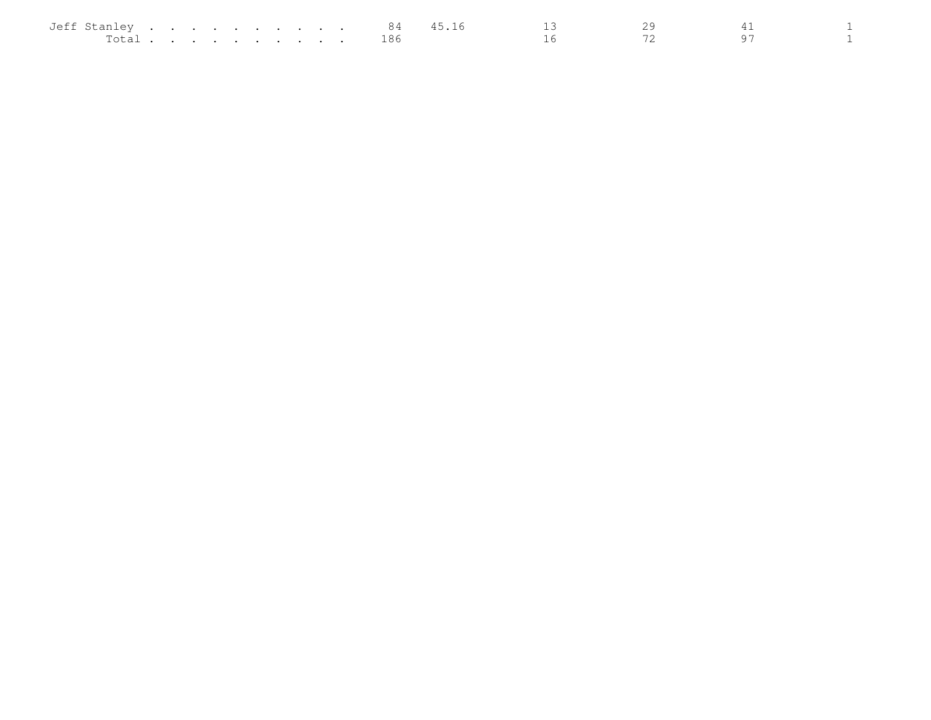| Jeff Stanley |  |  | . |  |  | 84  | . 16 |  |  |
|--------------|--|--|---|--|--|-----|------|--|--|
| Total        |  |  |   |  |  | ⊥86 |      |  |  |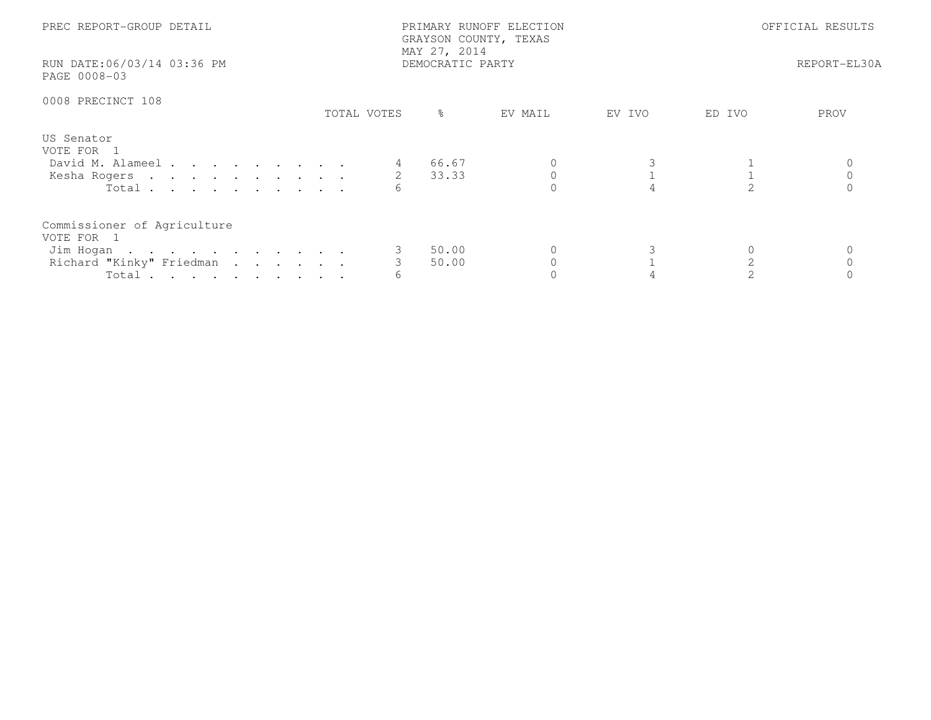| PREC REPORT-GROUP DETAIL<br>RUN DATE:06/03/14 03:36 PM<br>PAGE 0008-03                      |             | PRIMARY RUNOFF ELECTION<br>GRAYSON COUNTY, TEXAS<br>MAY 27, 2014<br>DEMOCRATIC PARTY |         | OFFICIAL RESULTS<br>REPORT-EL30A |        |      |
|---------------------------------------------------------------------------------------------|-------------|--------------------------------------------------------------------------------------|---------|----------------------------------|--------|------|
| 0008 PRECINCT 108                                                                           | TOTAL VOTES | $\frac{6}{6}$                                                                        | EV MAIL | EV IVO                           | ED IVO | PROV |
| US Senator<br>VOTE FOR 1<br>David M. Alameel<br>Kesha Rogers 2 33.33<br>Total               |             | 66.67                                                                                |         |                                  |        |      |
| Commissioner of Agriculture<br>VOTE FOR 1<br>Jim Hogan<br>Richard "Kinky" Friedman<br>Total |             | 50.00<br>50.00                                                                       |         |                                  |        |      |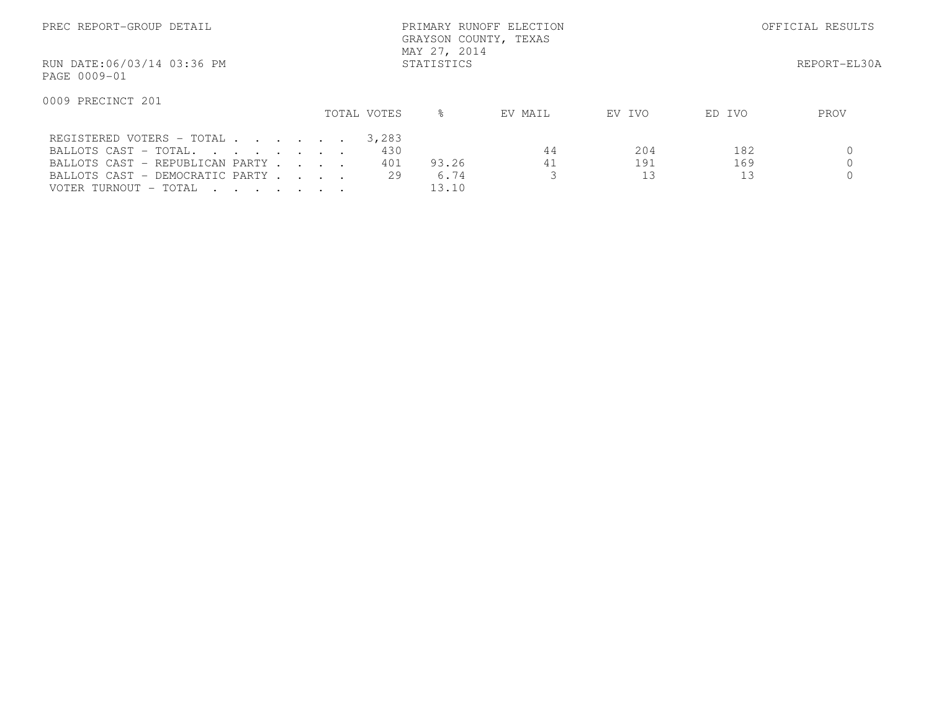| PREC REPORT-GROUP DETAIL                                                                                                                          | MAY 27, 2014 | PRIMARY RUNOFF ELECTION<br>GRAYSON COUNTY, TEXAS |                           | OFFICIAL RESULTS |                  |              |
|---------------------------------------------------------------------------------------------------------------------------------------------------|--------------|--------------------------------------------------|---------------------------|------------------|------------------|--------------|
| RUN DATE:06/03/14 03:36 PM<br>PAGE 0009-01                                                                                                        |              | STATISTICS                                       |                           |                  |                  | REPORT-EL30A |
| 0009 PRECINCT 201                                                                                                                                 | TOTAL VOTES  | $\approx$                                        | EV MAIL                   | EV IVO           | ED IVO           | PROV         |
| REGISTERED VOTERS - TOTAL<br>BALLOTS CAST - TOTAL.<br>BALLOTS CAST - REPUBLICAN PARTY<br>BALLOTS CAST - DEMOCRATIC PARTY<br>VOTER TURNOUT - TOTAL |              | 3,283<br>430<br>401<br>93.26<br>29               | 44<br>41<br>6.74<br>13.10 | 204<br>191<br>13 | 182<br>169<br>13 |              |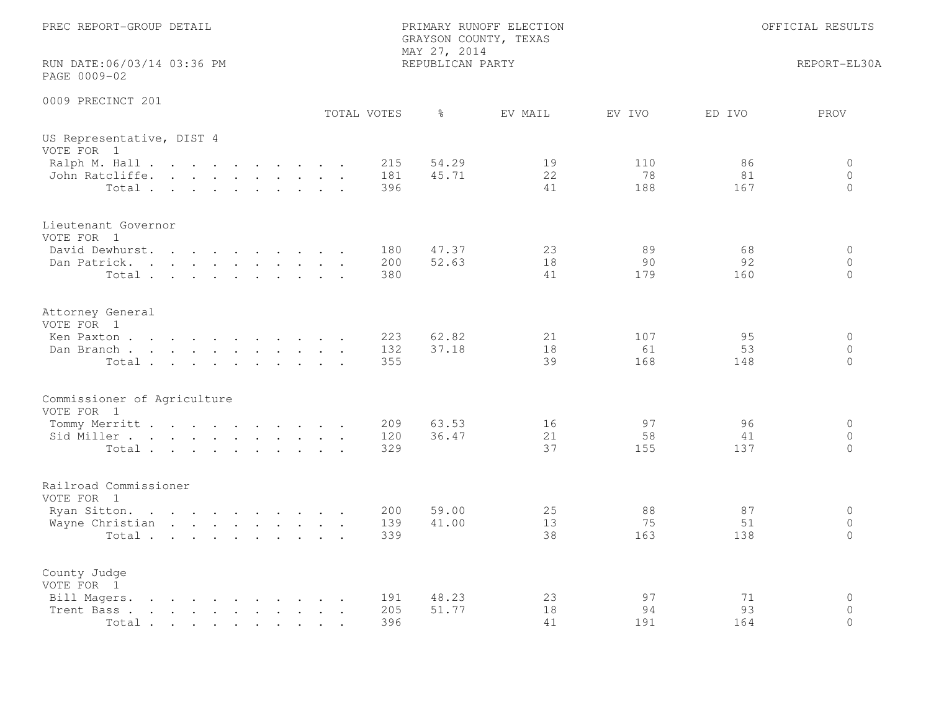| PREC REPORT-GROUP DETAIL                                                                                                                                                                       |  |  |                                                                       |  |                   | MAY 27, 2014     | PRIMARY RUNOFF ELECTION<br>GRAYSON COUNTY, TEXAS |                  |                 | OFFICIAL RESULTS               |
|------------------------------------------------------------------------------------------------------------------------------------------------------------------------------------------------|--|--|-----------------------------------------------------------------------|--|-------------------|------------------|--------------------------------------------------|------------------|-----------------|--------------------------------|
| RUN DATE:06/03/14 03:36 PM<br>PAGE 0009-02                                                                                                                                                     |  |  |                                                                       |  |                   | REPUBLICAN PARTY |                                                  |                  |                 | REPORT-EL30A                   |
| 0009 PRECINCT 201                                                                                                                                                                              |  |  |                                                                       |  | TOTAL VOTES       | $\frac{6}{6}$    | EV MAIL                                          | EV IVO           | ED IVO          | PROV                           |
| US Representative, DIST 4<br>VOTE FOR 1                                                                                                                                                        |  |  |                                                                       |  |                   |                  |                                                  |                  |                 |                                |
| Ralph M. Hall<br>John Ratcliffe.<br>Total                                                                                                                                                      |  |  |                                                                       |  | 215<br>181<br>396 | 54.29<br>45.71   | 19<br>22<br>41                                   | 110<br>78<br>188 | 86<br>81<br>167 | 0<br>$\circ$<br>$\Omega$       |
| Lieutenant Governor<br>VOTE FOR 1<br>David Dewhurst.                                                                                                                                           |  |  |                                                                       |  | 180               | 47.37            | 23                                               | 89               | 68              | $\circ$                        |
| Dan Patrick.<br>Total                                                                                                                                                                          |  |  | $\mathbf{r}$ , and $\mathbf{r}$ , and $\mathbf{r}$ , and $\mathbf{r}$ |  | 200<br>380        | 52.63            | 18<br>41                                         | 90<br>179        | 92<br>160       | $\circ$<br>$\Omega$            |
| Attorney General<br>VOTE FOR 1                                                                                                                                                                 |  |  |                                                                       |  |                   |                  |                                                  |                  |                 |                                |
| Ken Paxton<br>Dan Branch<br>Total                                                                                                                                                              |  |  |                                                                       |  | 223<br>132<br>355 | 62.82<br>37.18   | 21<br>18<br>39                                   | 107<br>61<br>168 | 95<br>53<br>148 | $\circ$<br>$\circ$<br>$\circ$  |
| Commissioner of Agriculture<br>VOTE FOR 1                                                                                                                                                      |  |  |                                                                       |  |                   |                  |                                                  |                  |                 |                                |
| Tommy Merritt<br>Sid Miller<br>Total.                                                                                                                                                          |  |  |                                                                       |  | 209<br>120<br>329 | 63.53<br>36.47   | 16<br>21<br>37                                   | 97<br>58<br>155  | 96<br>41<br>137 | $\circ$<br>$\circ$<br>$\Omega$ |
| Railroad Commissioner<br>VOTE FOR 1                                                                                                                                                            |  |  |                                                                       |  |                   |                  |                                                  |                  |                 |                                |
| Ryan Sitton.<br>Wayne Christian<br>Total                                                                                                                                                       |  |  |                                                                       |  | 200<br>139<br>339 | 59.00<br>41.00   | 25<br>13<br>38                                   | 88<br>75<br>163  | 87<br>51<br>138 | $\circ$<br>$\circ$<br>$\Omega$ |
| County Judge<br>VOTE FOR 1                                                                                                                                                                     |  |  |                                                                       |  |                   |                  |                                                  |                  |                 |                                |
| Bill Magers.<br>the contract of the contract of the<br>Trent Bass.<br>the contract of the contract of the contract of the contract of the contract of the contract of the contract of<br>Total |  |  |                                                                       |  | 191<br>205<br>396 | 48.23<br>51.77   | 23<br>18<br>41                                   | 97<br>94<br>191  | 71<br>93<br>164 | $\circ$<br>$\circ$<br>$\Omega$ |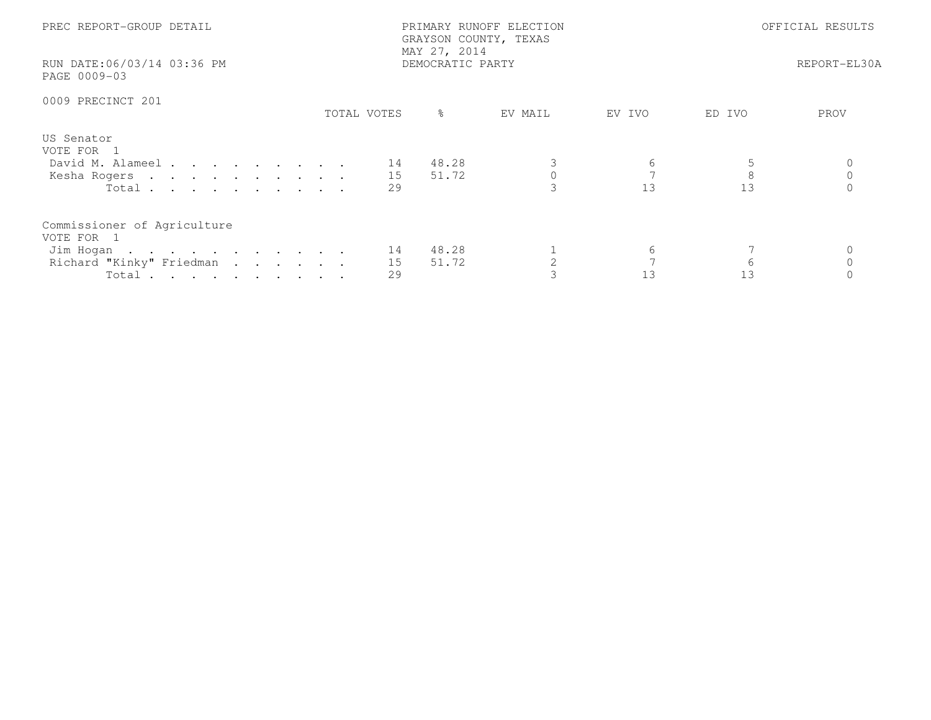| PREC REPORT-GROUP DETAIL<br>RUN DATE:06/03/14 03:36 PM<br>PAGE 0009-03                                  |             | PRIMARY RUNOFF ELECTION<br>GRAYSON COUNTY, TEXAS<br>MAY 27, 2014<br>DEMOCRATIC PARTY | OFFICIAL RESULTS<br>REPORT-EL30A |         |         |      |
|---------------------------------------------------------------------------------------------------------|-------------|--------------------------------------------------------------------------------------|----------------------------------|---------|---------|------|
| 0009 PRECINCT 201                                                                                       | TOTAL VOTES | $\frac{6}{6}$                                                                        | EV MAIL                          | EV IVO  | ED IVO  | PROV |
| US Senator<br>VOTE FOR 1<br>David M. Alameel 14<br>Kesha Rogers 15<br>Total $\cdots$                    | 29          | 48.28<br>51.72                                                                       |                                  | 6<br>13 | 8<br>13 |      |
| Commissioner of Agriculture<br>VOTE FOR 1<br>Jim Hogan 14<br>Richard "Kinky" Friedman<br>Total $\cdots$ | 15<br>29    | 48.28<br>51.72                                                                       |                                  | 6<br>13 | 6<br>13 |      |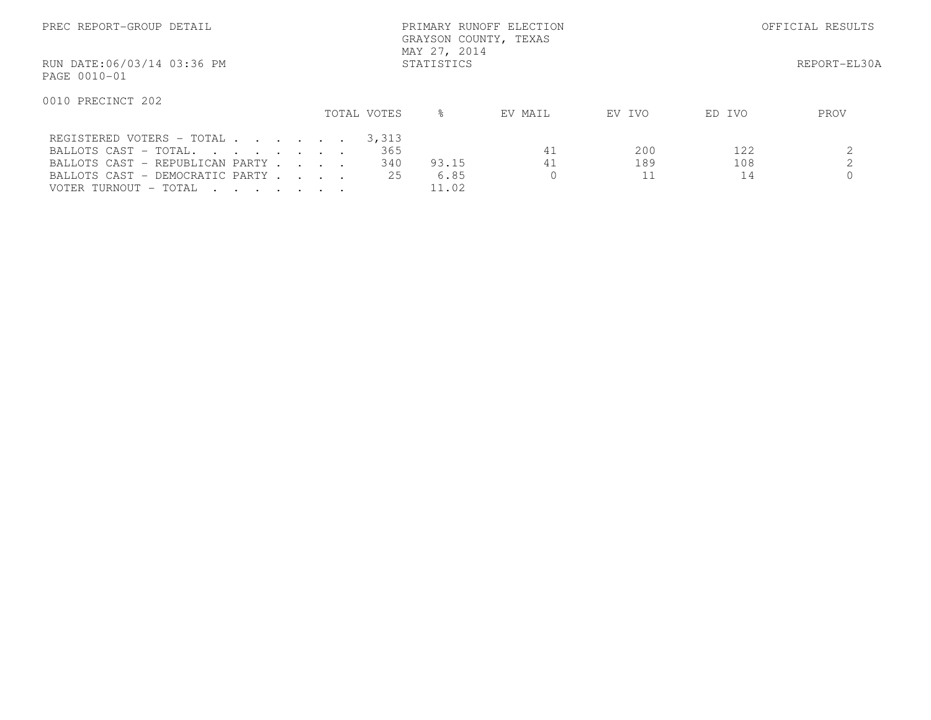| PREC REPORT-GROUP DETAIL                                                                                                                          |             | PRIMARY RUNOFF ELECTION<br>GRAYSON COUNTY, TEXAS<br>MAY 27, 2014 |          | OFFICIAL RESULTS |                  |              |
|---------------------------------------------------------------------------------------------------------------------------------------------------|-------------|------------------------------------------------------------------|----------|------------------|------------------|--------------|
| RUN DATE:06/03/14 03:36 PM<br>PAGE 0010-01                                                                                                        |             | STATISTICS                                                       |          |                  |                  | REPORT-EL30A |
| 0010 PRECINCT 202                                                                                                                                 | TOTAL VOTES | ⊱                                                                | EV MAIL  | EV IVO           | ED IVO           | PROV         |
| REGISTERED VOTERS - TOTAL<br>BALLOTS CAST - TOTAL.<br>BALLOTS CAST - REPUBLICAN PARTY<br>BALLOTS CAST - DEMOCRATIC PARTY<br>VOTER TURNOUT - TOTAL |             | 3,313<br>365<br>340<br>93.15<br>6.85<br>25<br>11.02              | 41<br>41 | 200<br>189       | 122<br>108<br>14 |              |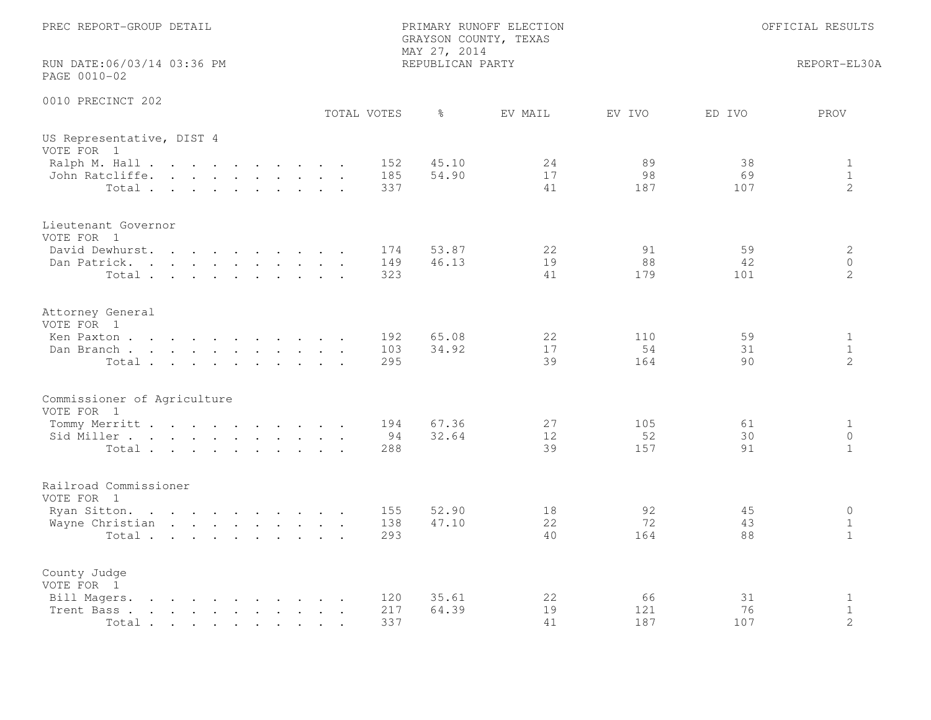| PREC REPORT-GROUP DETAIL                                                                                                                                                                                                                                                                                                                                                                     | PRIMARY RUNOFF ELECTION<br>GRAYSON COUNTY, TEXAS<br>MAY 27, 2014 |                |                  |                 | OFFICIAL RESULTS                              |
|----------------------------------------------------------------------------------------------------------------------------------------------------------------------------------------------------------------------------------------------------------------------------------------------------------------------------------------------------------------------------------------------|------------------------------------------------------------------|----------------|------------------|-----------------|-----------------------------------------------|
| RUN DATE:06/03/14 03:36 PM<br>PAGE 0010-02                                                                                                                                                                                                                                                                                                                                                   | REPUBLICAN PARTY                                                 |                |                  |                 | REPORT-EL30A                                  |
| 0010 PRECINCT 202<br>TOTAL VOTES                                                                                                                                                                                                                                                                                                                                                             | ႜၟ                                                               | EV MAIL        | EV IVO           | ED IVO          | PROV                                          |
| US Representative, DIST 4<br>VOTE FOR 1                                                                                                                                                                                                                                                                                                                                                      |                                                                  |                |                  |                 |                                               |
| Ralph M. Hall<br>John Ratcliffe.<br>Total                                                                                                                                                                                                                                                                                                                                                    | 45.10<br>152<br>54.90<br>185<br>337                              | 24<br>17<br>41 | 89<br>98<br>187  | 38<br>69<br>107 | $\mathbf{1}$<br>$\mathbf{1}$<br>$\mathcal{L}$ |
| Lieutenant Governor<br>VOTE FOR 1<br>David Dewhurst.                                                                                                                                                                                                                                                                                                                                         | 53.87<br>174                                                     | 22             | 91               | 59              | 2                                             |
| the contract of the contract of the contract of the contract of the contract of the contract of the contract of<br>Dan Patrick.<br>Total                                                                                                                                                                                                                                                     | 46.13<br>149<br>323                                              | 19<br>41       | 88<br>179        | 42<br>101       | $\circ$<br>2                                  |
| Attorney General<br>VOTE FOR 1                                                                                                                                                                                                                                                                                                                                                               |                                                                  |                |                  |                 |                                               |
| Ken Paxton<br>Dan Branch<br>Total                                                                                                                                                                                                                                                                                                                                                            | 65.08<br>192<br>34.92<br>103<br>295                              | 22<br>17<br>39 | 110<br>54<br>164 | 59<br>31<br>90  | $\mathbf{1}$<br>$\mathbf{1}$<br>2             |
| Commissioner of Agriculture<br>VOTE FOR 1                                                                                                                                                                                                                                                                                                                                                    |                                                                  |                |                  |                 |                                               |
| Tommy Merritt<br>Sid Miller<br>Total                                                                                                                                                                                                                                                                                                                                                         | 194<br>67.36<br>32.64<br>94<br>288                               | 27<br>12<br>39 | 105<br>52<br>157 | 61<br>30<br>91  | $\mathbf{1}$<br>$\circ$<br>$\mathbf{1}$       |
| Railroad Commissioner<br>VOTE FOR 1                                                                                                                                                                                                                                                                                                                                                          |                                                                  |                |                  |                 |                                               |
| Ryan Sitton.<br>Wayne Christian<br>Total                                                                                                                                                                                                                                                                                                                                                     | 52.90<br>155<br>138<br>47.10<br>293                              | 18<br>22<br>40 | 92<br>72<br>164  | 45<br>43<br>88  | $\circ$<br>$\mathbf{1}$<br>$\mathbf{1}$       |
| County Judge<br>VOTE FOR 1                                                                                                                                                                                                                                                                                                                                                                   |                                                                  |                |                  |                 |                                               |
| Bill Magers.<br>$\mathbf{r}$ . The contract of the contract of the contract of the contract of the contract of the contract of the contract of the contract of the contract of the contract of the contract of the contract of the contract of th<br>Trent Bass.<br>the contract of the contract of the contract of the contract of the contract of the contract of the contract of<br>Total | 120<br>35.61<br>217<br>64.39<br>337                              | 22<br>19<br>41 | 66<br>121<br>187 | 31<br>76<br>107 | 1<br>$\mathbf{1}$<br>$\mathbf{2}$             |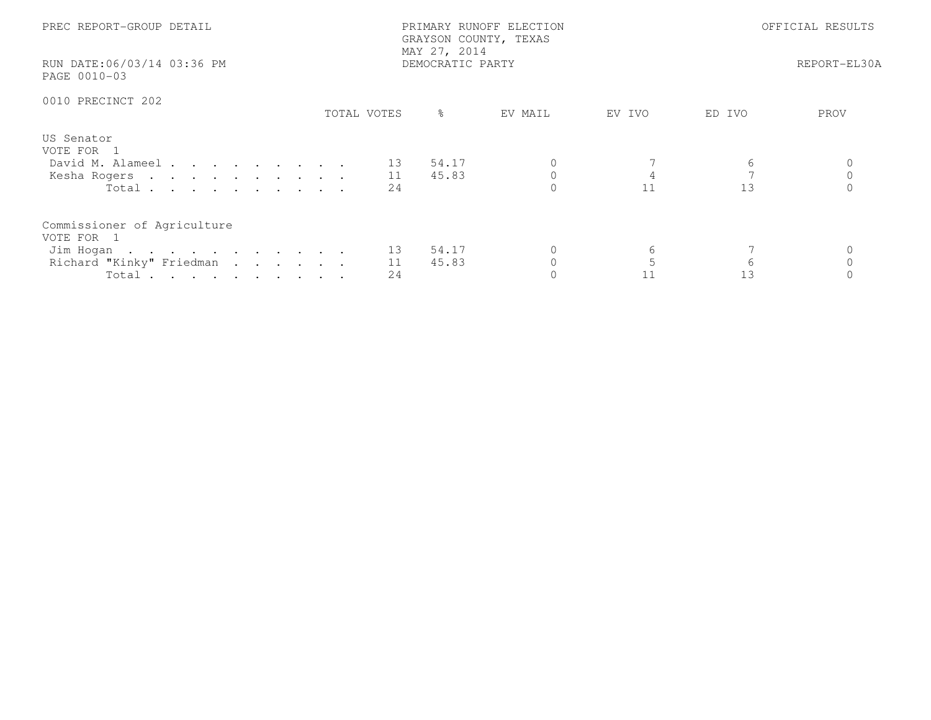| PREC REPORT-GROUP DETAIL<br>RUN DATE:06/03/14 03:36 PM                                                           |             | PRIMARY RUNOFF ELECTION<br>GRAYSON COUNTY, TEXAS<br>MAY 27, 2014<br>DEMOCRATIC PARTY | OFFICIAL RESULTS<br>REPORT-EL30A |         |      |
|------------------------------------------------------------------------------------------------------------------|-------------|--------------------------------------------------------------------------------------|----------------------------------|---------|------|
| PAGE 0010-03                                                                                                     |             |                                                                                      |                                  |         |      |
| 0010 PRECINCT 202                                                                                                |             |                                                                                      |                                  |         |      |
|                                                                                                                  | TOTAL VOTES | $\frac{6}{6}$<br>EV MAIL                                                             | EV IVO                           | ED IVO  | PROV |
| US Senator<br>VOTE FOR 1<br>David M. Alameel 13 54.17<br>Kesha Rogers 11<br>Total $\cdots$                       | 2.4         | 45.83                                                                                | 11                               | 13      |      |
| Commissioner of Agriculture<br>VOTE FOR 1<br>Jim Hogan 13 54.17<br>Richard "Kinky" Friedman 11<br>Total $\cdots$ | 24          | 45.83                                                                                | 6<br>11                          | 6<br>13 |      |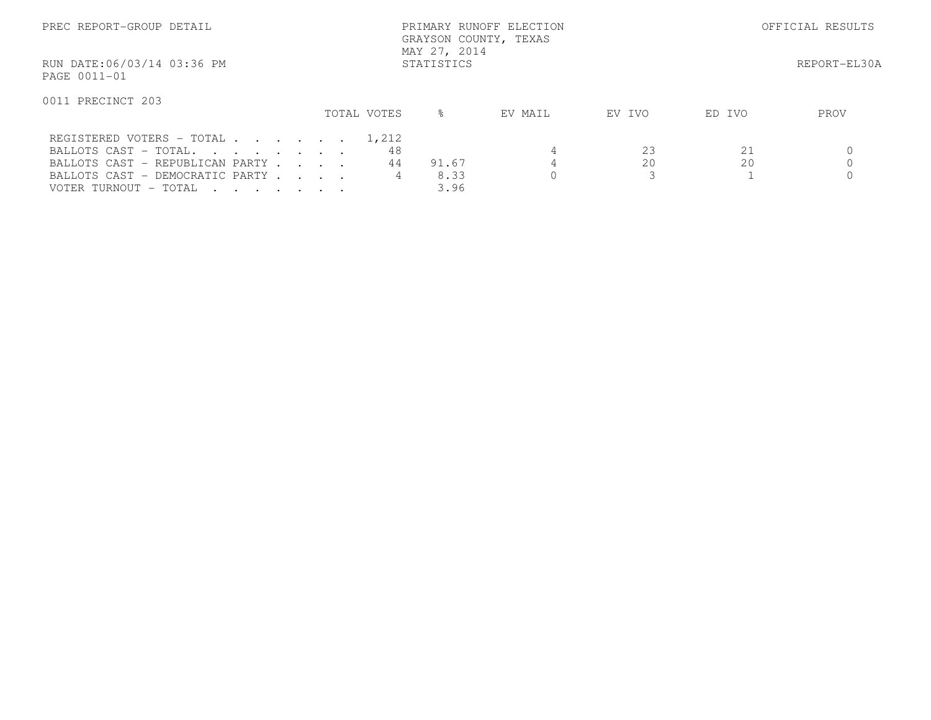| PREC REPORT-GROUP DETAIL                                                                                                                                                                                                            |  |  |  | PRIMARY RUNOFF ELECTION<br>GRAYSON COUNTY, TEXAS<br>MAY 27, 2014 |                   |              |         |               | OFFICIAL RESULTS |              |  |
|-------------------------------------------------------------------------------------------------------------------------------------------------------------------------------------------------------------------------------------|--|--|--|------------------------------------------------------------------|-------------------|--------------|---------|---------------|------------------|--------------|--|
| RUN DATE:06/03/14 03:36 PM<br>PAGE 0011-01                                                                                                                                                                                          |  |  |  |                                                                  | STATISTICS        |              |         |               |                  | REPORT-EL30A |  |
| 0011 PRECINCT 203                                                                                                                                                                                                                   |  |  |  | TOTAL VOTES                                                      | $\approx$         |              | EV MAIL | EV IVO        | ED IVO           | PROV         |  |
| REGISTERED VOTERS - TOTAL 1,212<br>BALLOTS CAST - TOTAL.<br>BALLOTS CAST - REPUBLICAN PARTY<br>BALLOTS CAST - DEMOCRATIC PARTY<br>VOTER TURNOUT - TOTAL<br>$\mathbf{r}$ , $\mathbf{r}$ , $\mathbf{r}$ , $\mathbf{r}$ , $\mathbf{r}$ |  |  |  |                                                                  | 48<br>44<br>91.67 | 8.33<br>3.96 |         | 23<br>20<br>3 | 21<br>20         |              |  |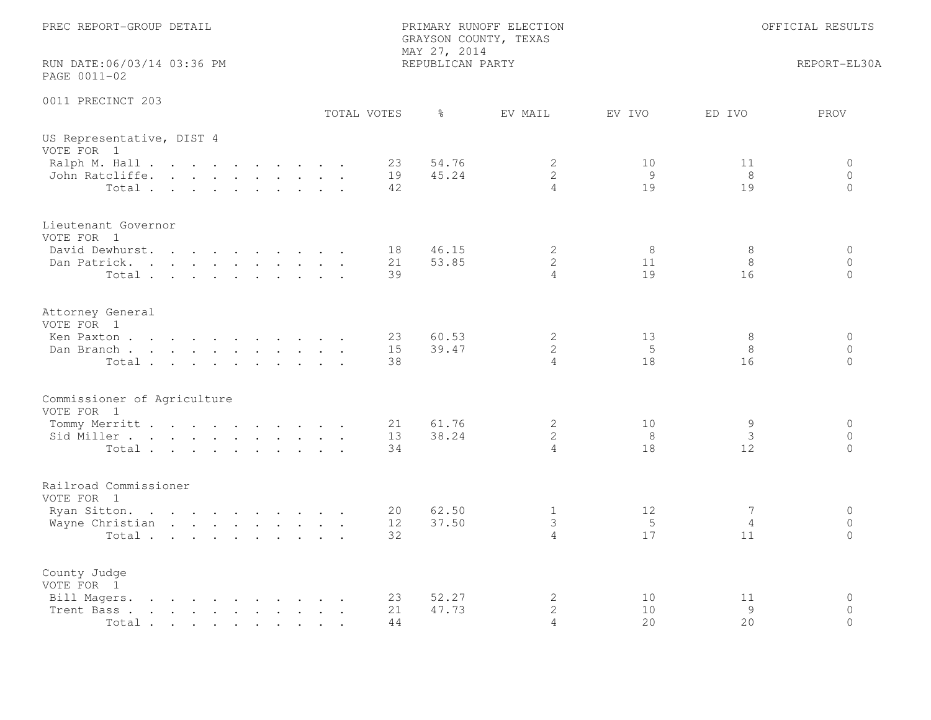| PREC REPORT-GROUP DETAIL                                                                                                                                                                                   |                | GRAYSON COUNTY, TEXAS<br>MAY 27, 2014 | PRIMARY RUNOFF ELECTION             |                |                             | OFFICIAL RESULTS                    |
|------------------------------------------------------------------------------------------------------------------------------------------------------------------------------------------------------------|----------------|---------------------------------------|-------------------------------------|----------------|-----------------------------|-------------------------------------|
| RUN DATE:06/03/14 03:36 PM<br>PAGE 0011-02                                                                                                                                                                 |                | REPUBLICAN PARTY                      |                                     |                |                             | REPORT-EL30A                        |
| 0011 PRECINCT 203                                                                                                                                                                                          | TOTAL VOTES    | $\frac{6}{6}$                         | EV MAIL                             | EV IVO         | ED IVO                      | PROV                                |
| US Representative, DIST 4<br>VOTE FOR 1                                                                                                                                                                    |                |                                       |                                     |                |                             |                                     |
| Ralph M. Hall<br>John Ratcliffe.<br>Total                                                                                                                                                                  | 23<br>19<br>42 | 54.76<br>45.24                        | 2<br>$\mathbf{2}$<br>$\overline{4}$ | 10<br>9<br>19  | 11<br>8<br>19               | 0<br>$\circ$<br>$\circ$             |
| Lieutenant Governor<br>VOTE FOR 1<br>David Dewhurst.                                                                                                                                                       | 18             | 46.15                                 | 2                                   | 8              | 8                           | $\circ$                             |
| Dan Patrick.<br>Total                                                                                                                                                                                      | 21<br>39       | 53.85                                 | $\mathbf{2}$<br>$\overline{4}$      | 11<br>19       | 8<br>16                     | $\circ$<br>$\Omega$                 |
| Attorney General<br>VOTE FOR 1<br>Ken Paxton                                                                                                                                                               | 23             | 60.53                                 | $\mathbf{2}$                        | 13             | 8                           | $\circ$                             |
| Dan Branch<br>Total                                                                                                                                                                                        | 15<br>38       | 39.47                                 | $\mathbf{2}$<br>4                   | 5<br>18        | 8<br>16                     | $\Omega$<br>$\Omega$                |
| Commissioner of Agriculture<br>VOTE FOR 1                                                                                                                                                                  |                |                                       |                                     |                |                             |                                     |
| Tommy Merritt<br>Sid Miller<br>Total                                                                                                                                                                       | 21<br>13<br>34 | 61.76<br>38.24                        | 2<br>$\mathbf{2}$<br>$\overline{4}$ | 10<br>8<br>18  | 9<br>3<br>$12 \overline{ }$ | $\circ$<br>$\circ$<br>$\circ$       |
| Railroad Commissioner<br>VOTE FOR 1                                                                                                                                                                        |                |                                       |                                     |                |                             |                                     |
| Ryan Sitton.<br>Wayne Christian<br>Total                                                                                                                                                                   | 20<br>12<br>32 | 62.50<br>37.50                        | $\mathbf{1}$<br>3<br>$\overline{4}$ | 12<br>-5<br>17 | 7<br>4<br>11                | $\circ$<br>$\circ$<br>$\Omega$      |
| County Judge<br>VOTE FOR 1                                                                                                                                                                                 |                |                                       |                                     |                |                             |                                     |
| Bill Magers.<br>the contract of the contract of the contract of the contract of the contract of the contract of the contract of<br>the contract of the contract of the contract of<br>Trent Bass.<br>Total | 23<br>21<br>44 | 52.27<br>47.73                        | $\mathbf{2}$<br>$\mathbf{2}$<br>4   | 10<br>10<br>20 | 11<br>9<br>20               | $\mathbf 0$<br>$\Omega$<br>$\Omega$ |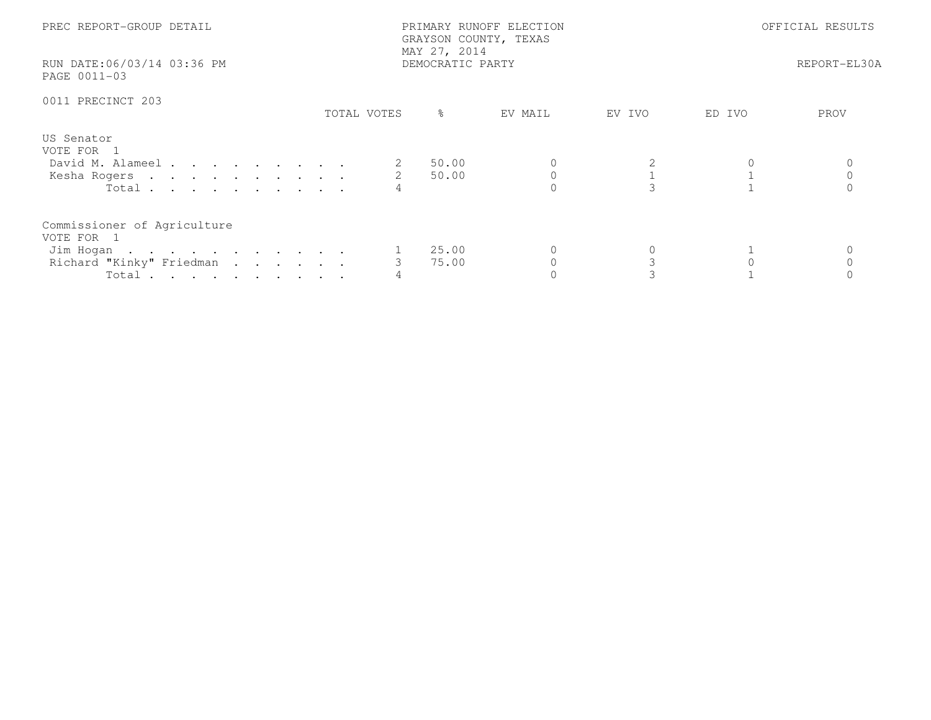| PREC REPORT-GROUP DETAIL<br>RUN DATE:06/03/14 03:36 PM<br>PAGE 0011-03                      |             | PRIMARY RUNOFF ELECTION<br>GRAYSON COUNTY, TEXAS<br>MAY 27, 2014<br>DEMOCRATIC PARTY |         | OFFICIAL RESULTS<br>REPORT-EL30A |        |      |
|---------------------------------------------------------------------------------------------|-------------|--------------------------------------------------------------------------------------|---------|----------------------------------|--------|------|
| 0011 PRECINCT 203                                                                           | TOTAL VOTES | ိ                                                                                    | EV MAIL | EV IVO                           | ED IVO | PROV |
| US Senator<br>VOTE FOR 1<br>David M. Alameel<br>Kesha Rogers<br>Total                       |             | 50.00<br>50.00                                                                       |         |                                  |        |      |
| Commissioner of Agriculture<br>VOTE FOR 1<br>Jim Hogan<br>Richard "Kinky" Friedman<br>Total |             | 25.00<br>75.00                                                                       |         |                                  |        |      |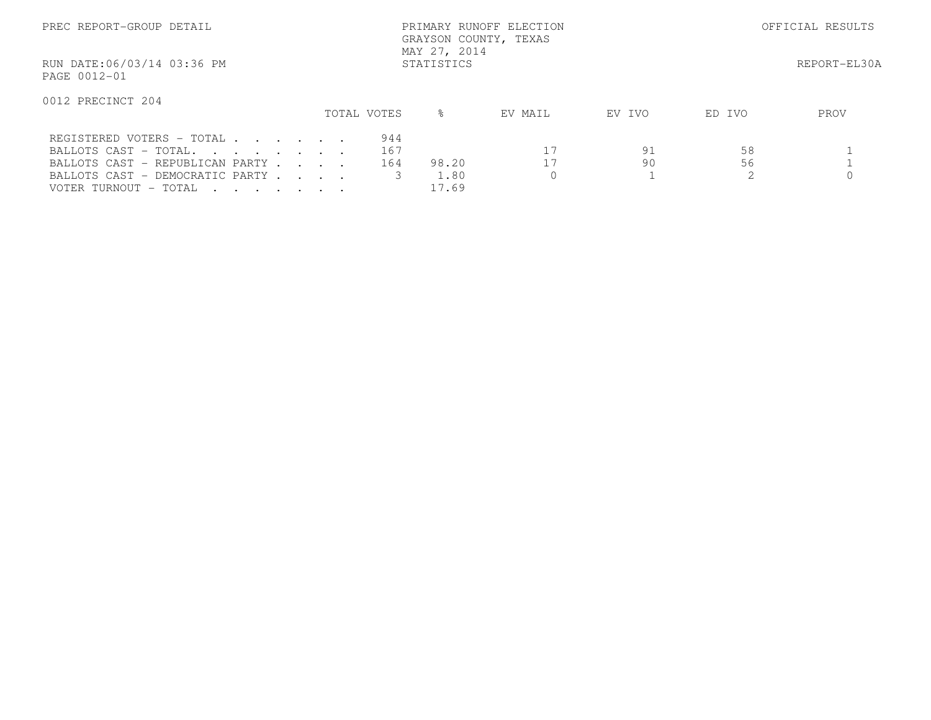| PREC REPORT-GROUP DETAIL                                                                                                                          | PRIMARY RUNOFF ELECTION<br>GRAYSON COUNTY, TEXAS<br>MAY 27, 2014 |  |                   |                        |              |          |          | OFFICIAL RESULTS |  |  |
|---------------------------------------------------------------------------------------------------------------------------------------------------|------------------------------------------------------------------|--|-------------------|------------------------|--------------|----------|----------|------------------|--|--|
| RUN DATE:06/03/14 03:36 PM<br>PAGE 0012-01                                                                                                        |                                                                  |  | STATISTICS        |                        | REPORT-EL30A |          |          |                  |  |  |
| 0012 PRECINCT 204                                                                                                                                 |                                                                  |  | TOTAL VOTES       | $\approx$              | EV MAIL      | EV IVO   | ED IVO   | PROV             |  |  |
| REGISTERED VOTERS - TOTAL<br>BALLOTS CAST - TOTAL.<br>BALLOTS CAST - REPUBLICAN PARTY<br>BALLOTS CAST - DEMOCRATIC PARTY<br>VOTER TURNOUT - TOTAL |                                                                  |  | 944<br>167<br>164 | 98.20<br>1.80<br>17.69 | 17<br>17     | 91<br>90 | 58<br>56 |                  |  |  |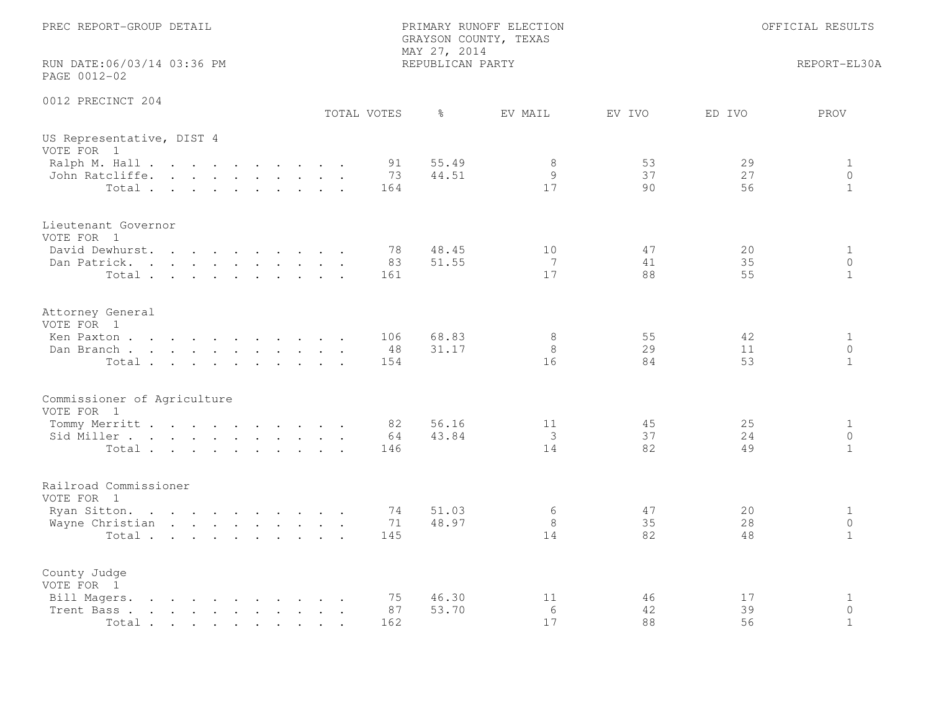| PREC REPORT-GROUP DETAIL                                                                                                                                                                                                                            |  |  |             |                  | MAY 27, 2014     | PRIMARY RUNOFF ELECTION<br>GRAYSON COUNTY, TEXAS |                |                | OFFICIAL RESULTS                        |
|-----------------------------------------------------------------------------------------------------------------------------------------------------------------------------------------------------------------------------------------------------|--|--|-------------|------------------|------------------|--------------------------------------------------|----------------|----------------|-----------------------------------------|
| RUN DATE:06/03/14 03:36 PM<br>PAGE 0012-02                                                                                                                                                                                                          |  |  |             |                  | REPUBLICAN PARTY |                                                  |                |                | REPORT-EL30A                            |
| 0012 PRECINCT 204                                                                                                                                                                                                                                   |  |  | TOTAL VOTES |                  | ႜၟ               | EV MAIL                                          | EV IVO         | ED IVO         | PROV                                    |
| US Representative, DIST 4<br>VOTE FOR 1                                                                                                                                                                                                             |  |  |             |                  |                  |                                                  |                |                |                                         |
| Ralph M. Hall<br>John Ratcliffe.<br>Total                                                                                                                                                                                                           |  |  |             | 91<br>73<br>164  | 55.49<br>44.51   | 8<br>9<br>17                                     | 53<br>37<br>90 | 29<br>27<br>56 | $\mathbf{1}$<br>$\circ$<br>$\mathbf{1}$ |
| Lieutenant Governor<br>VOTE FOR 1                                                                                                                                                                                                                   |  |  |             |                  |                  |                                                  |                |                |                                         |
| David Dewhurst.<br>$\mathbf{r}$ , $\mathbf{r}$ , $\mathbf{r}$ , $\mathbf{r}$ , $\mathbf{r}$ , $\mathbf{r}$ , $\mathbf{r}$<br>Dan Patrick.<br>Total                                                                                                  |  |  |             | 78<br>83<br>161  | 48.45<br>51.55   | 10<br>7<br>17                                    | 47<br>41<br>88 | 20<br>35<br>55 | $\mathbf{1}$<br>$\circ$<br>$\mathbf{1}$ |
| Attorney General<br>VOTE FOR 1                                                                                                                                                                                                                      |  |  |             |                  |                  |                                                  |                |                |                                         |
| Ken Paxton<br>Dan Branch<br>Total                                                                                                                                                                                                                   |  |  |             | 106<br>48<br>154 | 68.83<br>31.17   | 8<br>8<br>16                                     | 55<br>29<br>84 | 42<br>11<br>53 | $\mathbf{1}$<br>$\circ$<br>$\mathbf{1}$ |
| Commissioner of Agriculture<br>VOTE FOR 1                                                                                                                                                                                                           |  |  |             |                  |                  |                                                  |                |                |                                         |
| Tommy Merritt<br>Sid Miller<br>Total                                                                                                                                                                                                                |  |  |             | 82<br>64<br>146  | 56.16<br>43.84   | 11<br>3<br>14                                    | 45<br>37<br>82 | 25<br>24<br>49 | $\mathbf{1}$<br>$\circ$<br>$\mathbf{1}$ |
| Railroad Commissioner<br>VOTE FOR 1                                                                                                                                                                                                                 |  |  |             |                  |                  |                                                  |                |                |                                         |
| Ryan Sitton.<br>Wayne Christian<br>Total                                                                                                                                                                                                            |  |  |             | 74<br>71<br>145  | 51.03<br>48.97   | 6<br>8<br>14                                     | 47<br>35<br>82 | 20<br>28<br>48 | $\mathbf{1}$<br>$\circ$<br>$\mathbf{1}$ |
| County Judge<br>VOTE FOR 1                                                                                                                                                                                                                          |  |  |             |                  |                  |                                                  |                |                |                                         |
| Bill Magers.<br>$\mathbf{r}$ , and $\mathbf{r}$ , and $\mathbf{r}$ , and $\mathbf{r}$ , and $\mathbf{r}$<br>Trent Bass.<br>the contract of the contract of the contract of the contract of the contract of the contract of the contract of<br>Total |  |  |             | 75<br>87<br>162  | 46.30<br>53.70   | 11<br>6<br>17                                    | 46<br>42<br>88 | 17<br>39<br>56 | 1<br>$\circ$<br>$\mathbf{1}$            |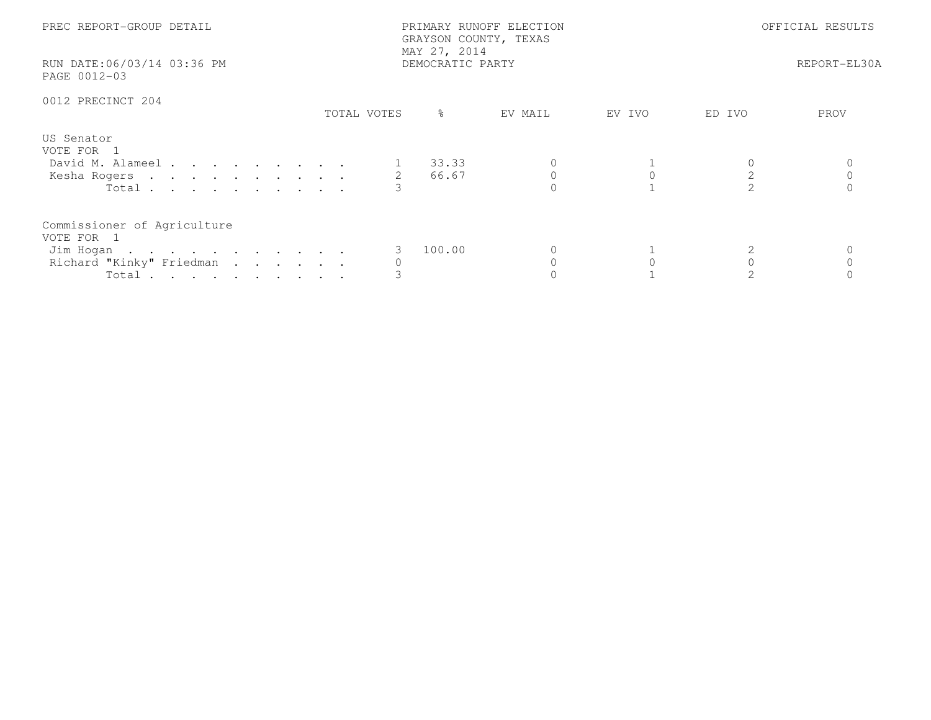| PREC REPORT-GROUP DETAIL                                                                    |             | PRIMARY RUNOFF ELECTION<br>GRAYSON COUNTY, TEXAS<br>MAY 27, 2014 |        | OFFICIAL RESULTS |              |  |
|---------------------------------------------------------------------------------------------|-------------|------------------------------------------------------------------|--------|------------------|--------------|--|
| RUN DATE:06/03/14 03:36 PM<br>PAGE 0012-03                                                  |             | DEMOCRATIC PARTY                                                 |        |                  | REPORT-EL30A |  |
| 0012 PRECINCT 204                                                                           | TOTAL VOTES | $\frac{9}{6}$<br>EV MAIL                                         | EV IVO | ED IVO           | PROV         |  |
| US Senator<br>VOTE FOR 1<br>David M. Alameel<br>Kesha Rogers 2<br>Total $\cdots$            |             | 1 33.33<br>66.67                                                 |        |                  |              |  |
| Commissioner of Agriculture<br>VOTE FOR 1<br>Jim Hogan<br>Richard "Kinky" Friedman<br>Total |             | 100.00                                                           |        |                  |              |  |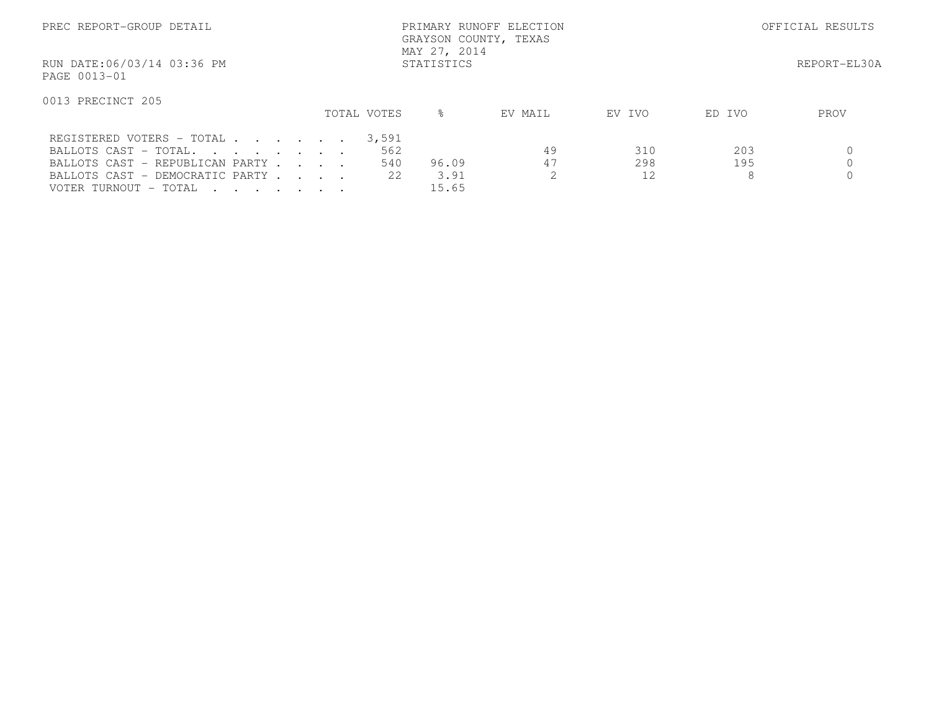| PREC REPORT-GROUP DETAIL                                                                                                                                                                                                                     | PRIMARY RUNOFF ELECTION<br>GRAYSON COUNTY, TEXAS<br>MAY 27, 2014 |            |  |             |                            |                        |          | OFFICIAL RESULTS |                 |              |
|----------------------------------------------------------------------------------------------------------------------------------------------------------------------------------------------------------------------------------------------|------------------------------------------------------------------|------------|--|-------------|----------------------------|------------------------|----------|------------------|-----------------|--------------|
| RUN DATE:06/03/14 03:36 PM<br>PAGE 0013-01                                                                                                                                                                                                   |                                                                  | STATISTICS |  |             |                            |                        |          |                  |                 | REPORT-EL30A |
| 0013 PRECINCT 205                                                                                                                                                                                                                            |                                                                  |            |  | TOTAL VOTES |                            | ⊱                      | EV MAIL  | EV IVO           | ED IVO          | PROV         |
| REGISTERED VOTERS - TOTAL<br>BALLOTS CAST - TOTAL.<br>BALLOTS CAST - REPUBLICAN PARTY<br>BALLOTS CAST - DEMOCRATIC PARTY<br>VOTER TURNOUT - TOTAL<br>$\mathbf{r}$ , $\mathbf{r}$ , $\mathbf{r}$ , $\mathbf{r}$ , $\mathbf{r}$ , $\mathbf{r}$ |                                                                  |            |  |             | 3,591<br>562<br>540<br>2.2 | 96.09<br>3.91<br>15.65 | 49<br>47 | 310<br>298<br>12 | 203<br>195<br>8 |              |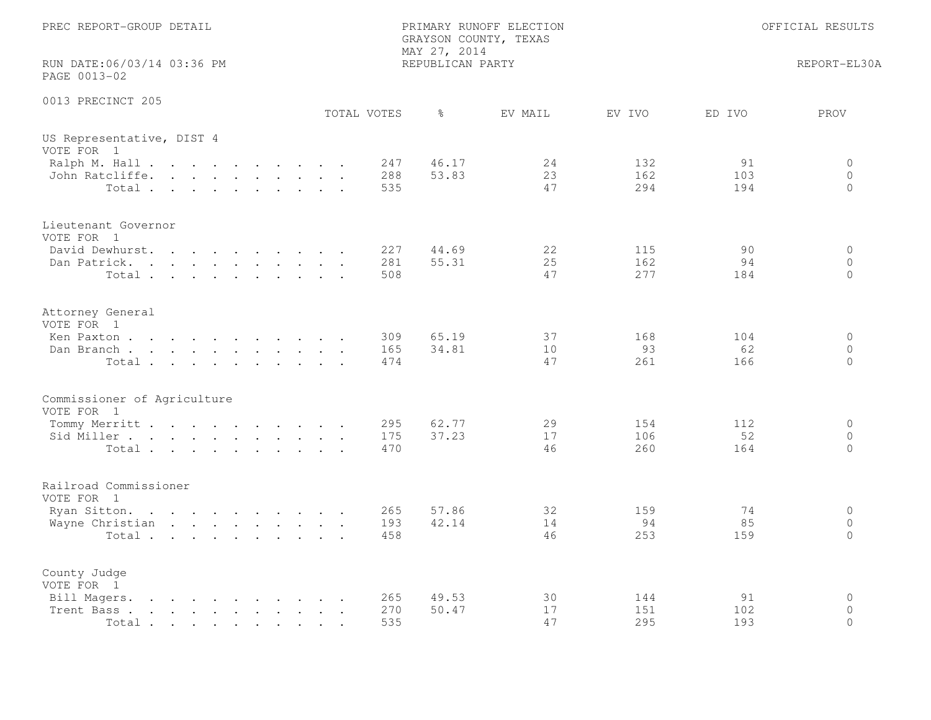| PREC REPORT-GROUP DETAIL                                                                                                                                                                                                                                                                                                                                                                     |  |  |  |  |                   | MAY 27, 2014     | PRIMARY RUNOFF ELECTION<br>GRAYSON COUNTY, TEXAS |                   |                  | OFFICIAL RESULTS                |
|----------------------------------------------------------------------------------------------------------------------------------------------------------------------------------------------------------------------------------------------------------------------------------------------------------------------------------------------------------------------------------------------|--|--|--|--|-------------------|------------------|--------------------------------------------------|-------------------|------------------|---------------------------------|
| RUN DATE:06/03/14 03:36 PM<br>PAGE 0013-02                                                                                                                                                                                                                                                                                                                                                   |  |  |  |  |                   | REPUBLICAN PARTY |                                                  |                   |                  | REPORT-EL30A                    |
| 0013 PRECINCT 205                                                                                                                                                                                                                                                                                                                                                                            |  |  |  |  | TOTAL VOTES       | $\frac{6}{6}$    | EV MAIL                                          | EV IVO            | ED IVO           | PROV                            |
| US Representative, DIST 4<br>VOTE FOR 1                                                                                                                                                                                                                                                                                                                                                      |  |  |  |  |                   |                  |                                                  |                   |                  |                                 |
| Ralph M. Hall<br>John Ratcliffe.<br>Total                                                                                                                                                                                                                                                                                                                                                    |  |  |  |  | 247<br>288<br>535 | 46.17<br>53.83   | 24<br>23<br>47                                   | 132<br>162<br>294 | 91<br>103<br>194 | 0<br>$\overline{0}$<br>$\Omega$ |
| Lieutenant Governor<br>VOTE FOR 1                                                                                                                                                                                                                                                                                                                                                            |  |  |  |  |                   |                  |                                                  |                   |                  |                                 |
| David Dewhurst.<br>Dan Patrick.<br>Total                                                                                                                                                                                                                                                                                                                                                     |  |  |  |  | 227<br>281<br>508 | 44.69<br>55.31   | 22<br>25<br>47                                   | 115<br>162<br>277 | 90<br>94<br>184  | $\circ$<br>$\circ$<br>$\Omega$  |
| Attorney General<br>VOTE FOR 1                                                                                                                                                                                                                                                                                                                                                               |  |  |  |  |                   |                  |                                                  |                   |                  |                                 |
| Ken Paxton<br>Dan Branch<br>Total                                                                                                                                                                                                                                                                                                                                                            |  |  |  |  | 309<br>165<br>474 | 65.19<br>34.81   | 37<br>10<br>47                                   | 168<br>93<br>261  | 104<br>62<br>166 | $\circ$<br>$\circ$<br>$\circ$   |
| Commissioner of Agriculture<br>VOTE FOR 1                                                                                                                                                                                                                                                                                                                                                    |  |  |  |  |                   |                  |                                                  |                   |                  |                                 |
| Tommy Merritt<br>Sid Miller<br>Total                                                                                                                                                                                                                                                                                                                                                         |  |  |  |  | 295<br>175<br>470 | 62.77<br>37.23   | 29<br>17<br>46                                   | 154<br>106<br>260 | 112<br>52<br>164 | $\circ$<br>$\circ$<br>$\Omega$  |
| Railroad Commissioner<br>VOTE FOR 1                                                                                                                                                                                                                                                                                                                                                          |  |  |  |  |                   |                  |                                                  |                   |                  |                                 |
| Ryan Sitton.<br>Wayne Christian<br>Total                                                                                                                                                                                                                                                                                                                                                     |  |  |  |  | 265<br>193<br>458 | 57.86<br>42.14   | 32<br>14<br>46                                   | 159<br>94<br>253  | 74<br>85<br>159  | $\circ$<br>$\circ$<br>$\Omega$  |
| County Judge<br>VOTE FOR 1                                                                                                                                                                                                                                                                                                                                                                   |  |  |  |  |                   |                  |                                                  |                   |                  |                                 |
| Bill Magers.<br>$\mathbf{r}$ . The contract of the contract of the contract of the contract of the contract of the contract of the contract of the contract of the contract of the contract of the contract of the contract of the contract of th<br>Trent Bass.<br>the contract of the contract of the contract of the contract of the contract of the contract of the contract of<br>Total |  |  |  |  | 265<br>270<br>535 | 49.53<br>50.47   | 30<br>17<br>47                                   | 144<br>151<br>295 | 91<br>102<br>193 | $\circ$<br>$\circ$<br>$\Omega$  |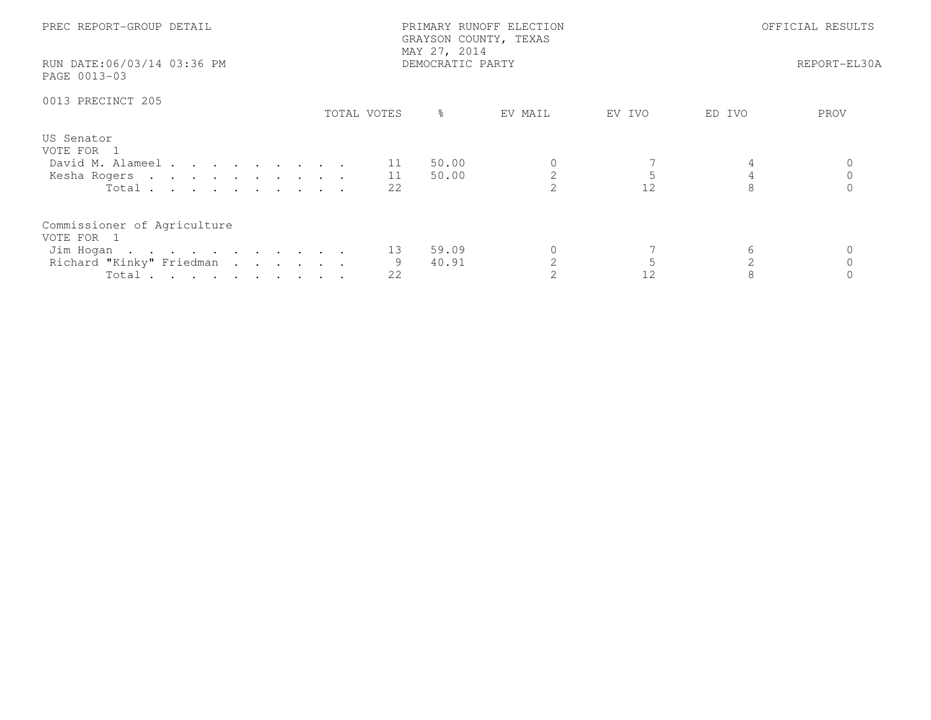| PREC REPORT-GROUP DETAIL<br>RUN DATE:06/03/14 03:36 PM             |             | PRIMARY RUNOFF ELECTION<br>GRAYSON COUNTY, TEXAS<br>MAY 27, 2014<br>DEMOCRATIC PARTY |         | OFFICIAL RESULTS<br>REPORT-EL30A |                |  |
|--------------------------------------------------------------------|-------------|--------------------------------------------------------------------------------------|---------|----------------------------------|----------------|--|
| PAGE 0013-03                                                       |             |                                                                                      |         |                                  |                |  |
| 0013 PRECINCT 205                                                  | TOTAL VOTES | ိ                                                                                    | EV MAIL | EV IVO                           | ED IVO<br>PROV |  |
| US Senator<br>VOTE FOR 1<br>David M. Alameel 11<br>Kesha Rogers 11 |             | 50.00<br>50.00                                                                       |         | 5                                |                |  |
| Total $\cdots$<br>Commissioner of Agriculture<br>VOTE FOR 1        | 22          |                                                                                      |         | 12                               |                |  |
| Jim Hogan<br>Richard "Kinky" Friedman<br>Total                     | 13<br>22    | 59.09<br>40.91                                                                       |         | 12                               | 6              |  |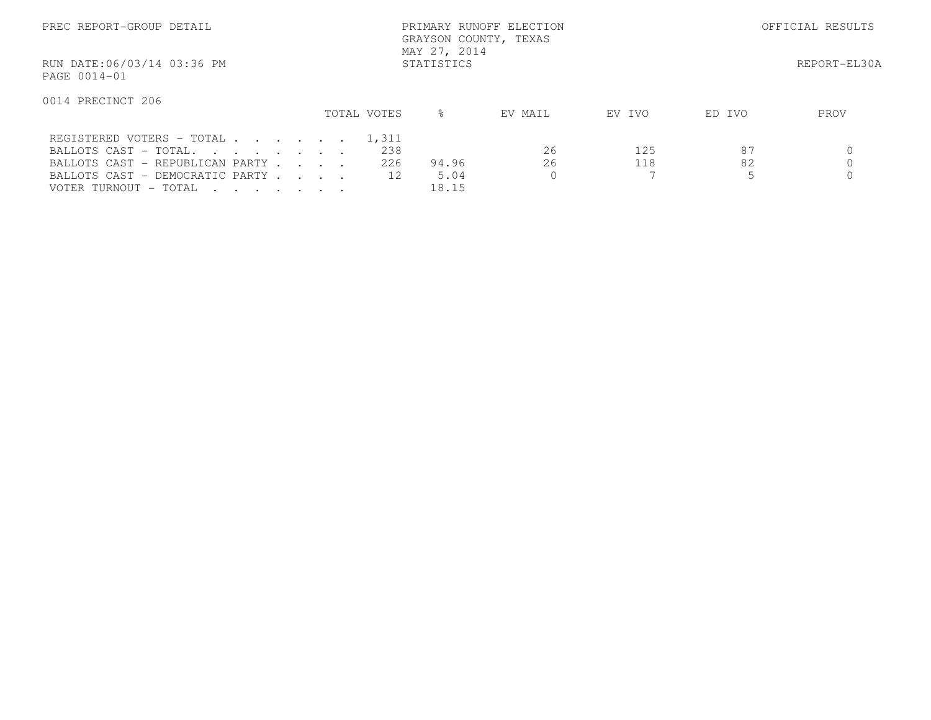| PREC REPORT-GROUP DETAIL                   |             | PRIMARY RUNOFF ELECTION<br>GRAYSON COUNTY, TEXAS<br>MAY 27, 2014 |                   |           | OFFICIAL RESULTS |  |  |
|--------------------------------------------|-------------|------------------------------------------------------------------|-------------------|-----------|------------------|--|--|
| RUN DATE:06/03/14 03:36 PM<br>PAGE 0014-01 |             | STATISTICS                                                       |                   |           | REPORT-EL30A     |  |  |
| 0014 PRECINCT 206                          |             |                                                                  |                   |           |                  |  |  |
|                                            | TOTAL VOTES | ⊱                                                                | EV MAIL<br>EV IVO | ED IVO    | PROV             |  |  |
| REGISTERED VOTERS - TOTAL 1,311            |             |                                                                  |                   |           |                  |  |  |
| BALLOTS CAST - TOTAL.                      |             | 238                                                              | 26                | 87<br>125 |                  |  |  |
| BALLOTS CAST - REPUBLICAN PARTY            |             | 226<br>94.96                                                     | 26                | 82<br>118 |                  |  |  |
| BALLOTS CAST - DEMOCRATIC PARTY            |             | 12<br>5.04                                                       |                   |           |                  |  |  |
| VOTER TURNOUT - TOTAL                      |             | 18.15                                                            |                   |           |                  |  |  |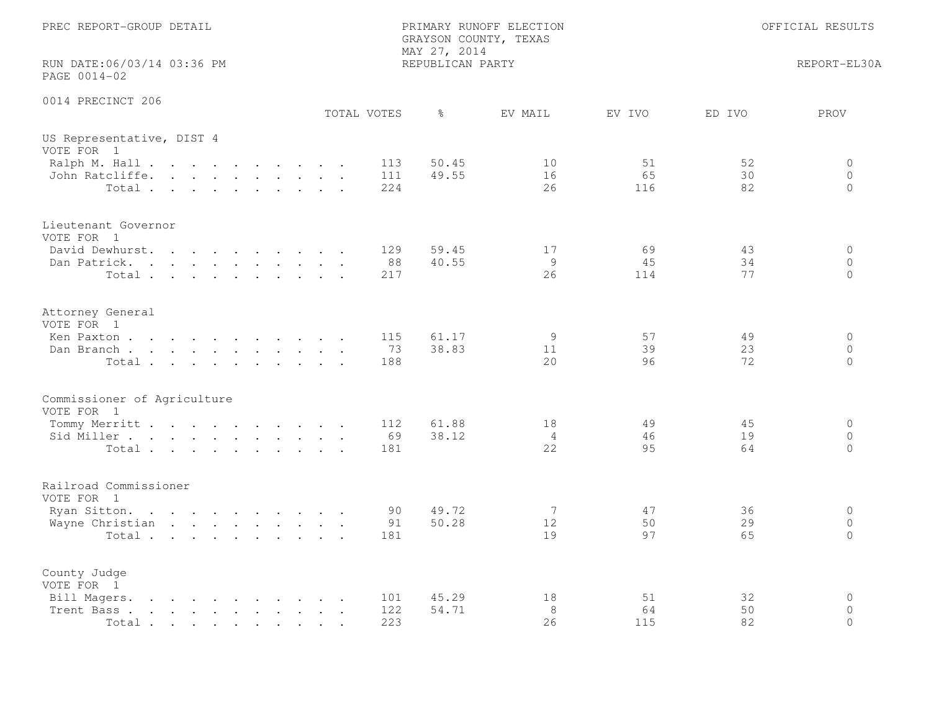| PREC REPORT-GROUP DETAIL                   | PRIMARY RUNOFF ELECTION<br>GRAYSON COUNTY, TEXAS<br>MAY 27, 2014 |                  |                            |                 | OFFICIAL RESULTS |                                        |  |
|--------------------------------------------|------------------------------------------------------------------|------------------|----------------------------|-----------------|------------------|----------------------------------------|--|
| RUN DATE:06/03/14 03:36 PM<br>PAGE 0014-02 |                                                                  | REPUBLICAN PARTY |                            |                 |                  | REPORT-EL30A                           |  |
| 0014 PRECINCT 206                          | TOTAL VOTES                                                      | ိ                | EV MAIL                    | EV IVO          | ED IVO           | PROV                                   |  |
| US Representative, DIST 4<br>VOTE FOR 1    |                                                                  |                  |                            |                 |                  |                                        |  |
| Ralph M. Hall<br>John Ratcliffe.<br>Total  | 113<br>111<br>224                                                | 50.45<br>49.55   | 10<br>16<br>26             | 51<br>65<br>116 | 52<br>30<br>82   | $\Omega$<br>$\overline{0}$<br>$\Omega$ |  |
| Lieutenant Governor<br>VOTE FOR 1          |                                                                  |                  |                            |                 |                  |                                        |  |
| David Dewhurst.<br>Dan Patrick.<br>Total   | 129<br>88<br>217                                                 | 59.45<br>40.55   | 17<br>9<br>26              | 69<br>45<br>114 | 43<br>34<br>77   | $\circ$<br>$\circ$<br>$\Omega$         |  |
| Attorney General<br>VOTE FOR 1             |                                                                  |                  |                            |                 |                  |                                        |  |
| Ken Paxton<br>Dan Branch<br>Total          | 115<br>73<br>188                                                 | 61.17<br>38.83   | 9<br>11<br>20              | 57<br>39<br>96  | 49<br>23<br>72   | $\circ$<br>$\circ$<br>$\circ$          |  |
| Commissioner of Agriculture<br>VOTE FOR 1  |                                                                  |                  |                            |                 |                  |                                        |  |
| Tommy Merritt<br>Sid Miller<br>Total       | 112<br>69<br>181                                                 | 61.88<br>38.12   | 18<br>4<br>22              | 49<br>46<br>95  | 45<br>19<br>64   | $\Omega$<br>$\overline{0}$<br>$\Omega$ |  |
| Railroad Commissioner<br>VOTE FOR 1        |                                                                  |                  |                            |                 |                  |                                        |  |
| Ryan Sitton.<br>Wayne Christian<br>Total   | 90<br>91<br>181                                                  | 49.72<br>50.28   | 7<br>12 <sup>°</sup><br>19 | 47<br>50<br>97  | 36<br>29<br>65   | $\circ$<br>$\circ$<br>$\Omega$         |  |
| County Judge<br>VOTE FOR 1                 |                                                                  |                  |                            |                 |                  |                                        |  |
| Bill Magers.<br>Trent Bass<br>Total        | 101<br><b>Contract Contract Street</b><br>122<br>223             | 45.29<br>54.71   | 18<br>8<br>26              | 51<br>64<br>115 | 32<br>50<br>82   | $\circ$<br>$\circ$<br>$\circ$          |  |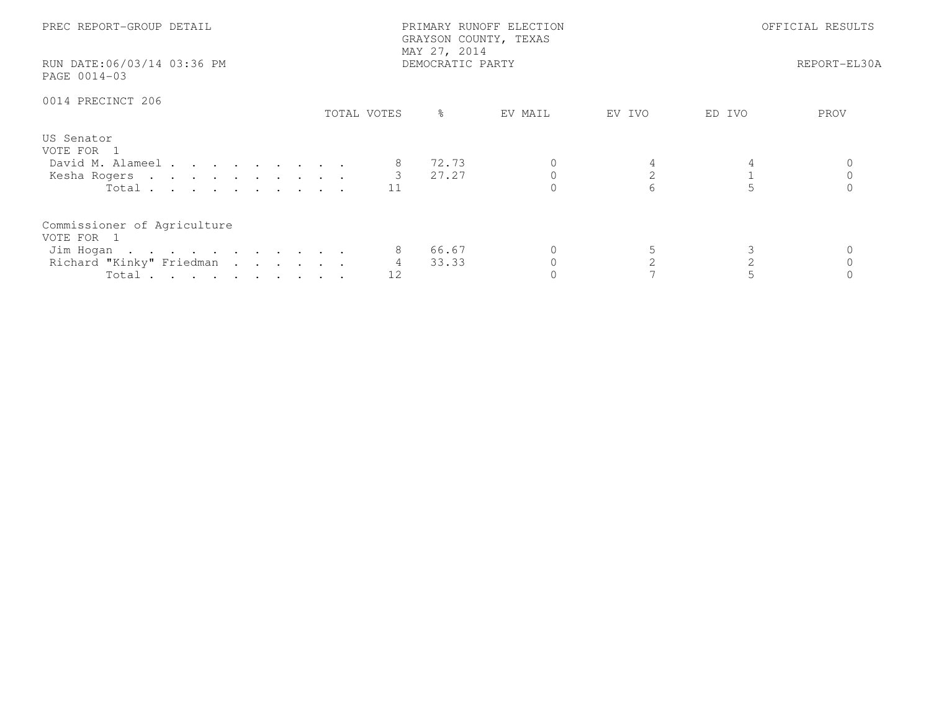| PREC REPORT-GROUP DETAIL<br>RUN DATE:06/03/14 03:36 PM<br>PAGE 0014-03                      |             | PRIMARY RUNOFF ELECTION<br>GRAYSON COUNTY, TEXAS<br>MAY 27, 2014<br>DEMOCRATIC PARTY | OFFICIAL RESULTS<br>REPORT-EL30A |                     |        |      |
|---------------------------------------------------------------------------------------------|-------------|--------------------------------------------------------------------------------------|----------------------------------|---------------------|--------|------|
| 0014 PRECINCT 206                                                                           | TOTAL VOTES | $\frac{6}{6}$                                                                        | EV MAIL                          | EV IVO              | ED IVO | PROV |
| US Senator<br>VOTE FOR 1<br>David M. Alameel<br>Kesha Rogers 3 27.27<br>Total               | 11          | 72.73                                                                                |                                  | $\mathfrak{L}$<br>6 |        |      |
| Commissioner of Agriculture<br>VOTE FOR 1<br>Jim Hogan<br>Richard "Kinky" Friedman<br>Total | 4<br>12     | 66.67<br>33.33                                                                       |                                  | $\mathcal{L}$       |        |      |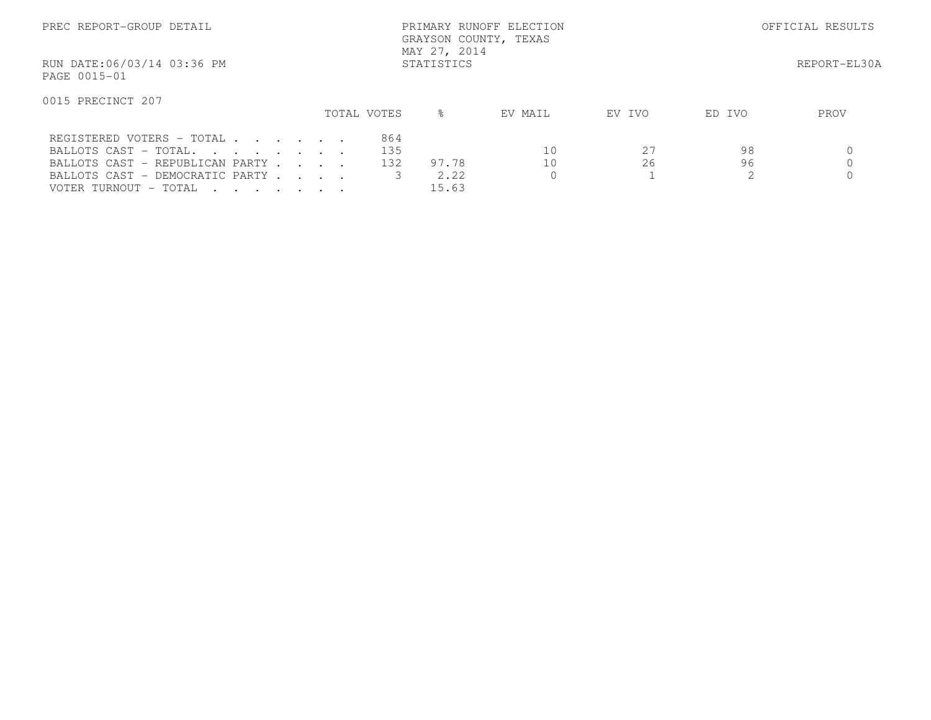| PREC REPORT-GROUP DETAIL                                                                                                                                      |  |                   | GRAYSON COUNTY, TEXAS<br>MAY 27, 2014 | PRIMARY RUNOFF ELECTION |              | OFFICIAL RESULTS |      |  |
|---------------------------------------------------------------------------------------------------------------------------------------------------------------|--|-------------------|---------------------------------------|-------------------------|--------------|------------------|------|--|
| RUN DATE:06/03/14 03:36 PM<br>PAGE 0015-01                                                                                                                    |  |                   | STATISTICS                            |                         | REPORT-EL30A |                  |      |  |
| 0015 PRECINCT 207                                                                                                                                             |  | TOTAL VOTES       | ⊱                                     | EV MAIL                 | EV IVO       | ED IVO           | PROV |  |
| REGISTERED VOTERS - TOTAL<br>BALLOTS CAST - TOTAL.<br>BALLOTS CAST - REPUBLICAN PARTY<br>BALLOTS CAST - DEMOCRATIC PARTY<br>VOTER TURNOUT - TOTAL<br>$\cdots$ |  | 864<br>135<br>132 | 97.78<br>2.22<br>15.63                | 10<br>10                | 27<br>26     | 98<br>96         |      |  |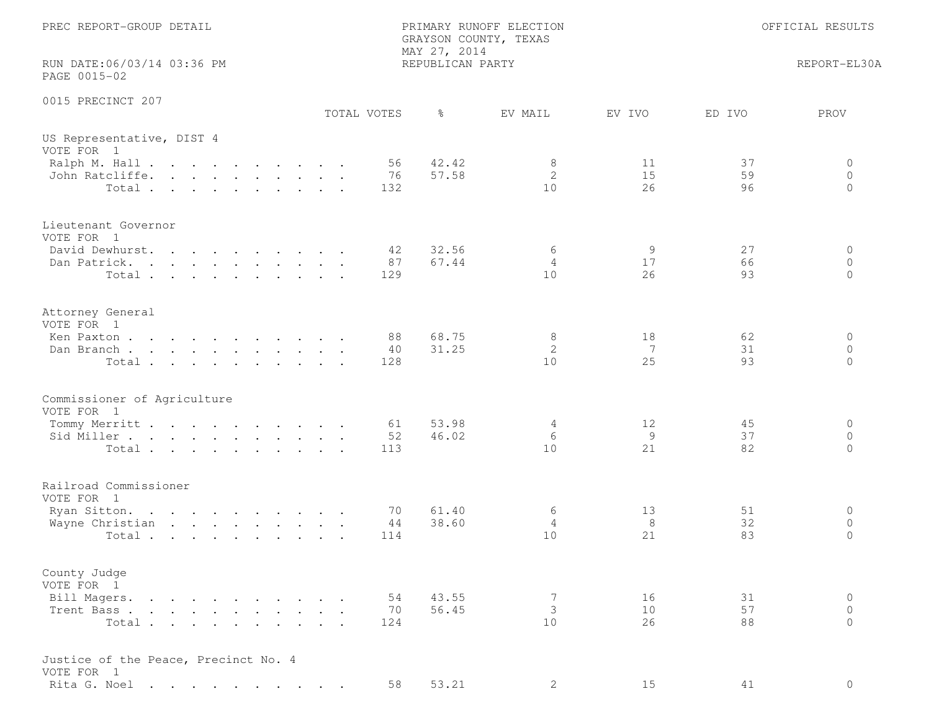| PREC REPORT-GROUP DETAIL<br>RUN DATE:06/03/14 03:36 PM                                |                 | PRIMARY RUNOFF ELECTION<br>GRAYSON COUNTY, TEXAS<br>MAY 27, 2014<br>REPUBLICAN PARTY |                | OFFICIAL RESULTS<br>REPORT-EL30A                  |
|---------------------------------------------------------------------------------------|-----------------|--------------------------------------------------------------------------------------|----------------|---------------------------------------------------|
| PAGE 0015-02                                                                          |                 |                                                                                      |                |                                                   |
| 0015 PRECINCT 207                                                                     | TOTAL VOTES     | $\frac{6}{6}$<br>EV MAIL                                                             | EV IVO         | ED IVO<br>PROV                                    |
| US Representative, DIST 4<br>VOTE FOR 1<br>Ralph M. Hall<br>John Ratcliffe.<br>Total. | 56<br>76<br>132 | 42.42<br>8<br>$\mathbf{2}$<br>57.58<br>10                                            | 11<br>15<br>26 | 37<br>0<br>$\circ$<br>59<br>96<br>$\Omega$        |
| Lieutenant Governor<br>VOTE FOR 1<br>David Dewhurst.<br>Dan Patrick.<br>Total         | 42<br>87<br>129 | 32.56<br>6<br>67.44<br>$\overline{4}$<br>10                                          | 9<br>17<br>26  | 27<br>0<br>66<br>$\circ$<br>93<br>$\circ$         |
| Attorney General<br>VOTE FOR 1<br>Ken Paxton<br>Dan Branch<br>Total                   | 88<br>40<br>128 | 68.75<br>8<br>$\mathbf{2}$<br>31.25<br>10                                            | 18<br>7<br>25  | 62<br>0<br>31<br>$\circ$<br>93<br>$\Omega$        |
| Commissioner of Agriculture<br>VOTE FOR 1<br>Tommy Merritt<br>Sid Miller<br>Total     | 61<br>52<br>113 | 53.98<br>4<br>46.02<br>6<br>10                                                       | 12<br>9<br>21  | 45<br>0<br>37<br>$\circ$<br>82<br>$\Omega$        |
| Railroad Commissioner<br>VOTE FOR 1<br>Ryan Sitton.<br>Wayne Christian<br>Total       | 70<br>44<br>114 | 61.40<br>6<br>38.60<br>4<br>10                                                       | 13<br>8<br>21  | 51<br>0<br>32<br>$\circ$<br>83<br>$\mathbf{0}$    |
| County Judge<br>VOTE FOR 1<br>Bill Magers.<br>Trent Bass<br>Total                     | 54<br>70<br>124 | 43.55<br>7<br>3<br>56.45<br>10                                                       | 16<br>10<br>26 | 31<br>$\circ$<br>57<br>$\Omega$<br>$\Omega$<br>88 |
| Justice of the Peace, Precinct No. 4<br>VOTE FOR 1<br>Rita G. Noel                    | 58              | 53.21<br>$\mathbf{2}^{\prime}$                                                       | 15             | $\circ$<br>41                                     |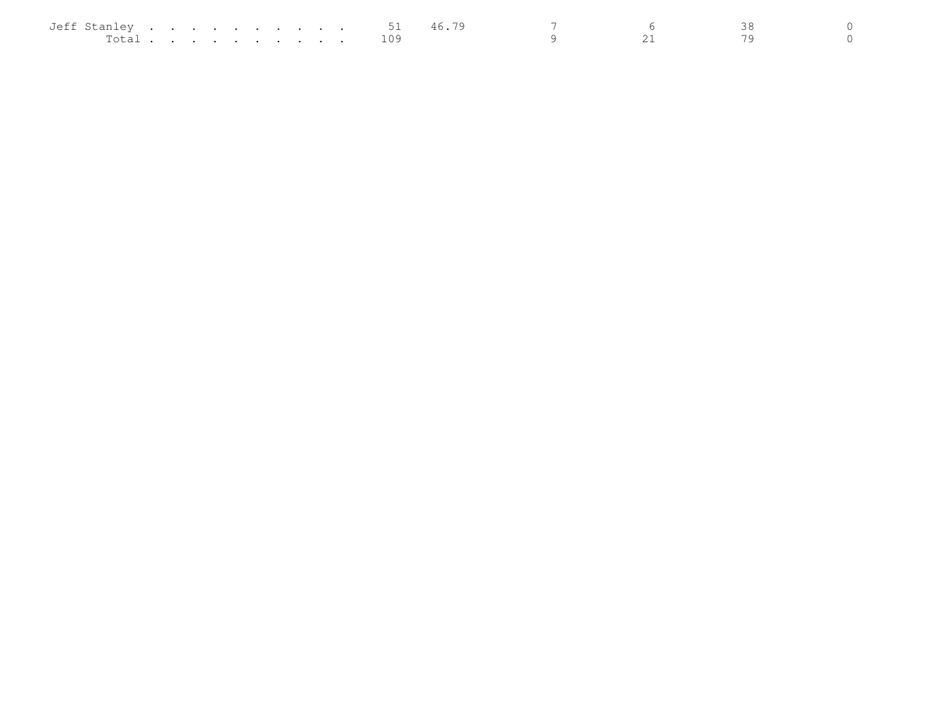| Jeff Stanley |  |  | . |  |  | ◡∸  | 46 |  |  |
|--------------|--|--|---|--|--|-----|----|--|--|
| Total        |  |  |   |  |  | ⊥09 |    |  |  |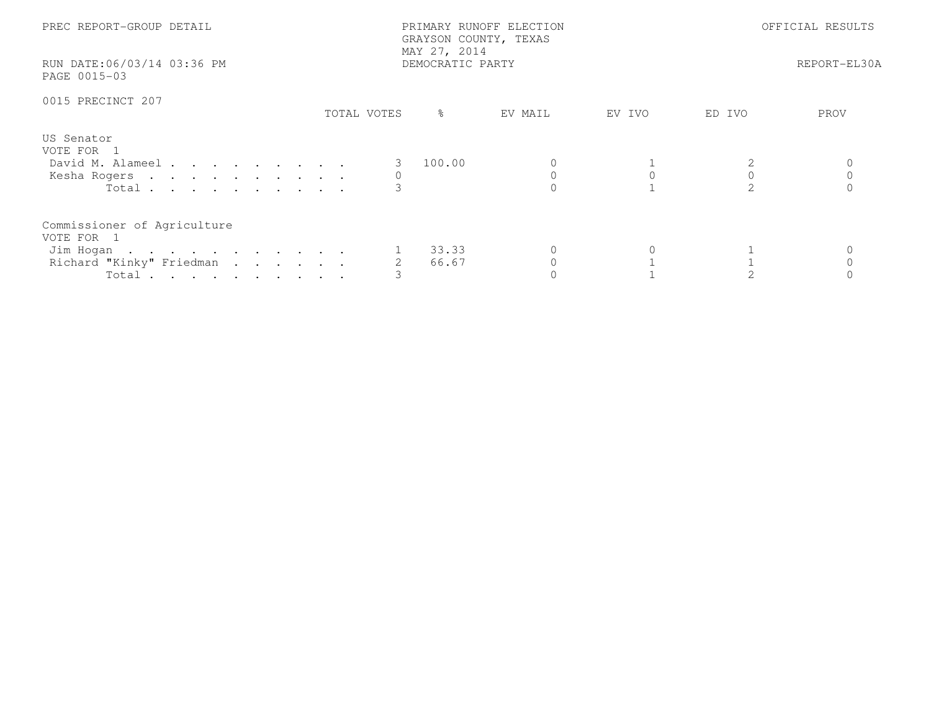| PREC REPORT-GROUP DETAIL<br>RUN DATE:06/03/14 03:36 PM<br>PAGE 0015-03                               | MAY 27, 2014     | PRIMARY RUNOFF ELECTION<br>GRAYSON COUNTY, TEXAS<br>DEMOCRATIC PARTY |        | OFFICIAL RESULTS<br>REPORT-EL30A |             |  |
|------------------------------------------------------------------------------------------------------|------------------|----------------------------------------------------------------------|--------|----------------------------------|-------------|--|
| 0015 PRECINCT 207                                                                                    | ိ<br>TOTAL VOTES | EV MAIL                                                              | EV IVO | ED IVO                           | <b>PROV</b> |  |
| US Senator<br>VOTE FOR 1<br>David M. Alameel<br>Kesha Rogers<br>Total $\cdots$                       | 100.00           |                                                                      |        |                                  |             |  |
| Commissioner of Agriculture<br>VOTE FOR 1<br>Jim Hogan<br>Richard "Kinky" Friedman<br>Total $\cdots$ | 33.33<br>66.67   |                                                                      |        |                                  |             |  |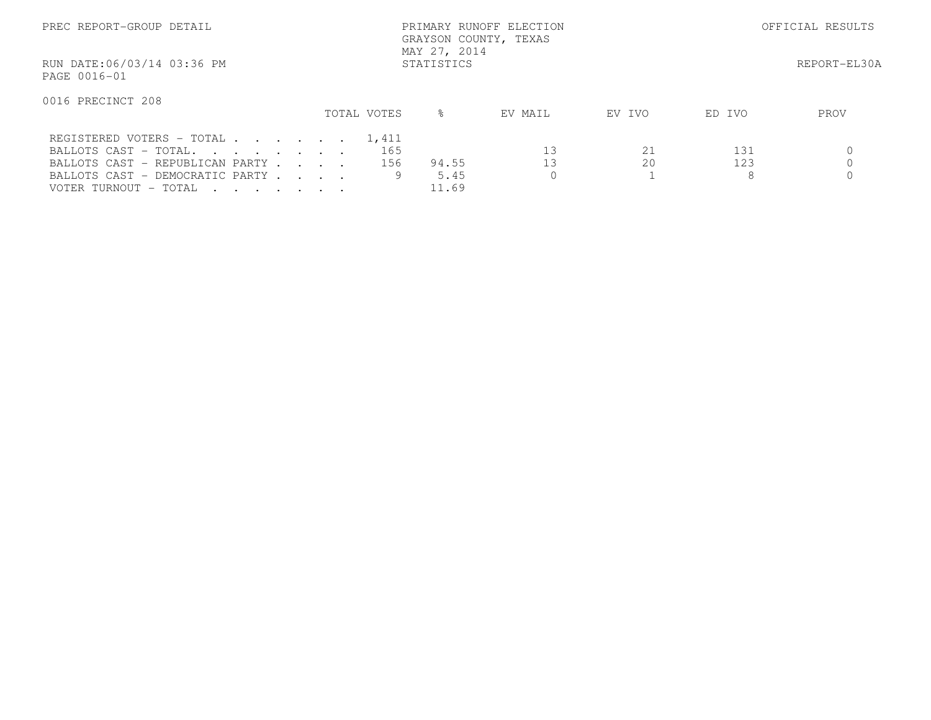| PREC REPORT-GROUP DETAIL                   |                   | PRIMARY RUNOFF ELECTION<br>GRAYSON COUNTY, TEXAS<br>MAY 27, 2014 |               | OFFICIAL RESULTS |              |        |      |
|--------------------------------------------|-------------------|------------------------------------------------------------------|---------------|------------------|--------------|--------|------|
| RUN DATE:06/03/14 03:36 PM<br>PAGE 0016-01 | <b>STATISTICS</b> |                                                                  |               |                  | REPORT-EL30A |        |      |
| 0016 PRECINCT 208                          |                   |                                                                  |               |                  |              |        |      |
|                                            |                   | TOTAL VOTES                                                      | $\frac{6}{5}$ | EV MAIL          | EV IVO       | ED IVO | PROV |
| REGISTERED VOTERS - TOTAL 1,411            |                   |                                                                  |               |                  |              |        |      |
| BALLOTS CAST - TOTAL.                      |                   | 165                                                              |               | 13               | 21           | 131    |      |
| BALLOTS CAST - REPUBLICAN PARTY            |                   | 156                                                              | 94.55         | 13               | 20           | 123    |      |
| BALLOTS CAST - DEMOCRATIC PARTY            |                   |                                                                  | 5.45          |                  |              | 8      |      |
| VOTER TURNOUT - TOTAL                      |                   |                                                                  | 11.69         |                  |              |        |      |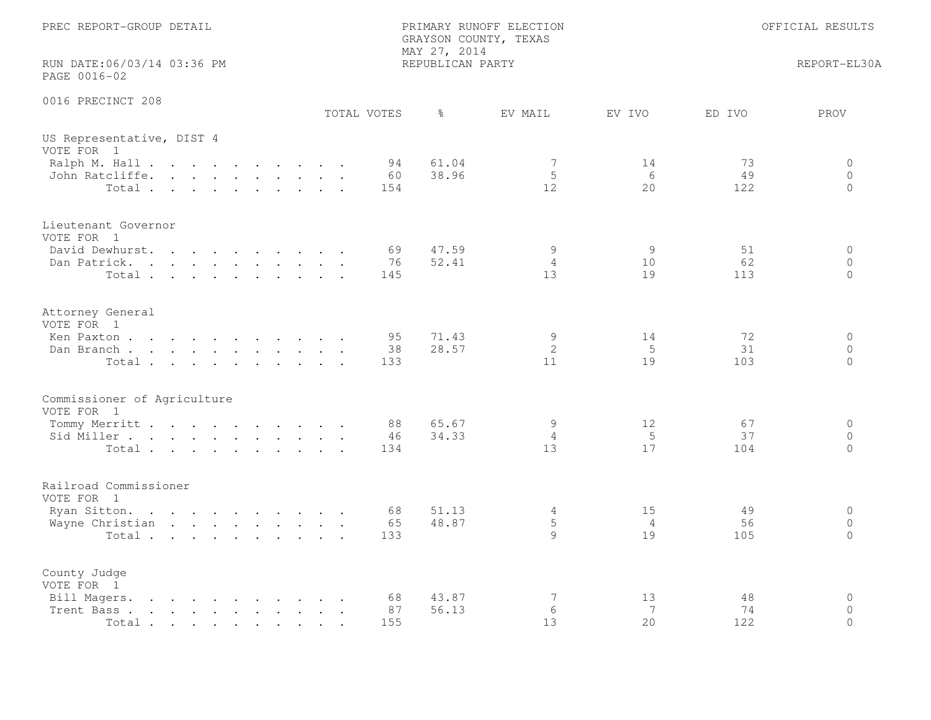| PREC REPORT-GROUP DETAIL                                                                                                                                                                                                                            | PRIMARY RUNOFF ELECTION<br>GRAYSON COUNTY, TEXAS<br>MAY 27, 2014 | OFFICIAL RESULTS          |                |                 |                                        |
|-----------------------------------------------------------------------------------------------------------------------------------------------------------------------------------------------------------------------------------------------------|------------------------------------------------------------------|---------------------------|----------------|-----------------|----------------------------------------|
| RUN DATE:06/03/14 03:36 PM<br>PAGE 0016-02                                                                                                                                                                                                          | REPUBLICAN PARTY                                                 |                           |                |                 | REPORT-EL30A                           |
| 0016 PRECINCT 208                                                                                                                                                                                                                                   | TOTAL VOTES<br>ႜ                                                 | EV MAIL                   | EV IVO         | ED IVO          | PROV                                   |
| US Representative, DIST 4<br>VOTE FOR 1                                                                                                                                                                                                             |                                                                  |                           |                |                 |                                        |
| Ralph M. Hall<br>John Ratcliffe.<br>Total                                                                                                                                                                                                           | 61.04<br>94<br>38.96<br>60<br>154                                | 7<br>5<br>12 <sup>°</sup> | 14<br>6<br>20  | 73<br>49<br>122 | $\Omega$<br>$\overline{0}$<br>$\Omega$ |
| Lieutenant Governor<br>VOTE FOR 1                                                                                                                                                                                                                   |                                                                  |                           |                |                 |                                        |
| David Dewhurst.<br>$\mathbf{r}$ , $\mathbf{r}$ , $\mathbf{r}$ , $\mathbf{r}$ , $\mathbf{r}$ , $\mathbf{r}$<br>Dan Patrick.<br>Total                                                                                                                 | 47.59<br>69<br>76<br>52.41<br>145                                | 9<br>$\overline{4}$<br>13 | 9<br>10<br>19  | 51<br>62<br>113 | $\circ$<br>$\circ$<br>$\Omega$         |
| Attorney General<br>VOTE FOR 1                                                                                                                                                                                                                      | 71.43<br>95                                                      | 9                         | 14             | 72              | $\circ$                                |
| Ken Paxton<br>Dan Branch<br>Total                                                                                                                                                                                                                   | 28.57<br>38<br>133                                               | 2<br>11                   | 5<br>19        | 31<br>103       | $\Omega$<br>$\circ$                    |
| Commissioner of Agriculture<br>VOTE FOR 1                                                                                                                                                                                                           |                                                                  |                           |                |                 |                                        |
| Tommy Merritt<br>Sid Miller<br>Total                                                                                                                                                                                                                | 65.67<br>88<br>34.33<br>46<br>134                                | 9<br>$\overline{4}$<br>13 | 12<br>-5<br>17 | 67<br>37<br>104 | 0<br>$\circ$<br>$\Omega$               |
| Railroad Commissioner<br>VOTE FOR 1                                                                                                                                                                                                                 |                                                                  |                           |                |                 |                                        |
| Ryan Sitton.<br>Wayne Christian<br>Total                                                                                                                                                                                                            | 68<br>51.13<br>65<br>48.87<br>133                                | 4<br>5<br>9               | 15<br>4<br>19  | 49<br>56<br>105 | $\circ$<br>$\circ$<br>$\Omega$         |
| County Judge<br>VOTE FOR 1                                                                                                                                                                                                                          |                                                                  |                           | 13             |                 | $\mathbf 0$                            |
| Bill Magers.<br>$\mathbf{r}$ , and $\mathbf{r}$ , and $\mathbf{r}$ , and $\mathbf{r}$ , and $\mathbf{r}$<br>Trent Bass.<br>the contract of the contract of the contract of the contract of the contract of the contract of the contract of<br>Total | 43.87<br>68<br>87<br>56.13<br>155                                | 7<br>6<br>13              | 7<br>20        | 48<br>74<br>122 | $\Omega$<br>$\Omega$                   |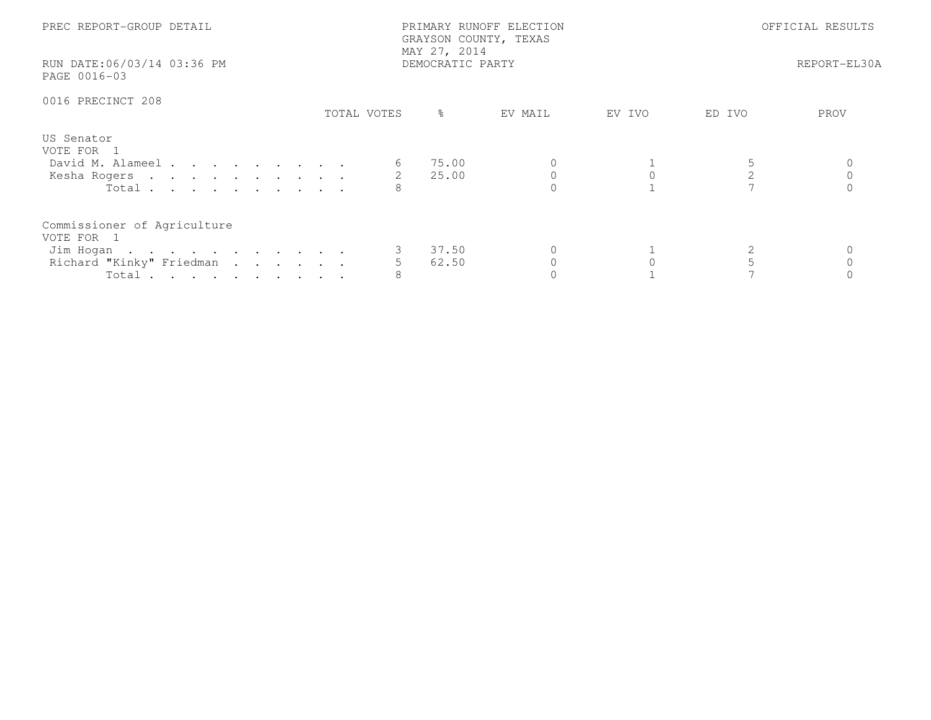| PREC REPORT-GROUP DETAIL<br>RUN DATE:06/03/14 03:36 PM<br>PAGE 0016-03                              |             | PRIMARY RUNOFF ELECTION<br>GRAYSON COUNTY, TEXAS<br>MAY 27, 2014<br>DEMOCRATIC PARTY | OFFICIAL RESULTS<br>REPORT-EL30A |        |        |      |
|-----------------------------------------------------------------------------------------------------|-------------|--------------------------------------------------------------------------------------|----------------------------------|--------|--------|------|
| 0016 PRECINCT 208                                                                                   | TOTAL VOTES | ిన                                                                                   | EV MAIL                          | EV IVO | ED IVO | PROV |
| US Senator<br>VOTE FOR 1<br>David M. Alameel<br>Kesha Rogers<br>Total                               |             | 75.00<br>2 25.00                                                                     |                                  |        |        |      |
| Commissioner of Agriculture<br>VOTE FOR 1<br>Jim Hogan 3 37.50<br>Richard "Kinky" Friedman<br>Total |             | 62.50                                                                                |                                  |        |        |      |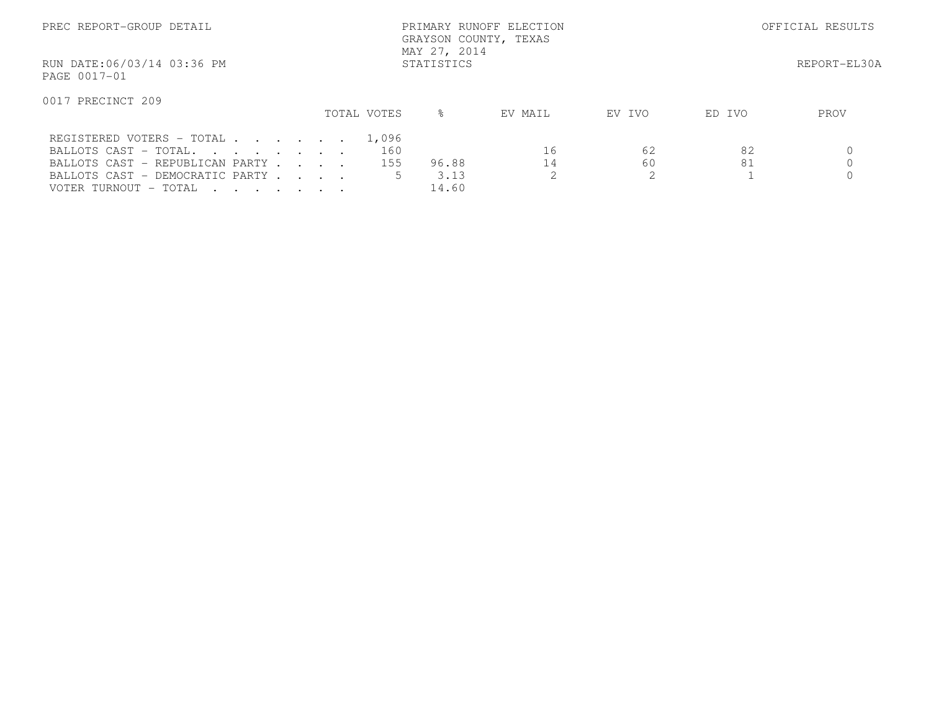| PREC REPORT-GROUP DETAIL                                 |  |             | PRIMARY RUNOFF ELECTION<br>GRAYSON COUNTY, TEXAS<br>MAY 27, 2014 | OFFICIAL RESULTS |        |        |              |
|----------------------------------------------------------|--|-------------|------------------------------------------------------------------|------------------|--------|--------|--------------|
| RUN DATE:06/03/14 03:36 PM<br>STATISTICS<br>PAGE 0017-01 |  |             |                                                                  |                  |        |        | REPORT-EL30A |
| 0017 PRECINCT 209                                        |  | TOTAL VOTES | ⊱                                                                | EV MAIL          | EV IVO | ED IVO | PROV         |
|                                                          |  |             |                                                                  |                  |        |        |              |
| REGISTERED VOTERS - TOTAL                                |  | 1,096       |                                                                  |                  |        |        |              |
| BALLOTS CAST - TOTAL.                                    |  | 160         |                                                                  | 16               | 62     | 82     |              |
| BALLOTS CAST - REPUBLICAN PARTY                          |  | 155         | 96.88                                                            | 14               | 60     | 81     |              |
| BALLOTS CAST - DEMOCRATIC PARTY                          |  |             | 3.13                                                             |                  | ↷      |        |              |
| VOTER TURNOUT - TOTAL                                    |  |             | 14.60                                                            |                  |        |        |              |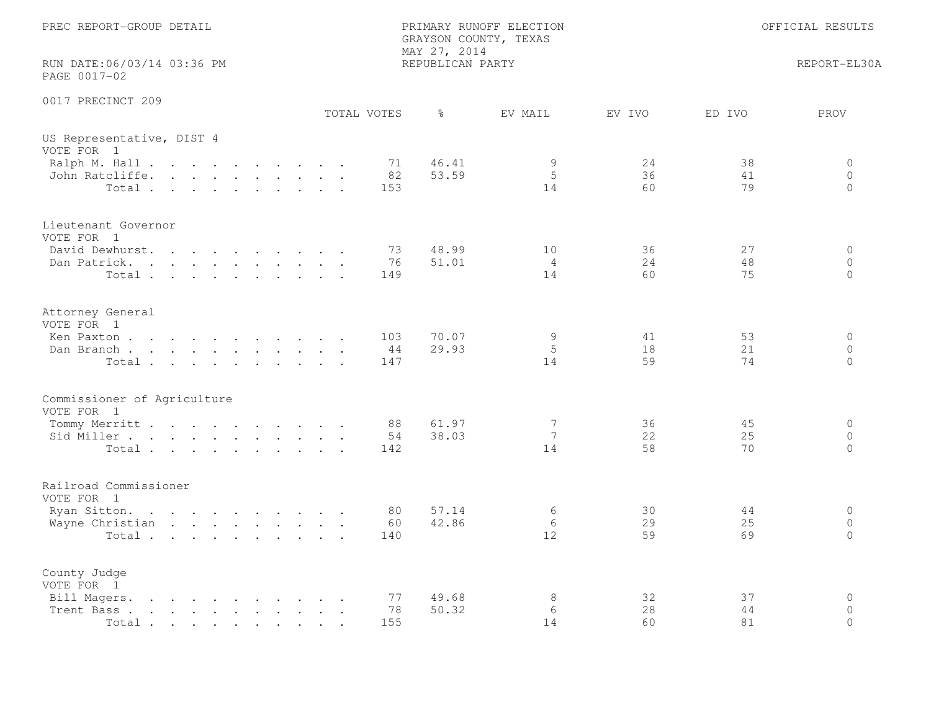| PREC REPORT-GROUP DETAIL                                                                                                               | PRIMARY RUNOFF ELECTION<br>GRAYSON COUNTY, TEXAS<br>MAY 27, 2014 | OFFICIAL RESULTS           |                |                |                                        |
|----------------------------------------------------------------------------------------------------------------------------------------|------------------------------------------------------------------|----------------------------|----------------|----------------|----------------------------------------|
| RUN DATE:06/03/14 03:36 PM<br>PAGE 0017-02                                                                                             | REPUBLICAN PARTY                                                 |                            |                |                | REPORT-EL30A                           |
| 0017 PRECINCT 209                                                                                                                      | TOTAL VOTES<br>ႜ                                                 | EV MAIL                    | EV IVO         | ED IVO         | PROV                                   |
| US Representative, DIST 4<br>VOTE FOR 1                                                                                                |                                                                  |                            |                |                |                                        |
| Ralph M. Hall<br>John Ratcliffe.<br>Total                                                                                              | 46.41<br>71<br>53.59<br>82<br>153                                | 9<br>5<br>14               | 24<br>36<br>60 | 38<br>41<br>79 | 0<br>$\circ$<br>$\Omega$               |
| Lieutenant Governor<br>VOTE FOR 1                                                                                                      |                                                                  |                            |                |                |                                        |
| David Dewhurst.<br>$\mathbf{r}$ , and $\mathbf{r}$ , and $\mathbf{r}$ , and $\mathbf{r}$<br>Dan Patrick.<br>Total                      | 73<br>48.99<br>76<br>51.01<br>149                                | 10<br>4<br>14              | 36<br>24<br>60 | 27<br>48<br>75 | $\circ$<br>$\circ$<br>$\Omega$         |
| Attorney General<br>VOTE FOR 1                                                                                                         |                                                                  |                            |                |                |                                        |
| Ken Paxton<br>Dan Branch<br>Total                                                                                                      | 70.07<br>103<br>29.93<br>44<br>147                               | 9<br>5<br>14               | 41<br>18<br>59 | 53<br>21<br>74 | $\circ$<br>$\Omega$<br>$\circ$         |
| Commissioner of Agriculture<br>VOTE FOR 1                                                                                              |                                                                  |                            |                |                |                                        |
| Tommy Merritt<br>Sid Miller<br>Total                                                                                                   | 61.97<br>88<br>38.03<br>54<br>142                                | 7<br>$7\overline{ }$<br>14 | 36<br>22<br>58 | 45<br>25<br>70 | $\Omega$<br>$\overline{0}$<br>$\Omega$ |
| Railroad Commissioner<br>VOTE FOR 1                                                                                                    |                                                                  |                            |                |                |                                        |
| Ryan Sitton.<br>Wayne Christian<br>Total                                                                                               | 57.14<br>80<br>42.86<br>60<br>140                                | 6<br>6<br>12.              | 30<br>29<br>59 | 44<br>25<br>69 | $\circ$<br>$\circ$<br>$\Omega$         |
| County Judge<br>VOTE FOR 1<br>Bill Magers.<br>$\mathbf{r}$ , and $\mathbf{r}$ , and $\mathbf{r}$ , and $\mathbf{r}$ , and $\mathbf{r}$ | 49.68<br>77                                                      | $\,8\,$                    | 32             | 37             | $\circ$                                |
| Trent Bass.<br>$\mathbf{r}$ , and $\mathbf{r}$ , and $\mathbf{r}$ , and $\mathbf{r}$ , and $\mathbf{r}$<br>Total                       | 78<br>50.32<br>155                                               | 6<br>14                    | 28<br>60       | 44<br>81       | $\mathbf{0}$<br>$\Omega$               |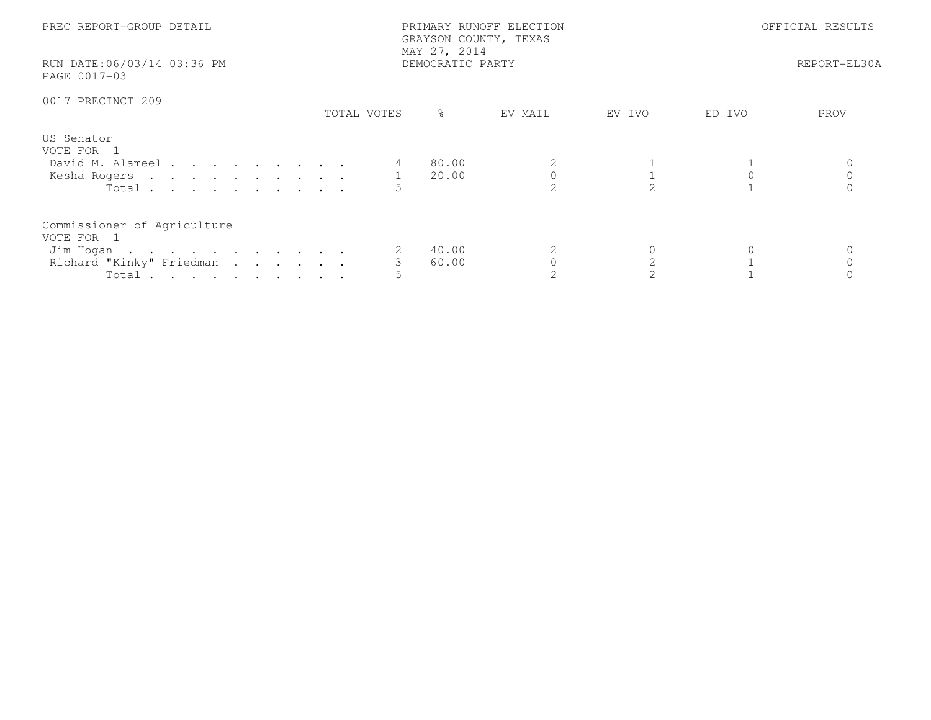| PREC REPORT-GROUP DETAIL<br>RUN DATE:06/03/14 03:36 PM<br>PAGE 0017-03                      |             | PRIMARY RUNOFF ELECTION<br>GRAYSON COUNTY, TEXAS<br>MAY 27, 2014<br>DEMOCRATIC PARTY | OFFICIAL RESULTS<br>REPORT-EL30A |        |        |      |
|---------------------------------------------------------------------------------------------|-------------|--------------------------------------------------------------------------------------|----------------------------------|--------|--------|------|
| 0017 PRECINCT 209                                                                           | TOTAL VOTES | $\frac{6}{6}$                                                                        | EV MAIL                          | EV IVO | ED IVO | PROV |
| US Senator<br>VOTE FOR 1<br>David M. Alameel<br>Kesha Rogers 1<br>Total                     |             | 80.00<br>20.00                                                                       |                                  |        |        |      |
| Commissioner of Agriculture<br>VOTE FOR 1<br>Jim Hogan<br>Richard "Kinky" Friedman<br>Total |             | 40.00<br>60.00                                                                       |                                  |        |        |      |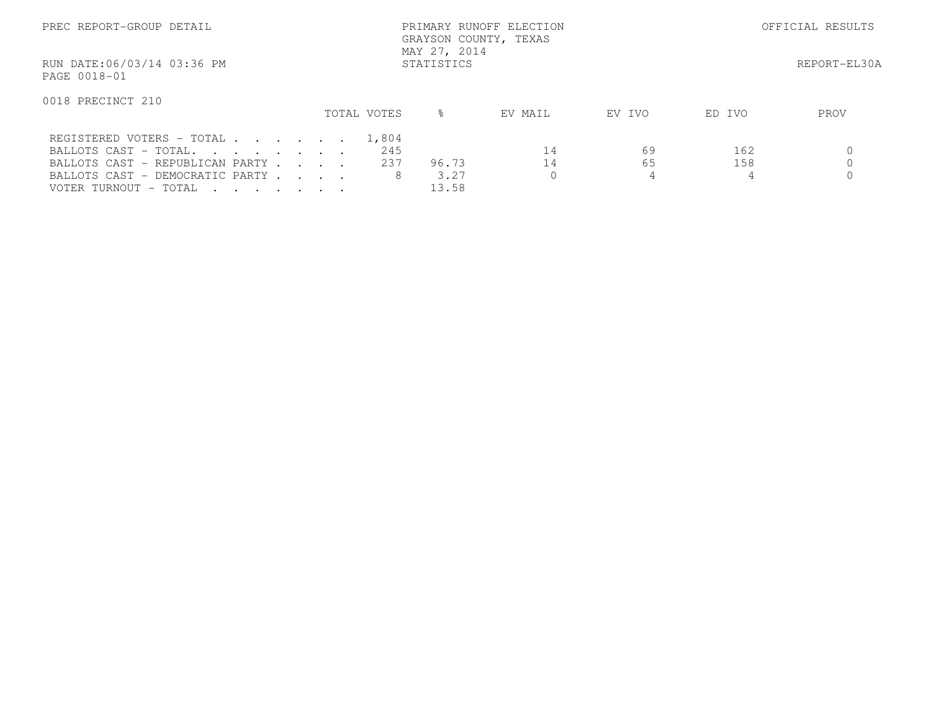| PREC REPORT-GROUP DETAIL                                                                                                                                                |            | PRIMARY RUNOFF ELECTION<br>GRAYSON COUNTY, TEXAS<br>MAY 27, 2014 |              | OFFICIAL RESULTS       |         |         |          |              |
|-------------------------------------------------------------------------------------------------------------------------------------------------------------------------|------------|------------------------------------------------------------------|--------------|------------------------|---------|---------|----------|--------------|
| RUN DATE:06/03/14 03:36 PM<br>PAGE 0018-01                                                                                                                              | STATISTICS |                                                                  |              |                        |         |         |          | REPORT-EL30A |
| 0018 PRECINCT 210                                                                                                                                                       |            |                                                                  | TOTAL VOTES  | ⊱                      | EV MAIL | EV IVO  | ED IVO   | PROV         |
| REGISTERED VOTERS - TOTAL<br>BALLOTS CAST - TOTAL.                                                                                                                      |            |                                                                  | 1,804<br>245 |                        | 14      | 69      | 162      |              |
| BALLOTS CAST - REPUBLICAN PARTY<br>BALLOTS CAST - DEMOCRATIC PARTY<br>VOTER TURNOUT – TOTAL<br>$\mathbf{r}$ , $\mathbf{r}$ , $\mathbf{r}$ , $\mathbf{r}$ , $\mathbf{r}$ |            |                                                                  | 237<br>8     | 96.73<br>3.27<br>13.58 | 14      | 65<br>4 | 158<br>4 |              |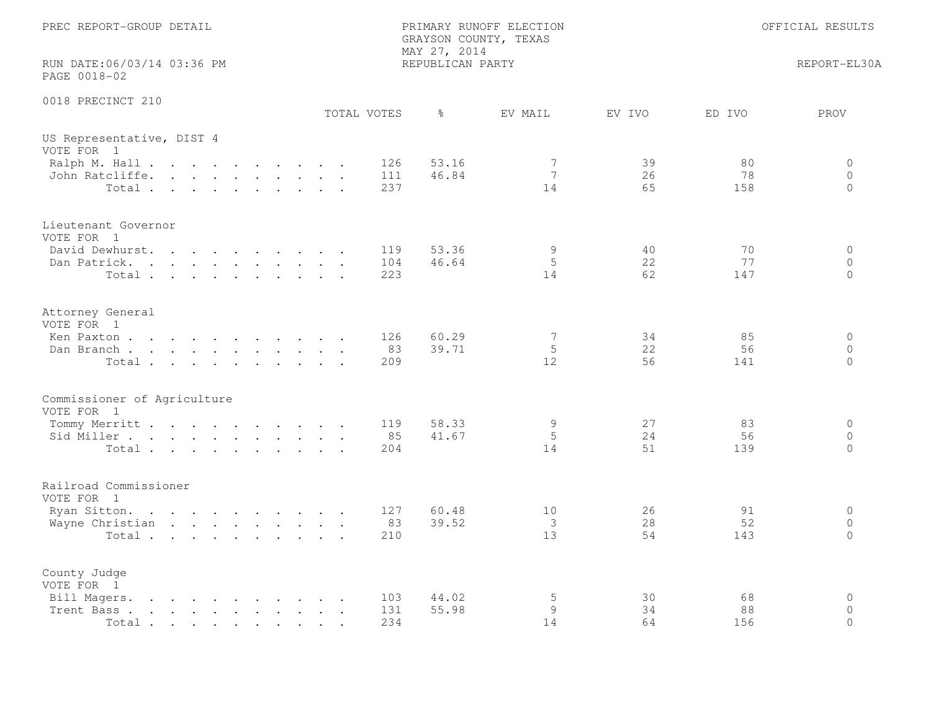| PREC REPORT-GROUP DETAIL                                                                                                                                                                                  |                   | PRIMARY RUNOFF ELECTION<br>GRAYSON COUNTY, TEXAS<br>MAY 27, 2014 |                | OFFICIAL RESULTS                                          |  |  |
|-----------------------------------------------------------------------------------------------------------------------------------------------------------------------------------------------------------|-------------------|------------------------------------------------------------------|----------------|-----------------------------------------------------------|--|--|
| RUN DATE:06/03/14 03:36 PM<br>PAGE 0018-02                                                                                                                                                                |                   | REPUBLICAN PARTY                                                 |                | REPORT-EL30A                                              |  |  |
| 0018 PRECINCT 210                                                                                                                                                                                         | TOTAL VOTES       | ႜ<br>EV MAIL                                                     | EV IVO         | PROV<br>ED IVO                                            |  |  |
| US Representative, DIST 4<br>VOTE FOR 1                                                                                                                                                                   |                   |                                                                  |                |                                                           |  |  |
| Ralph M. Hall<br>John Ratcliffe.<br>$Total \cdot \cdot \cdot \cdot \cdot \cdot \cdot \cdot \cdot$                                                                                                         | 126<br>111<br>237 | 53.16<br>7<br>46.84<br>$7\phantom{.0}$<br>14                     | 39<br>26<br>65 | 80<br>0<br>78<br>$\circ$<br>158<br>$\Omega$               |  |  |
| Lieutenant Governor<br>VOTE FOR 1                                                                                                                                                                         |                   |                                                                  |                |                                                           |  |  |
| David Dewhurst.<br>$\mathbf{r}$ , and $\mathbf{r}$ , and $\mathbf{r}$ , and $\mathbf{r}$<br>Dan Patrick.<br>Total                                                                                         | 119<br>104<br>223 | 53.36<br>9<br>5<br>46.64<br>14                                   | 40<br>22<br>62 | 70<br>$\circ$<br>77<br>$\circ$<br>147<br>$\Omega$         |  |  |
| Attorney General<br>VOTE FOR 1                                                                                                                                                                            |                   |                                                                  |                |                                                           |  |  |
| Ken Paxton<br>Dan Branch<br>Total                                                                                                                                                                         | 126<br>83<br>209  | $7\phantom{.0}$<br>60.29<br>39.71<br>5<br>12                     | 34<br>22<br>56 | 85<br>$\circ$<br>$\Omega$<br>56<br>$\circ$<br>141         |  |  |
| Commissioner of Agriculture<br>VOTE FOR 1                                                                                                                                                                 |                   |                                                                  |                |                                                           |  |  |
| Tommy Merritt<br>Sid Miller<br>Total                                                                                                                                                                      | 119<br>85<br>204  | 58.33<br>9<br>5<br>41.67<br>14                                   | 27<br>24<br>51 | 83<br>$\Omega$<br>56<br>$\overline{0}$<br>$\Omega$<br>139 |  |  |
| Railroad Commissioner<br>VOTE FOR 1                                                                                                                                                                       |                   |                                                                  |                |                                                           |  |  |
| Ryan Sitton.<br>Wayne Christian<br>Total                                                                                                                                                                  | 127<br>83<br>210  | 60.48<br>10<br>39.52<br>3<br>13                                  | 26<br>28<br>54 | $\circ$<br>91<br>52<br>$\circ$<br>$\Omega$<br>143         |  |  |
| County Judge<br>VOTE FOR 1                                                                                                                                                                                |                   |                                                                  |                |                                                           |  |  |
| Bill Magers.<br>$\mathbf{r}$ , and $\mathbf{r}$ , and $\mathbf{r}$ , and $\mathbf{r}$<br>Trent Bass.<br>$\mathbf{r}$ , and $\mathbf{r}$ , and $\mathbf{r}$ , and $\mathbf{r}$ , and $\mathbf{r}$<br>Total | 103<br>131<br>234 | 5<br>44.02<br>55.98<br>9<br>14                                   | 30<br>34<br>64 | $\circ$<br>68<br>$\mathbf{0}$<br>88<br>$\Omega$<br>156    |  |  |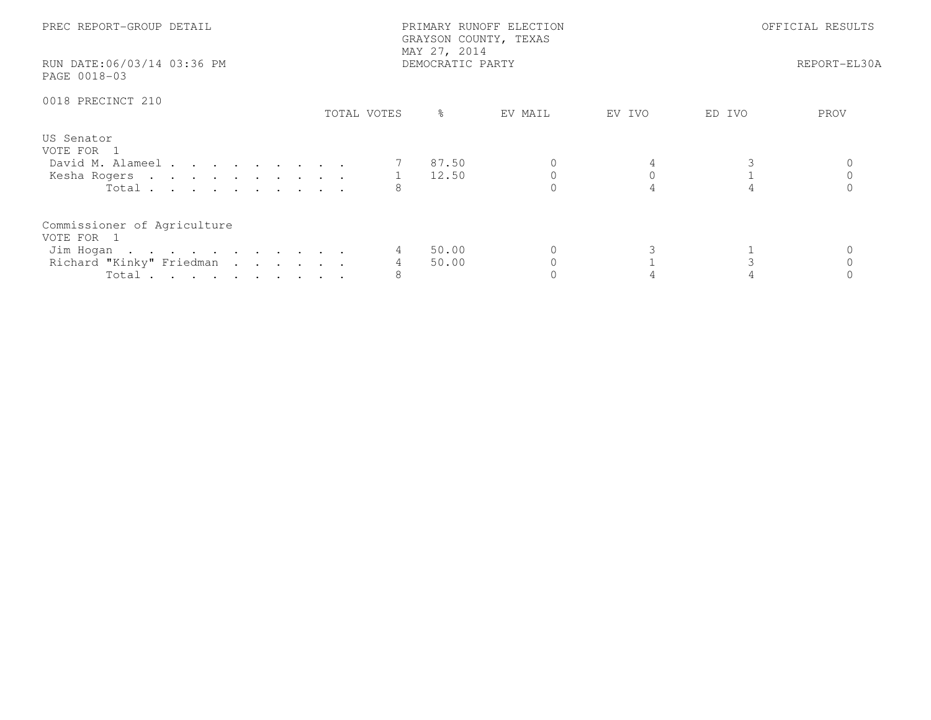| PREC REPORT-GROUP DETAIL<br>RUN DATE:06/03/14 03:36 PM<br>PAGE 0018-03                      |             | PRIMARY RUNOFF ELECTION<br>GRAYSON COUNTY, TEXAS<br>MAY 27, 2014<br>DEMOCRATIC PARTY | OFFICIAL RESULTS<br>REPORT-EL30A |        |        |      |
|---------------------------------------------------------------------------------------------|-------------|--------------------------------------------------------------------------------------|----------------------------------|--------|--------|------|
| 0018 PRECINCT 210                                                                           | TOTAL VOTES | ိ                                                                                    | EV MAIL                          | EV IVO | ED IVO | PROV |
| US Senator<br>VOTE FOR 1<br>David M. Alameel<br>Kesha Rogers 1 12.50<br>Total $\cdots$      |             | 7 87.50                                                                              |                                  |        |        |      |
| Commissioner of Agriculture<br>VOTE FOR 1<br>Jim Hogan<br>Richard "Kinky" Friedman<br>Total | 8           | 50.00<br>50.00                                                                       |                                  |        |        |      |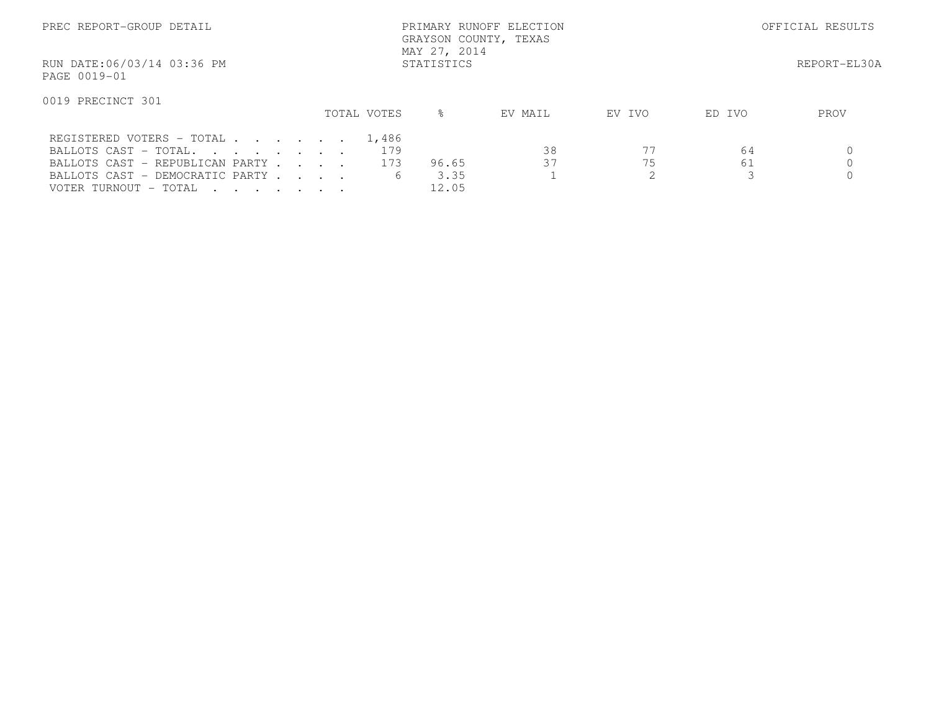| PREC REPORT-GROUP DETAIL                                 |             | PRIMARY RUNOFF ELECTION<br>GRAYSON COUNTY, TEXAS<br>MAY 27, 2014 |         | OFFICIAL RESULTS |        |      |
|----------------------------------------------------------|-------------|------------------------------------------------------------------|---------|------------------|--------|------|
| RUN DATE:06/03/14 03:36 PM<br>PAGE 0019-01               |             | REPORT-EL30A                                                     |         |                  |        |      |
| 0019 PRECINCT 301                                        | TOTAL VOTES | $\frac{6}{5}$                                                    | EV MAIL | EV IVO           | ED IVO | PROV |
| REGISTERED VOTERS - TOTAL 1,486<br>BALLOTS CAST - TOTAL. | 179         |                                                                  | 38      |                  | 64     |      |
| BALLOTS CAST - REPUBLICAN PARTY                          | 173         | 96.65                                                            | 37      | 75               | 61     |      |
| BALLOTS CAST - DEMOCRATIC PARTY<br>VOTER TURNOUT - TOTAL |             | 3.35<br>6<br>12.05                                               |         |                  |        |      |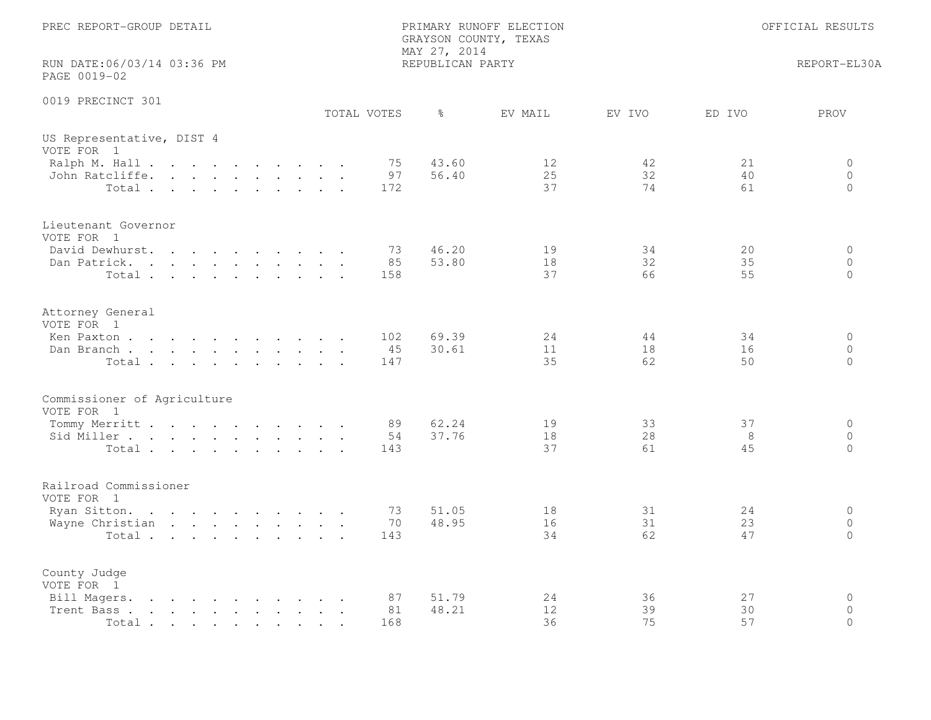| PREC REPORT-GROUP DETAIL                                                                                                                                                                                                                                                                                                                                        | MAY 27, 2014                       | PRIMARY RUNOFF ELECTION<br>GRAYSON COUNTY, TEXAS |                | OFFICIAL RESULTS |                                |
|-----------------------------------------------------------------------------------------------------------------------------------------------------------------------------------------------------------------------------------------------------------------------------------------------------------------------------------------------------------------|------------------------------------|--------------------------------------------------|----------------|------------------|--------------------------------|
| RUN DATE:06/03/14 03:36 PM<br>PAGE 0019-02                                                                                                                                                                                                                                                                                                                      | REPUBLICAN PARTY                   |                                                  |                | REPORT-EL30A     |                                |
| 0019 PRECINCT 301                                                                                                                                                                                                                                                                                                                                               | TOTAL VOTES<br>ႜ                   | EV MAIL                                          | EV IVO         | ED IVO           | PROV                           |
| US Representative, DIST 4<br>VOTE FOR 1                                                                                                                                                                                                                                                                                                                         |                                    |                                                  |                |                  |                                |
| Ralph M. Hall<br>John Ratcliffe.<br>Total                                                                                                                                                                                                                                                                                                                       | 43.60<br>75<br>56.40<br>97<br>172  | 12<br>25<br>37                                   | 42<br>32<br>74 | 21<br>40<br>61   | 0<br>$\circ$<br>$\Omega$       |
| Lieutenant Governor<br>VOTE FOR 1                                                                                                                                                                                                                                                                                                                               |                                    |                                                  |                |                  |                                |
| David Dewhurst.<br>Dan Patrick.<br>Total                                                                                                                                                                                                                                                                                                                        | 46.20<br>73<br>53.80<br>85<br>158  | 19<br>18<br>37                                   | 34<br>32<br>66 | 20<br>35<br>55   | $\circ$<br>$\circ$<br>$\Omega$ |
| Attorney General<br>VOTE FOR 1                                                                                                                                                                                                                                                                                                                                  |                                    |                                                  |                |                  |                                |
| Ken Paxton<br>Dan Branch<br>Total                                                                                                                                                                                                                                                                                                                               | 102<br>69.39<br>30.61<br>45<br>147 | 24<br>11<br>35                                   | 44<br>18<br>62 | 34<br>16<br>50   | $\circ$<br>$\circ$<br>$\circ$  |
| Commissioner of Agriculture<br>VOTE FOR 1                                                                                                                                                                                                                                                                                                                       |                                    |                                                  |                |                  |                                |
| Tommy Merritt<br>Sid Miller<br>Total                                                                                                                                                                                                                                                                                                                            | 62.24<br>89<br>37.76<br>54<br>143  | 19<br>18<br>37                                   | 33<br>28<br>61 | 37<br>8<br>45    | $\circ$<br>$\circ$<br>$\Omega$ |
| Railroad Commissioner<br>VOTE FOR 1                                                                                                                                                                                                                                                                                                                             |                                    |                                                  |                |                  |                                |
| Ryan Sitton.<br>Wayne Christian<br>Total                                                                                                                                                                                                                                                                                                                        | 73<br>51.05<br>48.95<br>70<br>143  | 18<br>16<br>34                                   | 31<br>31<br>62 | 24<br>23<br>47   | $\circ$<br>$\circ$<br>$\Omega$ |
| County Judge<br>VOTE FOR 1                                                                                                                                                                                                                                                                                                                                      |                                    |                                                  |                |                  |                                |
| Bill Magers.<br>$\mathbf{r}$ . The contract of the contract of the contract of the contract of the contract of the contract of the contract of the contract of the contract of the contract of the contract of the contract of the contract of th<br>Trent Bass.<br>. The contract of the contract of the contract of the contract of $\mathcal{O}(1)$<br>Total | 51.79<br>87<br>81<br>48.21<br>168  | 24<br>12<br>36                                   | 36<br>39<br>75 | 27<br>30<br>57   | $\circ$<br>$\circ$<br>$\Omega$ |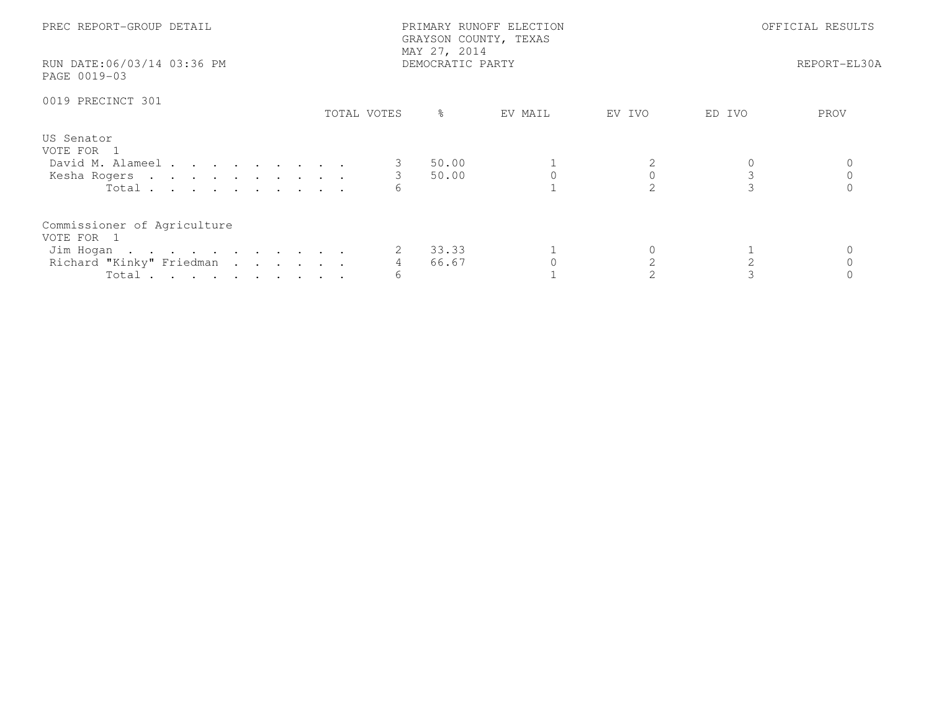| PREC REPORT-GROUP DETAIL<br>RUN DATE:06/03/14 03:36 PM<br>PAGE 0019-03                      |               | PRIMARY RUNOFF ELECTION<br>GRAYSON COUNTY, TEXAS<br>MAY 27, 2014<br>DEMOCRATIC PARTY | OFFICIAL RESULTS<br>REPORT-EL30A |        |        |      |  |
|---------------------------------------------------------------------------------------------|---------------|--------------------------------------------------------------------------------------|----------------------------------|--------|--------|------|--|
| 0019 PRECINCT 301                                                                           | TOTAL VOTES   | $\frac{6}{6}$                                                                        | EV MAIL                          | EV IVO | ED IVO | PROV |  |
| US Senator<br>VOTE FOR 1<br>David M. Alameel<br>Kesha Rogers<br>Total.                      | $\mathcal{S}$ | 50.00<br>50.00                                                                       |                                  |        | 3      |      |  |
| Commissioner of Agriculture<br>VOTE FOR 1<br>Jim Hogan<br>Richard "Kinky" Friedman<br>Total | 6             | 33.33<br>66.67                                                                       |                                  |        |        |      |  |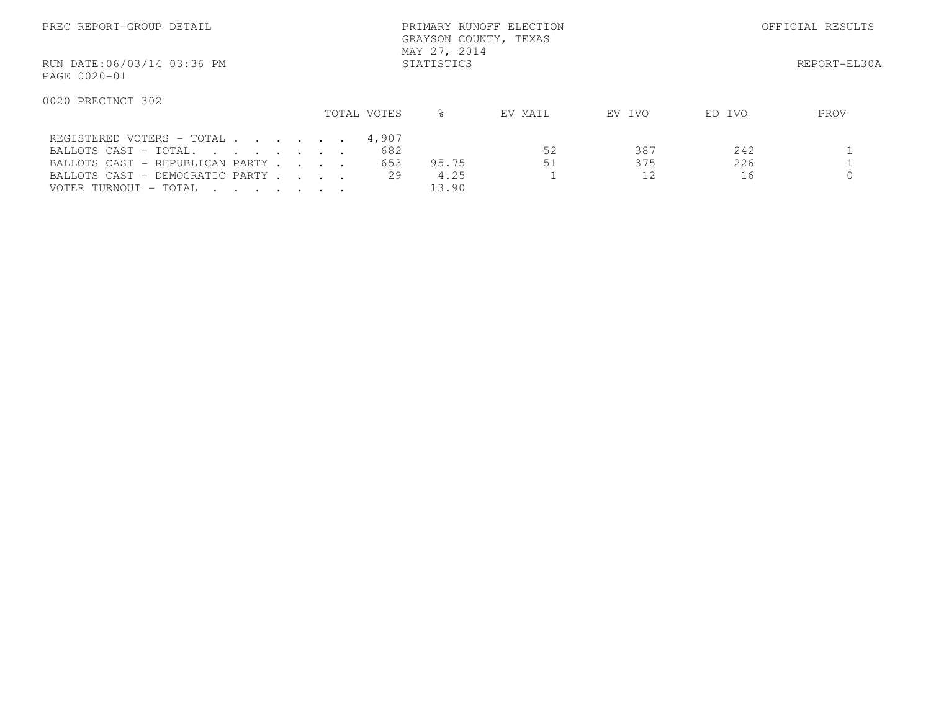| PREC REPORT-GROUP DETAIL                   |  |             | PRIMARY RUNOFF ELECTION<br>GRAYSON COUNTY, TEXAS<br>MAY 27, 2014 |         | OFFICIAL RESULTS |        |      |
|--------------------------------------------|--|-------------|------------------------------------------------------------------|---------|------------------|--------|------|
| RUN DATE:06/03/14 03:36 PM<br>PAGE 0020-01 |  |             | REPORT-EL30A                                                     |         |                  |        |      |
| 0020 PRECINCT 302                          |  |             |                                                                  |         |                  |        |      |
|                                            |  | TOTAL VOTES | ⊱                                                                | EV MAIL | EV IVO           | ED IVO | PROV |
| REGISTERED VOTERS - TOTAL                  |  | 4,907       |                                                                  |         |                  |        |      |
| BALLOTS CAST - TOTAL.                      |  | 682         |                                                                  | 52      | 387              | 242    |      |
| BALLOTS CAST - REPUBLICAN PARTY            |  | 653         | 95.75                                                            | 51      | 375              | 226    |      |
| BALLOTS CAST - DEMOCRATIC PARTY            |  | 29          | 4.25                                                             |         |                  | 16     |      |
| VOTER TURNOUT - TOTAL                      |  |             | 13.90                                                            |         |                  |        |      |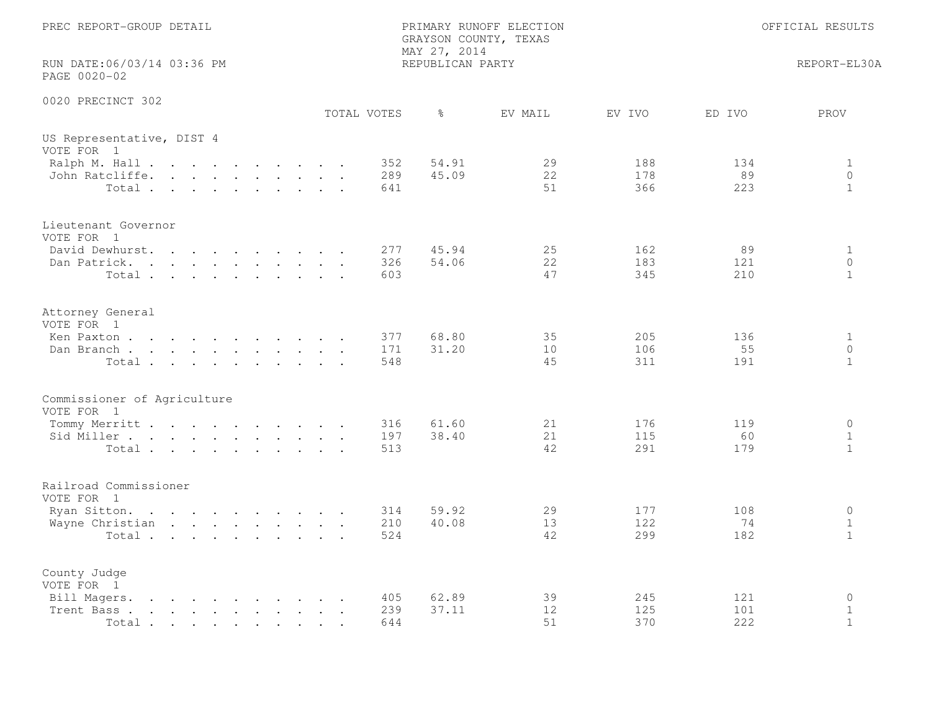| PREC REPORT-GROUP DETAIL                                                                                                                                                                                                                            |  |  |  |  |             | MAY 27, 2014      | PRIMARY RUNOFF ELECTION<br>GRAYSON COUNTY, TEXAS | OFFICIAL RESULTS |                   |                   |                                         |
|-----------------------------------------------------------------------------------------------------------------------------------------------------------------------------------------------------------------------------------------------------|--|--|--|--|-------------|-------------------|--------------------------------------------------|------------------|-------------------|-------------------|-----------------------------------------|
| RUN DATE:06/03/14 03:36 PM<br>PAGE 0020-02                                                                                                                                                                                                          |  |  |  |  |             |                   | REPUBLICAN PARTY                                 |                  |                   |                   | REPORT-EL30A                            |
| 0020 PRECINCT 302                                                                                                                                                                                                                                   |  |  |  |  | TOTAL VOTES |                   | $\frac{6}{6}$                                    | EV MAIL          | EV IVO            | ED IVO            | PROV                                    |
| US Representative, DIST 4<br>VOTE FOR 1                                                                                                                                                                                                             |  |  |  |  |             |                   |                                                  |                  |                   |                   |                                         |
| Ralph M. Hall<br>John Ratcliffe.<br>Total                                                                                                                                                                                                           |  |  |  |  |             | 352<br>289<br>641 | 54.91<br>45.09                                   | 29<br>22<br>51   | 188<br>178<br>366 | 134<br>89<br>223  | $\mathbf{1}$<br>$\circ$<br>$\mathbf{1}$ |
| Lieutenant Governor<br>VOTE FOR 1                                                                                                                                                                                                                   |  |  |  |  |             |                   |                                                  |                  |                   |                   |                                         |
| David Dewhurst.<br>Dan Patrick.<br>Total                                                                                                                                                                                                            |  |  |  |  |             | 277<br>326<br>603 | 45.94<br>54.06                                   | 25<br>22<br>47   | 162<br>183<br>345 | 89<br>121<br>210  | $\mathbf{1}$<br>$\circ$<br>$\mathbf{1}$ |
| Attorney General<br>VOTE FOR 1                                                                                                                                                                                                                      |  |  |  |  |             |                   |                                                  |                  |                   |                   |                                         |
| Ken Paxton<br>Dan Branch<br>Total                                                                                                                                                                                                                   |  |  |  |  |             | 377<br>171<br>548 | 68.80<br>31.20                                   | 35<br>10<br>45   | 205<br>106<br>311 | 136<br>55<br>191  | $\mathbf{1}$<br>$\circ$<br>$\mathbf{1}$ |
| Commissioner of Agriculture<br>VOTE FOR 1                                                                                                                                                                                                           |  |  |  |  |             |                   |                                                  |                  |                   |                   |                                         |
| Tommy Merritt<br>Sid Miller<br>Total                                                                                                                                                                                                                |  |  |  |  |             | 316<br>197<br>513 | 61.60<br>38.40                                   | 21<br>21<br>42   | 176<br>115<br>291 | 119<br>60<br>179  | $\circ$<br>$\mathbf{1}$<br>$\mathbf{1}$ |
| Railroad Commissioner<br>VOTE FOR 1                                                                                                                                                                                                                 |  |  |  |  |             |                   |                                                  |                  |                   |                   |                                         |
| Ryan Sitton.<br>Wayne Christian<br>Total                                                                                                                                                                                                            |  |  |  |  |             | 314<br>210<br>524 | 59.92<br>40.08                                   | 29<br>13<br>42   | 177<br>122<br>299 | 108<br>74<br>182  | $\circ$<br>$\mathbf{1}$<br>$\mathbf{1}$ |
| County Judge<br>VOTE FOR 1                                                                                                                                                                                                                          |  |  |  |  |             |                   |                                                  |                  |                   |                   |                                         |
| Bill Magers.<br>$\mathbf{r}$ , and $\mathbf{r}$ , and $\mathbf{r}$ , and $\mathbf{r}$ , and $\mathbf{r}$<br>Trent Bass.<br>the contract of the contract of the contract of the contract of the contract of the contract of the contract of<br>Total |  |  |  |  |             | 405<br>239<br>644 | 62.89<br>37.11                                   | 39<br>12<br>51   | 245<br>125<br>370 | 121<br>101<br>222 | $\circ$<br>$\mathbf 1$<br>$\mathbf{1}$  |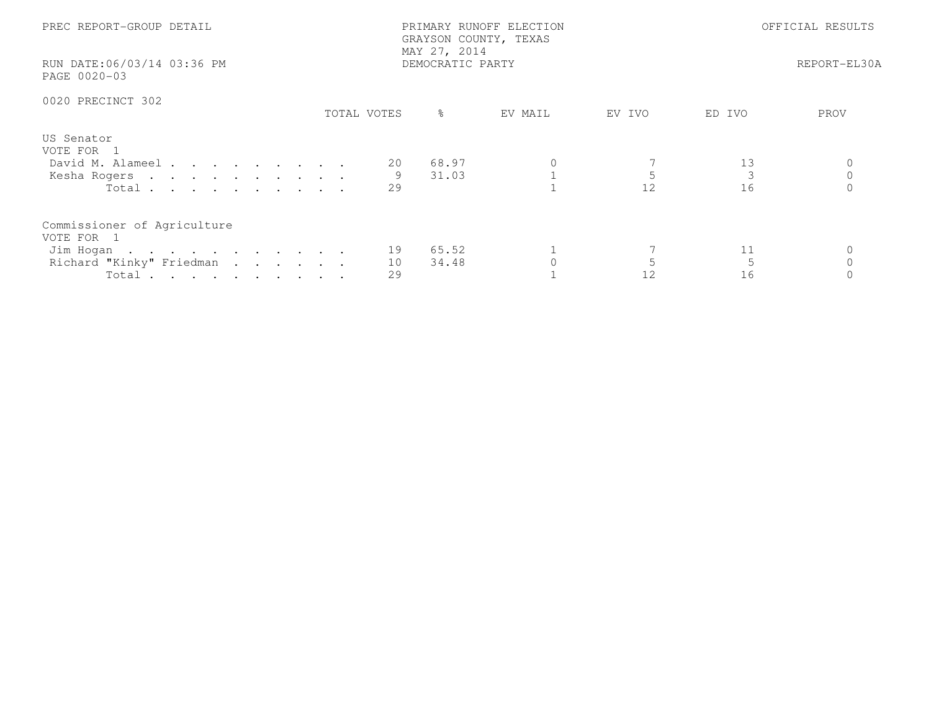| PREC REPORT-GROUP DETAIL<br>RUN DATE:06/03/14 03:36 PM<br>PAGE 0020-03                      |                | PRIMARY RUNOFF ELECTION<br>GRAYSON COUNTY, TEXAS<br>MAY 27, 2014<br>DEMOCRATIC PARTY | OFFICIAL RESULTS<br>REPORT-EL30A |        |          |      |
|---------------------------------------------------------------------------------------------|----------------|--------------------------------------------------------------------------------------|----------------------------------|--------|----------|------|
| 0020 PRECINCT 302                                                                           | TOTAL VOTES    | ိ                                                                                    | EV MAIL                          | EV IVO | ED IVO   | PROV |
| US Senator<br>VOTE FOR 1<br>David M. Alameel<br>Kesha Rogers<br>Total                       | 20<br>29       | 68.97<br>31.03                                                                       |                                  | 12     | 13<br>16 |      |
| Commissioner of Agriculture<br>VOTE FOR 1<br>Jim Hogan<br>Richard "Kinky" Friedman<br>Total | 19<br>10<br>29 | 65.52<br>34.48                                                                       |                                  | 12     | 11<br>16 |      |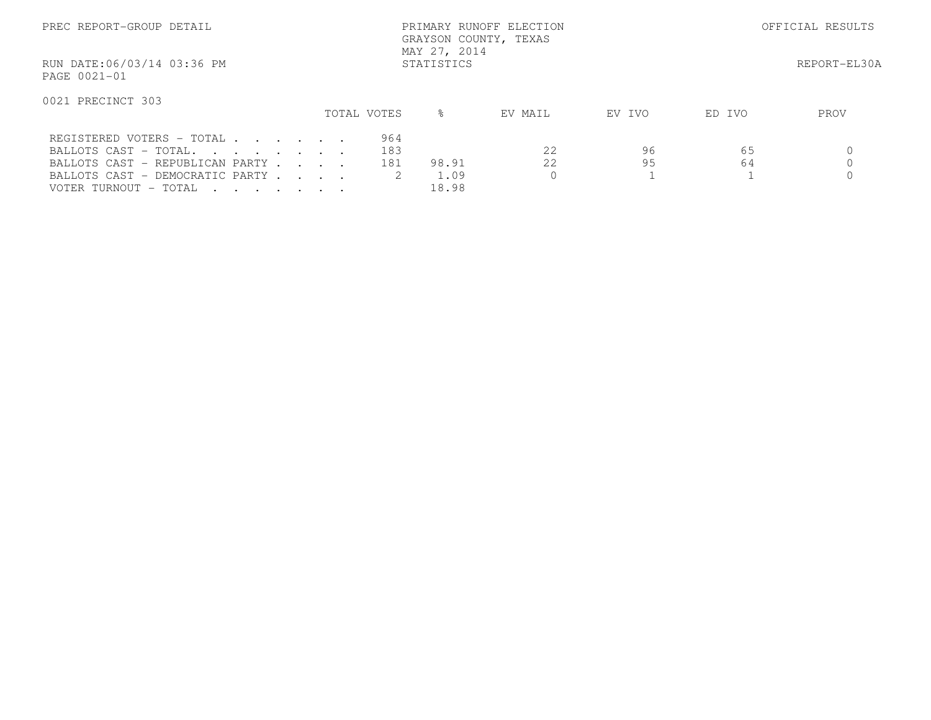| PREC REPORT-GROUP DETAIL                   |             | PRIMARY RUNOFF ELECTION<br>GRAYSON COUNTY, TEXAS<br>MAY 27, 2014 |              | OFFICIAL RESULTS |        |      |
|--------------------------------------------|-------------|------------------------------------------------------------------|--------------|------------------|--------|------|
| RUN DATE:06/03/14 03:36 PM<br>PAGE 0021-01 |             |                                                                  | REPORT-EL30A |                  |        |      |
| 0021 PRECINCT 303                          |             |                                                                  |              |                  |        |      |
|                                            | TOTAL VOTES | ⊱                                                                | EV MAIL      | EV IVO           | ED IVO | PROV |
| REGISTERED VOTERS - TOTAL                  | 964         |                                                                  |              |                  |        |      |
| BALLOTS CAST - TOTAL.                      |             | 183                                                              | 2.2          | 96               | 65     |      |
| BALLOTS CAST - REPUBLICAN PARTY            |             | 181<br>98.91                                                     | 2.2          | 95               | 64     |      |
| BALLOTS CAST - DEMOCRATIC PARTY            |             | 1.09                                                             |              |                  |        |      |
| VOTER TURNOUT - TOTAL                      |             | 18.98                                                            |              |                  |        |      |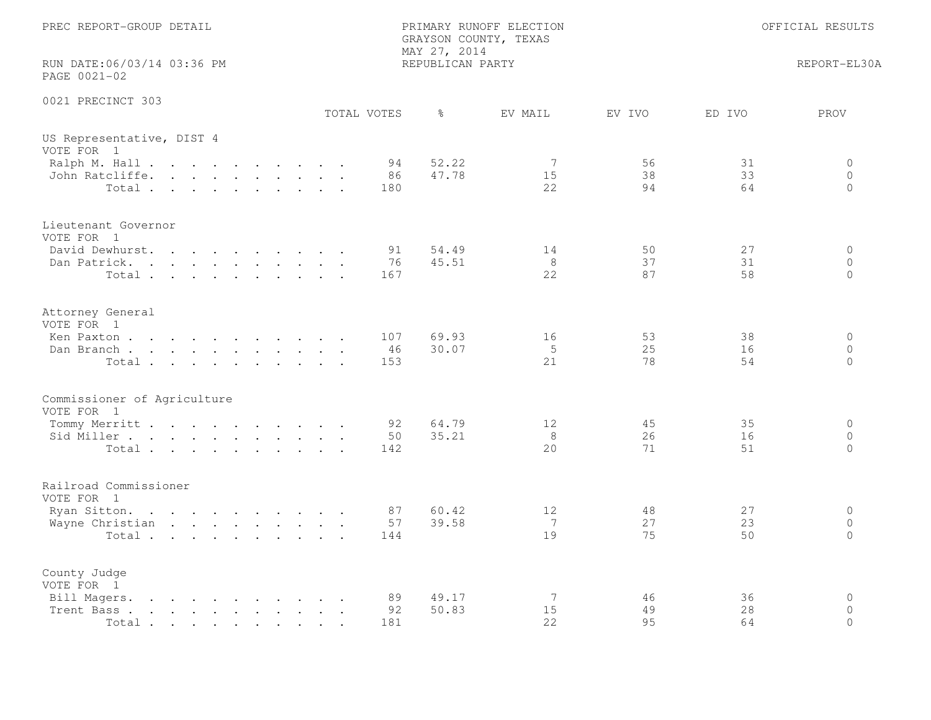| PREC REPORT-GROUP DETAIL                                                                                                                                                                                                                            |  |  |  |  |  | MAY 27, 2014 | PRIMARY RUNOFF ELECTION<br>GRAYSON COUNTY, TEXAS | OFFICIAL RESULTS |                             |                |                |                                |
|-----------------------------------------------------------------------------------------------------------------------------------------------------------------------------------------------------------------------------------------------------|--|--|--|--|--|--------------|--------------------------------------------------|------------------|-----------------------------|----------------|----------------|--------------------------------|
| RUN DATE:06/03/14 03:36 PM<br>PAGE 0021-02                                                                                                                                                                                                          |  |  |  |  |  |              |                                                  | REPUBLICAN PARTY |                             | REPORT-EL30A   |                |                                |
| 0021 PRECINCT 303                                                                                                                                                                                                                                   |  |  |  |  |  |              | TOTAL VOTES                                      | $\frac{6}{6}$    | EV MAIL                     | EV IVO         | ED IVO         | PROV                           |
| US Representative, DIST 4<br>VOTE FOR 1                                                                                                                                                                                                             |  |  |  |  |  |              |                                                  |                  |                             |                |                |                                |
| Ralph M. Hall<br>John Ratcliffe.<br>Total                                                                                                                                                                                                           |  |  |  |  |  |              | 94<br>86<br>180                                  | 52.22<br>47.78   | 7<br>15<br>22               | 56<br>38<br>94 | 31<br>33<br>64 | 0<br>$\circ$<br>$\Omega$       |
| Lieutenant Governor<br>VOTE FOR 1                                                                                                                                                                                                                   |  |  |  |  |  |              |                                                  |                  |                             |                |                |                                |
| David Dewhurst.<br>Dan Patrick.<br>Total                                                                                                                                                                                                            |  |  |  |  |  |              | 91<br>76<br>167                                  | 54.49<br>45.51   | 14<br>8<br>22               | 50<br>37<br>87 | 27<br>31<br>58 | $\circ$<br>$\circ$<br>$\Omega$ |
| Attorney General<br>VOTE FOR 1                                                                                                                                                                                                                      |  |  |  |  |  |              |                                                  |                  |                             |                |                |                                |
| Ken Paxton<br>Dan Branch<br>Total                                                                                                                                                                                                                   |  |  |  |  |  |              | 107<br>46<br>153                                 | 69.93<br>30.07   | 16<br>5<br>21               | 53<br>25<br>78 | 38<br>16<br>54 | $\circ$<br>$\circ$<br>$\circ$  |
| Commissioner of Agriculture<br>VOTE FOR 1                                                                                                                                                                                                           |  |  |  |  |  |              |                                                  |                  |                             |                |                |                                |
| Tommy Merritt<br>Sid Miller<br>Total                                                                                                                                                                                                                |  |  |  |  |  |              | 92<br>50<br>142                                  | 64.79<br>35.21   | 12<br>8<br>20               | 45<br>26<br>71 | 35<br>16<br>51 | $\circ$<br>$\circ$<br>$\Omega$ |
| Railroad Commissioner<br>VOTE FOR 1                                                                                                                                                                                                                 |  |  |  |  |  |              |                                                  |                  |                             |                |                |                                |
| Ryan Sitton.<br>Wayne Christian<br>Total                                                                                                                                                                                                            |  |  |  |  |  |              | 87<br>57<br>144                                  | 60.42<br>39.58   | 12<br>$7\phantom{.0}$<br>19 | 48<br>27<br>75 | 27<br>23<br>50 | $\circ$<br>$\circ$<br>$\Omega$ |
| County Judge<br>VOTE FOR 1                                                                                                                                                                                                                          |  |  |  |  |  |              |                                                  |                  |                             |                |                |                                |
| Bill Magers.<br>$\mathbf{r}$ , and $\mathbf{r}$ , and $\mathbf{r}$ , and $\mathbf{r}$ , and $\mathbf{r}$<br>Trent Bass.<br>the contract of the contract of the contract of the contract of the contract of the contract of the contract of<br>Total |  |  |  |  |  |              | 89<br>92<br>181                                  | 49.17<br>50.83   | 7<br>15<br>2.2              | 46<br>49<br>95 | 36<br>28<br>64 | $\circ$<br>$\circ$<br>$\Omega$ |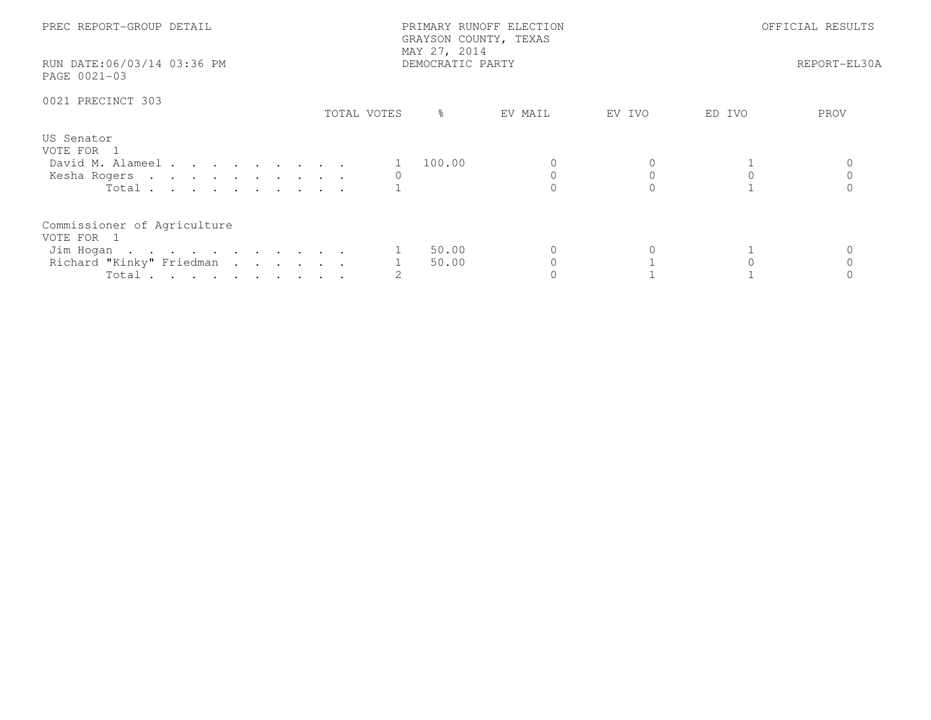| PREC REPORT-GROUP DETAIL<br>RUN DATE:06/03/14 03:36 PM<br>PAGE 0021-03                      |             | PRIMARY RUNOFF ELECTION<br>GRAYSON COUNTY, TEXAS<br>MAY 27, 2014<br>DEMOCRATIC PARTY | OFFICIAL RESULTS<br>REPORT-EL30A |        |        |      |
|---------------------------------------------------------------------------------------------|-------------|--------------------------------------------------------------------------------------|----------------------------------|--------|--------|------|
| 0021 PRECINCT 303                                                                           | TOTAL VOTES | ို                                                                                   | EV MAIL                          | EV IVO | ED IVO | PROV |
| US Senator<br>VOTE FOR 1<br>David M. Alameel<br>Kesha Rogers<br>Total $\cdots$              |             | 100.00                                                                               |                                  |        |        |      |
| Commissioner of Agriculture<br>VOTE FOR 1<br>Jim Hogan<br>Richard "Kinky" Friedman<br>Total |             | 50.00<br>50.00                                                                       |                                  |        |        |      |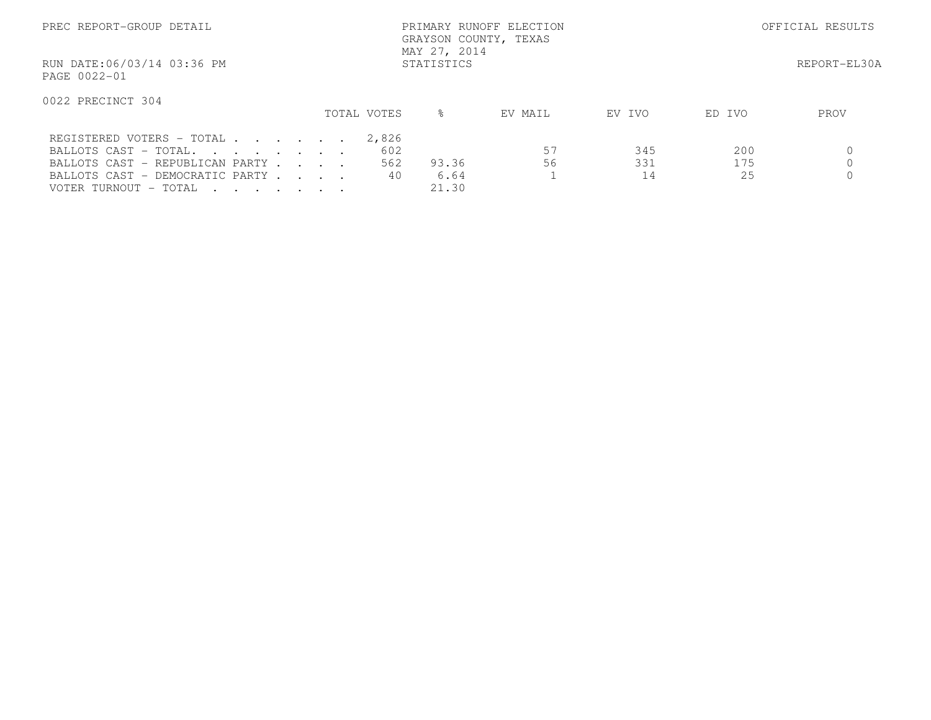| PREC REPORT-GROUP DETAIL                                                                    |             | PRIMARY RUNOFF ELECTION<br>GRAYSON COUNTY, TEXAS<br>MAY 27, 2014 |                   | OFFICIAL RESULTS       |      |  |
|---------------------------------------------------------------------------------------------|-------------|------------------------------------------------------------------|-------------------|------------------------|------|--|
| RUN DATE:06/03/14 03:36 PM<br>PAGE 0022-01                                                  |             |                                                                  | REPORT-EL30A      |                        |      |  |
| 0022 PRECINCT 304                                                                           | TOTAL VOTES | $\approx$                                                        | EV MAIL<br>EV IVO | ED IVO                 | PROV |  |
| REGISTERED VOTERS - TOTAL<br>BALLOTS CAST - TOTAL.                                          |             | 2,826<br>602                                                     | 57                | 200<br>345             |      |  |
| BALLOTS CAST - REPUBLICAN PARTY<br>BALLOTS CAST - DEMOCRATIC PARTY<br>VOTER TURNOUT - TOTAL |             | 562<br>93.36<br>40<br>6.64<br>21.30                              | 56                | 331<br>175<br>25<br>14 |      |  |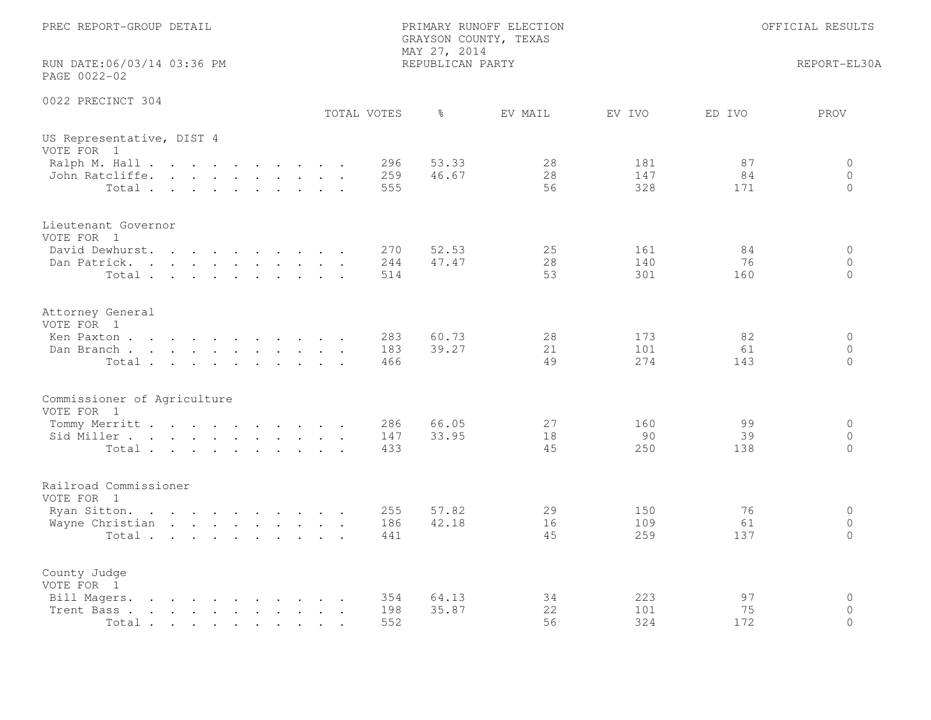| PREC REPORT-GROUP DETAIL                                                                                                                                                                                                                                                                                                                                                                     |  |  |  |  |  |  | MAY 27, 2014      | PRIMARY RUNOFF ELECTION<br>GRAYSON COUNTY, TEXAS | OFFICIAL RESULTS |                   |                 |                                |
|----------------------------------------------------------------------------------------------------------------------------------------------------------------------------------------------------------------------------------------------------------------------------------------------------------------------------------------------------------------------------------------------|--|--|--|--|--|--|-------------------|--------------------------------------------------|------------------|-------------------|-----------------|--------------------------------|
| RUN DATE:06/03/14 03:36 PM<br>PAGE 0022-02                                                                                                                                                                                                                                                                                                                                                   |  |  |  |  |  |  |                   | REPUBLICAN PARTY                                 |                  |                   |                 | REPORT-EL30A                   |
| 0022 PRECINCT 304                                                                                                                                                                                                                                                                                                                                                                            |  |  |  |  |  |  | TOTAL VOTES       | $\frac{6}{6}$                                    | EV MAIL          | EV IVO            | ED IVO          | PROV                           |
| US Representative, DIST 4<br>VOTE FOR 1                                                                                                                                                                                                                                                                                                                                                      |  |  |  |  |  |  |                   |                                                  |                  |                   |                 |                                |
| Ralph M. Hall<br>John Ratcliffe.<br>Total                                                                                                                                                                                                                                                                                                                                                    |  |  |  |  |  |  | 296<br>259<br>555 | 53.33<br>46.67                                   | 28<br>28<br>56   | 181<br>147<br>328 | 87<br>84<br>171 | 0<br>$\circ$<br>$\Omega$       |
| Lieutenant Governor<br>VOTE FOR 1                                                                                                                                                                                                                                                                                                                                                            |  |  |  |  |  |  |                   |                                                  |                  |                   |                 |                                |
| David Dewhurst.<br>Dan Patrick.<br>Total                                                                                                                                                                                                                                                                                                                                                     |  |  |  |  |  |  | 270<br>244<br>514 | 52.53<br>47.47                                   | 25<br>28<br>53   | 161<br>140<br>301 | 84<br>76<br>160 | $\circ$<br>$\circ$<br>$\Omega$ |
| Attorney General<br>VOTE FOR 1                                                                                                                                                                                                                                                                                                                                                               |  |  |  |  |  |  |                   |                                                  |                  |                   |                 |                                |
| Ken Paxton<br>Dan Branch<br>Total                                                                                                                                                                                                                                                                                                                                                            |  |  |  |  |  |  | 283<br>183<br>466 | 60.73<br>39.27                                   | 28<br>21<br>49   | 173<br>101<br>274 | 82<br>61<br>143 | $\circ$<br>$\circ$<br>$\circ$  |
| Commissioner of Agriculture<br>VOTE FOR 1                                                                                                                                                                                                                                                                                                                                                    |  |  |  |  |  |  |                   |                                                  |                  |                   |                 |                                |
| Tommy Merritt<br>Sid Miller<br>Total                                                                                                                                                                                                                                                                                                                                                         |  |  |  |  |  |  | 286<br>147<br>433 | 66.05<br>33.95                                   | 27<br>18<br>45   | 160<br>90<br>250  | 99<br>39<br>138 | $\circ$<br>$\circ$<br>$\Omega$ |
| Railroad Commissioner<br>VOTE FOR 1                                                                                                                                                                                                                                                                                                                                                          |  |  |  |  |  |  |                   |                                                  |                  |                   |                 |                                |
| Ryan Sitton.<br>Wayne Christian<br>Total                                                                                                                                                                                                                                                                                                                                                     |  |  |  |  |  |  | 255<br>186<br>441 | 57.82<br>42.18                                   | 29<br>16<br>45   | 150<br>109<br>259 | 76<br>61<br>137 | $\circ$<br>$\circ$<br>$\Omega$ |
| County Judge<br>VOTE FOR 1                                                                                                                                                                                                                                                                                                                                                                   |  |  |  |  |  |  |                   |                                                  |                  |                   |                 |                                |
| Bill Magers.<br>$\mathbf{r}$ . The contract of the contract of the contract of the contract of the contract of the contract of the contract of the contract of the contract of the contract of the contract of the contract of the contract of th<br>Trent Bass.<br>the contract of the contract of the contract of the contract of the contract of the contract of the contract of<br>Total |  |  |  |  |  |  | 354<br>198<br>552 | 64.13<br>35.87                                   | 34<br>22<br>56   | 223<br>101<br>324 | 97<br>75<br>172 | $\circ$<br>$\circ$<br>$\Omega$ |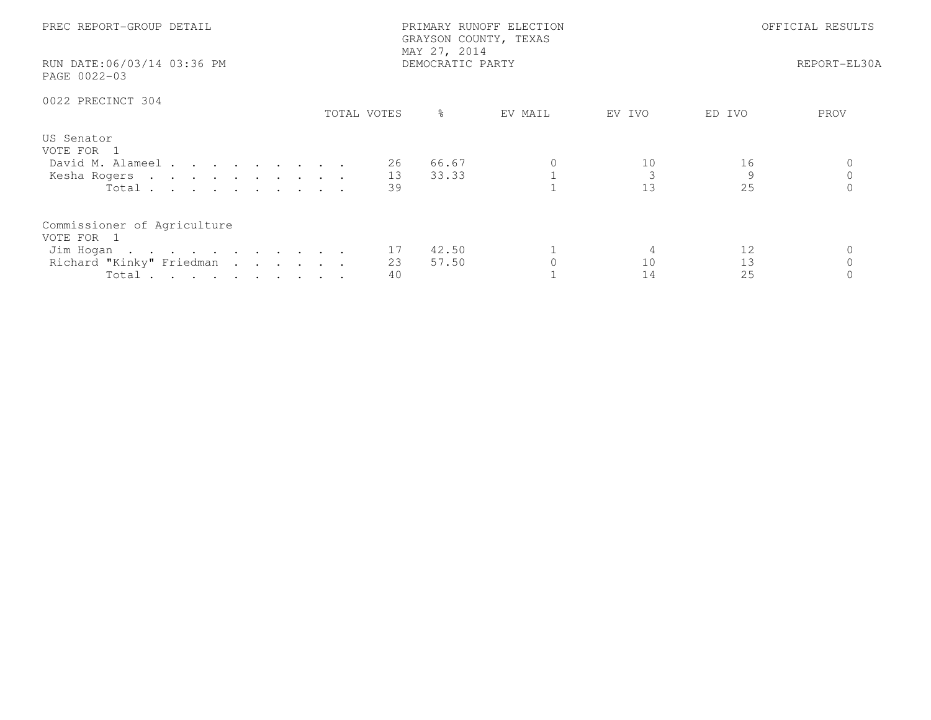| PREC REPORT-GROUP DETAIL<br>RUN DATE:06/03/14 03:36 PM                                      | MAY 27, 2014<br>DEMOCRATIC PARTY | PRIMARY RUNOFF ELECTION<br>GRAYSON COUNTY, TEXAS | OFFICIAL RESULTS<br>REPORT-EL30A |
|---------------------------------------------------------------------------------------------|----------------------------------|--------------------------------------------------|----------------------------------|
| PAGE 0022-03                                                                                |                                  |                                                  |                                  |
| 0022 PRECINCT 304                                                                           |                                  |                                                  |                                  |
|                                                                                             | ႜၟ<br>TOTAL VOTES                | EV MAIL<br>EV IVO                                | ED IVO<br>PROV                   |
| US Senator<br>VOTE FOR 1<br>David M. Alameel<br>Kesha Rogers<br>Total                       | 66.67<br>26<br>13<br>33.33<br>39 | 10<br>13                                         | 16<br>9<br>25                    |
| Commissioner of Agriculture<br>VOTE FOR 1<br>Jim Hogan<br>Richard "Kinky" Friedman<br>Total | 42.50<br>17<br>23<br>57.50<br>40 | 10<br>14                                         | 12<br>13<br>25                   |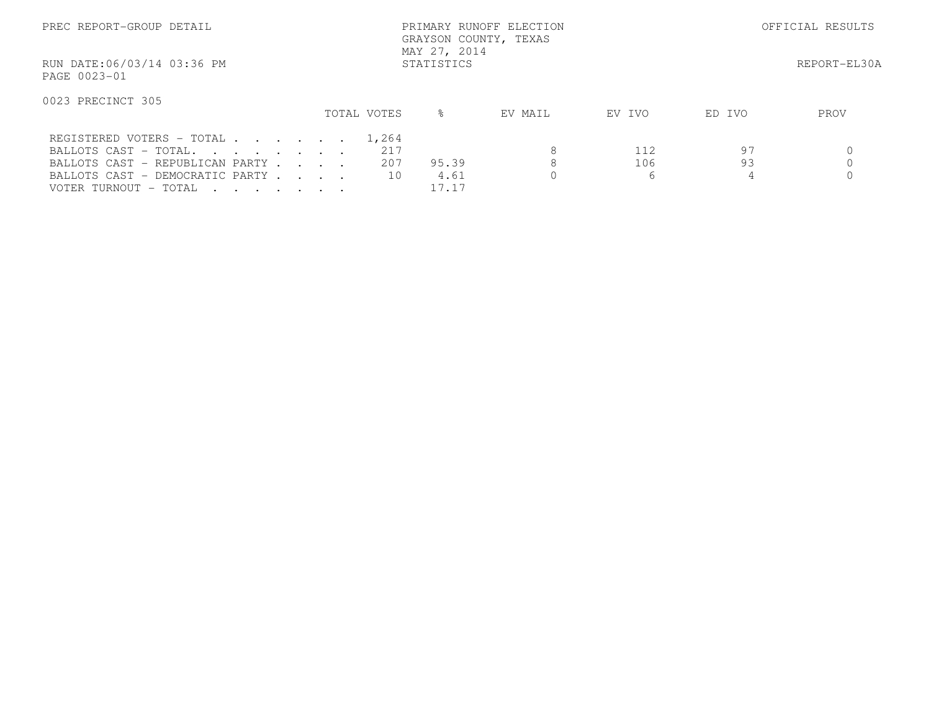| PREC REPORT-GROUP DETAIL                                                                                                                          |            |  |  | MAY 27, 2014 | PRIMARY RUNOFF ELECTION<br>GRAYSON COUNTY, TEXAS | OFFICIAL RESULTS       |         |                 |               |              |
|---------------------------------------------------------------------------------------------------------------------------------------------------|------------|--|--|--------------|--------------------------------------------------|------------------------|---------|-----------------|---------------|--------------|
| RUN DATE:06/03/14 03:36 PM<br>PAGE 0023-01                                                                                                        | STATISTICS |  |  |              |                                                  |                        |         |                 |               | REPORT-EL30A |
| 0023 PRECINCT 305                                                                                                                                 |            |  |  |              | TOTAL VOTES                                      | ⊱                      | EV MAIL | EV IVO          | ED IVO        | PROV         |
| REGISTERED VOTERS - TOTAL<br>BALLOTS CAST - TOTAL.<br>BALLOTS CAST - REPUBLICAN PARTY<br>BALLOTS CAST - DEMOCRATIC PARTY<br>VOTER TURNOUT - TOTAL |            |  |  |              | 1,264<br>217<br>207<br>10                        | 95.39<br>4.61<br>17.17 | 8<br>8  | 112<br>106<br>6 | 97<br>93<br>4 |              |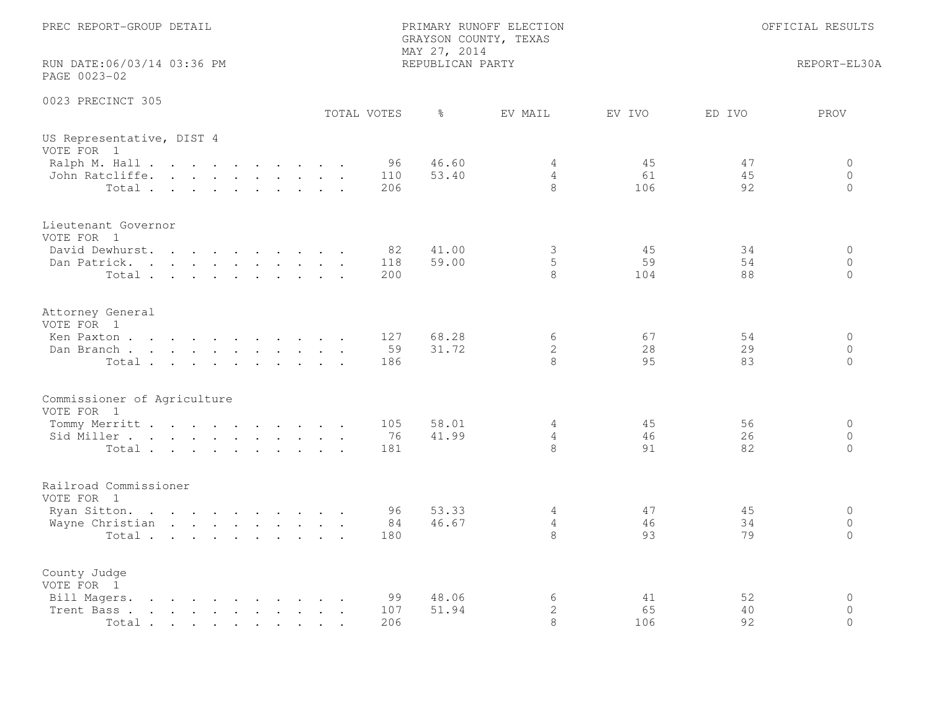| PREC REPORT-GROUP DETAIL<br>PRIMARY RUNOFF ELECTION<br>GRAYSON COUNTY, TEXAS<br>MAY 27, 2014                                                                                                                                                        |                                                                          |  |  | OFFICIAL RESULTS                       |             |                  |                  |                          |                 |                |                                     |
|-----------------------------------------------------------------------------------------------------------------------------------------------------------------------------------------------------------------------------------------------------|--------------------------------------------------------------------------|--|--|----------------------------------------|-------------|------------------|------------------|--------------------------|-----------------|----------------|-------------------------------------|
| RUN DATE:06/03/14 03:36 PM<br>PAGE 0023-02                                                                                                                                                                                                          |                                                                          |  |  |                                        |             |                  | REPUBLICAN PARTY |                          |                 |                | REPORT-EL30A                        |
| 0023 PRECINCT 305                                                                                                                                                                                                                                   |                                                                          |  |  |                                        | TOTAL VOTES |                  | $\frac{6}{6}$    | EV MAIL                  | EV IVO          | ED IVO         | PROV                                |
| US Representative, DIST 4<br>VOTE FOR 1                                                                                                                                                                                                             |                                                                          |  |  |                                        |             |                  |                  |                          |                 |                |                                     |
| Ralph M. Hall<br>John Ratcliffe.<br>Total                                                                                                                                                                                                           |                                                                          |  |  |                                        |             | 96<br>110<br>206 | 46.60<br>53.40   | 4<br>$\overline{4}$<br>8 | 45<br>61<br>106 | 47<br>45<br>92 | 0<br>$\circ$<br>$\circ$             |
| Lieutenant Governor<br>VOTE FOR 1<br>David Dewhurst.                                                                                                                                                                                                | $\mathbf{r}$ , $\mathbf{r}$ , $\mathbf{r}$ , $\mathbf{r}$ , $\mathbf{r}$ |  |  | $\mathbf{r}$ . The set of $\mathbf{r}$ |             | 82               | 41.00            | 3                        | 45              | 34             | $\circ$                             |
| Dan Patrick.<br>Total                                                                                                                                                                                                                               |                                                                          |  |  |                                        |             | 118<br>200       | 59.00            | 5<br>8                   | 59<br>104       | 54<br>88       | $\circ$<br>$\Omega$                 |
| Attorney General<br>VOTE FOR 1<br>Ken Paxton                                                                                                                                                                                                        |                                                                          |  |  |                                        |             | 127              | 68.28            | 6                        | 67              | 54             | $\circ$                             |
| Dan Branch<br>Total                                                                                                                                                                                                                                 |                                                                          |  |  |                                        |             | 59<br>186        | 31.72            | $\mathbf{2}$<br>8        | 28<br>95        | 29<br>83       | $\Omega$<br>$\Omega$                |
| Commissioner of Agriculture<br>VOTE FOR 1                                                                                                                                                                                                           |                                                                          |  |  |                                        |             |                  |                  |                          |                 |                |                                     |
| Tommy Merritt<br>Sid Miller<br>Total                                                                                                                                                                                                                |                                                                          |  |  |                                        |             | 105<br>76<br>181 | 58.01<br>41.99   | 4<br>4<br>8              | 45<br>46<br>91  | 56<br>26<br>82 | $\circ$<br>$\circ$<br>$\circ$       |
| Railroad Commissioner<br>VOTE FOR 1                                                                                                                                                                                                                 |                                                                          |  |  |                                        |             |                  |                  |                          |                 |                |                                     |
| Ryan Sitton.<br>Wayne Christian<br>Total                                                                                                                                                                                                            |                                                                          |  |  |                                        |             | 96<br>84<br>180  | 53.33<br>46.67   | 4<br>4<br>8              | 47<br>46<br>93  | 45<br>34<br>79 | $\circ$<br>$\circ$<br>$\Omega$      |
| County Judge<br>VOTE FOR 1                                                                                                                                                                                                                          |                                                                          |  |  |                                        |             |                  |                  |                          |                 |                |                                     |
| Bill Magers.<br>$\mathbf{r}$ , and $\mathbf{r}$ , and $\mathbf{r}$ , and $\mathbf{r}$ , and $\mathbf{r}$<br>Trent Bass.<br>the contract of the contract of the contract of the contract of the contract of the contract of the contract of<br>Total |                                                                          |  |  |                                        |             | 99<br>107<br>206 | 48.06<br>51.94   | 6<br>$\mathbf{2}$<br>8   | 41<br>65<br>106 | 52<br>40<br>92 | $\mathbf 0$<br>$\Omega$<br>$\Omega$ |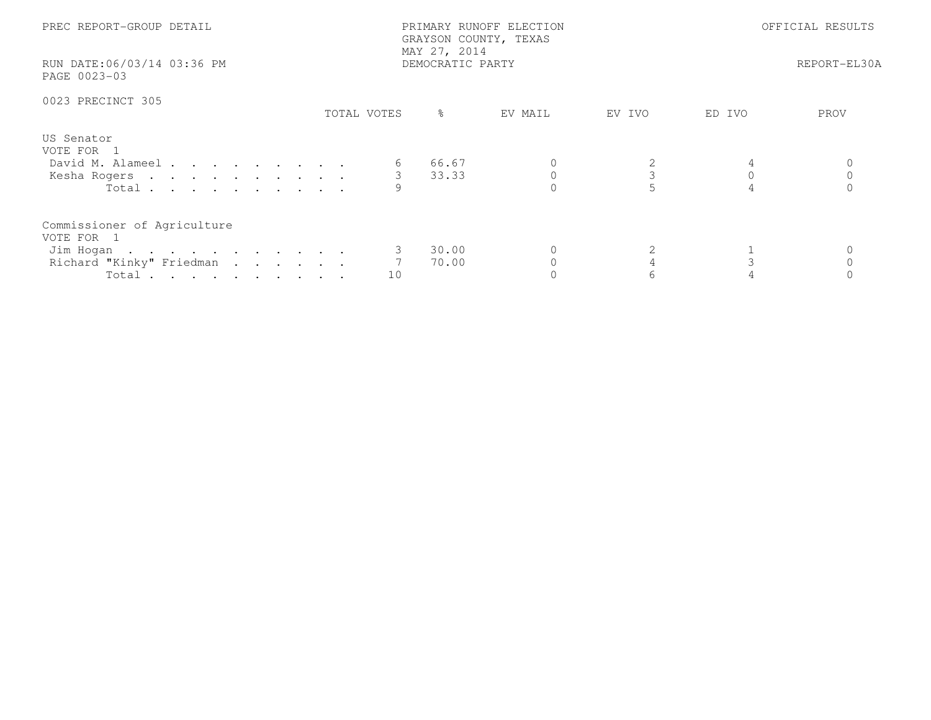| PREC REPORT-GROUP DETAIL<br>RUN DATE:06/03/14 03:36 PM<br>PAGE 0023-03                      |             | PRIMARY RUNOFF ELECTION<br>GRAYSON COUNTY, TEXAS<br>MAY 27, 2014<br>DEMOCRATIC PARTY | OFFICIAL RESULTS<br>REPORT-EL30A |        |         |      |
|---------------------------------------------------------------------------------------------|-------------|--------------------------------------------------------------------------------------|----------------------------------|--------|---------|------|
| 0023 PRECINCT 305                                                                           | TOTAL VOTES | $\frac{6}{6}$                                                                        | EV MAIL                          | EV IVO | ED IVO  | PROV |
| US Senator<br>VOTE FOR 1<br>David M. Alameel<br>Kesha Rogers<br>Total                       |             | 66.67<br>3 33.33                                                                     |                                  |        | $\circ$ |      |
| Commissioner of Agriculture<br>VOTE FOR 1<br>Jim Hogan<br>Richard "Kinky" Friedman<br>Total | 10          | 30.00<br>70.00                                                                       |                                  |        |         |      |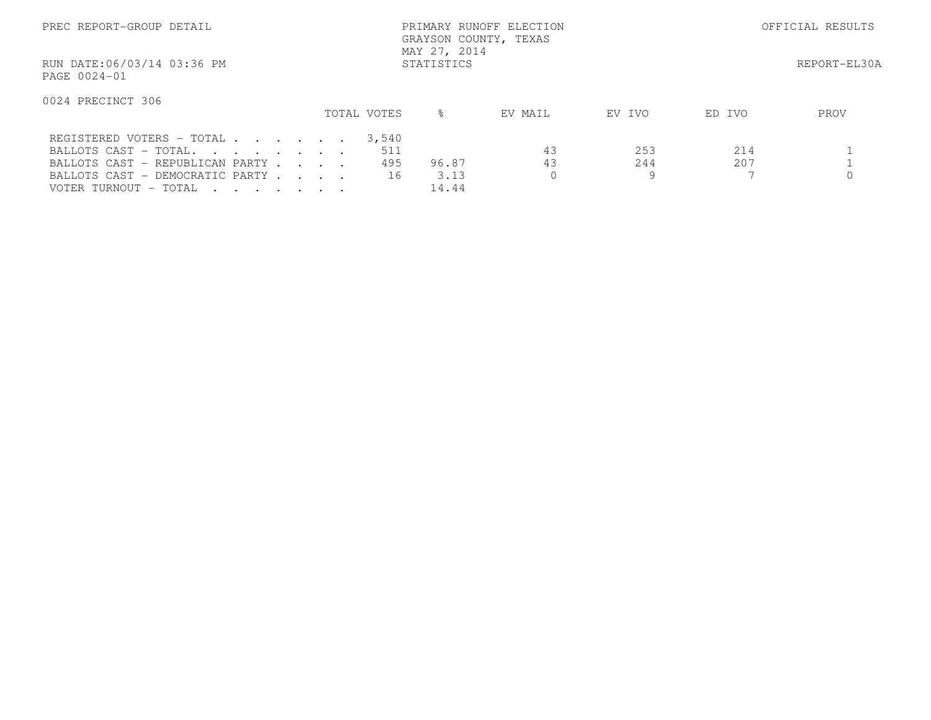| PREC REPORT-GROUP DETAIL                                                                                                                          | PRIMARY RUNOFF ELECTION<br>GRAYSON COUNTY, TEXAS<br>MAY 27, 2014 |  |  |                           |                        |                      | OFFICIAL RESULTS |            |              |  |
|---------------------------------------------------------------------------------------------------------------------------------------------------|------------------------------------------------------------------|--|--|---------------------------|------------------------|----------------------|------------------|------------|--------------|--|
| RUN DATE:06/03/14 03:36 PM<br>PAGE 0024-01                                                                                                        |                                                                  |  |  |                           | STATISTICS             |                      |                  |            | REPORT-EL30A |  |
| 0024 PRECINCT 306                                                                                                                                 |                                                                  |  |  | TOTAL VOTES               | ⊱                      | EV MAIL              | EV IVO           | ED IVO     | PROV         |  |
| REGISTERED VOTERS - TOTAL<br>BALLOTS CAST - TOTAL.<br>BALLOTS CAST - REPUBLICAN PARTY<br>BALLOTS CAST - DEMOCRATIC PARTY<br>VOTER TURNOUT - TOTAL |                                                                  |  |  | 3,540<br>511<br>495<br>16 | 96.87<br>3.13<br>14.44 | 43<br>43<br>$\Omega$ | 253<br>244<br>9  | 214<br>207 |              |  |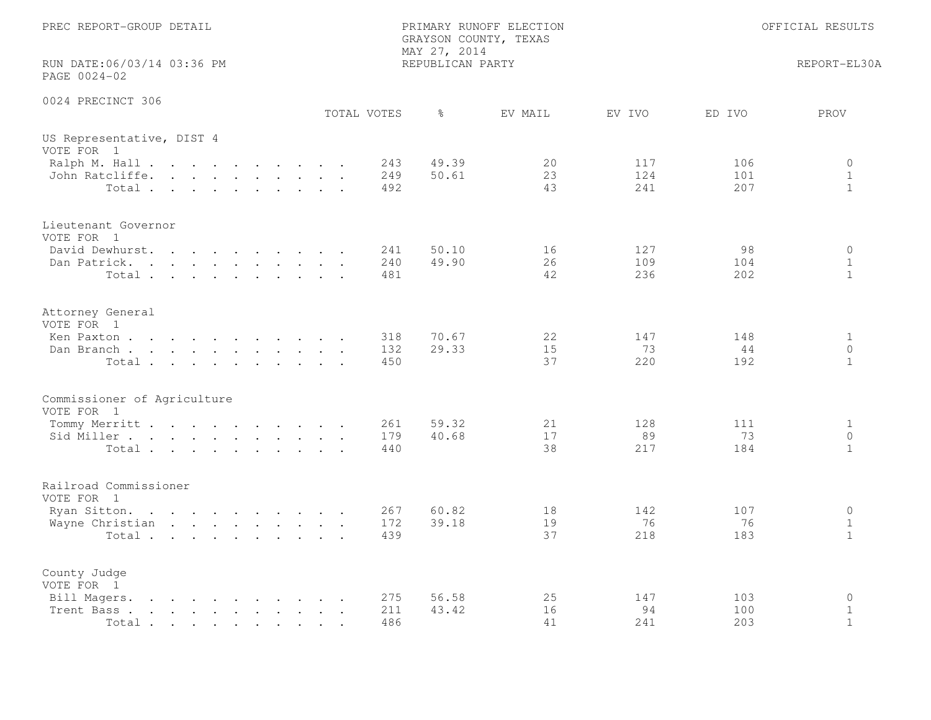| PREC REPORT-GROUP DETAIL<br>PRIMARY RUNOFF ELECTION<br>GRAYSON COUNTY, TEXAS<br>MAY 27, 2014<br>RUN DATE:06/03/14 03:36 PM<br>REPUBLICAN PARTY<br>PAGE 0024-02 |  |  |  |                                                                                                                                                                                                                                   |  | OFFICIAL RESULTS |             |               |              |        |        |              |
|----------------------------------------------------------------------------------------------------------------------------------------------------------------|--|--|--|-----------------------------------------------------------------------------------------------------------------------------------------------------------------------------------------------------------------------------------|--|------------------|-------------|---------------|--------------|--------|--------|--------------|
|                                                                                                                                                                |  |  |  |                                                                                                                                                                                                                                   |  |                  |             |               | REPORT-EL30A |        |        |              |
| 0024 PRECINCT 306                                                                                                                                              |  |  |  |                                                                                                                                                                                                                                   |  |                  | TOTAL VOTES | $\frac{6}{6}$ | EV MAIL      | EV IVO | ED IVO | PROV         |
| US Representative, DIST 4<br>VOTE FOR 1                                                                                                                        |  |  |  |                                                                                                                                                                                                                                   |  |                  |             |               |              |        |        |              |
| Ralph M. Hall                                                                                                                                                  |  |  |  |                                                                                                                                                                                                                                   |  |                  | 243         | 49.39         | 20           | 117    | 106    | $\circ$      |
| John Ratcliffe.                                                                                                                                                |  |  |  |                                                                                                                                                                                                                                   |  |                  | 249         | 50.61         | 23           | 124    | 101    | $\mathbf{1}$ |
| Total                                                                                                                                                          |  |  |  |                                                                                                                                                                                                                                   |  |                  | 492         |               | 43           | 241    | 207    | $\mathbf{1}$ |
| Lieutenant Governor                                                                                                                                            |  |  |  |                                                                                                                                                                                                                                   |  |                  |             |               |              |        |        |              |
| VOTE FOR 1<br>David Dewhurst.                                                                                                                                  |  |  |  |                                                                                                                                                                                                                                   |  |                  | 241         | 50.10         | 16           | 127    | 98     | $\circ$      |
| Dan Patrick.                                                                                                                                                   |  |  |  |                                                                                                                                                                                                                                   |  |                  | 240         | 49.90         | 26           | 109    | 104    | $\mathbf{1}$ |
| Total                                                                                                                                                          |  |  |  |                                                                                                                                                                                                                                   |  |                  | 481         |               | 42           | 236    | 202    | $\mathbf{1}$ |
|                                                                                                                                                                |  |  |  |                                                                                                                                                                                                                                   |  |                  |             |               |              |        |        |              |
| Attorney General<br>VOTE FOR 1                                                                                                                                 |  |  |  |                                                                                                                                                                                                                                   |  |                  |             |               |              |        |        |              |
| Ken Paxton                                                                                                                                                     |  |  |  |                                                                                                                                                                                                                                   |  |                  | 318         | 70.67         | 22           | 147    | 148    | $\mathbf{1}$ |
| Dan Branch                                                                                                                                                     |  |  |  |                                                                                                                                                                                                                                   |  |                  | 132         | 29.33         | 15           | 73     | 44     | $\circ$      |
| Total                                                                                                                                                          |  |  |  |                                                                                                                                                                                                                                   |  |                  | 450         |               | 37           | 220    | 192    | $\mathbf{1}$ |
| Commissioner of Agriculture<br>VOTE FOR 1                                                                                                                      |  |  |  |                                                                                                                                                                                                                                   |  |                  |             |               |              |        |        |              |
| Tommy Merritt                                                                                                                                                  |  |  |  |                                                                                                                                                                                                                                   |  |                  | 261         | 59.32         | 21           | 128    | 111    | $\mathbf{1}$ |
| Sid Miller                                                                                                                                                     |  |  |  |                                                                                                                                                                                                                                   |  |                  | 179         | 40.68         | 17           | 89     | 73     | $\circ$      |
| Total                                                                                                                                                          |  |  |  |                                                                                                                                                                                                                                   |  |                  | 440         |               | 38           | 217    | 184    | $\mathbf{1}$ |
| Railroad Commissioner<br>VOTE FOR 1                                                                                                                            |  |  |  |                                                                                                                                                                                                                                   |  |                  |             |               |              |        |        |              |
| Ryan Sitton.                                                                                                                                                   |  |  |  |                                                                                                                                                                                                                                   |  |                  | 267         | 60.82         | 18           | 142    | 107    | $\circ$      |
| Wayne Christian                                                                                                                                                |  |  |  |                                                                                                                                                                                                                                   |  |                  | 172         | 39.18         | 19           | 76     | 76     | $\mathbf{1}$ |
| Total                                                                                                                                                          |  |  |  |                                                                                                                                                                                                                                   |  |                  | 439         |               | 37           | 218    | 183    | $\mathbf{1}$ |
| County Judge<br>VOTE FOR 1                                                                                                                                     |  |  |  |                                                                                                                                                                                                                                   |  |                  |             |               |              |        |        |              |
| Bill Magers.                                                                                                                                                   |  |  |  | $\mathbf{r}$ . The contract of the contract of the contract of the contract of the contract of the contract of the contract of the contract of the contract of the contract of the contract of the contract of the contract of th |  |                  | 275         | 56.58         | 25           | 147    | 103    | $\mathbf 0$  |
| Trent Bass.                                                                                                                                                    |  |  |  | $\mathbf{r}$ , and $\mathbf{r}$ , and $\mathbf{r}$ , and $\mathbf{r}$ , and $\mathbf{r}$                                                                                                                                          |  |                  | 211         | 43.42         | 16           | 94     | 100    | $\mathbf 1$  |
| Total                                                                                                                                                          |  |  |  |                                                                                                                                                                                                                                   |  |                  | 486         |               | 41           | 241    | 203    | $\mathbf{1}$ |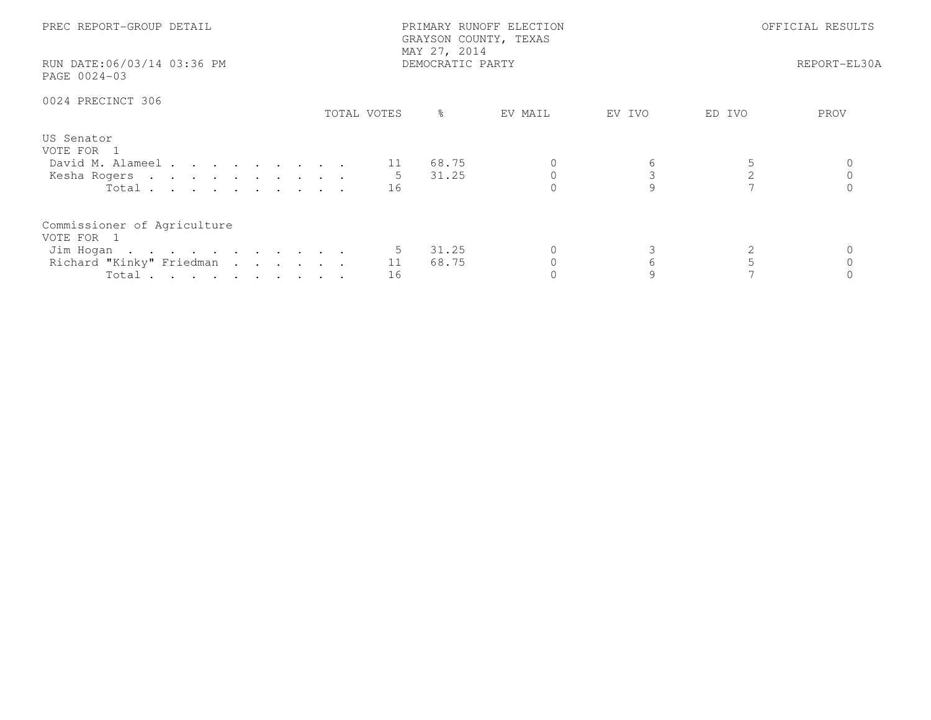| PREC REPORT-GROUP DETAIL<br>RUN DATE:06/03/14 03:36 PM<br>PAGE 0024-03                      |               | PRIMARY RUNOFF ELECTION<br>GRAYSON COUNTY, TEXAS<br>MAY 27, 2014<br>DEMOCRATIC PARTY | OFFICIAL RESULTS<br>REPORT-EL30A |        |        |      |
|---------------------------------------------------------------------------------------------|---------------|--------------------------------------------------------------------------------------|----------------------------------|--------|--------|------|
| 0024 PRECINCT 306                                                                           | TOTAL VOTES   | ႜၟ                                                                                   | EV MAIL                          | EV IVO | ED IVO | PROV |
| US Senator<br>VOTE FOR 1<br>David M. Alameel<br>Kesha Rogers<br>Total $\cdots$              | -5<br>16      | 68.75<br>31.25                                                                       |                                  | 6      | 2      |      |
| Commissioner of Agriculture<br>VOTE FOR 1<br>Jim Hogan<br>Richard "Kinky" Friedman<br>Total | 5<br>11<br>16 | 31.25<br>68.75                                                                       |                                  | 6      |        |      |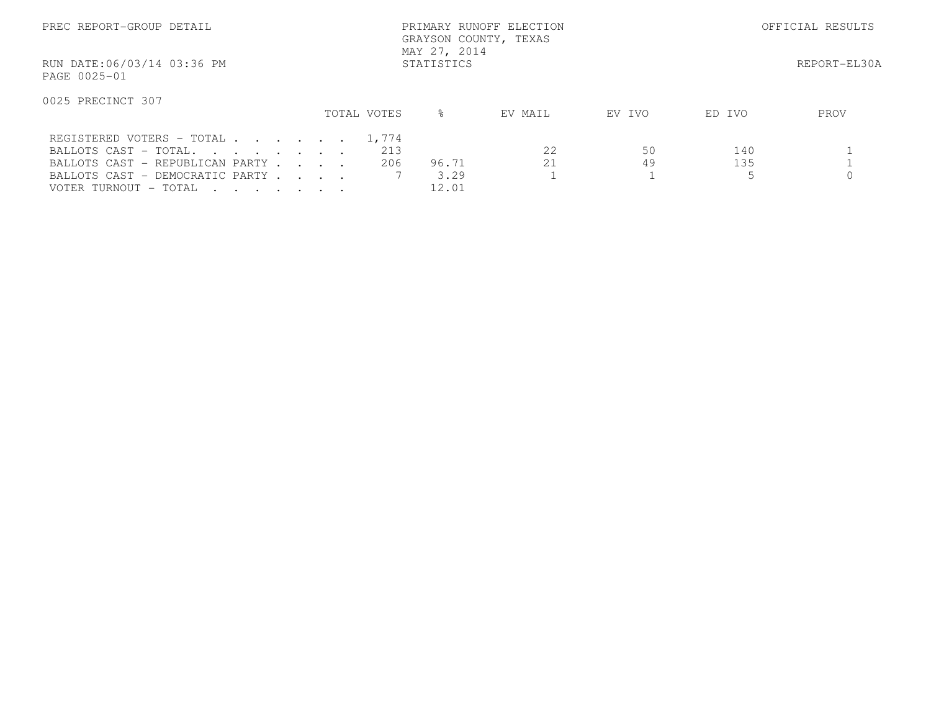| PREC REPORT-GROUP DETAIL                                                                                                                                |             | PRIMARY RUNOFF ELECTION<br>GRAYSON COUNTY, TEXAS<br>MAY 27, 2014 |              | OFFICIAL RESULTS |                  |      |
|---------------------------------------------------------------------------------------------------------------------------------------------------------|-------------|------------------------------------------------------------------|--------------|------------------|------------------|------|
| RUN DATE:06/03/14 03:36 PM<br>PAGE 0025-01                                                                                                              |             |                                                                  | REPORT-EL30A |                  |                  |      |
| 0025 PRECINCT 307                                                                                                                                       | TOTAL VOTES | $\approx$                                                        | EV MAIL      | EV IVO           | ED IVO           | PROV |
| REGISTERED VOTERS - TOTAL 1,774<br>BALLOTS CAST - TOTAL.<br>BALLOTS CAST - REPUBLICAN PARTY<br>BALLOTS CAST - DEMOCRATIC PARTY<br>VOTER TURNOUT - TOTAL |             | 213<br>206<br>96.71<br>3.29<br>12.01                             | 2.2<br>21    | 50<br>49         | 140<br>135<br>.5 |      |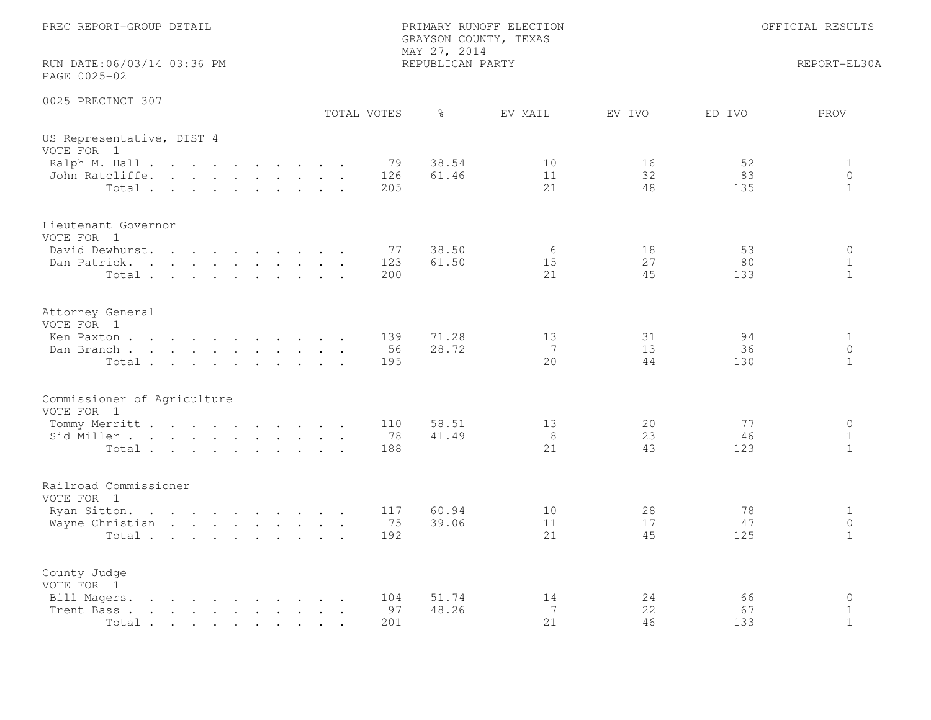| PREC REPORT-GROUP DETAIL                                                                                                                                                                                                                            | OFFICIAL RESULTS                                     |                                                                              |
|-----------------------------------------------------------------------------------------------------------------------------------------------------------------------------------------------------------------------------------------------------|------------------------------------------------------|------------------------------------------------------------------------------|
| RUN DATE:06/03/14 03:36 PM<br>PAGE 0025-02                                                                                                                                                                                                          | MAY 27, 2014<br>REPUBLICAN PARTY                     | REPORT-EL30A                                                                 |
| 0025 PRECINCT 307                                                                                                                                                                                                                                   | TOTAL VOTES<br>$\frac{6}{6}$<br>EV MAIL              | EV IVO<br>ED IVO<br>PROV                                                     |
| US Representative, DIST 4<br>VOTE FOR 1                                                                                                                                                                                                             |                                                      |                                                                              |
| Ralph M. Hall<br>John Ratcliffe.<br>Total                                                                                                                                                                                                           | 38.54<br>10<br>79<br>61.46<br>126<br>11<br>21<br>205 | 16<br>52<br>$\mathbf{1}$<br>32<br>$\circ$<br>83<br>48<br>135<br>$\mathbf{1}$ |
| Lieutenant Governor<br>VOTE FOR 1                                                                                                                                                                                                                   |                                                      |                                                                              |
| David Dewhurst.<br>Dan Patrick.<br>Total                                                                                                                                                                                                            | 38.50<br>77<br>6<br>123<br>61.50<br>15<br>200<br>21  | 18<br>53<br>$\circ$<br>27<br>80<br>$\mathbf{1}$<br>45<br>133<br>$\mathbf{1}$ |
| Attorney General<br>VOTE FOR 1                                                                                                                                                                                                                      |                                                      |                                                                              |
| Ken Paxton<br>Dan Branch<br>Total                                                                                                                                                                                                                   | 71.28<br>139<br>13<br>28.72<br>7<br>56<br>20<br>195  | 31<br>94<br>$\mathbf{1}$<br>13<br>$\circ$<br>36<br>44<br>$\mathbf{1}$<br>130 |
| Commissioner of Agriculture<br>VOTE FOR 1                                                                                                                                                                                                           |                                                      |                                                                              |
| Tommy Merritt<br>Sid Miller<br>Total                                                                                                                                                                                                                | 58.51<br>110<br>13<br>78<br>41.49<br>8<br>21<br>188  | 20<br>$\circ$<br>77<br>23<br>$\mathbf{1}$<br>46<br>43<br>$\mathbf{1}$<br>123 |
| Railroad Commissioner<br>VOTE FOR 1                                                                                                                                                                                                                 |                                                      |                                                                              |
| Ryan Sitton.<br>Wayne Christian<br>Total                                                                                                                                                                                                            | 60.94<br>117<br>10<br>75<br>39.06<br>11<br>21<br>192 | 28<br>78<br>$\mathbf{1}$<br>17<br>47<br>$\circ$<br>45<br>125<br>$\mathbf{1}$ |
| County Judge<br>VOTE FOR 1                                                                                                                                                                                                                          |                                                      |                                                                              |
| Bill Magers.<br>$\mathbf{r}$ , and $\mathbf{r}$ , and $\mathbf{r}$ , and $\mathbf{r}$ , and $\mathbf{r}$<br>Trent Bass.<br>the contract of the contract of the contract of the contract of the contract of the contract of the contract of<br>Total | 51.74<br>14<br>104<br>97<br>48.26<br>7<br>21<br>201  | 24<br>$\circ$<br>66<br>22<br>67<br>$\mathbf 1$<br>$\mathbf{1}$<br>46<br>133  |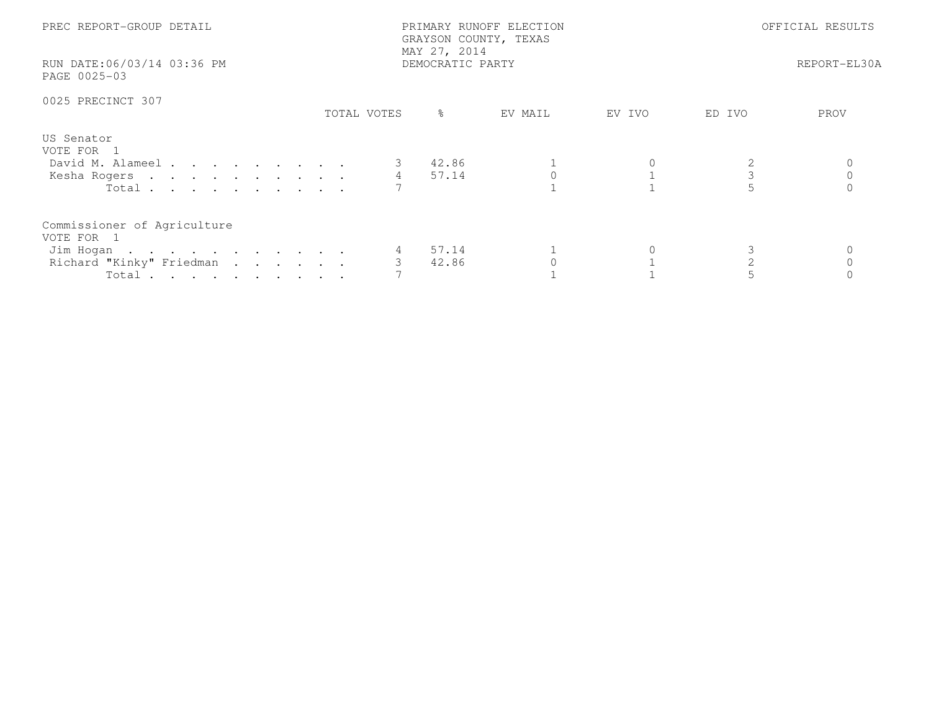| PREC REPORT-GROUP DETAIL<br>RUN DATE:06/03/14 03:36 PM<br>PAGE 0025-03                       |             | PRIMARY RUNOFF ELECTION<br>GRAYSON COUNTY, TEXAS<br>MAY 27, 2014<br>DEMOCRATIC PARTY | OFFICIAL RESULTS<br>REPORT-EL30A |        |                |      |
|----------------------------------------------------------------------------------------------|-------------|--------------------------------------------------------------------------------------|----------------------------------|--------|----------------|------|
| 0025 PRECINCT 307                                                                            | TOTAL VOTES | $\frac{6}{6}$                                                                        | EV MAIL                          | EV IVO | ED IVO         | PROV |
| US Senator<br>VOTE FOR 1<br>David M. Alameel<br>Kesha Rogers 4 57.14<br>Total                |             | 42.86                                                                                |                                  |        | $\mathfrak{Z}$ |      |
| Commissioner of Agriculture<br>VOTE FOR 1<br>Jim Hogan<br>Richard "Kinky" Friedman<br>Total. |             | 57.14<br>42.86                                                                       |                                  |        |                |      |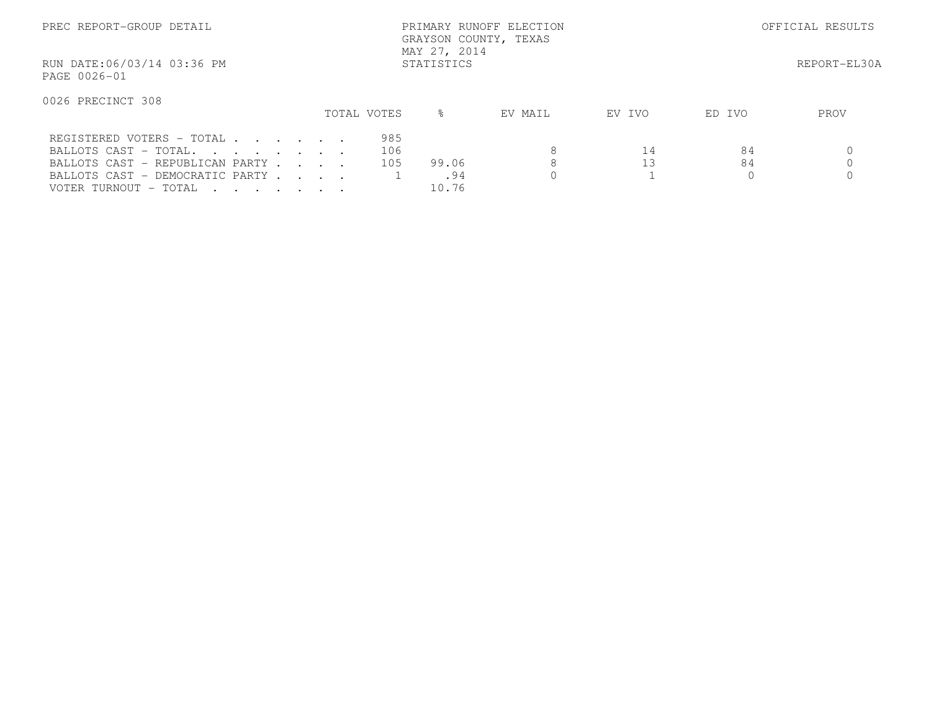| PREC REPORT-GROUP DETAIL                                                                                                                          | PRIMARY RUNOFF ELECTION<br>GRAYSON COUNTY, TEXAS<br>MAY 27, 2014 |             |                   |                       |         |          | OFFICIAL RESULTS |              |  |  |
|---------------------------------------------------------------------------------------------------------------------------------------------------|------------------------------------------------------------------|-------------|-------------------|-----------------------|---------|----------|------------------|--------------|--|--|
| RUN DATE:06/03/14 03:36 PM<br>PAGE 0026-01                                                                                                        | STATISTICS                                                       |             |                   |                       |         |          |                  | REPORT-EL30A |  |  |
| 0026 PRECINCT 308                                                                                                                                 |                                                                  | TOTAL VOTES |                   | $\approx$             | EV MAIL | EV IVO   | ED IVO           | PROV         |  |  |
| REGISTERED VOTERS - TOTAL<br>BALLOTS CAST - TOTAL.<br>BALLOTS CAST - REPUBLICAN PARTY<br>BALLOTS CAST - DEMOCRATIC PARTY<br>VOTER TURNOUT - TOTAL |                                                                  |             | 985<br>106<br>105 | 99.06<br>.94<br>10.76 | 8<br>8  | 14<br>13 | 84<br>84         |              |  |  |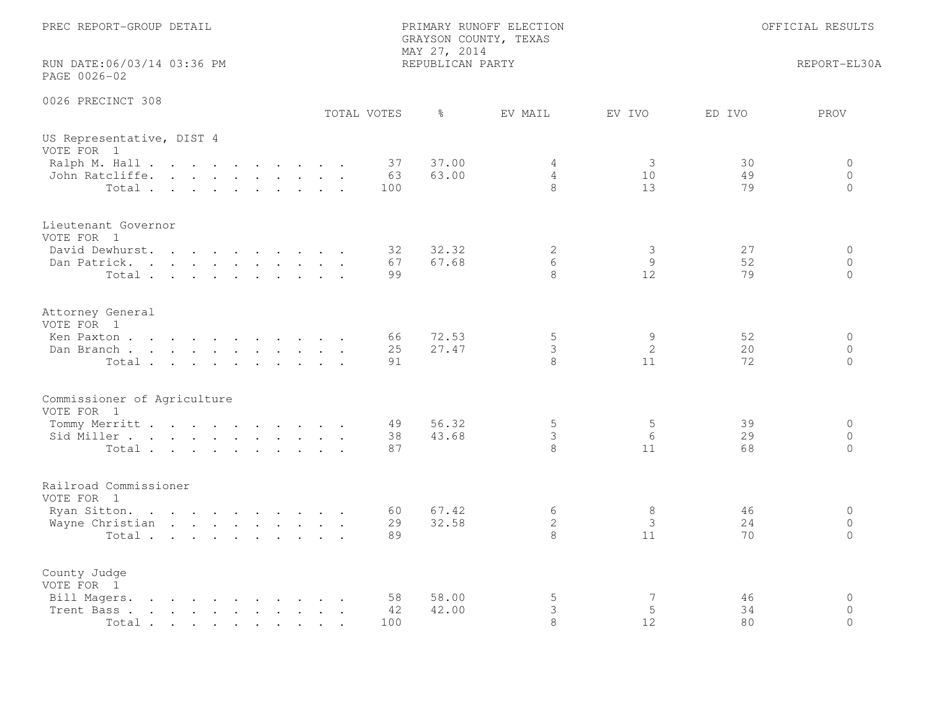| PREC REPORT-GROUP DETAIL<br>PRIMARY RUNOFF ELECTION<br>GRAYSON COUNTY, TEXAS<br>MAY 27, 2014                                                                                                               |                 |                  |                          | OFFICIAL RESULTS           |                |                                     |  |
|------------------------------------------------------------------------------------------------------------------------------------------------------------------------------------------------------------|-----------------|------------------|--------------------------|----------------------------|----------------|-------------------------------------|--|
| RUN DATE:06/03/14 03:36 PM<br>PAGE 0026-02                                                                                                                                                                 |                 | REPUBLICAN PARTY |                          | REPORT-EL30A               |                |                                     |  |
| 0026 PRECINCT 308                                                                                                                                                                                          | TOTAL VOTES     | $\frac{6}{6}$    | EV MAIL                  | EV IVO                     | ED IVO         | PROV                                |  |
| US Representative, DIST 4<br>VOTE FOR 1                                                                                                                                                                    |                 |                  |                          |                            |                |                                     |  |
| Ralph M. Hall<br>John Ratcliffe.<br>Total                                                                                                                                                                  | 37<br>63<br>100 | 37.00<br>63.00   | 4<br>$\overline{4}$<br>8 | 3<br>10 <sup>°</sup><br>13 | 30<br>49<br>79 | 0<br>$\circ$<br>$\circ$             |  |
| Lieutenant Governor<br>VOTE FOR 1<br>David Dewhurst.                                                                                                                                                       | 32              | 32.32            | 2                        | 3                          | 27             | $\circ$                             |  |
| Dan Patrick.<br>Total                                                                                                                                                                                      | 67<br>99        | 67.68            | 6<br>8                   | 9<br>12                    | 52<br>79       | $\circ$<br>$\Omega$                 |  |
| Attorney General<br>VOTE FOR 1<br>Ken Paxton                                                                                                                                                               | 66              | 72.53            | $\mathsf S$              | 9                          | 52             | $\circ$                             |  |
| Dan Branch<br>Total                                                                                                                                                                                        | 25<br>91        | 27.47            | 3<br>8                   | $\mathbf{2}$<br>11         | 20<br>72       | $\Omega$<br>$\Omega$                |  |
| Commissioner of Agriculture<br>VOTE FOR 1                                                                                                                                                                  |                 |                  |                          |                            |                |                                     |  |
| Tommy Merritt<br>Sid Miller<br>Total                                                                                                                                                                       | 49<br>38<br>87  | 56.32<br>43.68   | 5<br>3<br>8              | 5<br>6<br>11               | 39<br>29<br>68 | $\circ$<br>$\circ$<br>$\circ$       |  |
| Railroad Commissioner<br>VOTE FOR 1                                                                                                                                                                        |                 |                  |                          |                            |                |                                     |  |
| Ryan Sitton.<br>Wayne Christian<br>Total                                                                                                                                                                   | 60<br>29<br>89  | 67.42<br>32.58   | 6<br>$\mathbf{2}$<br>8   | 8<br>3<br>11               | 46<br>24<br>70 | $\circ$<br>$\circ$<br>$\Omega$      |  |
| County Judge<br>VOTE FOR 1                                                                                                                                                                                 |                 |                  |                          |                            |                |                                     |  |
| Bill Magers.<br>the contract of the contract of the contract of the contract of the contract of the contract of the contract of<br>the contract of the contract of the contract of<br>Trent Bass.<br>Total | 58<br>42<br>100 | 58.00<br>42.00   | $\mathsf S$<br>3<br>8    | 7<br>5<br>12               | 46<br>34<br>80 | $\mathbf 0$<br>$\Omega$<br>$\Omega$ |  |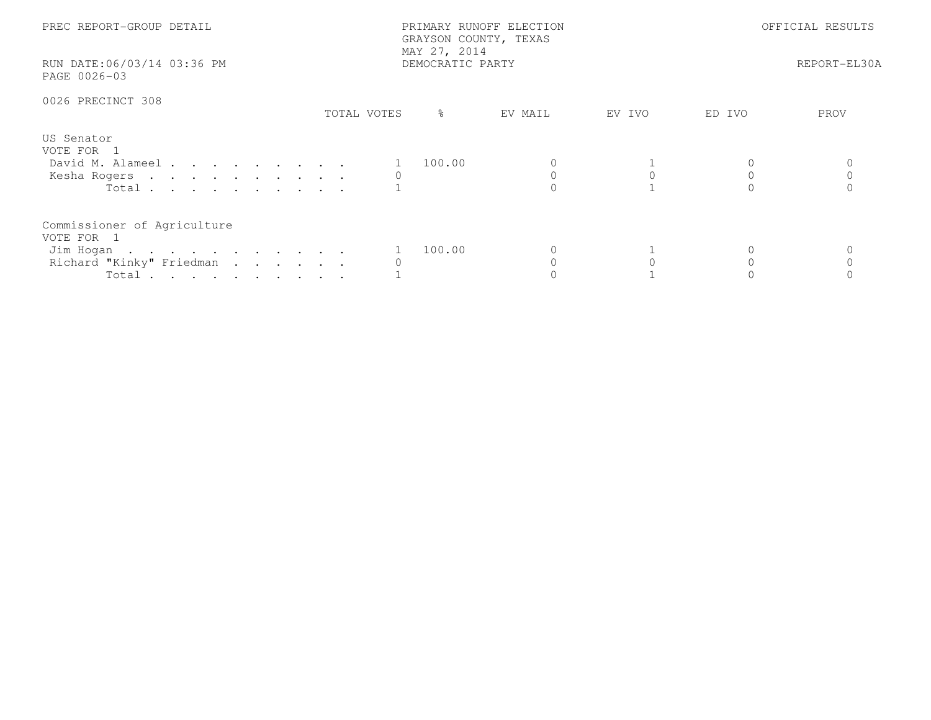| PREC REPORT-GROUP DETAIL<br>RUN DATE:06/03/14 03:36 PM<br>PAGE 0026-03                      |             | PRIMARY RUNOFF ELECTION<br>GRAYSON COUNTY, TEXAS<br>MAY 27, 2014<br>DEMOCRATIC PARTY | OFFICIAL RESULTS<br>REPORT-EL30A |        |        |      |
|---------------------------------------------------------------------------------------------|-------------|--------------------------------------------------------------------------------------|----------------------------------|--------|--------|------|
| 0026 PRECINCT 308                                                                           | TOTAL VOTES | ႜ                                                                                    | EV MAIL                          | EV IVO | ED IVO | PROV |
| US Senator<br>VOTE FOR 1<br>David M. Alameel<br>Kesha Rogers<br>Total $\cdots$              |             | 100.00                                                                               |                                  |        |        |      |
| Commissioner of Agriculture<br>VOTE FOR 1<br>Jim Hogan<br>Richard "Kinky" Friedman<br>Total |             | 100.00                                                                               |                                  |        |        |      |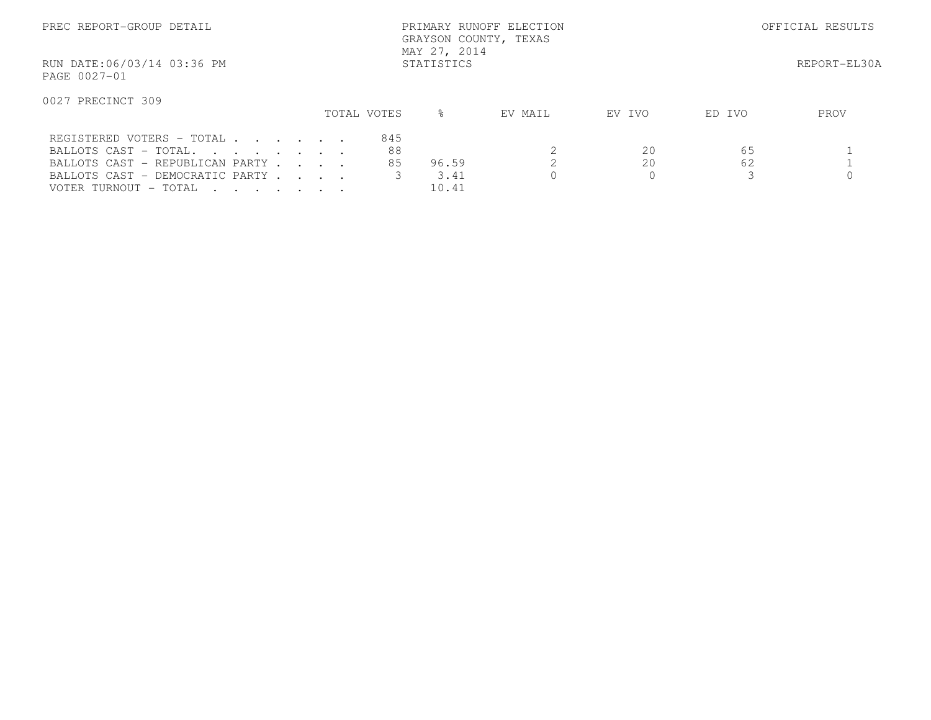| PREC REPORT-GROUP DETAIL                                                                                                                          | PRIMARY RUNOFF ELECTION<br>GRAYSON COUNTY, TEXAS<br>MAY 27, 2014 |  |                 |                        |         |               | OFFICIAL RESULTS |              |  |
|---------------------------------------------------------------------------------------------------------------------------------------------------|------------------------------------------------------------------|--|-----------------|------------------------|---------|---------------|------------------|--------------|--|
| RUN DATE:06/03/14 03:36 PM<br>PAGE 0027-01                                                                                                        | STATISTICS                                                       |  |                 |                        |         |               |                  | REPORT-EL30A |  |
| 0027 PRECINCT 309                                                                                                                                 |                                                                  |  | TOTAL VOTES     | $\approx$              | EV MAIL | EV IVO        | ED IVO           | PROV         |  |
| REGISTERED VOTERS - TOTAL<br>BALLOTS CAST - TOTAL.<br>BALLOTS CAST - REPUBLICAN PARTY<br>BALLOTS CAST - DEMOCRATIC PARTY<br>VOTER TURNOUT - TOTAL |                                                                  |  | 845<br>88<br>85 | 96.59<br>3.41<br>10.41 |         | 20<br>20<br>0 | 65<br>62         |              |  |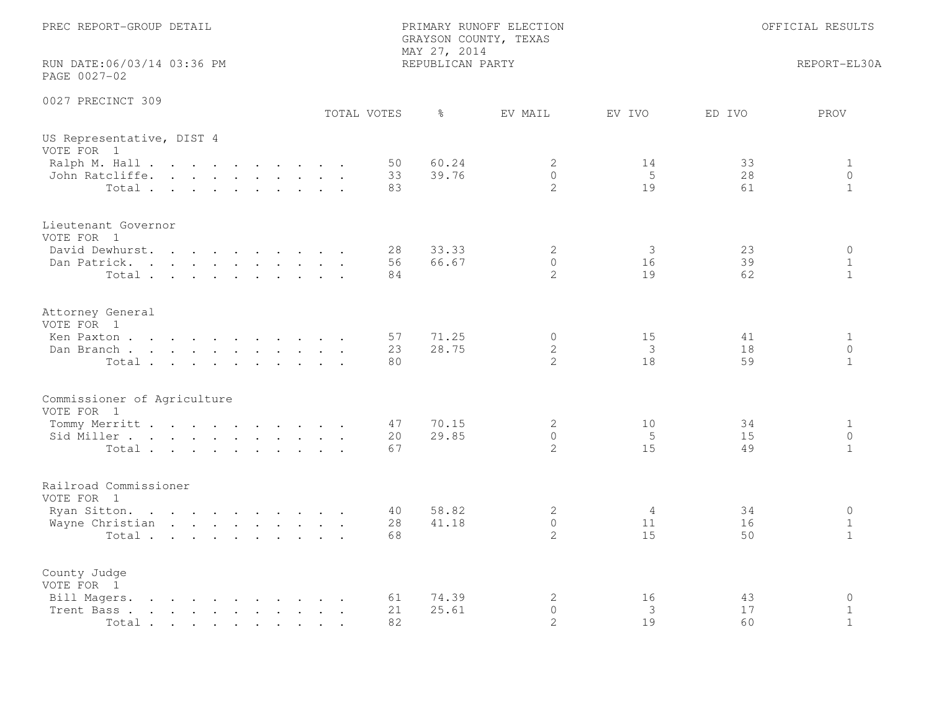| PREC REPORT-GROUP DETAIL                                                                                                                                                                                                                                                                                                                                                                     |                              | PRIMARY RUNOFF ELECTION<br>GRAYSON COUNTY, TEXAS<br>MAY 27, 2014 | OFFICIAL RESULTS |                |                                            |
|----------------------------------------------------------------------------------------------------------------------------------------------------------------------------------------------------------------------------------------------------------------------------------------------------------------------------------------------------------------------------------------------|------------------------------|------------------------------------------------------------------|------------------|----------------|--------------------------------------------|
| RUN DATE:06/03/14 03:36 PM<br>PAGE 0027-02                                                                                                                                                                                                                                                                                                                                                   |                              | REPUBLICAN PARTY                                                 |                  |                | REPORT-EL30A                               |
| 0027 PRECINCT 309                                                                                                                                                                                                                                                                                                                                                                            | TOTAL VOTES<br>$\frac{6}{6}$ | EV MAIL                                                          | EV IVO           | ED IVO         | PROV                                       |
| US Representative, DIST 4<br>VOTE FOR 1                                                                                                                                                                                                                                                                                                                                                      |                              |                                                                  |                  |                |                                            |
| Ralph M. Hall<br>John Ratcliffe.<br>Total                                                                                                                                                                                                                                                                                                                                                    | 50<br>33<br>83               | 60.24<br>2<br>39.76<br>$\overline{0}$<br>$\overline{2}$          | 14<br>5<br>19    | 33<br>28<br>61 | $\mathbf{1}$<br>$\circ$<br>$\mathbf{1}$    |
| Lieutenant Governor<br>VOTE FOR 1<br>David Dewhurst.                                                                                                                                                                                                                                                                                                                                         | 28                           | 2<br>33.33                                                       | 3                | 23             | $\circ$                                    |
| Dan Patrick.<br>Total                                                                                                                                                                                                                                                                                                                                                                        | 56<br>84                     | $\overline{0}$<br>66.67<br>$\overline{2}$                        | 16<br>19         | 39<br>62       | $\mathbf{1}$<br>$\mathbf{1}$               |
| Attorney General<br>VOTE FOR 1                                                                                                                                                                                                                                                                                                                                                               |                              |                                                                  |                  |                |                                            |
| Ken Paxton<br>Dan Branch<br>Total                                                                                                                                                                                                                                                                                                                                                            | 57<br>23<br>80               | 71.25<br>$\circ$<br>28.75<br>$\mathbf{2}$<br>$\overline{2}$      | 15<br>3<br>18    | 41<br>18<br>59 | $\mathbf{1}$<br>$\Omega$<br>$\mathbf{1}$   |
| Commissioner of Agriculture<br>VOTE FOR 1                                                                                                                                                                                                                                                                                                                                                    |                              |                                                                  |                  |                |                                            |
| Tommy Merritt<br>Sid Miller<br>Total                                                                                                                                                                                                                                                                                                                                                         | 47<br>20<br>67               | 70.15<br>2<br>29.85<br>$\circ$<br>$\overline{2}$                 | 10<br>5<br>15    | 34<br>15<br>49 | $\mathbf{1}$<br>$\circ$<br>$\mathbf{1}$    |
| Railroad Commissioner<br>VOTE FOR 1                                                                                                                                                                                                                                                                                                                                                          |                              |                                                                  |                  |                |                                            |
| Ryan Sitton.<br>Wayne Christian<br>Total                                                                                                                                                                                                                                                                                                                                                     | 40<br>28<br>68               | 58.82<br>2<br>$\overline{0}$<br>41.18<br>$\mathbf{2}^{\prime}$   | 4<br>11<br>15    | 34<br>16<br>50 | $\circ$<br>$\mathbf{1}$<br>$\mathbf{1}$    |
| County Judge<br>VOTE FOR 1                                                                                                                                                                                                                                                                                                                                                                   |                              |                                                                  |                  |                |                                            |
| Bill Magers.<br>$\mathbf{r}$ . The contract of the contract of the contract of the contract of the contract of the contract of the contract of the contract of the contract of the contract of the contract of the contract of the contract of th<br>Trent Bass.<br>the contract of the contract of the contract of the contract of the contract of the contract of the contract of<br>Total | 61<br>21<br>82               | 74.39<br>2<br>25.61<br>$\Omega$<br>2                             | 16<br>3<br>19    | 43<br>17<br>60 | $\mathbf 0$<br>$\mathbf 1$<br>$\mathbf{1}$ |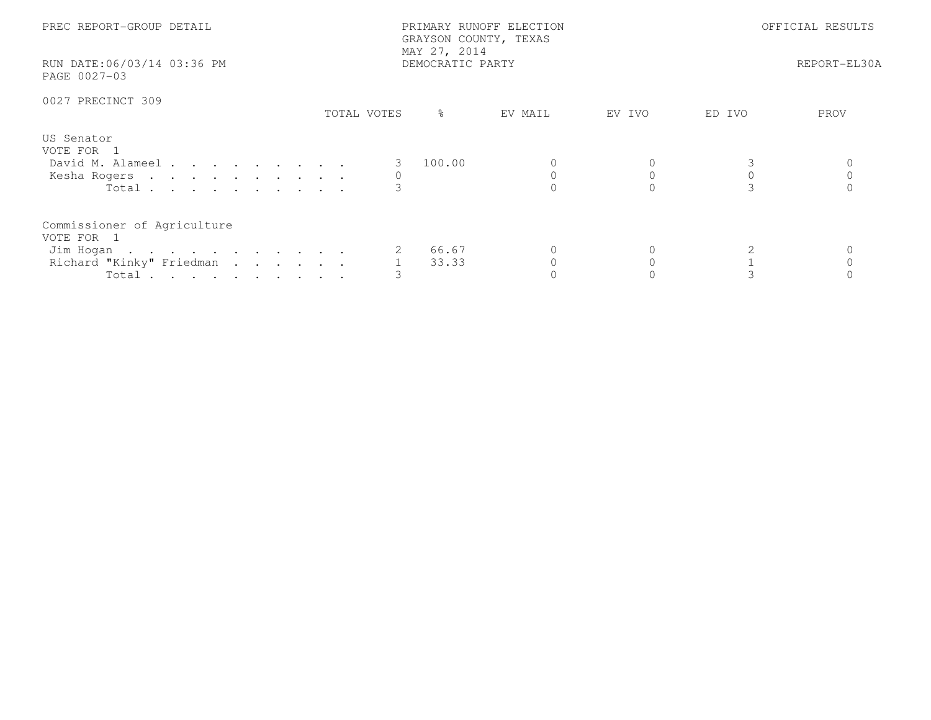| PREC REPORT-GROUP DETAIL<br>RUN DATE:06/03/14 03:36 PM<br>PAGE 0027-03                      |             | PRIMARY RUNOFF ELECTION<br>GRAYSON COUNTY, TEXAS<br>MAY 27, 2014<br>DEMOCRATIC PARTY |         | OFFICIAL RESULTS<br>REPORT-EL30A |        |      |
|---------------------------------------------------------------------------------------------|-------------|--------------------------------------------------------------------------------------|---------|----------------------------------|--------|------|
| 0027 PRECINCT 309                                                                           | TOTAL VOTES | ိ                                                                                    | EV MAIL | EV IVO                           | ED IVO | PROV |
| US Senator<br>VOTE FOR 1<br>David M. Alameel<br>Kesha Rogers<br>Total $\cdots$              |             | 100.00                                                                               |         |                                  |        |      |
| Commissioner of Agriculture<br>VOTE FOR 1<br>Jim Hogan<br>Richard "Kinky" Friedman<br>Total |             | 66.67<br>33.33                                                                       |         |                                  |        |      |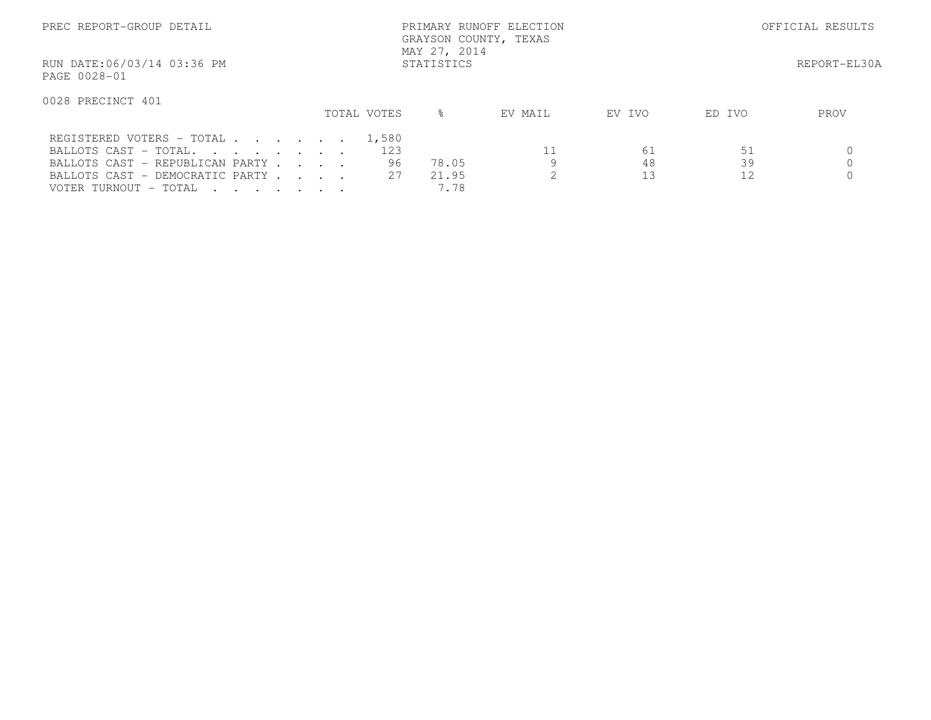| PREC REPORT-GROUP DETAIL                   |             | PRIMARY RUNOFF ELECTION<br>GRAYSON COUNTY, TEXAS<br>MAY 27, 2014 |         |        |        | OFFICIAL RESULTS |
|--------------------------------------------|-------------|------------------------------------------------------------------|---------|--------|--------|------------------|
| RUN DATE:06/03/14 03:36 PM<br>PAGE 0028-01 |             | STATISTICS                                                       |         |        |        | REPORT-EL30A     |
| 0028 PRECINCT 401                          | TOTAL VOTES | ⊱                                                                | EV MAIL | EV IVO | ED IVO | PROV             |
|                                            |             |                                                                  |         |        |        |                  |
| REGISTERED VOTERS - TOTAL 1,580            |             |                                                                  |         |        |        |                  |
| BALLOTS CAST - TOTAL.                      |             | 123                                                              |         | 61     | 51     |                  |
| BALLOTS CAST - REPUBLICAN PARTY            |             | 96<br>78.05                                                      |         | 48     | 39     |                  |
| BALLOTS CAST - DEMOCRATIC PARTY            |             | 2.7<br>21.95                                                     |         | 13     | 12     |                  |
| VOTER TURNOUT - TOTAL                      |             | 7.78                                                             |         |        |        |                  |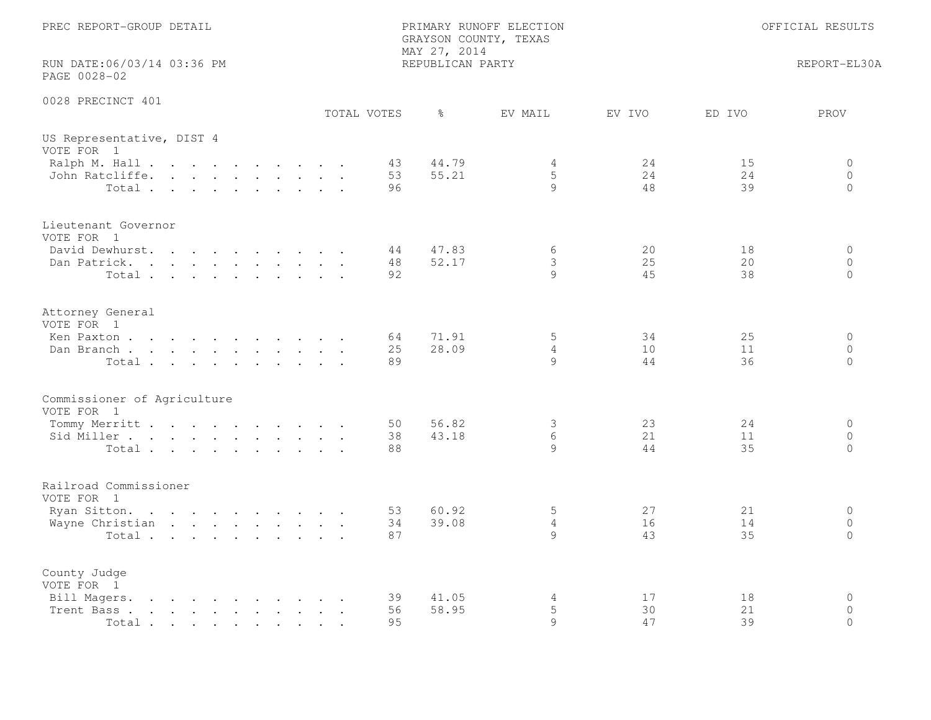| PREC REPORT-GROUP DETAIL                                                                                                                                                                                                                            |             | PRIMARY RUNOFF ELECTION<br>GRAYSON COUNTY, TEXAS<br>MAY 27, 2014 |                   | OFFICIAL RESULTS                 |                                     |  |
|-----------------------------------------------------------------------------------------------------------------------------------------------------------------------------------------------------------------------------------------------------|-------------|------------------------------------------------------------------|-------------------|----------------------------------|-------------------------------------|--|
| RUN DATE:06/03/14 03:36 PM<br>PAGE 0028-02                                                                                                                                                                                                          |             | REPUBLICAN PARTY                                                 |                   |                                  | REPORT-EL30A                        |  |
| 0028 PRECINCT 401                                                                                                                                                                                                                                   | TOTAL VOTES | $\frac{6}{6}$                                                    | EV MAIL<br>EV IVO | ED IVO                           | PROV                                |  |
| US Representative, DIST 4<br>VOTE FOR 1                                                                                                                                                                                                             |             |                                                                  |                   |                                  |                                     |  |
| Ralph M. Hall<br>John Ratcliffe.<br>Total                                                                                                                                                                                                           |             | 44.79<br>43<br>55.21<br>53<br>96                                 | 4<br>5<br>9       | 24<br>15<br>24<br>24<br>48<br>39 | 0<br>$\circ$<br>$\circ$             |  |
| Lieutenant Governor<br>VOTE FOR 1<br>David Dewhurst.                                                                                                                                                                                                |             | 47.83<br>44                                                      | 6                 | 20<br>18                         | $\circ$                             |  |
| Dan Patrick.<br>Total                                                                                                                                                                                                                               |             | 48<br>52.17<br>92                                                | 3<br>$\circ$      | 25<br>20<br>45<br>38             | $\circ$<br>$\Omega$                 |  |
| Attorney General<br>VOTE FOR 1                                                                                                                                                                                                                      |             |                                                                  |                   |                                  |                                     |  |
| Ken Paxton<br>Dan Branch<br>Total                                                                                                                                                                                                                   | 64          | 71.91<br>25<br>28.09<br>89                                       | 5<br>4<br>9       | 25<br>34<br>10<br>11<br>44<br>36 | $\circ$<br>$\Omega$<br>$\Omega$     |  |
| Commissioner of Agriculture<br>VOTE FOR 1                                                                                                                                                                                                           |             |                                                                  |                   |                                  |                                     |  |
| Tommy Merritt<br>Sid Miller<br>Total                                                                                                                                                                                                                |             | 56.82<br>50<br>43.18<br>38<br>88                                 | 3<br>6<br>9       | 23<br>24<br>21<br>11<br>35<br>44 | $\circ$<br>$\circ$<br>$\circ$       |  |
| Railroad Commissioner<br>VOTE FOR 1                                                                                                                                                                                                                 |             |                                                                  |                   |                                  |                                     |  |
| Ryan Sitton.<br>Wayne Christian<br>Total                                                                                                                                                                                                            |             | 60.92<br>53<br>34<br>39.08<br>87                                 | 5<br>4<br>9       | 27<br>21<br>16<br>14<br>43<br>35 | $\circ$<br>$\circ$<br>$\Omega$      |  |
| County Judge<br>VOTE FOR 1                                                                                                                                                                                                                          |             |                                                                  |                   |                                  |                                     |  |
| Bill Magers.<br>$\mathbf{r}$ , and $\mathbf{r}$ , and $\mathbf{r}$ , and $\mathbf{r}$ , and $\mathbf{r}$<br>Trent Bass.<br>the contract of the contract of the contract of the contract of the contract of the contract of the contract of<br>Total | 95          | 41.05<br>39<br>56<br>58.95                                       | 4<br>5<br>9       | 17<br>18<br>30<br>21<br>47<br>39 | $\mathbf 0$<br>$\Omega$<br>$\Omega$ |  |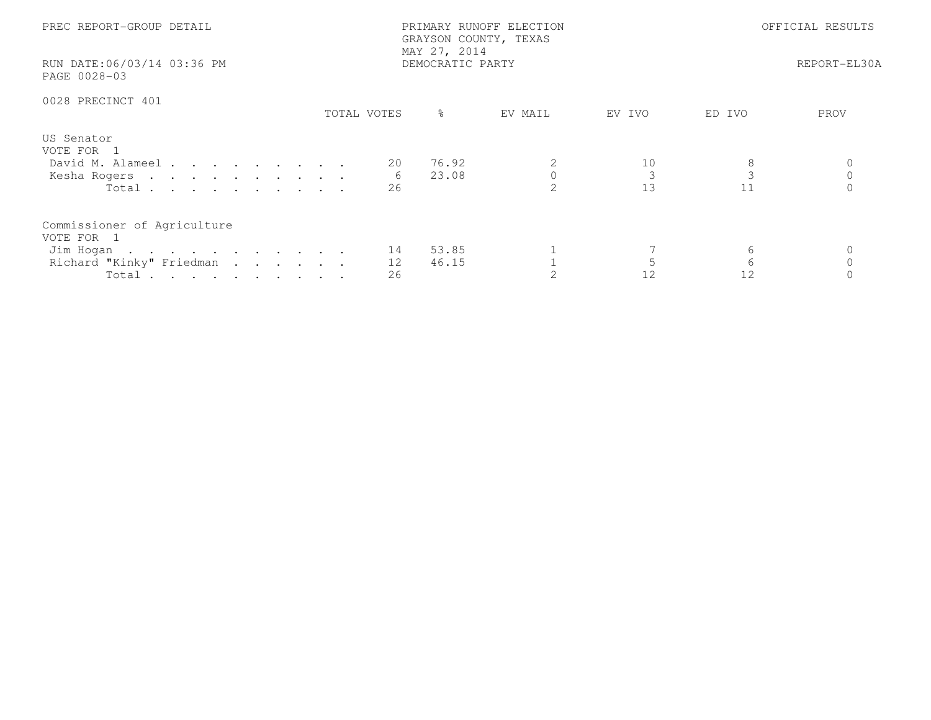| PREC REPORT-GROUP DETAIL<br>RUN DATE:06/03/14 03:36 PM<br>PAGE 0028-03         |               | PRIMARY RUNOFF ELECTION<br>GRAYSON COUNTY, TEXAS<br>MAY 27, 2014<br>DEMOCRATIC PARTY |         |          | OFFICIAL RESULTS<br>REPORT-EL30A |      |  |
|--------------------------------------------------------------------------------|---------------|--------------------------------------------------------------------------------------|---------|----------|----------------------------------|------|--|
|                                                                                |               |                                                                                      |         |          |                                  |      |  |
| 0028 PRECINCT 401                                                              |               |                                                                                      |         |          |                                  |      |  |
|                                                                                | TOTAL VOTES   | ႜၟ                                                                                   | EV MAIL | EV IVO   | ED IVO                           | PROV |  |
| US Senator<br>VOTE FOR 1<br>David M. Alameel<br>Kesha Rogers<br>Total $\cdots$ | 20<br>6<br>26 | 76.92<br>23.08                                                                       | 2       | 10<br>13 | $\mathcal{E}$<br>11              |      |  |
| Commissioner of Agriculture<br>VOTE FOR 1                                      |               |                                                                                      |         |          |                                  |      |  |
| Jim Hogan 14                                                                   |               | 53.85                                                                                |         |          | 6                                |      |  |
| Richard "Kinky" Friedman                                                       | 12            | 46.15                                                                                |         |          | 6                                |      |  |
| Total $\cdots$                                                                 | 26            |                                                                                      |         | 12       | 12                               |      |  |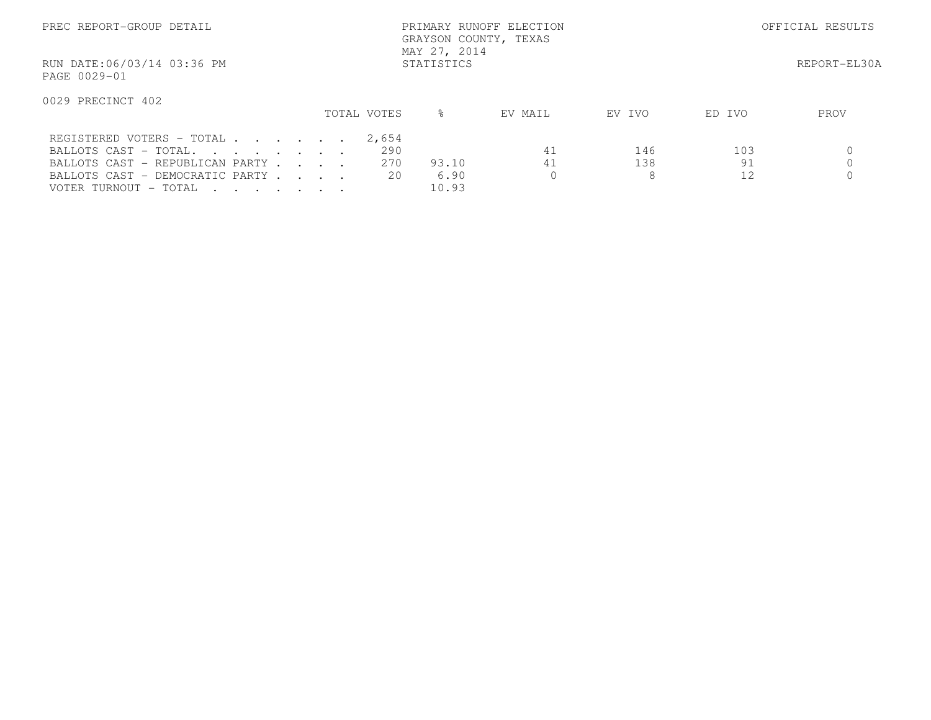| PREC REPORT-GROUP DETAIL                                                                                                                                                                                                      |  |             | MAY 27, 2014     | GRAYSON COUNTY, TEXAS  | PRIMARY RUNOFF ELECTION |                 |                 | OFFICIAL RESULTS |
|-------------------------------------------------------------------------------------------------------------------------------------------------------------------------------------------------------------------------------|--|-------------|------------------|------------------------|-------------------------|-----------------|-----------------|------------------|
| RUN DATE:06/03/14 03:36 PM<br>PAGE 0029-01                                                                                                                                                                                    |  |             | STATISTICS       |                        |                         |                 |                 | REPORT-EL30A     |
| 0029 PRECINCT 402                                                                                                                                                                                                             |  | TOTAL VOTES | ⊱                |                        | EV MAIL                 | EV IVO          | ED IVO          | PROV             |
| REGISTERED VOTERS - TOTAL<br>BALLOTS CAST - TOTAL.<br>BALLOTS CAST - REPUBLICAN PARTY<br>BALLOTS CAST - DEMOCRATIC PARTY<br>VOTER TURNOUT - TOTAL<br>$\mathbf{r}$ , $\mathbf{r}$ , $\mathbf{r}$ , $\mathbf{r}$ , $\mathbf{r}$ |  | 2,654       | 290<br>270<br>20 | 93.10<br>6.90<br>10.93 | 41<br>41                | 146<br>138<br>8 | 103<br>91<br>12 |                  |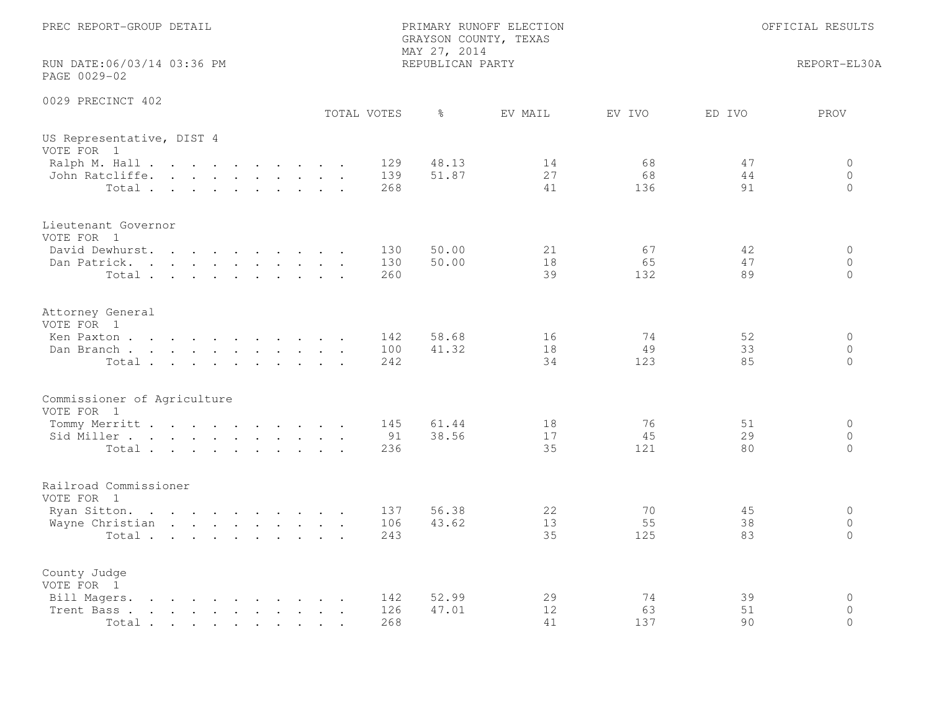| PREC REPORT-GROUP DETAIL                                                                                                                                                                                                                            |                   | PRIMARY RUNOFF ELECTION<br>GRAYSON COUNTY, TEXAS<br>MAY 27, 2014 | OFFICIAL RESULTS |                                                           |  |
|-----------------------------------------------------------------------------------------------------------------------------------------------------------------------------------------------------------------------------------------------------|-------------------|------------------------------------------------------------------|------------------|-----------------------------------------------------------|--|
| RUN DATE:06/03/14 03:36 PM<br>PAGE 0029-02                                                                                                                                                                                                          |                   | REPUBLICAN PARTY                                                 |                  | REPORT-EL30A                                              |  |
| 0029 PRECINCT 402                                                                                                                                                                                                                                   | TOTAL VOTES       | ႜ<br>EV MAIL                                                     | EV IVO           | ED IVO<br>PROV                                            |  |
| US Representative, DIST 4<br>VOTE FOR 1                                                                                                                                                                                                             |                   |                                                                  |                  |                                                           |  |
| Ralph M. Hall<br>John Ratcliffe.<br>$Total \cdot \cdot \cdot \cdot \cdot \cdot \cdot \cdot \cdot$                                                                                                                                                   | 129<br>139<br>268 | 48.13<br>14<br>51.87<br>27<br>41                                 | 68<br>68<br>136  | 47<br>0<br>44<br>$\circ$<br>91<br>$\Omega$                |  |
| Lieutenant Governor<br>VOTE FOR 1                                                                                                                                                                                                                   |                   |                                                                  |                  |                                                           |  |
| David Dewhurst.<br>Dan Patrick.<br>Total                                                                                                                                                                                                            | 130<br>130<br>260 | 50.00<br>21<br>50.00<br>18<br>39                                 | 67<br>65<br>132  | 42<br>$\circ$<br>47<br>$\circ$<br>89<br>$\Omega$          |  |
| Attorney General<br>VOTE FOR 1                                                                                                                                                                                                                      |                   |                                                                  |                  |                                                           |  |
| Ken Paxton<br>Dan Branch<br>Total                                                                                                                                                                                                                   | 142<br>100<br>242 | 58.68<br>16<br>41.32<br>18<br>34                                 | 74<br>49<br>123  | 52<br>$\circ$<br>33<br>$\Omega$<br>85<br>$\circ$          |  |
| Commissioner of Agriculture<br>VOTE FOR 1                                                                                                                                                                                                           |                   |                                                                  |                  |                                                           |  |
| Tommy Merritt<br>Sid Miller<br>Total                                                                                                                                                                                                                | 145<br>91<br>236  | 61.44<br>18<br>38.56<br>17<br>35                                 | 76<br>45<br>121  | 51<br>$\Omega$<br>29<br>$\overline{0}$<br>$\Omega$<br>80  |  |
| Railroad Commissioner<br>VOTE FOR 1                                                                                                                                                                                                                 |                   |                                                                  |                  |                                                           |  |
| Ryan Sitton.<br>Wayne Christian<br>Total                                                                                                                                                                                                            | 137<br>106<br>243 | 56.38<br>22<br>43.62<br>13<br>35                                 | 70<br>55<br>125  | 45<br>$\circ$<br>38<br>$\circ$<br>83<br>$\Omega$          |  |
| County Judge<br>VOTE FOR 1                                                                                                                                                                                                                          |                   |                                                                  |                  |                                                           |  |
| Bill Magers.<br>$\mathbf{r}$ , and $\mathbf{r}$ , and $\mathbf{r}$ , and $\mathbf{r}$ , and $\mathbf{r}$<br>Trent Bass.<br>the contract of the contract of the contract of the contract of the contract of the contract of the contract of<br>Total | 142<br>126<br>268 | 52.99<br>29<br>47.01<br>12<br>41                                 | 74<br>63<br>137  | 39<br>$\mathbf 0$<br>$\mathbf{0}$<br>51<br>$\Omega$<br>90 |  |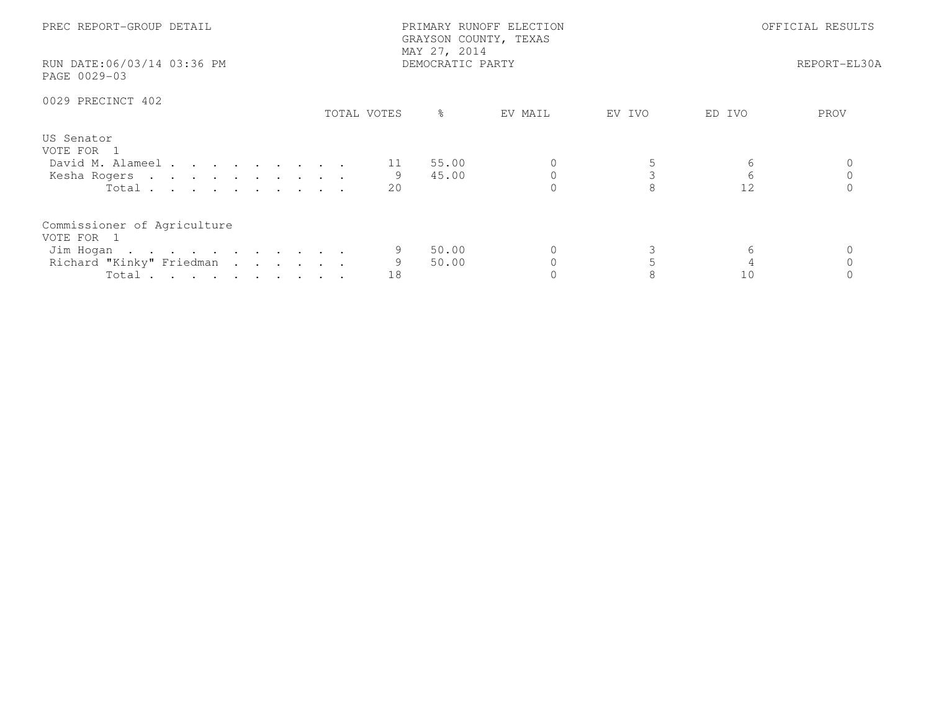| PREC REPORT-GROUP DETAIL<br>RUN DATE:06/03/14 03:36 PM<br>PAGE 0029-03                      |             | PRIMARY RUNOFF ELECTION<br>GRAYSON COUNTY, TEXAS<br>MAY 27, 2014<br>DEMOCRATIC PARTY |         |        | OFFICIAL RESULTS<br>REPORT-EL30A |      |  |
|---------------------------------------------------------------------------------------------|-------------|--------------------------------------------------------------------------------------|---------|--------|----------------------------------|------|--|
| 0029 PRECINCT 402                                                                           | TOTAL VOTES | ႜၟ                                                                                   | EV MAIL | EV IVO | ED IVO                           | PROV |  |
| US Senator<br>VOTE FOR 1<br>David M. Alameel<br>Kesha Rogers<br>Total                       | 20          | 55.00<br>45.00                                                                       |         |        | 6<br>6<br>12                     |      |  |
| Commissioner of Agriculture<br>VOTE FOR 1<br>Jim Hogan<br>Richard "Kinky" Friedman<br>Total | 18          | 50.00<br>50.00                                                                       |         |        | 6<br>10                          |      |  |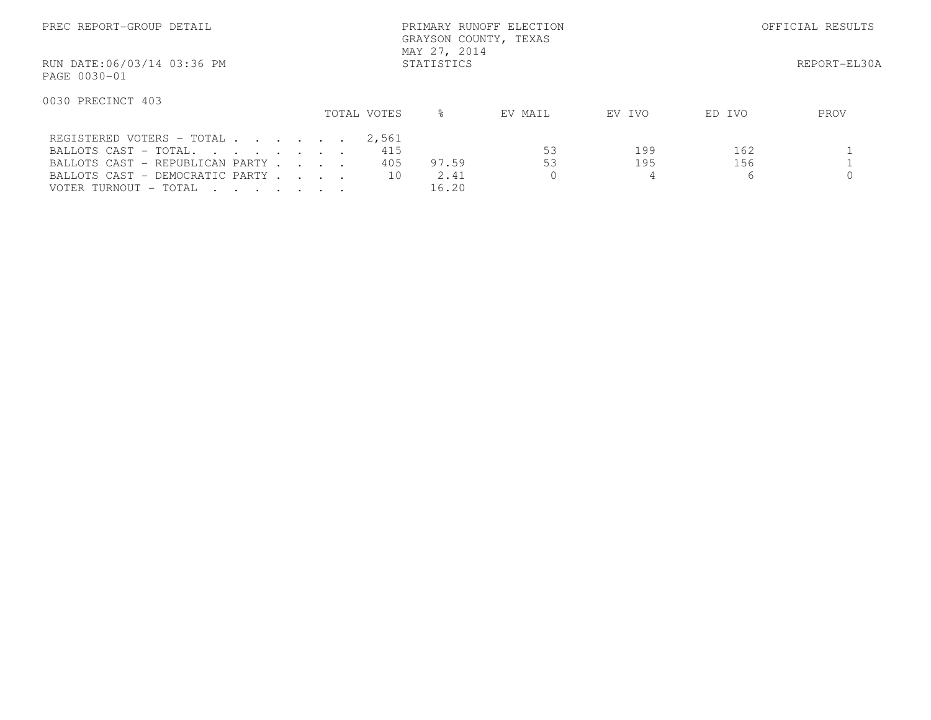| PREC REPORT-GROUP DETAIL                                                                                                 |                           | PRIMARY RUNOFF ELECTION<br>GRAYSON COUNTY, TEXAS<br>MAY 27, 2014 |          |                 |                 | OFFICIAL RESULTS |
|--------------------------------------------------------------------------------------------------------------------------|---------------------------|------------------------------------------------------------------|----------|-----------------|-----------------|------------------|
| RUN DATE:06/03/14 03:36 PM<br>PAGE 0030-01                                                                               |                           | STATISTICS                                                       |          |                 |                 | REPORT-EL30A     |
| 0030 PRECINCT 403                                                                                                        | TOTAL VOTES               | $\approx$                                                        | EV MAIL  | EV IVO          | ED IVO          | PROV             |
| REGISTERED VOTERS - TOTAL<br>BALLOTS CAST - TOTAL.<br>BALLOTS CAST - REPUBLICAN PARTY<br>BALLOTS CAST - DEMOCRATIC PARTY | 2,561<br>415<br>405<br>10 | 97.59<br>2.41                                                    | 53<br>53 | 199<br>195<br>4 | 162<br>156<br>6 |                  |
| VOTER TURNOUT - TOTAL                                                                                                    |                           | 16.20                                                            |          |                 |                 |                  |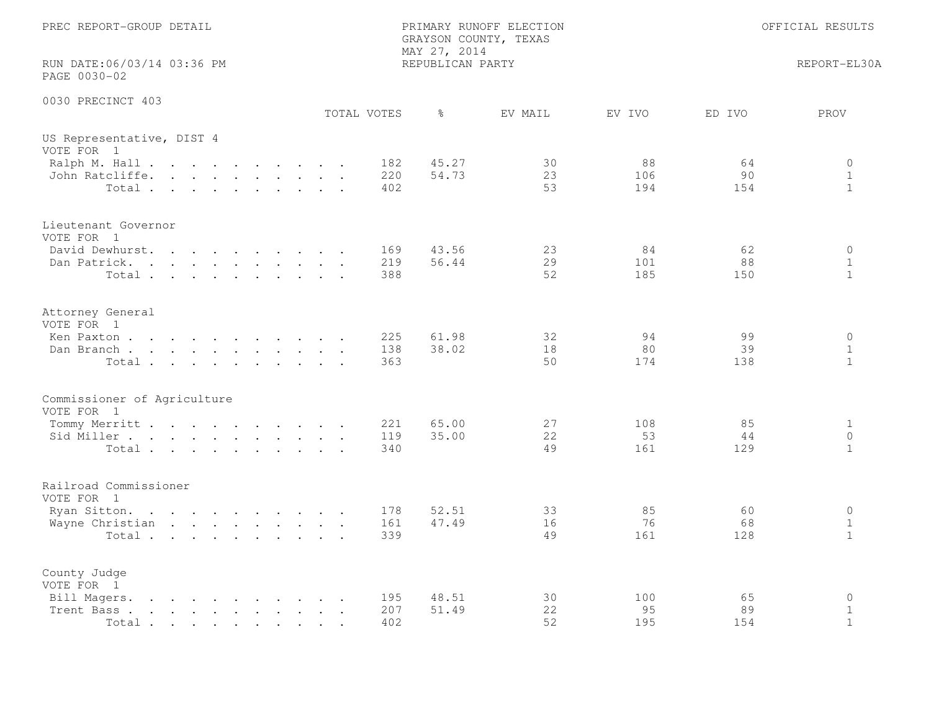| PREC REPORT-GROUP DETAIL                                                                                                                                                                                                                            |                   | PRIMARY RUNOFF ELECTION<br>GRAYSON COUNTY, TEXAS<br>MAY 27, 2014 |                                     | OFFICIAL RESULTS                        |  |
|-----------------------------------------------------------------------------------------------------------------------------------------------------------------------------------------------------------------------------------------------------|-------------------|------------------------------------------------------------------|-------------------------------------|-----------------------------------------|--|
| RUN DATE:06/03/14 03:36 PM<br>PAGE 0030-02                                                                                                                                                                                                          |                   | REPUBLICAN PARTY                                                 |                                     | REPORT-EL30A                            |  |
| 0030 PRECINCT 403                                                                                                                                                                                                                                   | TOTAL VOTES       | $\frac{6}{6}$<br>EV MAIL                                         | EV IVO<br>ED IVO                    | PROV                                    |  |
| US Representative, DIST 4<br>VOTE FOR 1                                                                                                                                                                                                             |                   |                                                                  |                                     |                                         |  |
| Ralph M. Hall<br>John Ratcliffe.<br>Total                                                                                                                                                                                                           | 182<br>220<br>402 | 45.27<br>30<br>54.73<br>23<br>53                                 | 88<br>64<br>106<br>90<br>194<br>154 | 0<br>$\mathbf{1}$<br>$\mathbf{1}$       |  |
| Lieutenant Governor<br>VOTE FOR 1<br>David Dewhurst.                                                                                                                                                                                                | 169               | 43.56<br>23                                                      | 84<br>62                            | $\circ$                                 |  |
| Dan Patrick.<br>Total                                                                                                                                                                                                                               | 219<br>388        | 29<br>56.44<br>52                                                | 101<br>88<br>185<br>150             | $\mathbf{1}$<br>$\mathbf{1}$            |  |
| Attorney General<br>VOTE FOR 1                                                                                                                                                                                                                      |                   |                                                                  |                                     |                                         |  |
| Ken Paxton<br>Dan Branch<br>Total                                                                                                                                                                                                                   | 225<br>138<br>363 | 61.98<br>32<br>38.02<br>18<br>50                                 | 94<br>99<br>80<br>39<br>174<br>138  | $\circ$<br>$\mathbf{1}$<br>$\mathbf{1}$ |  |
| Commissioner of Agriculture<br>VOTE FOR 1                                                                                                                                                                                                           |                   |                                                                  |                                     |                                         |  |
| Tommy Merritt<br>Sid Miller<br>Total                                                                                                                                                                                                                | 221<br>119<br>340 | 65.00<br>27<br>35.00<br>22<br>49                                 | 108<br>85<br>53<br>44<br>161<br>129 | $\mathbf{1}$<br>$\circ$<br>$\mathbf{1}$ |  |
| Railroad Commissioner<br>VOTE FOR 1                                                                                                                                                                                                                 |                   |                                                                  |                                     |                                         |  |
| Ryan Sitton.<br>Wayne Christian<br>Total                                                                                                                                                                                                            | 178<br>161<br>339 | 52.51<br>33<br>47.49<br>16<br>49                                 | 85<br>60<br>76<br>68<br>161<br>128  | $\circ$<br>$\mathbf{1}$<br>$\mathbf{1}$ |  |
| County Judge<br>VOTE FOR 1                                                                                                                                                                                                                          |                   |                                                                  |                                     |                                         |  |
| Bill Magers.<br>$\mathbf{r}$ , and $\mathbf{r}$ , and $\mathbf{r}$ , and $\mathbf{r}$ , and $\mathbf{r}$<br>Trent Bass.<br>the contract of the contract of the contract of the contract of the contract of the contract of the contract of<br>Total | 195<br>207<br>402 | 48.51<br>30<br>51.49<br>22<br>52                                 | 100<br>65<br>95<br>89<br>195<br>154 | $\circ$<br>$\mathbf{1}$<br>$\mathbf{1}$ |  |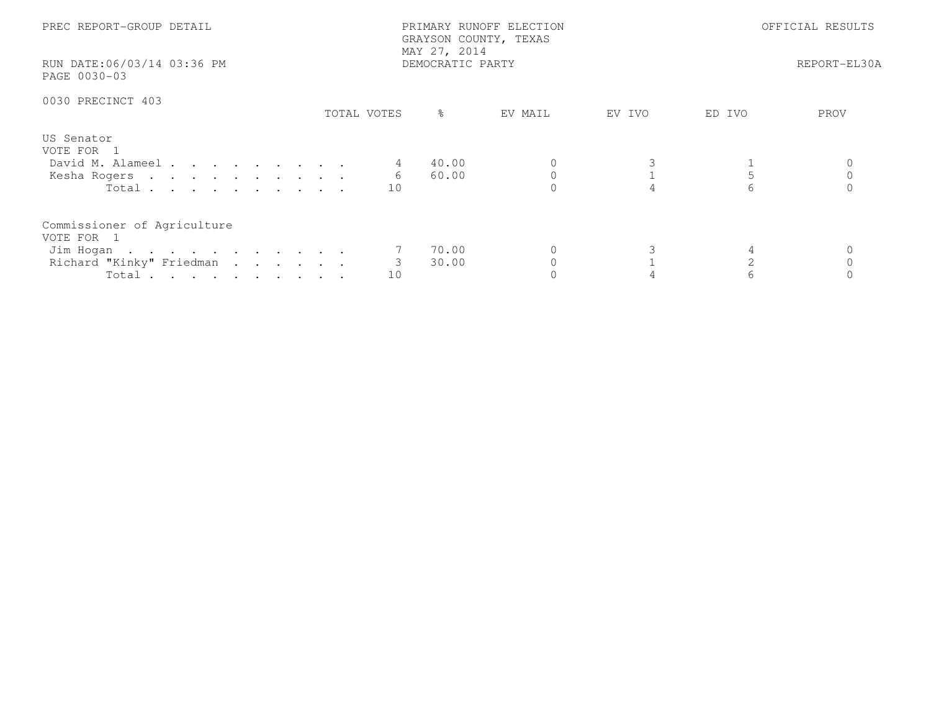| PREC REPORT-GROUP DETAIL<br>RUN DATE:06/03/14 03:36 PM<br>PAGE 0030-03                      |             | PRIMARY RUNOFF ELECTION<br>GRAYSON COUNTY, TEXAS<br>MAY 27, 2014<br>DEMOCRATIC PARTY |         | OFFICIAL RESULTS<br>REPORT-EL30A |        |      |
|---------------------------------------------------------------------------------------------|-------------|--------------------------------------------------------------------------------------|---------|----------------------------------|--------|------|
| 0030 PRECINCT 403                                                                           | TOTAL VOTES | ႜၟ                                                                                   | EV MAIL | EV IVO                           | ED IVO | PROV |
| US Senator<br>VOTE FOR 1<br>David M. Alameel<br>Kesha Rogers<br>Total                       | 6<br>10     | 40.00<br>60.00                                                                       |         |                                  | 5<br>6 |      |
| Commissioner of Agriculture<br>VOTE FOR 1<br>Jim Hogan<br>Richard "Kinky" Friedman<br>Total | 3<br>10     | 70.00<br>30.00                                                                       |         |                                  |        |      |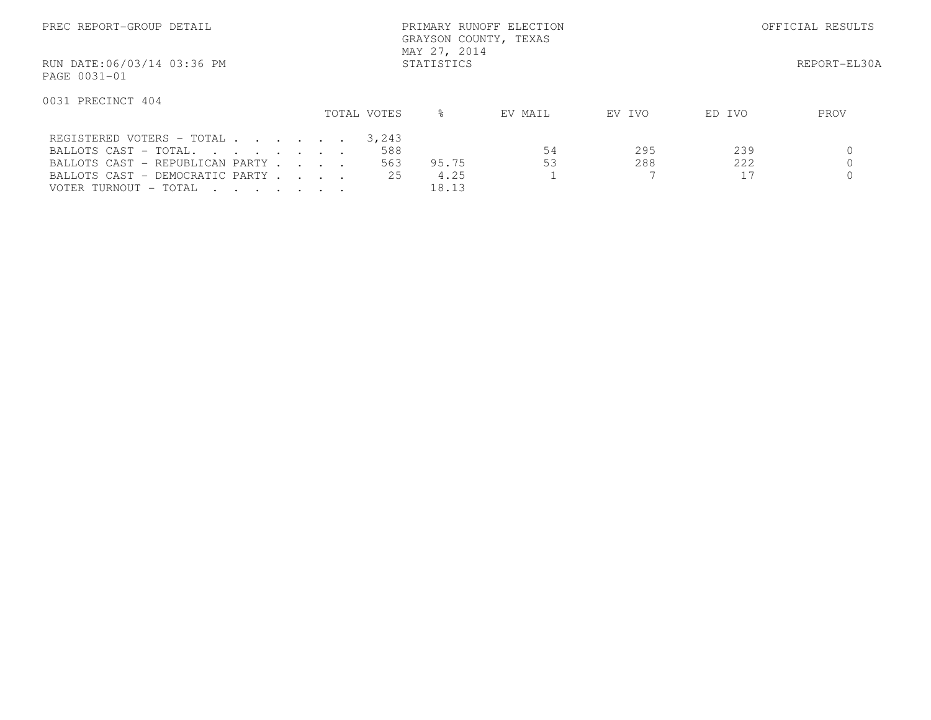| PREC REPORT-GROUP DETAIL                   |             | PRIMARY RUNOFF ELECTION<br>GRAYSON COUNTY, TEXAS<br>MAY 27, 2014 |         |        | OFFICIAL RESULTS |
|--------------------------------------------|-------------|------------------------------------------------------------------|---------|--------|------------------|
| RUN DATE:06/03/14 03:36 PM<br>PAGE 0031-01 |             | STATISTICS                                                       |         |        | REPORT-EL30A     |
| 0031 PRECINCT 404                          | TOTAL VOTES | $\approx$                                                        | EV MAIL | EV IVO | ED IVO<br>PROV   |
|                                            |             |                                                                  |         |        |                  |
| REGISTERED VOTERS - TOTAL                  |             | 3,243                                                            |         |        |                  |
| BALLOTS CAST - TOTAL.                      |             | 588                                                              | 54      | 295    | 239              |
| BALLOTS CAST - REPUBLICAN PARTY            |             | 563<br>95.75                                                     | 53      | 288    | 222              |
| BALLOTS CAST - DEMOCRATIC PARTY            |             | 4.25<br>25                                                       |         |        | 17               |
| VOTER TURNOUT - TOTAL                      |             | 18.13                                                            |         |        |                  |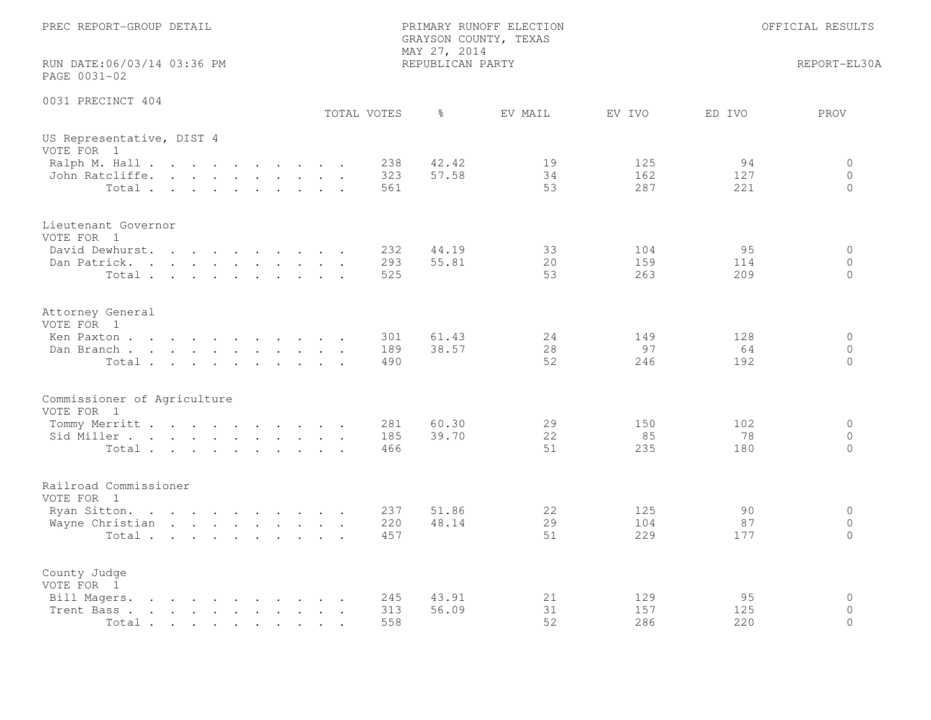| PREC REPORT-GROUP DETAIL                                                                                                                                                                                                                                                                                                                                                                     |  |  |  |  |                   | MAY 27, 2014     | PRIMARY RUNOFF ELECTION<br>GRAYSON COUNTY, TEXAS |                   |                  | OFFICIAL RESULTS               |
|----------------------------------------------------------------------------------------------------------------------------------------------------------------------------------------------------------------------------------------------------------------------------------------------------------------------------------------------------------------------------------------------|--|--|--|--|-------------------|------------------|--------------------------------------------------|-------------------|------------------|--------------------------------|
| RUN DATE:06/03/14 03:36 PM<br>PAGE 0031-02                                                                                                                                                                                                                                                                                                                                                   |  |  |  |  |                   | REPUBLICAN PARTY |                                                  |                   |                  | REPORT-EL30A                   |
| 0031 PRECINCT 404                                                                                                                                                                                                                                                                                                                                                                            |  |  |  |  | TOTAL VOTES       | $\frac{6}{6}$    | EV MAIL                                          | EV IVO            | ED IVO           | PROV                           |
| US Representative, DIST 4<br>VOTE FOR 1                                                                                                                                                                                                                                                                                                                                                      |  |  |  |  |                   |                  |                                                  |                   |                  |                                |
| Ralph M. Hall<br>John Ratcliffe.<br>Total                                                                                                                                                                                                                                                                                                                                                    |  |  |  |  | 238<br>323<br>561 | 42.42<br>57.58   | 19<br>34<br>53                                   | 125<br>162<br>287 | 94<br>127<br>221 | 0<br>$\circ$<br>$\Omega$       |
| Lieutenant Governor<br>VOTE FOR 1                                                                                                                                                                                                                                                                                                                                                            |  |  |  |  |                   |                  |                                                  |                   |                  |                                |
| David Dewhurst.<br>Dan Patrick.<br>Total                                                                                                                                                                                                                                                                                                                                                     |  |  |  |  | 232<br>293<br>525 | 44.19<br>55.81   | 33<br>20<br>53                                   | 104<br>159<br>263 | 95<br>114<br>209 | $\circ$<br>$\circ$<br>$\Omega$ |
| Attorney General<br>VOTE FOR 1                                                                                                                                                                                                                                                                                                                                                               |  |  |  |  |                   |                  |                                                  |                   |                  |                                |
| Ken Paxton<br>Dan Branch<br>Total                                                                                                                                                                                                                                                                                                                                                            |  |  |  |  | 301<br>189<br>490 | 61.43<br>38.57   | 24<br>28<br>52                                   | 149<br>97<br>246  | 128<br>64<br>192 | $\circ$<br>$\circ$<br>$\circ$  |
| Commissioner of Agriculture<br>VOTE FOR 1                                                                                                                                                                                                                                                                                                                                                    |  |  |  |  |                   |                  |                                                  |                   |                  |                                |
| Tommy Merritt<br>Sid Miller<br>Total                                                                                                                                                                                                                                                                                                                                                         |  |  |  |  | 281<br>185<br>466 | 60.30<br>39.70   | 29<br>22<br>51                                   | 150<br>85<br>235  | 102<br>78<br>180 | $\circ$<br>$\circ$<br>$\Omega$ |
| Railroad Commissioner<br>VOTE FOR 1                                                                                                                                                                                                                                                                                                                                                          |  |  |  |  |                   |                  |                                                  |                   |                  |                                |
| Ryan Sitton.<br>Wayne Christian<br>Total                                                                                                                                                                                                                                                                                                                                                     |  |  |  |  | 237<br>220<br>457 | 51.86<br>48.14   | 22<br>29<br>51                                   | 125<br>104<br>229 | 90<br>87<br>177  | $\circ$<br>$\circ$<br>$\Omega$ |
| County Judge<br>VOTE FOR 1                                                                                                                                                                                                                                                                                                                                                                   |  |  |  |  |                   |                  |                                                  |                   |                  |                                |
| Bill Magers.<br>$\mathbf{r}$ . The contract of the contract of the contract of the contract of the contract of the contract of the contract of the contract of the contract of the contract of the contract of the contract of the contract of th<br>Trent Bass.<br>the contract of the contract of the contract of the contract of the contract of the contract of the contract of<br>Total |  |  |  |  | 245<br>313<br>558 | 43.91<br>56.09   | 21<br>31<br>52                                   | 129<br>157<br>286 | 95<br>125<br>220 | $\circ$<br>$\circ$<br>$\Omega$ |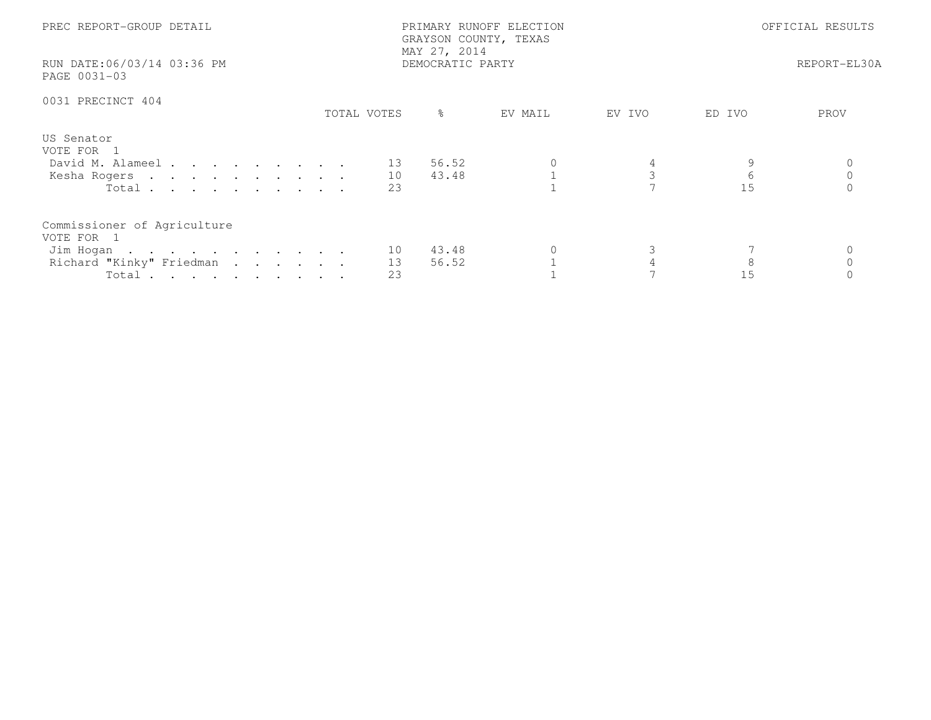| PREC REPORT-GROUP DETAIL<br>RUN DATE:06/03/14 03:36 PM<br>PAGE 0031-03                                  |             | PRIMARY RUNOFF ELECTION<br>GRAYSON COUNTY, TEXAS<br>MAY 27, 2014<br>DEMOCRATIC PARTY |         | OFFICIAL RESULTS<br>REPORT-EL30A |                        |      |
|---------------------------------------------------------------------------------------------------------|-------------|--------------------------------------------------------------------------------------|---------|----------------------------------|------------------------|------|
| 0031 PRECINCT 404                                                                                       | TOTAL VOTES | $\frac{6}{6}$                                                                        | EV MAIL | EV IVO                           | ED IVO                 | PROV |
| US Senator<br>VOTE FOR 1<br>David M. Alameel 13 56.52<br>Kesha Rogers 10<br>Total $\cdots$              | 23          | 43.48                                                                                |         |                                  | $6\overline{6}$<br>1.5 |      |
| Commissioner of Agriculture<br>VOTE FOR 1<br>Jim Hogan 10<br>Richard "Kinky" Friedman<br>Total $\cdots$ | 13<br>23    | 43.48<br>56.52                                                                       | 0       |                                  | 15                     |      |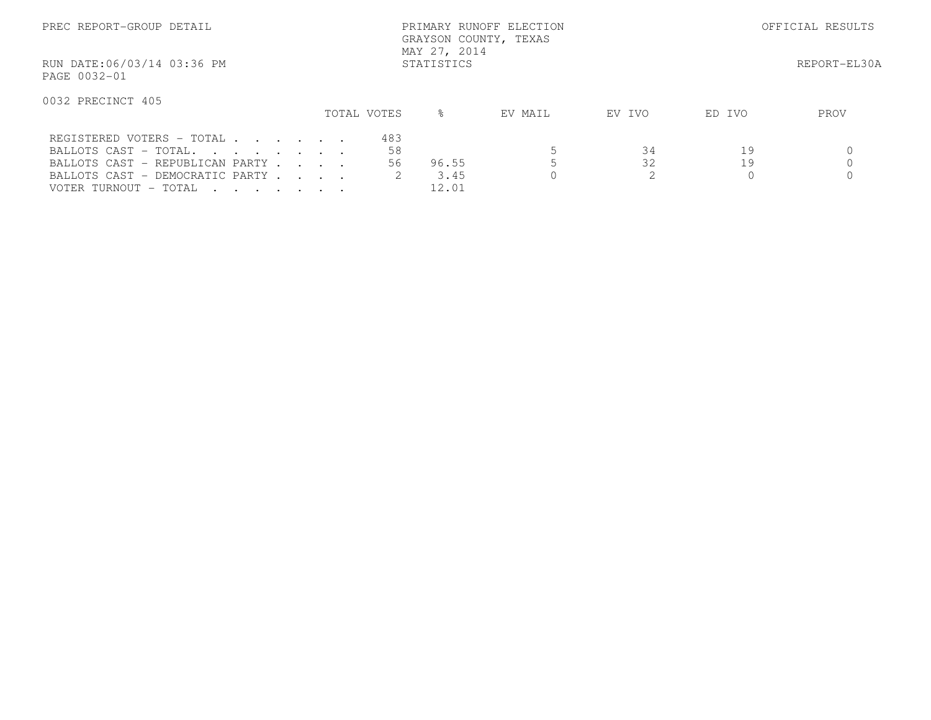| PREC REPORT-GROUP DETAIL                                                                    |  |             |           | PRIMARY RUNOFF ELECTION<br>GRAYSON COUNTY, TEXAS<br>MAY 27, 2014 |         | OFFICIAL RESULTS |        |              |
|---------------------------------------------------------------------------------------------|--|-------------|-----------|------------------------------------------------------------------|---------|------------------|--------|--------------|
| RUN DATE:06/03/14 03:36 PM<br>PAGE 0032-01                                                  |  |             |           | STATISTICS                                                       |         |                  |        | REPORT-EL30A |
| 0032 PRECINCT 405                                                                           |  | TOTAL VOTES |           | $\approx$                                                        | EV MAIL | EV IVO           | ED IVO | PROV         |
| REGISTERED VOTERS - TOTAL<br>BALLOTS CAST - TOTAL.                                          |  |             | 483<br>58 |                                                                  |         | 34               | 19     |              |
| BALLOTS CAST - REPUBLICAN PARTY<br>BALLOTS CAST - DEMOCRATIC PARTY<br>VOTER TURNOUT - TOTAL |  |             | 56.       | 96.55<br>3.45<br>12.01                                           |         | 32               | 19     |              |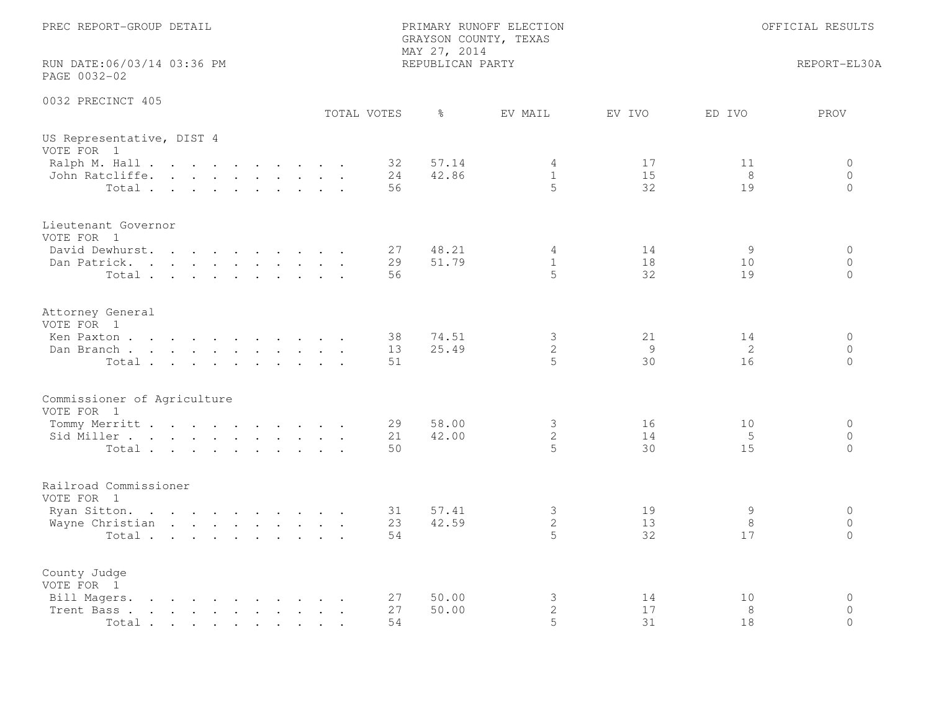| PREC REPORT-GROUP DETAIL                                                                                                               |                | GRAYSON COUNTY, TEXAS<br>MAY 27, 2014 | PRIMARY RUNOFF ELECTION     |                |               | OFFICIAL RESULTS               |
|----------------------------------------------------------------------------------------------------------------------------------------|----------------|---------------------------------------|-----------------------------|----------------|---------------|--------------------------------|
| RUN DATE:06/03/14 03:36 PM<br>PAGE 0032-02                                                                                             |                | REPUBLICAN PARTY                      |                             |                |               | REPORT-EL30A                   |
| 0032 PRECINCT 405                                                                                                                      | TOTAL VOTES    | $\frac{6}{6}$                         | EV MAIL                     | EV IVO         | ED IVO        | PROV                           |
| US Representative, DIST 4<br>VOTE FOR 1                                                                                                |                |                                       |                             |                |               |                                |
| Ralph M. Hall<br>John Ratcliffe.<br>Total                                                                                              | 32<br>24<br>56 | 57.14<br>42.86                        | 4<br>$\mathbf{1}$<br>5      | 17<br>15<br>32 | 11<br>8<br>19 | 0<br>$\circ$<br>$\circ$        |
| Lieutenant Governor<br>VOTE FOR 1<br>David Dewhurst.                                                                                   | 27             | 48.21                                 | 4                           | 14             | 9             | $\circ$                        |
| Dan Patrick.<br>Total                                                                                                                  | 29<br>56       | 51.79                                 | $\mathbf{1}$<br>$5^{\circ}$ | 18<br>32       | 10<br>19      | $\circ$<br>$\Omega$            |
| Attorney General<br>VOTE FOR 1<br>Ken Paxton                                                                                           | 38             | 74.51                                 | $\mathcal{S}$               | 21             | 14            | $\circ$                        |
| Dan Branch<br>Total                                                                                                                    | 13<br>51       | 25.49                                 | $\overline{2}$<br>5         | 9<br>30        | 2<br>16       | $\Omega$<br>$\Omega$           |
| Commissioner of Agriculture<br>VOTE FOR 1                                                                                              |                |                                       |                             |                |               |                                |
| Tommy Merritt<br>Sid Miller<br>Total                                                                                                   | 29<br>21<br>50 | 58.00<br>42.00                        | 3<br>$\mathbf{2}$<br>5      | 16<br>14<br>30 | 10<br>5<br>15 | $\circ$<br>$\circ$<br>$\circ$  |
| Railroad Commissioner<br>VOTE FOR 1                                                                                                    |                |                                       |                             |                |               |                                |
| Ryan Sitton.<br>Wayne Christian<br>Total                                                                                               | 31<br>23<br>54 | 57.41<br>42.59                        | 3<br>$\mathbf{2}$<br>5      | 19<br>13<br>32 | 9<br>8<br>17  | $\circ$<br>$\circ$<br>$\Omega$ |
| County Judge<br>VOTE FOR 1<br>Bill Magers.<br>$\mathbf{r}$ , and $\mathbf{r}$ , and $\mathbf{r}$ , and $\mathbf{r}$ , and $\mathbf{r}$ | 27             | 50.00                                 | 3                           | 14             | 10            | $\mathbf 0$                    |
| the contract of the contract of the contract of<br>Trent Bass.<br>Total                                                                | 27<br>54       | 50.00                                 | $\mathbf{2}$<br>5           | 17<br>31       | 8<br>18       | $\Omega$<br>$\Omega$           |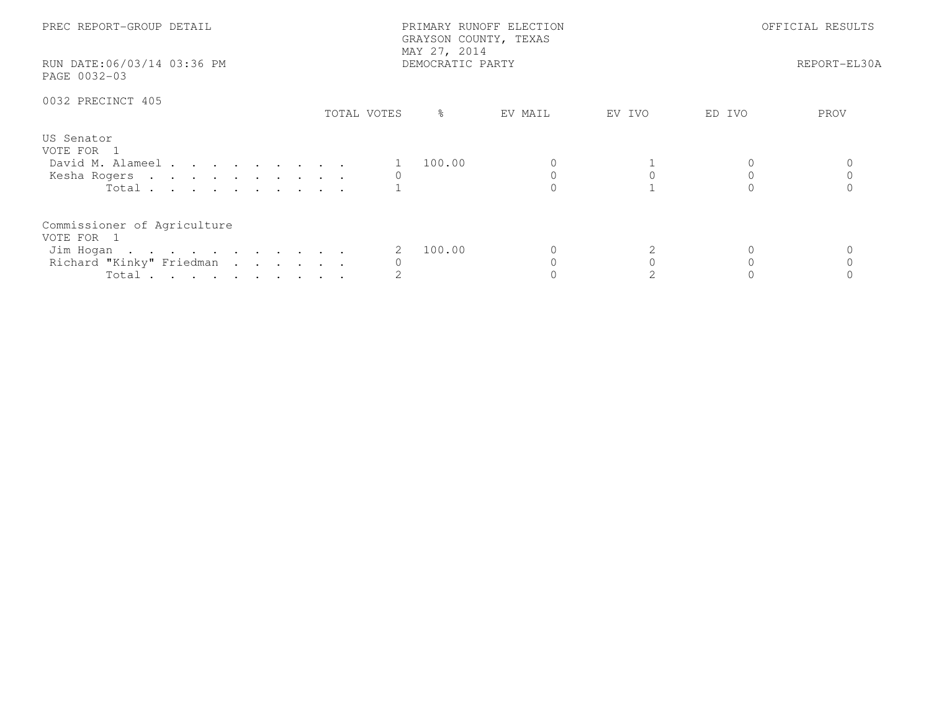| PREC REPORT-GROUP DETAIL<br>RUN DATE:06/03/14 03:36 PM<br>PAGE 0032-03                      |             | PRIMARY RUNOFF ELECTION<br>GRAYSON COUNTY, TEXAS<br>MAY 27, 2014<br>DEMOCRATIC PARTY | OFFICIAL RESULTS<br>REPORT-EL30A |        |        |      |
|---------------------------------------------------------------------------------------------|-------------|--------------------------------------------------------------------------------------|----------------------------------|--------|--------|------|
| 0032 PRECINCT 405                                                                           | TOTAL VOTES | ႜ                                                                                    | EV MAIL                          | EV IVO | ED IVO | PROV |
| US Senator<br>VOTE FOR 1<br>David M. Alameel<br>Kesha Rogers<br>Total $\cdots$              |             | 100.00                                                                               |                                  |        |        |      |
| Commissioner of Agriculture<br>VOTE FOR 1<br>Jim Hogan<br>Richard "Kinky" Friedman<br>Total |             | 100.00                                                                               |                                  |        |        |      |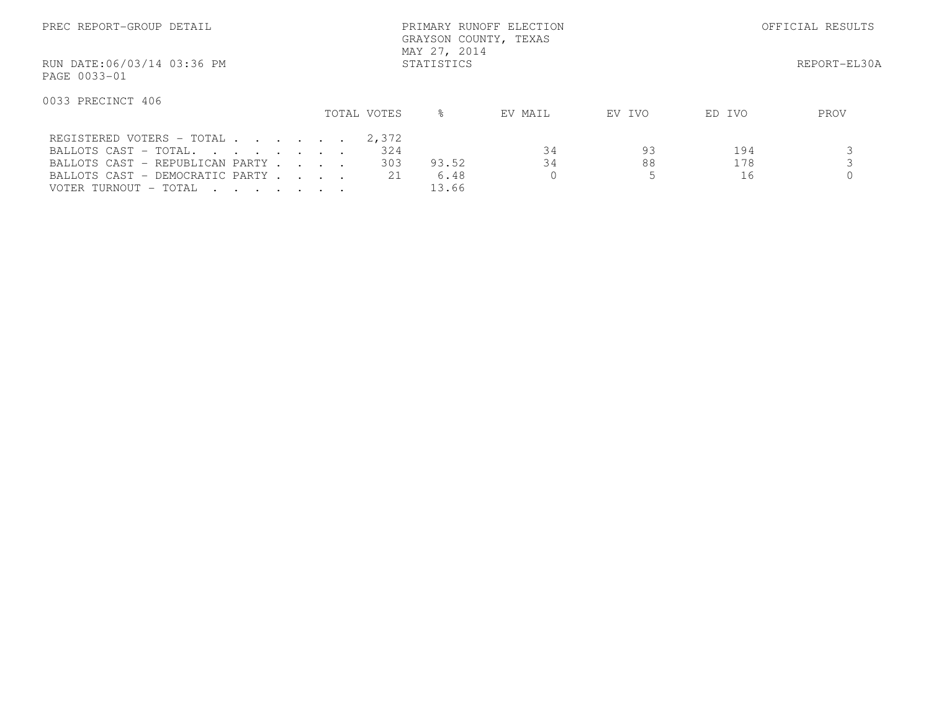| PREC REPORT-GROUP DETAIL                                                                                                          |  | PRIMARY RUNOFF ELECTION<br>GRAYSON COUNTY, TEXAS<br>MAY 27, 2014 | OFFICIAL RESULTS |         |        |        |              |
|-----------------------------------------------------------------------------------------------------------------------------------|--|------------------------------------------------------------------|------------------|---------|--------|--------|--------------|
| RUN DATE:06/03/14 03:36 PM<br>PAGE 0033-01                                                                                        |  |                                                                  | STATISTICS       |         |        |        | REPORT-EL30A |
| 0033 PRECINCT 406                                                                                                                 |  | TOTAL VOTES                                                      | ႜ                | EV MAIL | EV IVO | ED IVO | PROV         |
| REGISTERED VOTERS - TOTAL<br>BALLOTS CAST - TOTAL.                                                                                |  | 2,372<br>324                                                     |                  | 34      | 93     | 194    |              |
| BALLOTS CAST - REPUBLICAN PARTY                                                                                                   |  | 303                                                              | 93.52            | 34      | 88     | 178    |              |
| BALLOTS CAST - DEMOCRATIC PARTY<br>VOTER TURNOUT – TOTAL<br>$\mathbf{r}$ , and $\mathbf{r}$ , and $\mathbf{r}$ , and $\mathbf{r}$ |  | 2.1                                                              | 6.48<br>13.66    |         |        | 16     |              |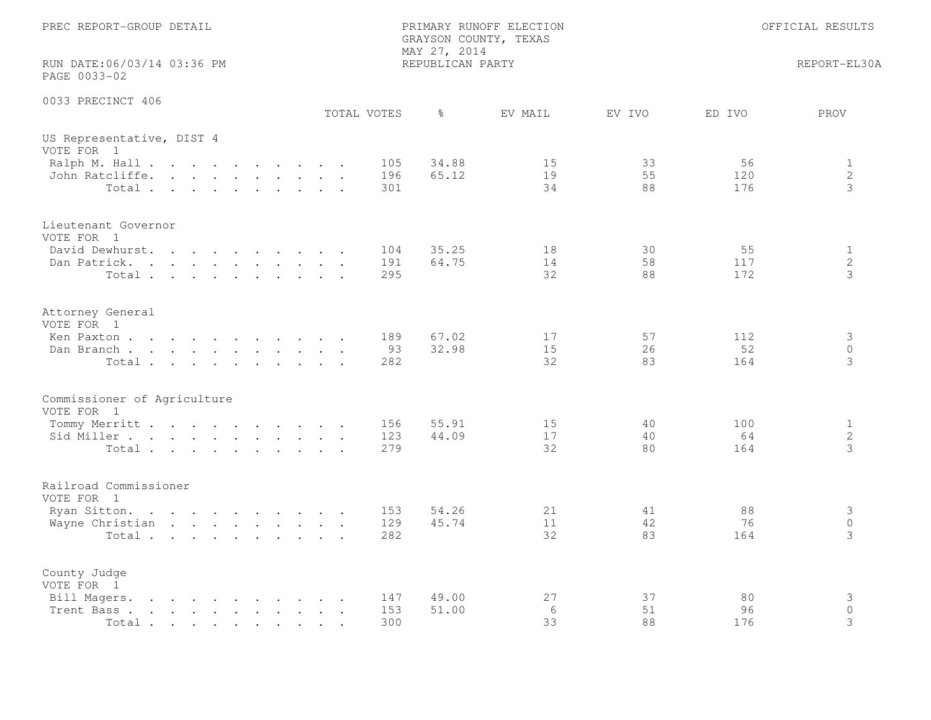| PREC REPORT-GROUP DETAIL                                                                                                                                                                                                                                                                                                                                              | PRIMARY RUNOFF ELECTION<br>GRAYSON COUNTY, TEXAS<br>MAY 27, 2014 |                   |                                    | OFFICIAL RESULTS                    |
|-----------------------------------------------------------------------------------------------------------------------------------------------------------------------------------------------------------------------------------------------------------------------------------------------------------------------------------------------------------------------|------------------------------------------------------------------|-------------------|------------------------------------|-------------------------------------|
| RUN DATE:06/03/14 03:36 PM<br>PAGE 0033-02                                                                                                                                                                                                                                                                                                                            | REPUBLICAN PARTY                                                 |                   |                                    | REPORT-EL30A                        |
| 0033 PRECINCT 406<br>TOTAL VOTES                                                                                                                                                                                                                                                                                                                                      | $\frac{6}{6}$                                                    | EV MAIL<br>EV IVO | ED IVO                             | PROV                                |
| US Representative, DIST 4<br>VOTE FOR 1                                                                                                                                                                                                                                                                                                                               |                                                                  |                   |                                    |                                     |
| Ralph M. Hall<br>John Ratcliffe.<br>Total                                                                                                                                                                                                                                                                                                                             | 34.88<br>105<br>196<br>65.12<br>301                              | 15<br>19<br>34    | 56<br>33<br>55<br>120<br>88<br>176 | $\mathbf{1}$<br>$\overline{2}$<br>3 |
| Lieutenant Governor<br>VOTE FOR 1                                                                                                                                                                                                                                                                                                                                     |                                                                  |                   |                                    |                                     |
| David Dewhurst.<br>Dan Patrick.<br>Total                                                                                                                                                                                                                                                                                                                              | 35.25<br>104<br>64.75<br>191<br>295                              | 18<br>14<br>32    | 30<br>55<br>58<br>117<br>88<br>172 | $\mathbf{1}$<br>$\mathbf{2}$<br>3   |
| Attorney General<br>VOTE FOR 1                                                                                                                                                                                                                                                                                                                                        |                                                                  |                   |                                    |                                     |
| Ken Paxton<br>Dan Branch<br>Total                                                                                                                                                                                                                                                                                                                                     | 67.02<br>189<br>32.98<br>93<br>282                               | 17<br>15<br>32    | 57<br>112<br>52<br>26<br>83<br>164 | 3<br>$\circ$<br>3                   |
| Commissioner of Agriculture<br>VOTE FOR 1                                                                                                                                                                                                                                                                                                                             |                                                                  |                   |                                    |                                     |
| Tommy Merritt<br>Sid Miller<br>Total                                                                                                                                                                                                                                                                                                                                  | 55.91<br>156<br>123<br>44.09<br>279                              | 15<br>17<br>32    | 40<br>100<br>40<br>64<br>80<br>164 | $\mathbf{1}$<br>$\overline{2}$<br>3 |
| Railroad Commissioner<br>VOTE FOR 1                                                                                                                                                                                                                                                                                                                                   |                                                                  |                   |                                    |                                     |
| Ryan Sitton.<br>Wayne Christian<br>Total                                                                                                                                                                                                                                                                                                                              | 153<br>54.26<br>129<br>45.74<br>282                              | 21<br>11<br>32    | 88<br>41<br>42<br>76<br>83<br>164  | 3<br>$\overline{0}$<br>3            |
| County Judge<br>VOTE FOR 1                                                                                                                                                                                                                                                                                                                                            |                                                                  |                   |                                    |                                     |
| Bill Magers.<br>$\mathbf{r}$ . The contract of the contract of the contract of the contract of the contract of the contract of the contract of the contract of the contract of the contract of the contract of the contract of the contract of th<br>Trent Bass.<br>$\mathbf{r}$ , and $\mathbf{r}$ , and $\mathbf{r}$ , and $\mathbf{r}$ , and $\mathbf{r}$<br>Total | 49.00<br>147<br>153<br>51.00<br>300                              | 27<br>6<br>33     | 37<br>80<br>51<br>96<br>88<br>176  | 3<br>$\circ$<br>3                   |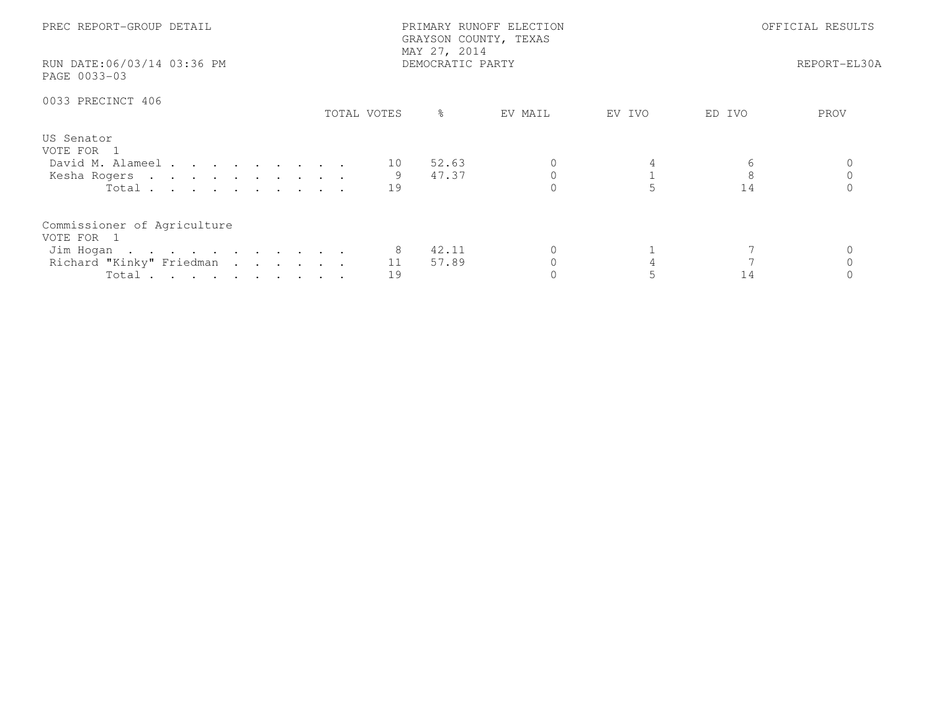| PREC REPORT-GROUP DETAIL<br>RUN DATE:06/03/14 03:36 PM<br>PAGE 0033-03                               |             | PRIMARY RUNOFF ELECTION<br>GRAYSON COUNTY, TEXAS<br>MAY 27, 2014<br>DEMOCRATIC PARTY | OFFICIAL RESULTS<br>REPORT-EL30A |        |         |      |
|------------------------------------------------------------------------------------------------------|-------------|--------------------------------------------------------------------------------------|----------------------------------|--------|---------|------|
| 0033 PRECINCT 406                                                                                    | TOTAL VOTES | $\frac{6}{6}$                                                                        | EV MAIL                          | EV IVO | ED IVO  | PROV |
| US Senator<br>VOTE FOR 1<br>David M. Alameel 10<br>Kesha Rogers<br>Total $\cdots$                    | 19          | 52.63<br>47.37                                                                       |                                  |        | 8<br>14 |      |
| Commissioner of Agriculture<br>VOTE FOR 1<br>Jim Hogan<br>Richard "Kinky" Friedman<br>Total $\cdots$ | 11<br>19    | 42.11<br>57.89                                                                       |                                  |        | 14      |      |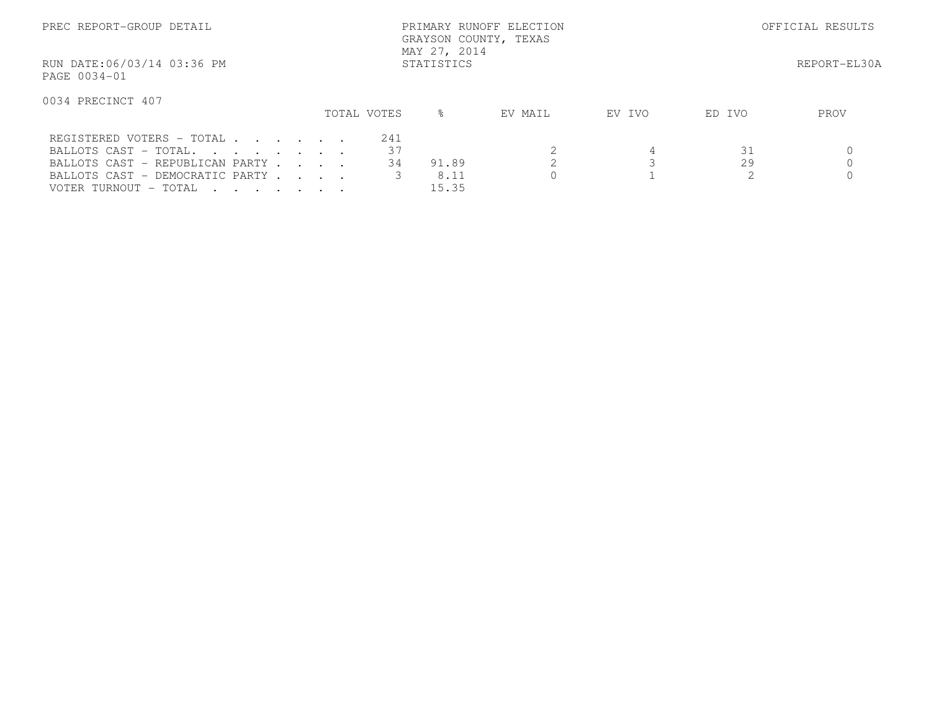| PREC REPORT-GROUP DETAIL                                                                                         |             | PRIMARY RUNOFF ELECTION<br>GRAYSON COUNTY, TEXAS<br>MAY 27, 2014 |         | OFFICIAL RESULTS |        |              |
|------------------------------------------------------------------------------------------------------------------|-------------|------------------------------------------------------------------|---------|------------------|--------|--------------|
| RUN DATE:06/03/14 03:36 PM<br>PAGE 0034-01                                                                       |             | STATISTICS                                                       |         |                  |        | REPORT-EL30A |
| 0034 PRECINCT 407                                                                                                |             |                                                                  |         |                  |        |              |
|                                                                                                                  | TOTAL VOTES | ⊱                                                                | EV MAIL | EV IVO           | ED IVO | PROV         |
| REGISTERED VOTERS - TOTAL                                                                                        | 241         |                                                                  |         |                  |        |              |
| BALLOTS CAST - TOTAL                                                                                             | 37          |                                                                  |         |                  | 31     |              |
| BALLOTS CAST - REPUBLICAN PARTY                                                                                  | 34          | 91.89                                                            |         |                  | 29     |              |
| BALLOTS CAST - DEMOCRATIC PARTY                                                                                  |             | 8.11                                                             |         |                  |        |              |
| VOTER TURNOUT – TOTAL<br>$\mathbf{r}$ , $\mathbf{r}$ , $\mathbf{r}$ , $\mathbf{r}$ , $\mathbf{r}$ , $\mathbf{r}$ |             | 15.35                                                            |         |                  |        |              |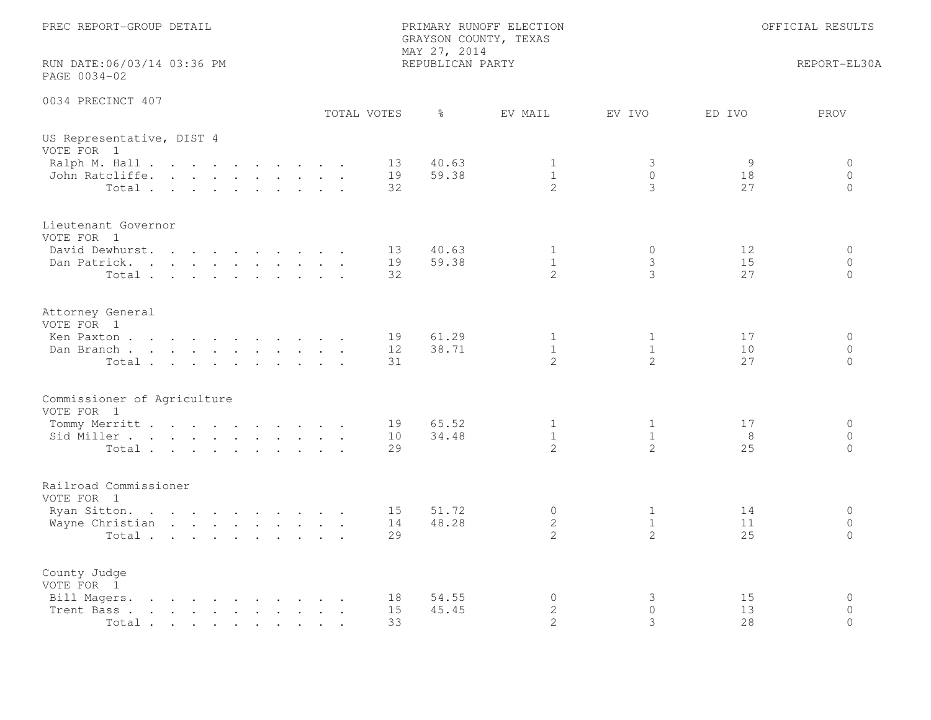| PREC REPORT-GROUP DETAIL                                                                                                                                                                                       |                | GRAYSON COUNTY, TEXAS<br>MAY 27, 2014 | PRIMARY RUNOFF ELECTION                     |                                     |                | OFFICIAL RESULTS                    |
|----------------------------------------------------------------------------------------------------------------------------------------------------------------------------------------------------------------|----------------|---------------------------------------|---------------------------------------------|-------------------------------------|----------------|-------------------------------------|
| RUN DATE:06/03/14 03:36 PM<br>PAGE 0034-02                                                                                                                                                                     |                | REPUBLICAN PARTY                      |                                             |                                     |                | REPORT-EL30A                        |
| 0034 PRECINCT 407                                                                                                                                                                                              | TOTAL VOTES    | $\frac{6}{6}$                         | EV MAIL                                     | EV IVO                              | ED IVO         | PROV                                |
| US Representative, DIST 4<br>VOTE FOR 1                                                                                                                                                                        |                |                                       |                                             |                                     |                |                                     |
| Ralph M. Hall<br>John Ratcliffe.<br>Total                                                                                                                                                                      | 13<br>19<br>32 | 40.63<br>59.38                        | 1<br>$\mathbf{1}$<br>$\overline{2}$         | 3<br>$\mathbf{0}$<br>3              | 9<br>18<br>27  | 0<br>$\circ$<br>$\circ$             |
| Lieutenant Governor<br>VOTE FOR 1<br>David Dewhurst.                                                                                                                                                           | 13             | 40.63                                 | $\mathbf{1}$                                | $\mathbf 0$                         | 12             | $\circ$                             |
| Dan Patrick.<br>Total                                                                                                                                                                                          | 19<br>32       | 59.38                                 | $\mathbf{1}$<br>$\overline{2}$              | 3<br>3                              | 15<br>27       | $\circ$<br>$\Omega$                 |
| Attorney General<br>VOTE FOR 1<br>Ken Paxton                                                                                                                                                                   | 19             | 61.29                                 | $\mathbf{1}$                                | $\mathbf{1}$                        | 17             | $\circ$                             |
| Dan Branch<br>Total                                                                                                                                                                                            | 12<br>31       | 38.71                                 | $\mathbf{1}$<br>$\overline{2}$              | $\mathbf{1}$<br>2                   | 10<br>27       | $\Omega$<br>$\Omega$                |
| Commissioner of Agriculture<br>VOTE FOR 1                                                                                                                                                                      |                |                                       |                                             |                                     |                |                                     |
| Tommy Merritt<br>Sid Miller<br>Total                                                                                                                                                                           | 19<br>10<br>29 | 65.52<br>34.48                        | 1<br>$\mathbf{1}$<br>$\overline{2}$         | 1<br>$\mathbf{1}$<br>$\overline{2}$ | 17<br>8<br>25  | $\circ$<br>$\circ$<br>$\circ$       |
| Railroad Commissioner<br>VOTE FOR 1                                                                                                                                                                            |                |                                       |                                             |                                     |                |                                     |
| Ryan Sitton.<br>Wayne Christian<br>Total                                                                                                                                                                       | 15<br>14<br>29 | 51.72<br>48.28                        | $\circ$<br>$\overline{2}$<br>$\overline{2}$ | 1<br>$\mathbf{1}$<br>$\mathbf{2}$   | 14<br>11<br>25 | $\circ$<br>$\circ$<br>$\Omega$      |
| County Judge<br>VOTE FOR 1                                                                                                                                                                                     |                |                                       |                                             |                                     |                |                                     |
| Bill Magers.<br>the contract of the contract of the contract of the contract of the contract of the contract of the contract of<br>and the contract of the contract of the contract of<br>Trent Bass.<br>Total | 18<br>15<br>33 | 54.55<br>45.45                        | $\circ$<br>$\mathbf{2}$<br>$\overline{2}$   | 3<br>$\Omega$<br>3                  | 15<br>13<br>28 | $\mathbf 0$<br>$\Omega$<br>$\Omega$ |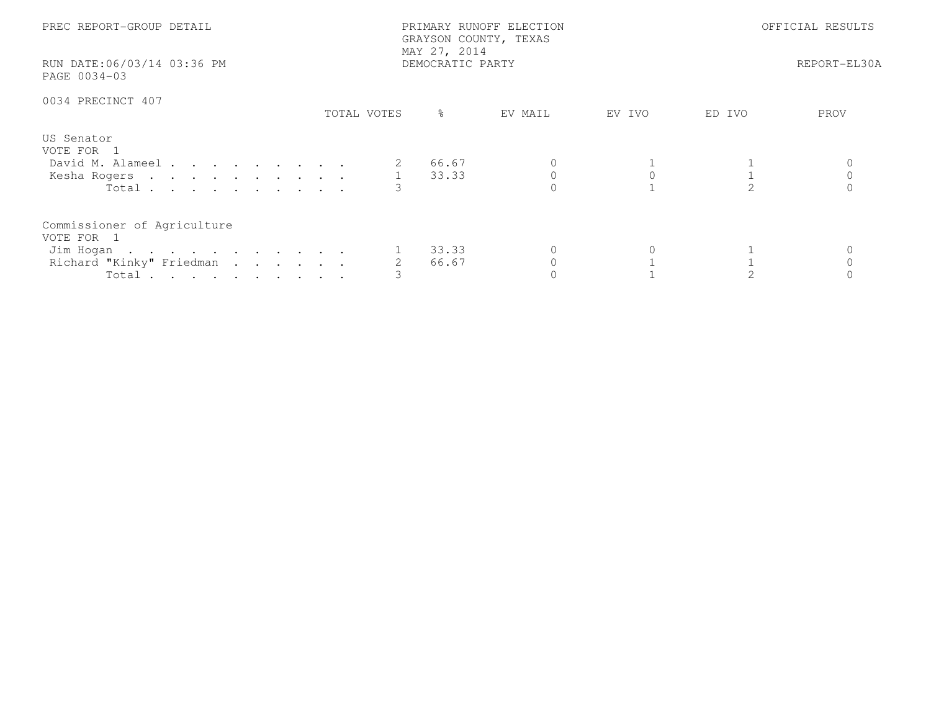| PREC REPORT-GROUP DETAIL<br>RUN DATE:06/03/14 03:36 PM<br>PAGE 0034-03                      |             | PRIMARY RUNOFF ELECTION<br>GRAYSON COUNTY, TEXAS<br>MAY 27, 2014<br>DEMOCRATIC PARTY | OFFICIAL RESULTS<br>REPORT-EL30A |        |        |      |
|---------------------------------------------------------------------------------------------|-------------|--------------------------------------------------------------------------------------|----------------------------------|--------|--------|------|
| 0034 PRECINCT 407                                                                           | TOTAL VOTES | ိ                                                                                    | EV MAIL                          | EV IVO | ED IVO | PROV |
| US Senator<br>VOTE FOR 1<br>David M. Alameel<br>Kesha Rogers 1 33.33<br>Total $\cdots$      |             | 66.67                                                                                |                                  |        |        |      |
| Commissioner of Agriculture<br>VOTE FOR 1<br>Jim Hogan<br>Richard "Kinky" Friedman<br>Total |             | 33.33<br>66.67                                                                       |                                  |        |        |      |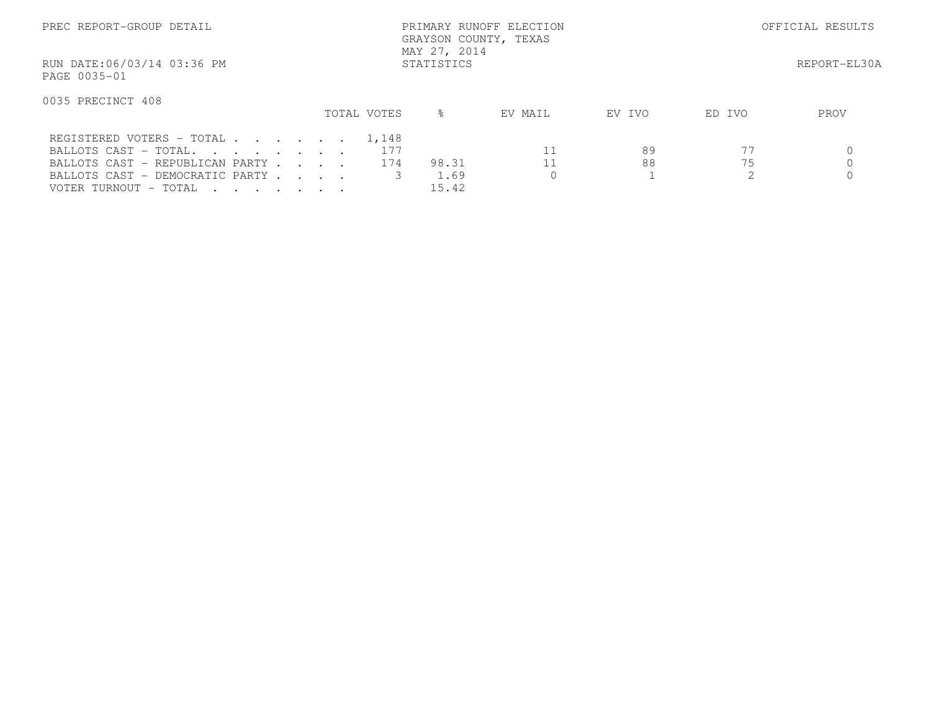| PREC REPORT-GROUP DETAIL                                                                                                                                |             | PRIMARY RUNOFF ELECTION<br>GRAYSON COUNTY, TEXAS<br>MAY 27, 2014 | OFFICIAL RESULTS |          |        |      |
|---------------------------------------------------------------------------------------------------------------------------------------------------------|-------------|------------------------------------------------------------------|------------------|----------|--------|------|
| RUN DATE:06/03/14 03:36 PM<br>PAGE 0035-01                                                                                                              |             |                                                                  | REPORT-EL30A     |          |        |      |
| 0035 PRECINCT 408                                                                                                                                       | TOTAL VOTES | $\approx$                                                        | EV MAIL          | EV IVO   | ED IVO | PROV |
| REGISTERED VOTERS - TOTAL 1,148<br>BALLOTS CAST - TOTAL.<br>BALLOTS CAST - REPUBLICAN PARTY<br>BALLOTS CAST - DEMOCRATIC PARTY<br>VOTER TURNOUT - TOTAL | 177<br>174  | 98.31<br>1.69<br>15.42                                           | $\Omega$         | 89<br>88 | 75     |      |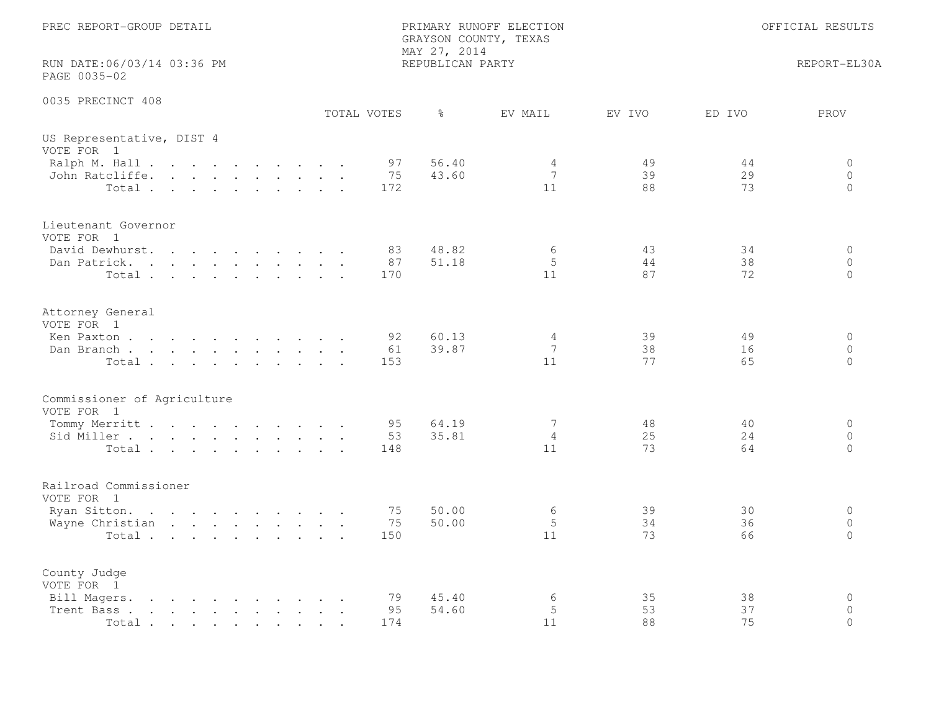| PREC REPORT-GROUP DETAIL                                                                                                                                                                                                                            | PRIMARY RUNOFF ELECTION<br>GRAYSON COUNTY, TEXAS<br>MAY 27, 2014 |                                             | OFFICIAL RESULTS |                                        |
|-----------------------------------------------------------------------------------------------------------------------------------------------------------------------------------------------------------------------------------------------------|------------------------------------------------------------------|---------------------------------------------|------------------|----------------------------------------|
| RUN DATE:06/03/14 03:36 PM<br>PAGE 0035-02                                                                                                                                                                                                          | REPUBLICAN PARTY                                                 |                                             |                  | REPORT-EL30A                           |
| 0035 PRECINCT 408<br>TOTAL VOTES                                                                                                                                                                                                                    | $\frac{6}{6}$                                                    | EV MAIL<br>EV IVO                           | ED IVO           | PROV                                   |
| US Representative, DIST 4<br>VOTE FOR 1                                                                                                                                                                                                             |                                                                  |                                             |                  |                                        |
| Ralph M. Hall<br>John Ratcliffe.<br>Total                                                                                                                                                                                                           | 56.40<br>97<br>75<br>43.60<br>172                                | 49<br>4<br>7<br>39<br>11<br>88              | 44<br>29<br>73   | $\Omega$<br>$\overline{0}$<br>$\Omega$ |
| Lieutenant Governor<br>VOTE FOR 1                                                                                                                                                                                                                   |                                                                  |                                             |                  |                                        |
| David Dewhurst.<br>$\mathbf{r}$ , $\mathbf{r}$ , $\mathbf{r}$ , $\mathbf{r}$ , $\mathbf{r}$ , $\mathbf{r}$<br>Dan Patrick.<br>Total                                                                                                                 | 48.82<br>83<br>87<br>51.18<br>170                                | 6<br>43<br>5<br>44<br>11<br>87              | 34<br>38<br>72   | $\circ$<br>$\circ$<br>$\Omega$         |
| Attorney General<br>VOTE FOR 1                                                                                                                                                                                                                      |                                                                  |                                             |                  |                                        |
| Ken Paxton<br>Dan Branch,<br>Total                                                                                                                                                                                                                  | 60.13<br>92<br>39.87<br>61<br>153                                | $\overline{4}$<br>39<br>7<br>38<br>11<br>77 | 49<br>16<br>65   | $\circ$<br>$\Omega$<br>$\circ$         |
| Commissioner of Agriculture<br>VOTE FOR 1                                                                                                                                                                                                           |                                                                  |                                             |                  |                                        |
| Tommy Merritt<br>Sid Miller<br>Total                                                                                                                                                                                                                | 95<br>64.19<br>35.81<br>53<br>148                                | 48<br>7<br>25<br>$\overline{4}$<br>11<br>73 | 40<br>24<br>64   | $\circ$<br>$\circ$<br>$\Omega$         |
| Railroad Commissioner<br>VOTE FOR 1                                                                                                                                                                                                                 |                                                                  |                                             |                  |                                        |
| Ryan Sitton.<br>Wayne Christian<br>Total                                                                                                                                                                                                            | 50.00<br>75<br>75<br>50.00<br>150                                | 6<br>39<br>5<br>34<br>11<br>73              | 30<br>36<br>66   | $\circ$<br>$\circ$<br>$\Omega$         |
| County Judge<br>VOTE FOR 1                                                                                                                                                                                                                          |                                                                  |                                             |                  |                                        |
| Bill Magers.<br>$\mathbf{r}$ , and $\mathbf{r}$ , and $\mathbf{r}$ , and $\mathbf{r}$ , and $\mathbf{r}$<br>Trent Bass.<br>the contract of the contract of the contract of the contract of the contract of the contract of the contract of<br>Total | 79<br>45.40<br>95<br>54.60<br>174                                | 6<br>35<br>5<br>53<br>11<br>88              | 38<br>37<br>75   | $\mathbf 0$<br>$\Omega$<br>$\Omega$    |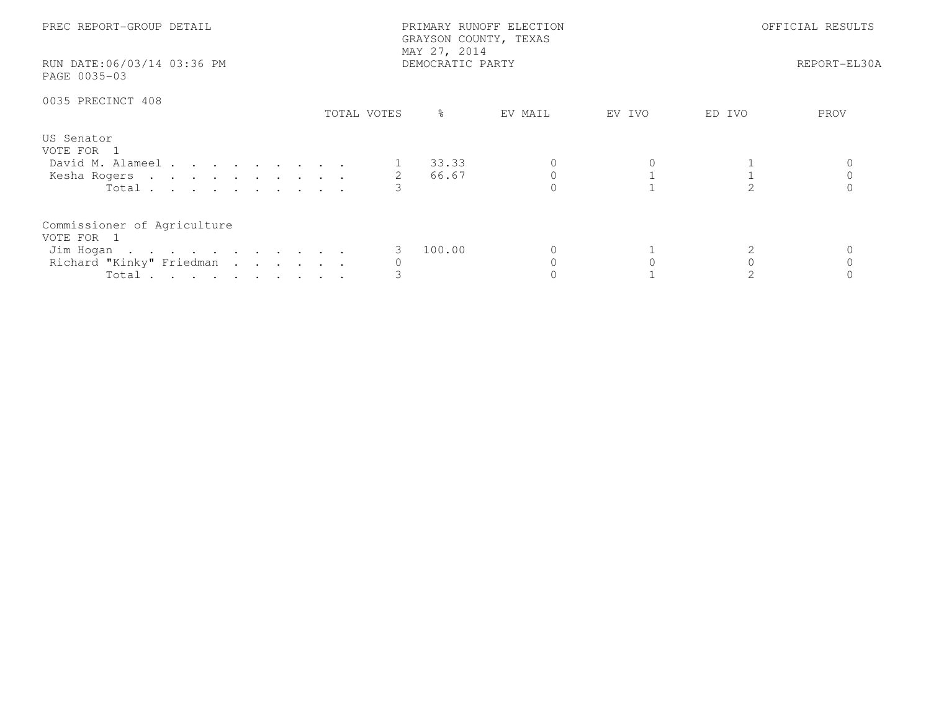| PREC REPORT-GROUP DETAIL                                                                    | MAY 27, 2014                 | PRIMARY RUNOFF ELECTION<br>GRAYSON COUNTY, TEXAS | OFFICIAL RESULTS |  |  |
|---------------------------------------------------------------------------------------------|------------------------------|--------------------------------------------------|------------------|--|--|
| RUN DATE:06/03/14 03:36 PM<br>PAGE 0035-03                                                  |                              | DEMOCRATIC PARTY                                 | REPORT-EL30A     |  |  |
| 0035 PRECINCT 408                                                                           | TOTAL VOTES<br>$\frac{9}{6}$ | EV MAIL<br>EV IVO                                | ED IVO<br>PROV   |  |  |
| US Senator<br>VOTE FOR 1<br>David M. Alameel<br>Kesha Rogers 2<br>Total $\cdots$            | 1 33.33<br>66.67             |                                                  |                  |  |  |
| Commissioner of Agriculture<br>VOTE FOR 1<br>Jim Hogan<br>Richard "Kinky" Friedman<br>Total | 100.00                       |                                                  |                  |  |  |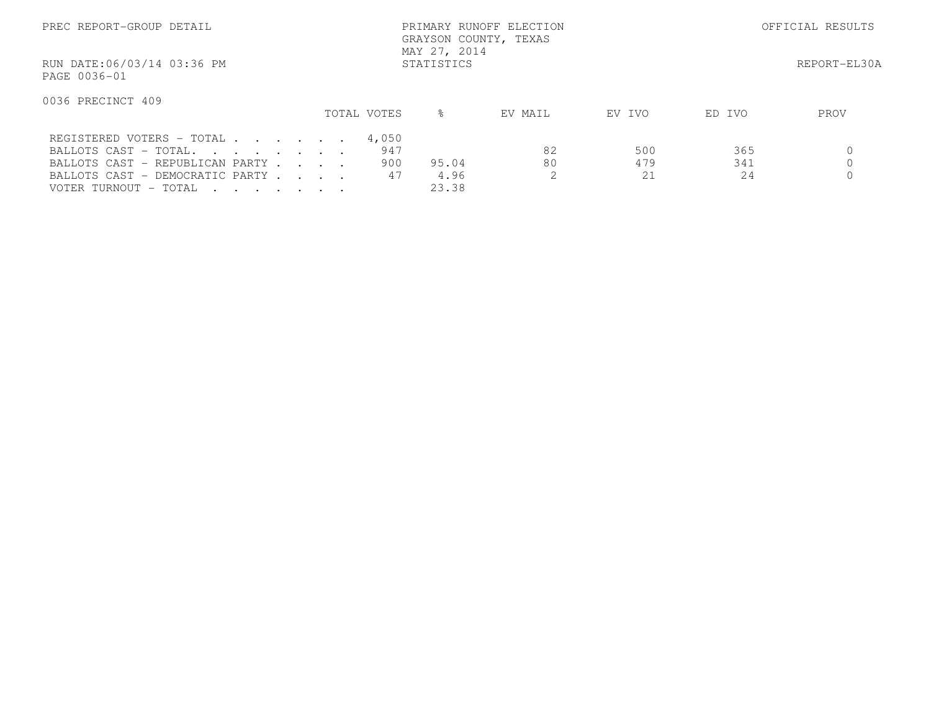| PREC REPORT-GROUP DETAIL                                                                                         |             |              | OFFICIAL RESULTS |        |        |      |
|------------------------------------------------------------------------------------------------------------------|-------------|--------------|------------------|--------|--------|------|
| RUN DATE:06/03/14 03:36 PM<br>PAGE 0036-01                                                                       |             |              | REPORT-EL30A     |        |        |      |
| 0036 PRECINCT 409                                                                                                |             |              |                  |        |        |      |
|                                                                                                                  | TOTAL VOTES | ⊱            | EV MAIL          | EV IVO | ED IVO | PROV |
| REGISTERED VOTERS - TOTAL                                                                                        | 4,050       |              |                  |        |        |      |
| BALLOTS CAST - TOTAL.                                                                                            | 947         |              | 82               | 500    | 365    |      |
| BALLOTS CAST - REPUBLICAN PARTY                                                                                  |             | 900<br>95.04 | 80               | 479    | 341    |      |
| BALLOTS CAST - DEMOCRATIC PARTY                                                                                  |             | 47<br>4.96   |                  | 21     | 24     |      |
| VOTER TURNOUT - TOTAL<br>$\mathbf{r}$ , $\mathbf{r}$ , $\mathbf{r}$ , $\mathbf{r}$ , $\mathbf{r}$ , $\mathbf{r}$ |             | 23.38        |                  |        |        |      |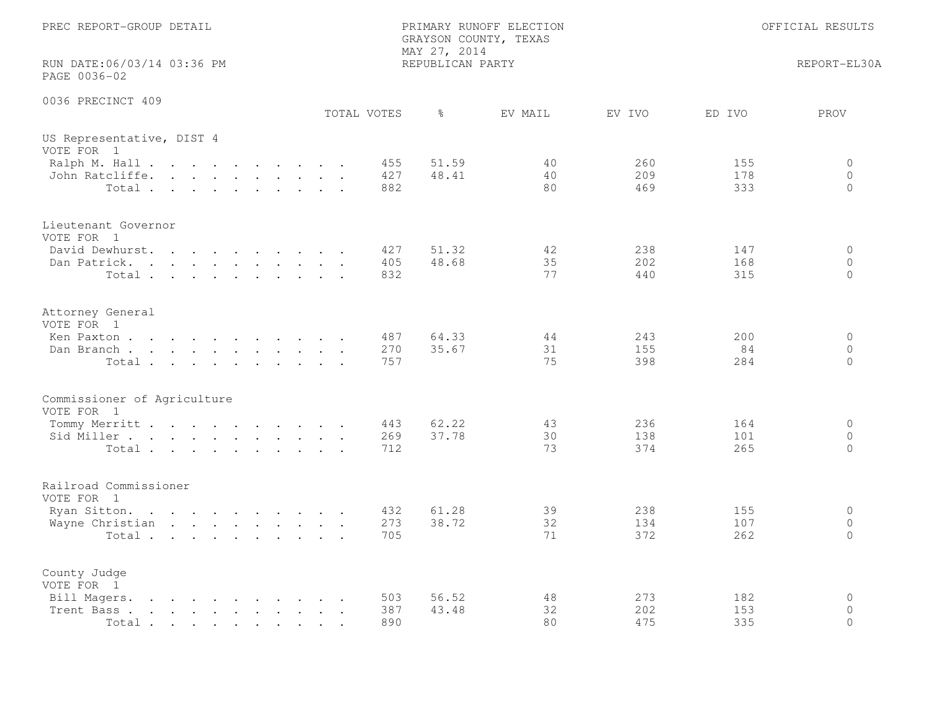| PREC REPORT-GROUP DETAIL                                                                                                                                                                                                                                                                                                                                                                     |  |  |  |             | PRIMARY RUNOFF ELECTION<br>GRAYSON COUNTY, TEXAS<br>MAY 27, 2014 | OFFICIAL RESULTS |                |                   |                   |                                        |
|----------------------------------------------------------------------------------------------------------------------------------------------------------------------------------------------------------------------------------------------------------------------------------------------------------------------------------------------------------------------------------------------|--|--|--|-------------|------------------------------------------------------------------|------------------|----------------|-------------------|-------------------|----------------------------------------|
| RUN DATE:06/03/14 03:36 PM<br>PAGE 0036-02                                                                                                                                                                                                                                                                                                                                                   |  |  |  |             |                                                                  | REPUBLICAN PARTY |                |                   |                   | REPORT-EL30A                           |
| 0036 PRECINCT 409                                                                                                                                                                                                                                                                                                                                                                            |  |  |  | TOTAL VOTES |                                                                  | $\frac{6}{6}$    | EV MAIL        | EV IVO            | ED IVO            | PROV                                   |
| US Representative, DIST 4<br>VOTE FOR 1                                                                                                                                                                                                                                                                                                                                                      |  |  |  |             |                                                                  |                  |                |                   |                   |                                        |
| Ralph M. Hall<br>John Ratcliffe.<br>Total                                                                                                                                                                                                                                                                                                                                                    |  |  |  |             | 455<br>427<br>882                                                | 51.59<br>48.41   | 40<br>40<br>80 | 260<br>209<br>469 | 155<br>178<br>333 | $\Omega$<br>$\overline{0}$<br>$\Omega$ |
| Lieutenant Governor<br>VOTE FOR 1                                                                                                                                                                                                                                                                                                                                                            |  |  |  |             |                                                                  |                  |                |                   |                   |                                        |
| David Dewhurst.<br>Dan Patrick.<br>Total                                                                                                                                                                                                                                                                                                                                                     |  |  |  |             | 427<br>405<br>832                                                | 51.32<br>48.68   | 42<br>35<br>77 | 238<br>202<br>440 | 147<br>168<br>315 | $\circ$<br>$\circ$<br>$\Omega$         |
| Attorney General<br>VOTE FOR 1                                                                                                                                                                                                                                                                                                                                                               |  |  |  |             |                                                                  |                  |                |                   |                   |                                        |
| Ken Paxton<br>Dan Branch<br>Total                                                                                                                                                                                                                                                                                                                                                            |  |  |  |             | 487<br>270<br>757                                                | 64.33<br>35.67   | 44<br>31<br>75 | 243<br>155<br>398 | 200<br>84<br>284  | $\circ$<br>$\Omega$<br>$\circ$         |
| Commissioner of Agriculture<br>VOTE FOR 1                                                                                                                                                                                                                                                                                                                                                    |  |  |  |             |                                                                  |                  |                |                   |                   |                                        |
| Tommy Merritt<br>Sid Miller<br>Total                                                                                                                                                                                                                                                                                                                                                         |  |  |  |             | 443<br>269<br>712                                                | 62.22<br>37.78   | 43<br>30<br>73 | 236<br>138<br>374 | 164<br>101<br>265 | 0<br>$\circ$<br>$\Omega$               |
| Railroad Commissioner<br>VOTE FOR 1                                                                                                                                                                                                                                                                                                                                                          |  |  |  |             |                                                                  |                  |                |                   |                   |                                        |
| Ryan Sitton.<br>Wayne Christian<br>Total                                                                                                                                                                                                                                                                                                                                                     |  |  |  |             | 432<br>273<br>705                                                | 61.28<br>38.72   | 39<br>32<br>71 | 238<br>134<br>372 | 155<br>107<br>262 | $\circ$<br>$\circ$<br>$\Omega$         |
| County Judge<br>VOTE FOR 1                                                                                                                                                                                                                                                                                                                                                                   |  |  |  |             |                                                                  |                  |                |                   |                   |                                        |
| Bill Magers.<br>$\mathbf{r}$ . The contract of the contract of the contract of the contract of the contract of the contract of the contract of the contract of the contract of the contract of the contract of the contract of the contract of th<br>Trent Bass.<br>the contract of the contract of the contract of the contract of the contract of the contract of the contract of<br>Total |  |  |  |             | 503<br>387<br>890                                                | 56.52<br>43.48   | 48<br>32<br>80 | 273<br>202<br>475 | 182<br>153<br>335 | $\mathbf 0$<br>$\Omega$<br>$\Omega$    |